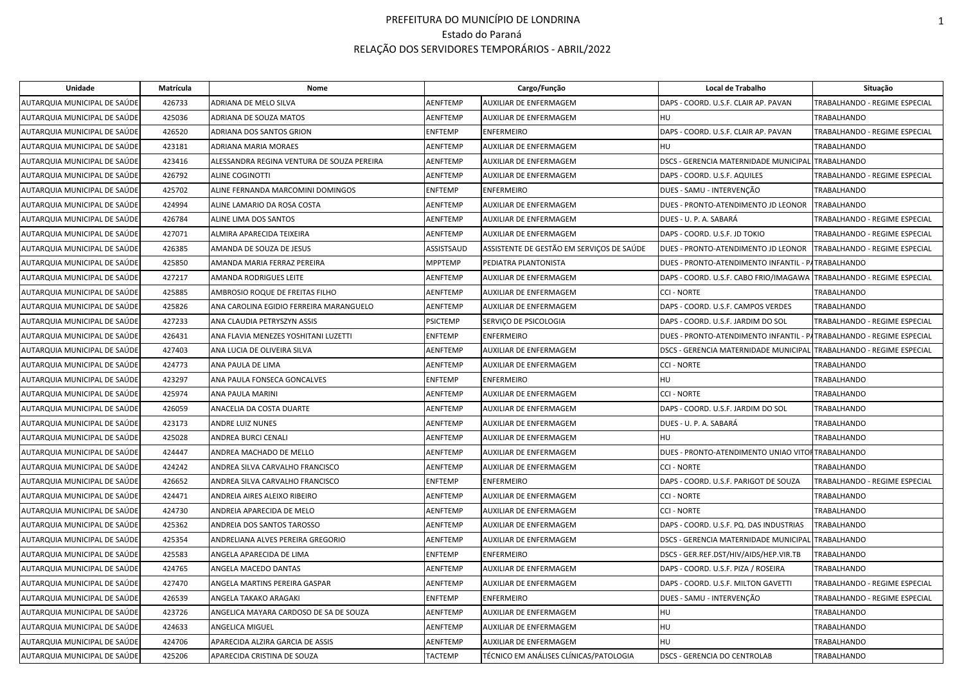| Unidade                      | Matrícula | Nome                                       |                 | Cargo/Função                              | Local de Trabalho                                                    | Situação                      |
|------------------------------|-----------|--------------------------------------------|-----------------|-------------------------------------------|----------------------------------------------------------------------|-------------------------------|
| AUTARQUIA MUNICIPAL DE SAÚDE | 426733    | ADRIANA DE MELO SILVA                      | AENFTEMP        | AUXILIAR DE ENFERMAGEM                    | DAPS - COORD. U.S.F. CLAIR AP. PAVAN                                 | TRABALHANDO - REGIME ESPECIAL |
| AUTARQUIA MUNICIPAL DE SAÚDE | 425036    | ADRIANA DE SOUZA MATOS                     | AENFTEMP        | AUXILIAR DE ENFERMAGEM                    | <b>HU</b>                                                            | <b>TRABALHANDO</b>            |
| AUTARQUIA MUNICIPAL DE SAÚDE | 426520    | ADRIANA DOS SANTOS GRION                   | ENFTEMP         | <b>ENFERMEIRO</b>                         | DAPS - COORD. U.S.F. CLAIR AP. PAVAN                                 | TRABALHANDO - REGIME ESPECIAL |
| AUTARQUIA MUNICIPAL DE SAÚDE | 423181    | ADRIANA MARIA MORAES                       | AENFTEMP        | AUXILIAR DE ENFERMAGEM                    | HU                                                                   | TRABALHANDO                   |
| AUTARQUIA MUNICIPAL DE SAÚDE | 423416    | ALESSANDRA REGINA VENTURA DE SOUZA PEREIRA | AENFTEMP        | AUXILIAR DE ENFERMAGEM                    | DSCS - GERENCIA MATERNIDADE MUNICIPAL TRABALHANDO                    |                               |
| AUTARQUIA MUNICIPAL DE SAÚDE | 426792    | <b>ALINE COGINOTTI</b>                     | AENFTEMP        | AUXILIAR DE ENFERMAGEM                    | DAPS - COORD. U.S.F. AQUILES                                         | TRABALHANDO - REGIME ESPECIAL |
| AUTARQUIA MUNICIPAL DE SAÚDE | 425702    | ALINE FERNANDA MARCOMINI DOMINGOS          | ENFTEMP         | <b>ENFERMEIRO</b>                         | DUES - SAMU - INTERVENÇÃO                                            | TRABALHANDO                   |
| AUTARQUIA MUNICIPAL DE SAÚDE | 424994    | ALINE LAMARIO DA ROSA COSTA                | AENFTEMP        | AUXILIAR DE ENFERMAGEM                    | DUES - PRONTO-ATENDIMENTO JD LEONOR                                  | <b>TRABALHANDO</b>            |
| AUTARQUIA MUNICIPAL DE SAÚDE | 426784    | ALINE LIMA DOS SANTOS                      | AENFTEMP        | AUXILIAR DE ENFERMAGEM                    | DUES - U. P. A. SABARÁ                                               | TRABALHANDO - REGIME ESPECIAL |
| AUTARQUIA MUNICIPAL DE SAÚDE | 427071    | ALMIRA APARECIDA TEIXEIRA                  | AENFTEMP        | AUXILIAR DE ENFERMAGEM                    | DAPS - COORD. U.S.F. JD TOKIO                                        | TRABALHANDO - REGIME ESPECIAL |
| AUTARQUIA MUNICIPAL DE SAÚDE | 426385    | AMANDA DE SOUZA DE JESUS                   | ASSISTSAUD      | ASSISTENTE DE GESTÃO EM SERVIÇOS DE SAÚDE | DUES - PRONTO-ATENDIMENTO JD LEONOR                                  | TRABALHANDO - REGIME ESPECIAL |
| AUTARQUIA MUNICIPAL DE SAÚDE | 425850    | AMANDA MARIA FERRAZ PEREIRA                | <b>MPPTEMP</b>  | PEDIATRA PLANTONISTA                      | DUES - PRONTO-ATENDIMENTO INFANTIL - PATRABALHANDO                   |                               |
| AUTARQUIA MUNICIPAL DE SAÚDE | 427217    | AMANDA RODRIGUES LEITE                     | AENFTEMP        | AUXILIAR DE ENFERMAGEM                    | DAPS - COORD. U.S.F. CABO FRIO/IMAGAWA                               | TRABALHANDO - REGIME ESPECIAL |
| AUTARQUIA MUNICIPAL DE SAÚDE | 425885    | AMBROSIO ROQUE DE FREITAS FILHO            | AENFTEMP        | AUXILIAR DE ENFERMAGEM                    | <b>CCI - NORTE</b>                                                   | <b>TRABALHANDO</b>            |
| AUTARQUIA MUNICIPAL DE SAÚDE | 425826    | ANA CAROLINA EGIDIO FERREIRA MARANGUELO    | AENFTEMP        | AUXILIAR DE ENFERMAGEM                    | DAPS - COORD. U.S.F. CAMPOS VERDES                                   | <b>TRABALHANDO</b>            |
| AUTARQUIA MUNICIPAL DE SAÚDE | 427233    | ANA CLAUDIA PETRYSZYN ASSIS                | <b>PSICTEMP</b> | SERVIÇO DE PSICOLOGIA                     | DAPS - COORD. U.S.F. JARDIM DO SOL                                   | TRABALHANDO - REGIME ESPECIAL |
| AUTARQUIA MUNICIPAL DE SAÚDE | 426431    | ANA FLAVIA MENEZES YOSHITANI LUZETTI       | <b>ENFTEMP</b>  | <b>ENFERMEIRO</b>                         | DUES - PRONTO-ATENDIMENTO INFANTIL - PATRABALHANDO - REGIME ESPECIAL |                               |
| AUTARQUIA MUNICIPAL DE SAÚDE | 427403    | ANA LUCIA DE OLIVEIRA SILVA                | AENFTEMP        | AUXILIAR DE ENFERMAGEM                    | <b>DSCS - GERENCIA MATERNIDADE MUNICIPAL</b>                         | TRABALHANDO - REGIME ESPECIAL |
| AUTARQUIA MUNICIPAL DE SAÚDE | 424773    | ANA PAULA DE LIMA                          | AENFTEMP        | AUXILIAR DE ENFERMAGEM                    | <b>CCI - NORTE</b>                                                   | TRABALHANDO                   |
| AUTARQUIA MUNICIPAL DE SAÚDE | 423297    | ANA PAULA FONSECA GONCALVES                | ENFTEMP         | <b>ENFERMEIRO</b>                         | HU                                                                   | TRABALHANDO                   |
| AUTARQUIA MUNICIPAL DE SAÚDE | 425974    | ANA PAULA MARINI                           | AENFTEMP        | AUXILIAR DE ENFERMAGEM                    | <b>CCI - NORTE</b>                                                   | TRABALHANDO                   |
| AUTARQUIA MUNICIPAL DE SAÚDE | 426059    | ANACELIA DA COSTA DUARTE                   | AENFTEMP        | AUXILIAR DE ENFERMAGEM                    | DAPS - COORD. U.S.F. JARDIM DO SOL                                   | <b>TRABALHANDO</b>            |
| AUTARQUIA MUNICIPAL DE SAÚDE | 423173    | <b>ANDRE LUIZ NUNES</b>                    | AENFTEMP        | AUXILIAR DE ENFERMAGEM                    | DUES - U. P. A. SABARÁ                                               | <b>TRABALHANDO</b>            |
| AUTARQUIA MUNICIPAL DE SAÚDE | 425028    | ANDREA BURCI CENALI                        | AENFTEMP        | AUXILIAR DE ENFERMAGEM                    | <b>HU</b>                                                            | TRABALHANDO                   |
| AUTARQUIA MUNICIPAL DE SAÚDE | 424447    | ANDREA MACHADO DE MELLO                    | AENFTEMP        | AUXILIAR DE ENFERMAGEM                    | DUES - PRONTO-ATENDIMENTO UNIAO VITOR TRABALHANDO                    |                               |
| AUTARQUIA MUNICIPAL DE SAÚDE | 424242    | ANDREA SILVA CARVALHO FRANCISCO            | AENFTEMF        | AUXILIAR DE ENFERMAGEM                    | <b>CCI - NORTE</b>                                                   | <b>TRABALHANDO</b>            |
| AUTARQUIA MUNICIPAL DE SAÚDE | 426652    | ANDREA SILVA CARVALHO FRANCISCO            | ENFTEMP         | <b>ENFERMEIRO</b>                         | DAPS - COORD. U.S.F. PARIGOT DE SOUZA                                | TRABALHANDO - REGIME ESPECIAL |
| AUTARQUIA MUNICIPAL DE SAÚDE | 424471    | ANDREIA AIRES ALEIXO RIBEIRO               | AENFTEMP        | AUXILIAR DE ENFERMAGEM                    | <b>CCI - NORTE</b>                                                   | TRABALHANDO                   |
| AUTARQUIA MUNICIPAL DE SAÚDE | 424730    | ANDREIA APARECIDA DE MELO                  | AENFTEMP        | AUXILIAR DE ENFERMAGEM                    | <b>CCI - NORTE</b>                                                   | TRABALHANDO                   |
| AUTARQUIA MUNICIPAL DE SAÚDE | 425362    | ANDREIA DOS SANTOS TAROSSO                 | AENFTEMP        | AUXILIAR DE ENFERMAGEM                    | DAPS - COORD. U.S.F. PQ. DAS INDUSTRIAS                              | TRABALHANDO                   |
| AUTARQUIA MUNICIPAL DE SAÚDE | 425354    | ANDRELIANA ALVES PEREIRA GREGORIO          | AENFTEMP        | AUXILIAR DE ENFERMAGEM                    | DSCS - GERENCIA MATERNIDADE MUNICIPAL                                | <b>TRABALHANDO</b>            |
| AUTARQUIA MUNICIPAL DE SAÚDE | 425583    | ANGELA APARECIDA DE LIMA                   | ENFTEMP         | <b>ENFERMEIRO</b>                         | DSCS - GER.REF.DST/HIV/AIDS/HEP.VIR.TB                               | TRABALHANDO                   |
| AUTARQUIA MUNICIPAL DE SAÚDE | 424765    | ANGELA MACEDO DANTAS                       | AENFTEMP        | AUXILIAR DE ENFERMAGEM                    | DAPS - COORD. U.S.F. PIZA / ROSEIRA                                  | <b>TRABALHANDO</b>            |
| AUTARQUIA MUNICIPAL DE SAÚDE | 427470    | ANGELA MARTINS PEREIRA GASPAR              | AENFTEMP        | AUXILIAR DE ENFERMAGEM                    | DAPS - COORD. U.S.F. MILTON GAVETTI                                  | TRABALHANDO - REGIME ESPECIAL |
| AUTARQUIA MUNICIPAL DE SAÚDE | 426539    | ANGELA TAKAKO ARAGAKI                      | ENFTEMP         | <b>ENFERMEIRO</b>                         | DUES - SAMU - INTERVENÇÃO                                            | TRABALHANDO - REGIME ESPECIAL |
| AUTARQUIA MUNICIPAL DE SAÚDE | 423726    | ANGELICA MAYARA CARDOSO DE SA DE SOUZA     | AENFTEMP        | AUXILIAR DE ENFERMAGEM                    | <b>HU</b>                                                            | <b>TRABALHANDO</b>            |
| AUTARQUIA MUNICIPAL DE SAÚDE | 424633    | ANGELICA MIGUEL                            | AENFTEMP        | AUXILIAR DE ENFERMAGEM                    | <b>HU</b>                                                            | TRABALHANDO                   |
| AUTARQUIA MUNICIPAL DE SAÚDE | 424706    | APARECIDA ALZIRA GARCIA DE ASSIS           | AENFTEMP        | AUXILIAR DE ENFERMAGEM                    | <b>HU</b>                                                            | TRABALHANDO                   |
| AUTARQUIA MUNICIPAL DE SAÚDE | 425206    | APARECIDA CRISTINA DE SOUZA                | TACTEMP         | TÉCNICO EM ANÁLISES CLÍNICAS/PATOLOGIA    | <b>DSCS - GERENCIA DO CENTROLAB</b>                                  | TRABALHANDO                   |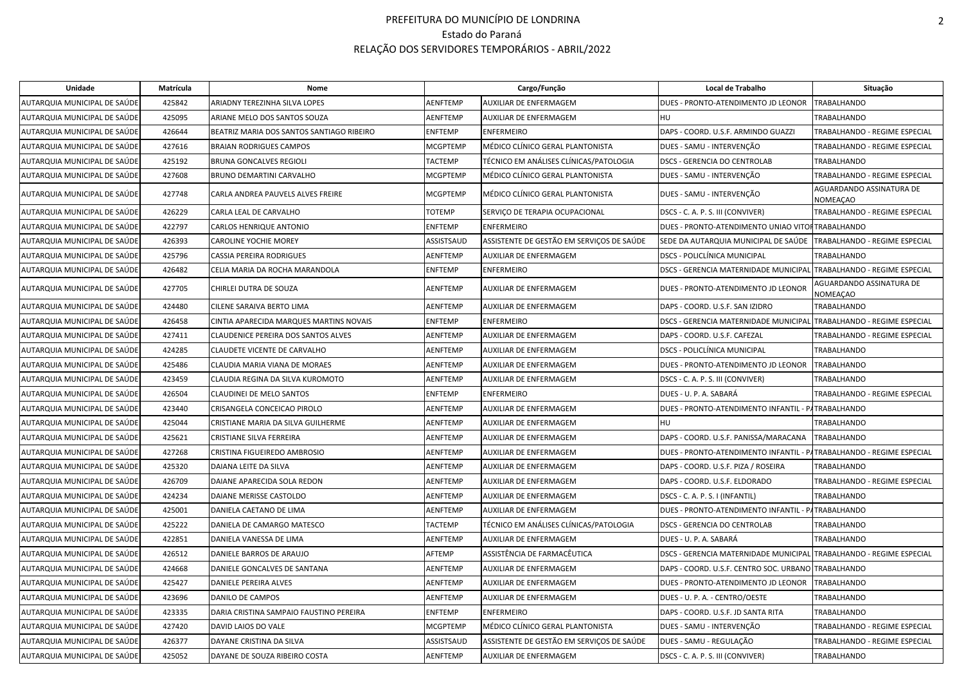| AUTARQUIA MUNICIPAL DE SAÚDE<br>425842<br>ARIADNY TEREZINHA SILVA LOPES<br>AENFTEMP<br>AUXILIAR DE ENFERMAGEM<br>DUES - PRONTO-ATENDIMENTO JD LEONOR<br><b>TRABALHANDO</b><br>AUTARQUIA MUNICIPAL DE SAÚDE<br>425095<br>ARIANE MELO DOS SANTOS SOUZA<br>AENFTEMP<br>AUXILIAR DE ENFERMAGEM<br><b>HU</b><br><b>TRABALHANDO</b><br>426644<br>BEATRIZ MARIA DOS SANTOS SANTIAGO RIBEIRO<br><b>ENFTEMP</b><br><b>ENFERMEIRO</b><br>DAPS - COORD. U.S.F. ARMINDO GUAZZI<br>TRABALHANDO - REGIME ESPECIAL<br>AUTARQUIA MUNICIPAL DE SAÚDE<br>427616<br><b>MCGPTEMP</b><br>MÉDICO CLÍNICO GERAL PLANTONISTA<br>TRABALHANDO - REGIME ESPECIAL<br>AUTARQUIA MUNICIPAL DE SAÚDE<br><b>BRAIAN RODRIGUES CAMPOS</b><br>DUES - SAMU - INTERVENÇÃO<br>425192<br><b>TACTEMP</b><br>TÉCNICO EM ANÁLISES CLÍNICAS/PATOLOGIA<br><b>DSCS - GERENCIA DO CENTROLAB</b><br><b>TRABALHANDO</b><br>AUTARQUIA MUNICIPAL DE SAÚDE<br><b>BRUNA GONCALVES REGIOLI</b><br>427608<br>MCGPTEMP<br>DUES - SAMU - INTERVENÇÃO<br>TRABALHANDO - REGIME ESPECIAL<br>AUTARQUIA MUNICIPAL DE SAÚDE<br>BRUNO DEMARTINI CARVALHO<br>MÉDICO CLÍNICO GERAL PLANTONISTA<br>AGUARDANDO ASSINATURA DE<br>MÉDICO CLÍNICO GERAL PLANTONISTA<br>AUTARQUIA MUNICIPAL DE SAÚDE<br>427748<br>MCGPTEMP<br>DUES - SAMU - INTERVENÇÃO<br>CARLA ANDREA PAUVELS ALVES FREIRE<br>NOMEAÇAO<br><b>TOTEMP</b><br>TRABALHANDO - REGIME ESPECIAL<br>AUTARQUIA MUNICIPAL DE SAÚDE<br>426229<br>CARLA LEAL DE CARVALHO<br>SERVIÇO DE TERAPIA OCUPACIONAL<br>DSCS - C. A. P. S. III (CONVIVER)<br>AUTARQUIA MUNICIPAL DE SAÚDE<br>422797<br>CARLOS HENRIQUE ANTONIO<br>ENFTEMP<br><b>ENFERMEIRO</b><br>DUES - PRONTO-ATENDIMENTO UNIAO VITOFTRABALHANDO<br>ASSISTENTE DE GESTÃO EM SERVIÇOS DE SAÚDE<br>AUTARQUIA MUNICIPAL DE SAÚDE<br>426393<br><b>CAROLINE YOCHIE MOREY</b><br>ASSISTSAUD<br>SEDE DA AUTARQUIA MUNICIPAL DE SAÚDE<br>TRABALHANDO - REGIME ESPECIAL<br>425796<br>AUXILIAR DE ENFERMAGEM<br><b>DSCS - POLICLÍNICA MUNICIPAL</b><br>AUTARQUIA MUNICIPAL DE SAÚDE<br><b>CASSIA PEREIRA RODRIGUES</b><br>AENFTEMP<br><b>TRABALHANDO</b><br>AUTARQUIA MUNICIPAL DE SAÚDE<br>426482<br>CELIA MARIA DA ROCHA MARANDOLA<br>ENFTEMP<br><b>ENFERMEIRO</b><br><b>DSCS - GERENCIA MATERNIDADE MUNICIPAL</b><br>TRABALHANDO - REGIME ESPECIAL<br>AGUARDANDO ASSINATURA DE<br>AUTARQUIA MUNICIPAL DE SAÚDE<br>427705<br>CHIRLEI DUTRA DE SOUZA<br>AENFTEMP<br>AUXILIAR DE ENFERMAGEM<br>DUES - PRONTO-ATENDIMENTO JD LEONOR<br>NOMEAÇAO<br>AUTARQUIA MUNICIPAL DE SAÚDE<br>424480<br>AENFTEMP<br>DAPS - COORD. U.S.F. SAN IZIDRO<br>CILENE SARAIVA BERTO LIMA<br>AUXILIAR DE ENFERMAGEM<br><b>TRABALHANDO</b><br>DSCS - GERENCIA MATERNIDADE MUNICIPAL TRABALHANDO - REGIME ESPECIAL<br>AUTARQUIA MUNICIPAL DE SAÚDE<br>426458<br>CINTIA APARECIDA MARQUES MARTINS NOVAIS<br>ENFTEMP<br><b>ENFERMEIRO</b><br>AUXILIAR DE ENFERMAGEM<br>AUTARQUIA MUNICIPAL DE SAÚDE<br>427411<br>CLAUDENICE PEREIRA DOS SANTOS ALVES<br>AENFTEMP<br>DAPS - COORD. U.S.F. CAFEZAL<br>TRABALHANDO - REGIME ESPECIAL<br>424285<br><b>DSCS - POLICLÍNICA MUNICIPAL</b><br>AUTARQUIA MUNICIPAL DE SAÚDE<br><b>CLAUDETE VICENTE DE CARVALHO</b><br>AENFTEMP<br>AUXILIAR DE ENFERMAGEM<br><b>TRABALHANDO</b><br>AUTARQUIA MUNICIPAL DE SAÚDE<br>425486<br>AENFTEMP<br>DUES - PRONTO-ATENDIMENTO JD LEONOR<br><b>TRABALHANDO</b><br>CLAUDIA MARIA VIANA DE MORAES<br>AUXILIAR DE ENFERMAGEM<br>423459<br>AUTARQUIA MUNICIPAL DE SAÚDE<br>CLAUDIA REGINA DA SILVA KUROMOTO<br>AENFTEMP<br>AUXILIAR DE ENFERMAGEM<br>DSCS - C. A. P. S. III (CONVIVER)<br>TRABALHANDO<br>AUTARQUIA MUNICIPAL DE SAÚDE<br>426504<br>CLAUDINEI DE MELO SANTOS<br><b>ENFTEMP</b><br><b>ENFERMEIRO</b><br>DUES - U. P. A. SABARÁ<br>TRABALHANDO - REGIME ESPECIAL<br>DUES - PRONTO-ATENDIMENTO INFANTIL - PATRABALHANDO<br>AUTARQUIA MUNICIPAL DE SAÚDE<br>423440<br>CRISANGELA CONCEICAO PIROLO<br>AENFTEMP<br>AUXILIAR DE ENFERMAGEM<br>AUTARQUIA MUNICIPAL DE SAÚDE<br>425044<br>AENFTEMP<br><b>HU</b><br>TRABALHANDO<br>CRISTIANE MARIA DA SILVA GUILHERME<br>AUXILIAR DE ENFERMAGEM<br>AUTARQUIA MUNICIPAL DE SAÚDE<br>425621<br>AENFTEMP<br>DAPS - COORD. U.S.F. PANISSA/MARACANA<br>CRISTIANE SILVA FERREIRA<br>AUXILIAR DE ENFERMAGEM<br><b>TRABALHANDO</b><br>AUTARQUIA MUNICIPAL DE SAÚDE<br>427268<br>CRISTINA FIGUEIREDO AMBROSIO<br>AENFTEMP<br>AUXILIAR DE ENFERMAGEM<br>DUES - PRONTO-ATENDIMENTO INFANTIL - P/<br>TRABALHANDO - REGIME ESPECIAL<br>425320<br>AUTARQUIA MUNICIPAL DE SAÚDE<br>DAIANA LEITE DA SILVA<br>AENFTEMP<br>AUXILIAR DE ENFERMAGEM<br>DAPS - COORD. U.S.F. PIZA / ROSEIRA<br><b>TRABALHANDO</b><br>TRABALHANDO - REGIME ESPECIAL<br>AUTARQUIA MUNICIPAL DE SAÚDE<br>426709<br>DAIANE APARECIDA SOLA REDON<br>AENFTEMP<br>AUXILIAR DE ENFERMAGEM<br>DAPS - COORD. U.S.F. ELDORADO<br>424234<br>AUTARQUIA MUNICIPAL DE SAÚDE<br>DAIANE MERISSE CASTOLDO<br>AENFTEMP<br>AUXILIAR DE ENFERMAGEM<br>DSCS - C. A. P. S. I (INFANTIL)<br><b>TRABALHANDO</b><br>AUTARQUIA MUNICIPAL DE SAÚDE<br>425001<br>DANIELA CAETANO DE LIMA<br>AENFTEMP<br>AUXILIAR DE ENFERMAGEM<br>DUES - PRONTO-ATENDIMENTO INFANTIL - PATRABALHANDO<br>AUTARQUIA MUNICIPAL DE SAÚDE<br>425222<br>DANIELA DE CAMARGO MATESCO<br><b>TACTEMP</b><br>TÉCNICO EM ANÁLISES CLÍNICAS/PATOLOGIA<br><b>DSCS - GERENCIA DO CENTROLAB</b><br><b>TRABALHANDO</b><br>AUTARQUIA MUNICIPAL DE SAÚDE<br>422851<br>DANIELA VANESSA DE LIMA<br>AENFTEMF<br>AUXILIAR DE ENFERMAGEM<br>DUES - U. P. A. SABARÁ<br><b>TRABALHANDO</b><br>ASSISTÊNCIA DE FARMACÊUTICA<br>AUTARQUIA MUNICIPAL DE SAÚDE<br>426512<br>DANIELE BARROS DE ARAUJO<br>AFTEMP<br>DSCS - GERENCIA MATERNIDADE MUNICIPAL TRABALHANDO - REGIME ESPECIAL<br>AUTARQUIA MUNICIPAL DE SAÚDE<br>424668<br>DANIELE GONCALVES DE SANTANA<br>AENFTEMP<br>AUXILIAR DE ENFERMAGEM<br>DAPS - COORD. U.S.F. CENTRO SOC. URBANO TRABALHANDO<br>AUTARQUIA MUNICIPAL DE SAÚDE<br>425427<br>DANIELE PEREIRA ALVES<br>AENFTEMP<br>AUXILIAR DE ENFERMAGEM<br>DUES - PRONTO-ATENDIMENTO JD LEONOR<br><b>TRABALHANDO</b><br>AUTARQUIA MUNICIPAL DE SAÚDE<br>423696<br>DANILO DE CAMPOS<br>AENFTEMP<br>AUXILIAR DE ENFERMAGEM<br>DUES - U. P. A. - CENTRO/OESTE<br>TRABALHANDO<br>423335<br>AUTARQUIA MUNICIPAL DE SAÚDE<br>DARIA CRISTINA SAMPAIO FAUSTINO PEREIRA<br>ENFTEMP<br><b>ENFERMEIRO</b><br>DAPS - COORD. U.S.F. JD SANTA RITA<br><b>TRABALHANDO</b><br>427420<br>MÉDICO CLÍNICO GERAL PLANTONISTA<br>DUES - SAMU - INTERVENÇÃO<br>AUTARQUIA MUNICIPAL DE SAÚDE<br>DAVID LAIOS DO VALE<br><b>MCGPTEMP</b><br>TRABALHANDO - REGIME ESPECIAL<br>ASSISTENTE DE GESTÃO EM SERVIÇOS DE SAÚDE<br>DUES - SAMU - REGULAÇÃO<br>AUTARQUIA MUNICIPAL DE SAÚDE<br>426377<br>DAYANE CRISTINA DA SILVA<br>ASSISTSAUD<br>TRABALHANDO - REGIME ESPECIAL<br>AUTARQUIA MUNICIPAL DE SAÚDE<br>425052<br>DAYANE DE SOUZA RIBEIRO COSTA<br><b>AENFTEMP</b><br>AUXILIAR DE ENFERMAGEM<br>DSCS - C. A. P. S. III (CONVIVER)<br><b>TRABALHANDO</b> | Unidade | Matrícula | Nome | Cargo/Função | Local de Trabalho | Situação |
|--------------------------------------------------------------------------------------------------------------------------------------------------------------------------------------------------------------------------------------------------------------------------------------------------------------------------------------------------------------------------------------------------------------------------------------------------------------------------------------------------------------------------------------------------------------------------------------------------------------------------------------------------------------------------------------------------------------------------------------------------------------------------------------------------------------------------------------------------------------------------------------------------------------------------------------------------------------------------------------------------------------------------------------------------------------------------------------------------------------------------------------------------------------------------------------------------------------------------------------------------------------------------------------------------------------------------------------------------------------------------------------------------------------------------------------------------------------------------------------------------------------------------------------------------------------------------------------------------------------------------------------------------------------------------------------------------------------------------------------------------------------------------------------------------------------------------------------------------------------------------------------------------------------------------------------------------------------------------------------------------------------------------------------------------------------------------------------------------------------------------------------------------------------------------------------------------------------------------------------------------------------------------------------------------------------------------------------------------------------------------------------------------------------------------------------------------------------------------------------------------------------------------------------------------------------------------------------------------------------------------------------------------------------------------------------------------------------------------------------------------------------------------------------------------------------------------------------------------------------------------------------------------------------------------------------------------------------------------------------------------------------------------------------------------------------------------------------------------------------------------------------------------------------------------------------------------------------------------------------------------------------------------------------------------------------------------------------------------------------------------------------------------------------------------------------------------------------------------------------------------------------------------------------------------------------------------------------------------------------------------------------------------------------------------------------------------------------------------------------------------------------------------------------------------------------------------------------------------------------------------------------------------------------------------------------------------------------------------------------------------------------------------------------------------------------------------------------------------------------------------------------------------------------------------------------------------------------------------------------------------------------------------------------------------------------------------------------------------------------------------------------------------------------------------------------------------------------------------------------------------------------------------------------------------------------------------------------------------------------------------------------------------------------------------------------------------------------------------------------------------------------------------------------------------------------------------------------------------------------------------------------------------------------------------------------------------------------------------------------------------------------------------------------------------------------------------------------------------------------------------------------------------------------------------------------------------------------------------------------------------------------------------------------------------------------------------------------------------------------------------------------------------------------------------------------------------------------------------------------------------------------------------------------------------------------------------------------------------------------------------------------------------------------------------------------------------------------------------------------------------------------------------------------------------------------------------------------------------------------------------------------------------------------------------------------------------------------------------------------------------------------------------------------------------------------------------------------------------------------------------------------------------------------------------------------------------------------------------------------------------------------------------------------------------------------------------------------------------------------------------------------------------------------------------------------------------------------------------------------------------------------------------------------------------------------------------------------------------------------------------------------------------------------------------------------------------------------------------------------------------------------------------------------------------------------------------------------------------------------------------------------------------------------------------------------------------------------|---------|-----------|------|--------------|-------------------|----------|
|                                                                                                                                                                                                                                                                                                                                                                                                                                                                                                                                                                                                                                                                                                                                                                                                                                                                                                                                                                                                                                                                                                                                                                                                                                                                                                                                                                                                                                                                                                                                                                                                                                                                                                                                                                                                                                                                                                                                                                                                                                                                                                                                                                                                                                                                                                                                                                                                                                                                                                                                                                                                                                                                                                                                                                                                                                                                                                                                                                                                                                                                                                                                                                                                                                                                                                                                                                                                                                                                                                                                                                                                                                                                                                                                                                                                                                                                                                                                                                                                                                                                                                                                                                                                                                                                                                                                                                                                                                                                                                                                                                                                                                                                                                                                                                                                                                                                                                                                                                                                                                                                                                                                                                                                                                                                                                                                                                                                                                                                                                                                                                                                                                                                                                                                                                                                                                                                                                                                                                                                                                                                                                                                                                                                                                                                                                                                                                                                                                                                                                                                                                                                                                                                                                                                                                                                                                                                                                                                                              |         |           |      |              |                   |          |
|                                                                                                                                                                                                                                                                                                                                                                                                                                                                                                                                                                                                                                                                                                                                                                                                                                                                                                                                                                                                                                                                                                                                                                                                                                                                                                                                                                                                                                                                                                                                                                                                                                                                                                                                                                                                                                                                                                                                                                                                                                                                                                                                                                                                                                                                                                                                                                                                                                                                                                                                                                                                                                                                                                                                                                                                                                                                                                                                                                                                                                                                                                                                                                                                                                                                                                                                                                                                                                                                                                                                                                                                                                                                                                                                                                                                                                                                                                                                                                                                                                                                                                                                                                                                                                                                                                                                                                                                                                                                                                                                                                                                                                                                                                                                                                                                                                                                                                                                                                                                                                                                                                                                                                                                                                                                                                                                                                                                                                                                                                                                                                                                                                                                                                                                                                                                                                                                                                                                                                                                                                                                                                                                                                                                                                                                                                                                                                                                                                                                                                                                                                                                                                                                                                                                                                                                                                                                                                                                                              |         |           |      |              |                   |          |
|                                                                                                                                                                                                                                                                                                                                                                                                                                                                                                                                                                                                                                                                                                                                                                                                                                                                                                                                                                                                                                                                                                                                                                                                                                                                                                                                                                                                                                                                                                                                                                                                                                                                                                                                                                                                                                                                                                                                                                                                                                                                                                                                                                                                                                                                                                                                                                                                                                                                                                                                                                                                                                                                                                                                                                                                                                                                                                                                                                                                                                                                                                                                                                                                                                                                                                                                                                                                                                                                                                                                                                                                                                                                                                                                                                                                                                                                                                                                                                                                                                                                                                                                                                                                                                                                                                                                                                                                                                                                                                                                                                                                                                                                                                                                                                                                                                                                                                                                                                                                                                                                                                                                                                                                                                                                                                                                                                                                                                                                                                                                                                                                                                                                                                                                                                                                                                                                                                                                                                                                                                                                                                                                                                                                                                                                                                                                                                                                                                                                                                                                                                                                                                                                                                                                                                                                                                                                                                                                                              |         |           |      |              |                   |          |
|                                                                                                                                                                                                                                                                                                                                                                                                                                                                                                                                                                                                                                                                                                                                                                                                                                                                                                                                                                                                                                                                                                                                                                                                                                                                                                                                                                                                                                                                                                                                                                                                                                                                                                                                                                                                                                                                                                                                                                                                                                                                                                                                                                                                                                                                                                                                                                                                                                                                                                                                                                                                                                                                                                                                                                                                                                                                                                                                                                                                                                                                                                                                                                                                                                                                                                                                                                                                                                                                                                                                                                                                                                                                                                                                                                                                                                                                                                                                                                                                                                                                                                                                                                                                                                                                                                                                                                                                                                                                                                                                                                                                                                                                                                                                                                                                                                                                                                                                                                                                                                                                                                                                                                                                                                                                                                                                                                                                                                                                                                                                                                                                                                                                                                                                                                                                                                                                                                                                                                                                                                                                                                                                                                                                                                                                                                                                                                                                                                                                                                                                                                                                                                                                                                                                                                                                                                                                                                                                                              |         |           |      |              |                   |          |
|                                                                                                                                                                                                                                                                                                                                                                                                                                                                                                                                                                                                                                                                                                                                                                                                                                                                                                                                                                                                                                                                                                                                                                                                                                                                                                                                                                                                                                                                                                                                                                                                                                                                                                                                                                                                                                                                                                                                                                                                                                                                                                                                                                                                                                                                                                                                                                                                                                                                                                                                                                                                                                                                                                                                                                                                                                                                                                                                                                                                                                                                                                                                                                                                                                                                                                                                                                                                                                                                                                                                                                                                                                                                                                                                                                                                                                                                                                                                                                                                                                                                                                                                                                                                                                                                                                                                                                                                                                                                                                                                                                                                                                                                                                                                                                                                                                                                                                                                                                                                                                                                                                                                                                                                                                                                                                                                                                                                                                                                                                                                                                                                                                                                                                                                                                                                                                                                                                                                                                                                                                                                                                                                                                                                                                                                                                                                                                                                                                                                                                                                                                                                                                                                                                                                                                                                                                                                                                                                                              |         |           |      |              |                   |          |
|                                                                                                                                                                                                                                                                                                                                                                                                                                                                                                                                                                                                                                                                                                                                                                                                                                                                                                                                                                                                                                                                                                                                                                                                                                                                                                                                                                                                                                                                                                                                                                                                                                                                                                                                                                                                                                                                                                                                                                                                                                                                                                                                                                                                                                                                                                                                                                                                                                                                                                                                                                                                                                                                                                                                                                                                                                                                                                                                                                                                                                                                                                                                                                                                                                                                                                                                                                                                                                                                                                                                                                                                                                                                                                                                                                                                                                                                                                                                                                                                                                                                                                                                                                                                                                                                                                                                                                                                                                                                                                                                                                                                                                                                                                                                                                                                                                                                                                                                                                                                                                                                                                                                                                                                                                                                                                                                                                                                                                                                                                                                                                                                                                                                                                                                                                                                                                                                                                                                                                                                                                                                                                                                                                                                                                                                                                                                                                                                                                                                                                                                                                                                                                                                                                                                                                                                                                                                                                                                                              |         |           |      |              |                   |          |
|                                                                                                                                                                                                                                                                                                                                                                                                                                                                                                                                                                                                                                                                                                                                                                                                                                                                                                                                                                                                                                                                                                                                                                                                                                                                                                                                                                                                                                                                                                                                                                                                                                                                                                                                                                                                                                                                                                                                                                                                                                                                                                                                                                                                                                                                                                                                                                                                                                                                                                                                                                                                                                                                                                                                                                                                                                                                                                                                                                                                                                                                                                                                                                                                                                                                                                                                                                                                                                                                                                                                                                                                                                                                                                                                                                                                                                                                                                                                                                                                                                                                                                                                                                                                                                                                                                                                                                                                                                                                                                                                                                                                                                                                                                                                                                                                                                                                                                                                                                                                                                                                                                                                                                                                                                                                                                                                                                                                                                                                                                                                                                                                                                                                                                                                                                                                                                                                                                                                                                                                                                                                                                                                                                                                                                                                                                                                                                                                                                                                                                                                                                                                                                                                                                                                                                                                                                                                                                                                                              |         |           |      |              |                   |          |
|                                                                                                                                                                                                                                                                                                                                                                                                                                                                                                                                                                                                                                                                                                                                                                                                                                                                                                                                                                                                                                                                                                                                                                                                                                                                                                                                                                                                                                                                                                                                                                                                                                                                                                                                                                                                                                                                                                                                                                                                                                                                                                                                                                                                                                                                                                                                                                                                                                                                                                                                                                                                                                                                                                                                                                                                                                                                                                                                                                                                                                                                                                                                                                                                                                                                                                                                                                                                                                                                                                                                                                                                                                                                                                                                                                                                                                                                                                                                                                                                                                                                                                                                                                                                                                                                                                                                                                                                                                                                                                                                                                                                                                                                                                                                                                                                                                                                                                                                                                                                                                                                                                                                                                                                                                                                                                                                                                                                                                                                                                                                                                                                                                                                                                                                                                                                                                                                                                                                                                                                                                                                                                                                                                                                                                                                                                                                                                                                                                                                                                                                                                                                                                                                                                                                                                                                                                                                                                                                                              |         |           |      |              |                   |          |
|                                                                                                                                                                                                                                                                                                                                                                                                                                                                                                                                                                                                                                                                                                                                                                                                                                                                                                                                                                                                                                                                                                                                                                                                                                                                                                                                                                                                                                                                                                                                                                                                                                                                                                                                                                                                                                                                                                                                                                                                                                                                                                                                                                                                                                                                                                                                                                                                                                                                                                                                                                                                                                                                                                                                                                                                                                                                                                                                                                                                                                                                                                                                                                                                                                                                                                                                                                                                                                                                                                                                                                                                                                                                                                                                                                                                                                                                                                                                                                                                                                                                                                                                                                                                                                                                                                                                                                                                                                                                                                                                                                                                                                                                                                                                                                                                                                                                                                                                                                                                                                                                                                                                                                                                                                                                                                                                                                                                                                                                                                                                                                                                                                                                                                                                                                                                                                                                                                                                                                                                                                                                                                                                                                                                                                                                                                                                                                                                                                                                                                                                                                                                                                                                                                                                                                                                                                                                                                                                                              |         |           |      |              |                   |          |
|                                                                                                                                                                                                                                                                                                                                                                                                                                                                                                                                                                                                                                                                                                                                                                                                                                                                                                                                                                                                                                                                                                                                                                                                                                                                                                                                                                                                                                                                                                                                                                                                                                                                                                                                                                                                                                                                                                                                                                                                                                                                                                                                                                                                                                                                                                                                                                                                                                                                                                                                                                                                                                                                                                                                                                                                                                                                                                                                                                                                                                                                                                                                                                                                                                                                                                                                                                                                                                                                                                                                                                                                                                                                                                                                                                                                                                                                                                                                                                                                                                                                                                                                                                                                                                                                                                                                                                                                                                                                                                                                                                                                                                                                                                                                                                                                                                                                                                                                                                                                                                                                                                                                                                                                                                                                                                                                                                                                                                                                                                                                                                                                                                                                                                                                                                                                                                                                                                                                                                                                                                                                                                                                                                                                                                                                                                                                                                                                                                                                                                                                                                                                                                                                                                                                                                                                                                                                                                                                                              |         |           |      |              |                   |          |
|                                                                                                                                                                                                                                                                                                                                                                                                                                                                                                                                                                                                                                                                                                                                                                                                                                                                                                                                                                                                                                                                                                                                                                                                                                                                                                                                                                                                                                                                                                                                                                                                                                                                                                                                                                                                                                                                                                                                                                                                                                                                                                                                                                                                                                                                                                                                                                                                                                                                                                                                                                                                                                                                                                                                                                                                                                                                                                                                                                                                                                                                                                                                                                                                                                                                                                                                                                                                                                                                                                                                                                                                                                                                                                                                                                                                                                                                                                                                                                                                                                                                                                                                                                                                                                                                                                                                                                                                                                                                                                                                                                                                                                                                                                                                                                                                                                                                                                                                                                                                                                                                                                                                                                                                                                                                                                                                                                                                                                                                                                                                                                                                                                                                                                                                                                                                                                                                                                                                                                                                                                                                                                                                                                                                                                                                                                                                                                                                                                                                                                                                                                                                                                                                                                                                                                                                                                                                                                                                                              |         |           |      |              |                   |          |
|                                                                                                                                                                                                                                                                                                                                                                                                                                                                                                                                                                                                                                                                                                                                                                                                                                                                                                                                                                                                                                                                                                                                                                                                                                                                                                                                                                                                                                                                                                                                                                                                                                                                                                                                                                                                                                                                                                                                                                                                                                                                                                                                                                                                                                                                                                                                                                                                                                                                                                                                                                                                                                                                                                                                                                                                                                                                                                                                                                                                                                                                                                                                                                                                                                                                                                                                                                                                                                                                                                                                                                                                                                                                                                                                                                                                                                                                                                                                                                                                                                                                                                                                                                                                                                                                                                                                                                                                                                                                                                                                                                                                                                                                                                                                                                                                                                                                                                                                                                                                                                                                                                                                                                                                                                                                                                                                                                                                                                                                                                                                                                                                                                                                                                                                                                                                                                                                                                                                                                                                                                                                                                                                                                                                                                                                                                                                                                                                                                                                                                                                                                                                                                                                                                                                                                                                                                                                                                                                                              |         |           |      |              |                   |          |
|                                                                                                                                                                                                                                                                                                                                                                                                                                                                                                                                                                                                                                                                                                                                                                                                                                                                                                                                                                                                                                                                                                                                                                                                                                                                                                                                                                                                                                                                                                                                                                                                                                                                                                                                                                                                                                                                                                                                                                                                                                                                                                                                                                                                                                                                                                                                                                                                                                                                                                                                                                                                                                                                                                                                                                                                                                                                                                                                                                                                                                                                                                                                                                                                                                                                                                                                                                                                                                                                                                                                                                                                                                                                                                                                                                                                                                                                                                                                                                                                                                                                                                                                                                                                                                                                                                                                                                                                                                                                                                                                                                                                                                                                                                                                                                                                                                                                                                                                                                                                                                                                                                                                                                                                                                                                                                                                                                                                                                                                                                                                                                                                                                                                                                                                                                                                                                                                                                                                                                                                                                                                                                                                                                                                                                                                                                                                                                                                                                                                                                                                                                                                                                                                                                                                                                                                                                                                                                                                                              |         |           |      |              |                   |          |
|                                                                                                                                                                                                                                                                                                                                                                                                                                                                                                                                                                                                                                                                                                                                                                                                                                                                                                                                                                                                                                                                                                                                                                                                                                                                                                                                                                                                                                                                                                                                                                                                                                                                                                                                                                                                                                                                                                                                                                                                                                                                                                                                                                                                                                                                                                                                                                                                                                                                                                                                                                                                                                                                                                                                                                                                                                                                                                                                                                                                                                                                                                                                                                                                                                                                                                                                                                                                                                                                                                                                                                                                                                                                                                                                                                                                                                                                                                                                                                                                                                                                                                                                                                                                                                                                                                                                                                                                                                                                                                                                                                                                                                                                                                                                                                                                                                                                                                                                                                                                                                                                                                                                                                                                                                                                                                                                                                                                                                                                                                                                                                                                                                                                                                                                                                                                                                                                                                                                                                                                                                                                                                                                                                                                                                                                                                                                                                                                                                                                                                                                                                                                                                                                                                                                                                                                                                                                                                                                                              |         |           |      |              |                   |          |
|                                                                                                                                                                                                                                                                                                                                                                                                                                                                                                                                                                                                                                                                                                                                                                                                                                                                                                                                                                                                                                                                                                                                                                                                                                                                                                                                                                                                                                                                                                                                                                                                                                                                                                                                                                                                                                                                                                                                                                                                                                                                                                                                                                                                                                                                                                                                                                                                                                                                                                                                                                                                                                                                                                                                                                                                                                                                                                                                                                                                                                                                                                                                                                                                                                                                                                                                                                                                                                                                                                                                                                                                                                                                                                                                                                                                                                                                                                                                                                                                                                                                                                                                                                                                                                                                                                                                                                                                                                                                                                                                                                                                                                                                                                                                                                                                                                                                                                                                                                                                                                                                                                                                                                                                                                                                                                                                                                                                                                                                                                                                                                                                                                                                                                                                                                                                                                                                                                                                                                                                                                                                                                                                                                                                                                                                                                                                                                                                                                                                                                                                                                                                                                                                                                                                                                                                                                                                                                                                                              |         |           |      |              |                   |          |
|                                                                                                                                                                                                                                                                                                                                                                                                                                                                                                                                                                                                                                                                                                                                                                                                                                                                                                                                                                                                                                                                                                                                                                                                                                                                                                                                                                                                                                                                                                                                                                                                                                                                                                                                                                                                                                                                                                                                                                                                                                                                                                                                                                                                                                                                                                                                                                                                                                                                                                                                                                                                                                                                                                                                                                                                                                                                                                                                                                                                                                                                                                                                                                                                                                                                                                                                                                                                                                                                                                                                                                                                                                                                                                                                                                                                                                                                                                                                                                                                                                                                                                                                                                                                                                                                                                                                                                                                                                                                                                                                                                                                                                                                                                                                                                                                                                                                                                                                                                                                                                                                                                                                                                                                                                                                                                                                                                                                                                                                                                                                                                                                                                                                                                                                                                                                                                                                                                                                                                                                                                                                                                                                                                                                                                                                                                                                                                                                                                                                                                                                                                                                                                                                                                                                                                                                                                                                                                                                                              |         |           |      |              |                   |          |
|                                                                                                                                                                                                                                                                                                                                                                                                                                                                                                                                                                                                                                                                                                                                                                                                                                                                                                                                                                                                                                                                                                                                                                                                                                                                                                                                                                                                                                                                                                                                                                                                                                                                                                                                                                                                                                                                                                                                                                                                                                                                                                                                                                                                                                                                                                                                                                                                                                                                                                                                                                                                                                                                                                                                                                                                                                                                                                                                                                                                                                                                                                                                                                                                                                                                                                                                                                                                                                                                                                                                                                                                                                                                                                                                                                                                                                                                                                                                                                                                                                                                                                                                                                                                                                                                                                                                                                                                                                                                                                                                                                                                                                                                                                                                                                                                                                                                                                                                                                                                                                                                                                                                                                                                                                                                                                                                                                                                                                                                                                                                                                                                                                                                                                                                                                                                                                                                                                                                                                                                                                                                                                                                                                                                                                                                                                                                                                                                                                                                                                                                                                                                                                                                                                                                                                                                                                                                                                                                                              |         |           |      |              |                   |          |
|                                                                                                                                                                                                                                                                                                                                                                                                                                                                                                                                                                                                                                                                                                                                                                                                                                                                                                                                                                                                                                                                                                                                                                                                                                                                                                                                                                                                                                                                                                                                                                                                                                                                                                                                                                                                                                                                                                                                                                                                                                                                                                                                                                                                                                                                                                                                                                                                                                                                                                                                                                                                                                                                                                                                                                                                                                                                                                                                                                                                                                                                                                                                                                                                                                                                                                                                                                                                                                                                                                                                                                                                                                                                                                                                                                                                                                                                                                                                                                                                                                                                                                                                                                                                                                                                                                                                                                                                                                                                                                                                                                                                                                                                                                                                                                                                                                                                                                                                                                                                                                                                                                                                                                                                                                                                                                                                                                                                                                                                                                                                                                                                                                                                                                                                                                                                                                                                                                                                                                                                                                                                                                                                                                                                                                                                                                                                                                                                                                                                                                                                                                                                                                                                                                                                                                                                                                                                                                                                                              |         |           |      |              |                   |          |
|                                                                                                                                                                                                                                                                                                                                                                                                                                                                                                                                                                                                                                                                                                                                                                                                                                                                                                                                                                                                                                                                                                                                                                                                                                                                                                                                                                                                                                                                                                                                                                                                                                                                                                                                                                                                                                                                                                                                                                                                                                                                                                                                                                                                                                                                                                                                                                                                                                                                                                                                                                                                                                                                                                                                                                                                                                                                                                                                                                                                                                                                                                                                                                                                                                                                                                                                                                                                                                                                                                                                                                                                                                                                                                                                                                                                                                                                                                                                                                                                                                                                                                                                                                                                                                                                                                                                                                                                                                                                                                                                                                                                                                                                                                                                                                                                                                                                                                                                                                                                                                                                                                                                                                                                                                                                                                                                                                                                                                                                                                                                                                                                                                                                                                                                                                                                                                                                                                                                                                                                                                                                                                                                                                                                                                                                                                                                                                                                                                                                                                                                                                                                                                                                                                                                                                                                                                                                                                                                                              |         |           |      |              |                   |          |
|                                                                                                                                                                                                                                                                                                                                                                                                                                                                                                                                                                                                                                                                                                                                                                                                                                                                                                                                                                                                                                                                                                                                                                                                                                                                                                                                                                                                                                                                                                                                                                                                                                                                                                                                                                                                                                                                                                                                                                                                                                                                                                                                                                                                                                                                                                                                                                                                                                                                                                                                                                                                                                                                                                                                                                                                                                                                                                                                                                                                                                                                                                                                                                                                                                                                                                                                                                                                                                                                                                                                                                                                                                                                                                                                                                                                                                                                                                                                                                                                                                                                                                                                                                                                                                                                                                                                                                                                                                                                                                                                                                                                                                                                                                                                                                                                                                                                                                                                                                                                                                                                                                                                                                                                                                                                                                                                                                                                                                                                                                                                                                                                                                                                                                                                                                                                                                                                                                                                                                                                                                                                                                                                                                                                                                                                                                                                                                                                                                                                                                                                                                                                                                                                                                                                                                                                                                                                                                                                                              |         |           |      |              |                   |          |
|                                                                                                                                                                                                                                                                                                                                                                                                                                                                                                                                                                                                                                                                                                                                                                                                                                                                                                                                                                                                                                                                                                                                                                                                                                                                                                                                                                                                                                                                                                                                                                                                                                                                                                                                                                                                                                                                                                                                                                                                                                                                                                                                                                                                                                                                                                                                                                                                                                                                                                                                                                                                                                                                                                                                                                                                                                                                                                                                                                                                                                                                                                                                                                                                                                                                                                                                                                                                                                                                                                                                                                                                                                                                                                                                                                                                                                                                                                                                                                                                                                                                                                                                                                                                                                                                                                                                                                                                                                                                                                                                                                                                                                                                                                                                                                                                                                                                                                                                                                                                                                                                                                                                                                                                                                                                                                                                                                                                                                                                                                                                                                                                                                                                                                                                                                                                                                                                                                                                                                                                                                                                                                                                                                                                                                                                                                                                                                                                                                                                                                                                                                                                                                                                                                                                                                                                                                                                                                                                                              |         |           |      |              |                   |          |
|                                                                                                                                                                                                                                                                                                                                                                                                                                                                                                                                                                                                                                                                                                                                                                                                                                                                                                                                                                                                                                                                                                                                                                                                                                                                                                                                                                                                                                                                                                                                                                                                                                                                                                                                                                                                                                                                                                                                                                                                                                                                                                                                                                                                                                                                                                                                                                                                                                                                                                                                                                                                                                                                                                                                                                                                                                                                                                                                                                                                                                                                                                                                                                                                                                                                                                                                                                                                                                                                                                                                                                                                                                                                                                                                                                                                                                                                                                                                                                                                                                                                                                                                                                                                                                                                                                                                                                                                                                                                                                                                                                                                                                                                                                                                                                                                                                                                                                                                                                                                                                                                                                                                                                                                                                                                                                                                                                                                                                                                                                                                                                                                                                                                                                                                                                                                                                                                                                                                                                                                                                                                                                                                                                                                                                                                                                                                                                                                                                                                                                                                                                                                                                                                                                                                                                                                                                                                                                                                                              |         |           |      |              |                   |          |
|                                                                                                                                                                                                                                                                                                                                                                                                                                                                                                                                                                                                                                                                                                                                                                                                                                                                                                                                                                                                                                                                                                                                                                                                                                                                                                                                                                                                                                                                                                                                                                                                                                                                                                                                                                                                                                                                                                                                                                                                                                                                                                                                                                                                                                                                                                                                                                                                                                                                                                                                                                                                                                                                                                                                                                                                                                                                                                                                                                                                                                                                                                                                                                                                                                                                                                                                                                                                                                                                                                                                                                                                                                                                                                                                                                                                                                                                                                                                                                                                                                                                                                                                                                                                                                                                                                                                                                                                                                                                                                                                                                                                                                                                                                                                                                                                                                                                                                                                                                                                                                                                                                                                                                                                                                                                                                                                                                                                                                                                                                                                                                                                                                                                                                                                                                                                                                                                                                                                                                                                                                                                                                                                                                                                                                                                                                                                                                                                                                                                                                                                                                                                                                                                                                                                                                                                                                                                                                                                                              |         |           |      |              |                   |          |
|                                                                                                                                                                                                                                                                                                                                                                                                                                                                                                                                                                                                                                                                                                                                                                                                                                                                                                                                                                                                                                                                                                                                                                                                                                                                                                                                                                                                                                                                                                                                                                                                                                                                                                                                                                                                                                                                                                                                                                                                                                                                                                                                                                                                                                                                                                                                                                                                                                                                                                                                                                                                                                                                                                                                                                                                                                                                                                                                                                                                                                                                                                                                                                                                                                                                                                                                                                                                                                                                                                                                                                                                                                                                                                                                                                                                                                                                                                                                                                                                                                                                                                                                                                                                                                                                                                                                                                                                                                                                                                                                                                                                                                                                                                                                                                                                                                                                                                                                                                                                                                                                                                                                                                                                                                                                                                                                                                                                                                                                                                                                                                                                                                                                                                                                                                                                                                                                                                                                                                                                                                                                                                                                                                                                                                                                                                                                                                                                                                                                                                                                                                                                                                                                                                                                                                                                                                                                                                                                                              |         |           |      |              |                   |          |
|                                                                                                                                                                                                                                                                                                                                                                                                                                                                                                                                                                                                                                                                                                                                                                                                                                                                                                                                                                                                                                                                                                                                                                                                                                                                                                                                                                                                                                                                                                                                                                                                                                                                                                                                                                                                                                                                                                                                                                                                                                                                                                                                                                                                                                                                                                                                                                                                                                                                                                                                                                                                                                                                                                                                                                                                                                                                                                                                                                                                                                                                                                                                                                                                                                                                                                                                                                                                                                                                                                                                                                                                                                                                                                                                                                                                                                                                                                                                                                                                                                                                                                                                                                                                                                                                                                                                                                                                                                                                                                                                                                                                                                                                                                                                                                                                                                                                                                                                                                                                                                                                                                                                                                                                                                                                                                                                                                                                                                                                                                                                                                                                                                                                                                                                                                                                                                                                                                                                                                                                                                                                                                                                                                                                                                                                                                                                                                                                                                                                                                                                                                                                                                                                                                                                                                                                                                                                                                                                                              |         |           |      |              |                   |          |
|                                                                                                                                                                                                                                                                                                                                                                                                                                                                                                                                                                                                                                                                                                                                                                                                                                                                                                                                                                                                                                                                                                                                                                                                                                                                                                                                                                                                                                                                                                                                                                                                                                                                                                                                                                                                                                                                                                                                                                                                                                                                                                                                                                                                                                                                                                                                                                                                                                                                                                                                                                                                                                                                                                                                                                                                                                                                                                                                                                                                                                                                                                                                                                                                                                                                                                                                                                                                                                                                                                                                                                                                                                                                                                                                                                                                                                                                                                                                                                                                                                                                                                                                                                                                                                                                                                                                                                                                                                                                                                                                                                                                                                                                                                                                                                                                                                                                                                                                                                                                                                                                                                                                                                                                                                                                                                                                                                                                                                                                                                                                                                                                                                                                                                                                                                                                                                                                                                                                                                                                                                                                                                                                                                                                                                                                                                                                                                                                                                                                                                                                                                                                                                                                                                                                                                                                                                                                                                                                                              |         |           |      |              |                   |          |
|                                                                                                                                                                                                                                                                                                                                                                                                                                                                                                                                                                                                                                                                                                                                                                                                                                                                                                                                                                                                                                                                                                                                                                                                                                                                                                                                                                                                                                                                                                                                                                                                                                                                                                                                                                                                                                                                                                                                                                                                                                                                                                                                                                                                                                                                                                                                                                                                                                                                                                                                                                                                                                                                                                                                                                                                                                                                                                                                                                                                                                                                                                                                                                                                                                                                                                                                                                                                                                                                                                                                                                                                                                                                                                                                                                                                                                                                                                                                                                                                                                                                                                                                                                                                                                                                                                                                                                                                                                                                                                                                                                                                                                                                                                                                                                                                                                                                                                                                                                                                                                                                                                                                                                                                                                                                                                                                                                                                                                                                                                                                                                                                                                                                                                                                                                                                                                                                                                                                                                                                                                                                                                                                                                                                                                                                                                                                                                                                                                                                                                                                                                                                                                                                                                                                                                                                                                                                                                                                                              |         |           |      |              |                   |          |
|                                                                                                                                                                                                                                                                                                                                                                                                                                                                                                                                                                                                                                                                                                                                                                                                                                                                                                                                                                                                                                                                                                                                                                                                                                                                                                                                                                                                                                                                                                                                                                                                                                                                                                                                                                                                                                                                                                                                                                                                                                                                                                                                                                                                                                                                                                                                                                                                                                                                                                                                                                                                                                                                                                                                                                                                                                                                                                                                                                                                                                                                                                                                                                                                                                                                                                                                                                                                                                                                                                                                                                                                                                                                                                                                                                                                                                                                                                                                                                                                                                                                                                                                                                                                                                                                                                                                                                                                                                                                                                                                                                                                                                                                                                                                                                                                                                                                                                                                                                                                                                                                                                                                                                                                                                                                                                                                                                                                                                                                                                                                                                                                                                                                                                                                                                                                                                                                                                                                                                                                                                                                                                                                                                                                                                                                                                                                                                                                                                                                                                                                                                                                                                                                                                                                                                                                                                                                                                                                                              |         |           |      |              |                   |          |
|                                                                                                                                                                                                                                                                                                                                                                                                                                                                                                                                                                                                                                                                                                                                                                                                                                                                                                                                                                                                                                                                                                                                                                                                                                                                                                                                                                                                                                                                                                                                                                                                                                                                                                                                                                                                                                                                                                                                                                                                                                                                                                                                                                                                                                                                                                                                                                                                                                                                                                                                                                                                                                                                                                                                                                                                                                                                                                                                                                                                                                                                                                                                                                                                                                                                                                                                                                                                                                                                                                                                                                                                                                                                                                                                                                                                                                                                                                                                                                                                                                                                                                                                                                                                                                                                                                                                                                                                                                                                                                                                                                                                                                                                                                                                                                                                                                                                                                                                                                                                                                                                                                                                                                                                                                                                                                                                                                                                                                                                                                                                                                                                                                                                                                                                                                                                                                                                                                                                                                                                                                                                                                                                                                                                                                                                                                                                                                                                                                                                                                                                                                                                                                                                                                                                                                                                                                                                                                                                                              |         |           |      |              |                   |          |
|                                                                                                                                                                                                                                                                                                                                                                                                                                                                                                                                                                                                                                                                                                                                                                                                                                                                                                                                                                                                                                                                                                                                                                                                                                                                                                                                                                                                                                                                                                                                                                                                                                                                                                                                                                                                                                                                                                                                                                                                                                                                                                                                                                                                                                                                                                                                                                                                                                                                                                                                                                                                                                                                                                                                                                                                                                                                                                                                                                                                                                                                                                                                                                                                                                                                                                                                                                                                                                                                                                                                                                                                                                                                                                                                                                                                                                                                                                                                                                                                                                                                                                                                                                                                                                                                                                                                                                                                                                                                                                                                                                                                                                                                                                                                                                                                                                                                                                                                                                                                                                                                                                                                                                                                                                                                                                                                                                                                                                                                                                                                                                                                                                                                                                                                                                                                                                                                                                                                                                                                                                                                                                                                                                                                                                                                                                                                                                                                                                                                                                                                                                                                                                                                                                                                                                                                                                                                                                                                                              |         |           |      |              |                   |          |
|                                                                                                                                                                                                                                                                                                                                                                                                                                                                                                                                                                                                                                                                                                                                                                                                                                                                                                                                                                                                                                                                                                                                                                                                                                                                                                                                                                                                                                                                                                                                                                                                                                                                                                                                                                                                                                                                                                                                                                                                                                                                                                                                                                                                                                                                                                                                                                                                                                                                                                                                                                                                                                                                                                                                                                                                                                                                                                                                                                                                                                                                                                                                                                                                                                                                                                                                                                                                                                                                                                                                                                                                                                                                                                                                                                                                                                                                                                                                                                                                                                                                                                                                                                                                                                                                                                                                                                                                                                                                                                                                                                                                                                                                                                                                                                                                                                                                                                                                                                                                                                                                                                                                                                                                                                                                                                                                                                                                                                                                                                                                                                                                                                                                                                                                                                                                                                                                                                                                                                                                                                                                                                                                                                                                                                                                                                                                                                                                                                                                                                                                                                                                                                                                                                                                                                                                                                                                                                                                                              |         |           |      |              |                   |          |
|                                                                                                                                                                                                                                                                                                                                                                                                                                                                                                                                                                                                                                                                                                                                                                                                                                                                                                                                                                                                                                                                                                                                                                                                                                                                                                                                                                                                                                                                                                                                                                                                                                                                                                                                                                                                                                                                                                                                                                                                                                                                                                                                                                                                                                                                                                                                                                                                                                                                                                                                                                                                                                                                                                                                                                                                                                                                                                                                                                                                                                                                                                                                                                                                                                                                                                                                                                                                                                                                                                                                                                                                                                                                                                                                                                                                                                                                                                                                                                                                                                                                                                                                                                                                                                                                                                                                                                                                                                                                                                                                                                                                                                                                                                                                                                                                                                                                                                                                                                                                                                                                                                                                                                                                                                                                                                                                                                                                                                                                                                                                                                                                                                                                                                                                                                                                                                                                                                                                                                                                                                                                                                                                                                                                                                                                                                                                                                                                                                                                                                                                                                                                                                                                                                                                                                                                                                                                                                                                                              |         |           |      |              |                   |          |
|                                                                                                                                                                                                                                                                                                                                                                                                                                                                                                                                                                                                                                                                                                                                                                                                                                                                                                                                                                                                                                                                                                                                                                                                                                                                                                                                                                                                                                                                                                                                                                                                                                                                                                                                                                                                                                                                                                                                                                                                                                                                                                                                                                                                                                                                                                                                                                                                                                                                                                                                                                                                                                                                                                                                                                                                                                                                                                                                                                                                                                                                                                                                                                                                                                                                                                                                                                                                                                                                                                                                                                                                                                                                                                                                                                                                                                                                                                                                                                                                                                                                                                                                                                                                                                                                                                                                                                                                                                                                                                                                                                                                                                                                                                                                                                                                                                                                                                                                                                                                                                                                                                                                                                                                                                                                                                                                                                                                                                                                                                                                                                                                                                                                                                                                                                                                                                                                                                                                                                                                                                                                                                                                                                                                                                                                                                                                                                                                                                                                                                                                                                                                                                                                                                                                                                                                                                                                                                                                                              |         |           |      |              |                   |          |
|                                                                                                                                                                                                                                                                                                                                                                                                                                                                                                                                                                                                                                                                                                                                                                                                                                                                                                                                                                                                                                                                                                                                                                                                                                                                                                                                                                                                                                                                                                                                                                                                                                                                                                                                                                                                                                                                                                                                                                                                                                                                                                                                                                                                                                                                                                                                                                                                                                                                                                                                                                                                                                                                                                                                                                                                                                                                                                                                                                                                                                                                                                                                                                                                                                                                                                                                                                                                                                                                                                                                                                                                                                                                                                                                                                                                                                                                                                                                                                                                                                                                                                                                                                                                                                                                                                                                                                                                                                                                                                                                                                                                                                                                                                                                                                                                                                                                                                                                                                                                                                                                                                                                                                                                                                                                                                                                                                                                                                                                                                                                                                                                                                                                                                                                                                                                                                                                                                                                                                                                                                                                                                                                                                                                                                                                                                                                                                                                                                                                                                                                                                                                                                                                                                                                                                                                                                                                                                                                                              |         |           |      |              |                   |          |
|                                                                                                                                                                                                                                                                                                                                                                                                                                                                                                                                                                                                                                                                                                                                                                                                                                                                                                                                                                                                                                                                                                                                                                                                                                                                                                                                                                                                                                                                                                                                                                                                                                                                                                                                                                                                                                                                                                                                                                                                                                                                                                                                                                                                                                                                                                                                                                                                                                                                                                                                                                                                                                                                                                                                                                                                                                                                                                                                                                                                                                                                                                                                                                                                                                                                                                                                                                                                                                                                                                                                                                                                                                                                                                                                                                                                                                                                                                                                                                                                                                                                                                                                                                                                                                                                                                                                                                                                                                                                                                                                                                                                                                                                                                                                                                                                                                                                                                                                                                                                                                                                                                                                                                                                                                                                                                                                                                                                                                                                                                                                                                                                                                                                                                                                                                                                                                                                                                                                                                                                                                                                                                                                                                                                                                                                                                                                                                                                                                                                                                                                                                                                                                                                                                                                                                                                                                                                                                                                                              |         |           |      |              |                   |          |
|                                                                                                                                                                                                                                                                                                                                                                                                                                                                                                                                                                                                                                                                                                                                                                                                                                                                                                                                                                                                                                                                                                                                                                                                                                                                                                                                                                                                                                                                                                                                                                                                                                                                                                                                                                                                                                                                                                                                                                                                                                                                                                                                                                                                                                                                                                                                                                                                                                                                                                                                                                                                                                                                                                                                                                                                                                                                                                                                                                                                                                                                                                                                                                                                                                                                                                                                                                                                                                                                                                                                                                                                                                                                                                                                                                                                                                                                                                                                                                                                                                                                                                                                                                                                                                                                                                                                                                                                                                                                                                                                                                                                                                                                                                                                                                                                                                                                                                                                                                                                                                                                                                                                                                                                                                                                                                                                                                                                                                                                                                                                                                                                                                                                                                                                                                                                                                                                                                                                                                                                                                                                                                                                                                                                                                                                                                                                                                                                                                                                                                                                                                                                                                                                                                                                                                                                                                                                                                                                                              |         |           |      |              |                   |          |
|                                                                                                                                                                                                                                                                                                                                                                                                                                                                                                                                                                                                                                                                                                                                                                                                                                                                                                                                                                                                                                                                                                                                                                                                                                                                                                                                                                                                                                                                                                                                                                                                                                                                                                                                                                                                                                                                                                                                                                                                                                                                                                                                                                                                                                                                                                                                                                                                                                                                                                                                                                                                                                                                                                                                                                                                                                                                                                                                                                                                                                                                                                                                                                                                                                                                                                                                                                                                                                                                                                                                                                                                                                                                                                                                                                                                                                                                                                                                                                                                                                                                                                                                                                                                                                                                                                                                                                                                                                                                                                                                                                                                                                                                                                                                                                                                                                                                                                                                                                                                                                                                                                                                                                                                                                                                                                                                                                                                                                                                                                                                                                                                                                                                                                                                                                                                                                                                                                                                                                                                                                                                                                                                                                                                                                                                                                                                                                                                                                                                                                                                                                                                                                                                                                                                                                                                                                                                                                                                                              |         |           |      |              |                   |          |
|                                                                                                                                                                                                                                                                                                                                                                                                                                                                                                                                                                                                                                                                                                                                                                                                                                                                                                                                                                                                                                                                                                                                                                                                                                                                                                                                                                                                                                                                                                                                                                                                                                                                                                                                                                                                                                                                                                                                                                                                                                                                                                                                                                                                                                                                                                                                                                                                                                                                                                                                                                                                                                                                                                                                                                                                                                                                                                                                                                                                                                                                                                                                                                                                                                                                                                                                                                                                                                                                                                                                                                                                                                                                                                                                                                                                                                                                                                                                                                                                                                                                                                                                                                                                                                                                                                                                                                                                                                                                                                                                                                                                                                                                                                                                                                                                                                                                                                                                                                                                                                                                                                                                                                                                                                                                                                                                                                                                                                                                                                                                                                                                                                                                                                                                                                                                                                                                                                                                                                                                                                                                                                                                                                                                                                                                                                                                                                                                                                                                                                                                                                                                                                                                                                                                                                                                                                                                                                                                                              |         |           |      |              |                   |          |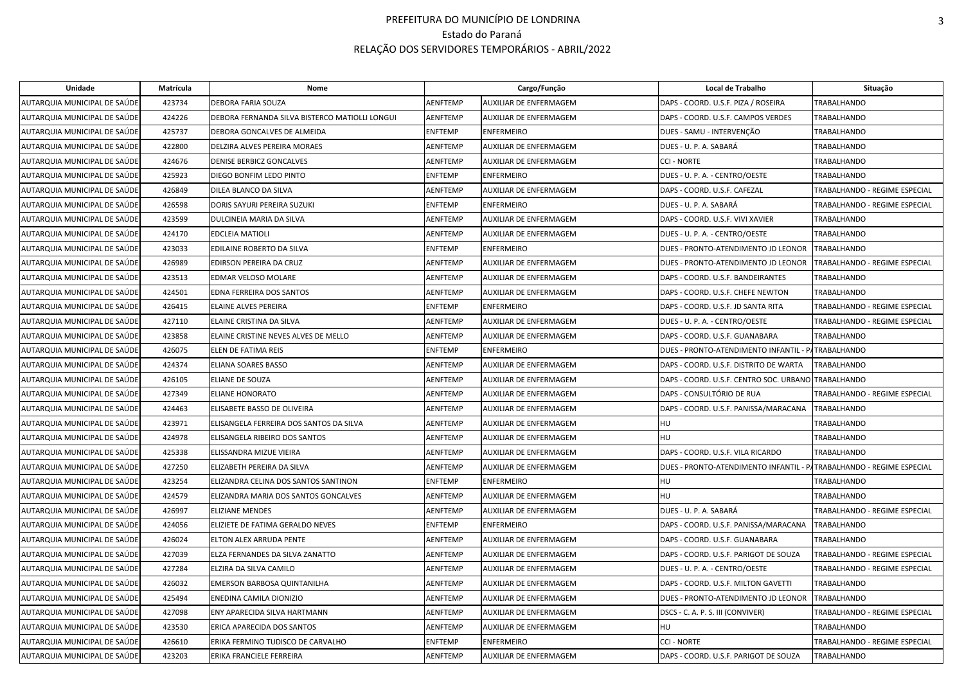| Unidade                      | Matrícula | Nome                                           |                 | Cargo/Função                  | Local de Trabalho                                   | Situação                      |
|------------------------------|-----------|------------------------------------------------|-----------------|-------------------------------|-----------------------------------------------------|-------------------------------|
| AUTARQUIA MUNICIPAL DE SAÚDE | 423734    | DEBORA FARIA SOUZA                             | <b>AENFTEMP</b> | AUXILIAR DE ENFERMAGEM        | DAPS - COORD. U.S.F. PIZA / ROSEIRA                 | TRABALHANDO                   |
| AUTARQUIA MUNICIPAL DE SAÚDE | 424226    | DEBORA FERNANDA SILVA BISTERCO MATIOLLI LONGUI | <b>AENFTEMP</b> | AUXILIAR DE ENFERMAGEM        | DAPS - COORD. U.S.F. CAMPOS VERDES                  | <b>TRABALHANDO</b>            |
| AUTARQUIA MUNICIPAL DE SAÚDE | 425737    | DEBORA GONCALVES DE ALMEIDA                    | <b>ENFTEMP</b>  | <b>ENFERMEIRO</b>             | DUES - SAMU - INTERVENÇÃO                           | <b>TRABALHANDO</b>            |
| AUTARQUIA MUNICIPAL DE SAÚDE | 422800    | DELZIRA ALVES PEREIRA MORAES                   | AENFTEMP        | AUXILIAR DE ENFERMAGEM        | DUES - U. P. A. SABARÁ                              | <b>TRABALHANDO</b>            |
| AUTARQUIA MUNICIPAL DE SAÚDE | 424676    | <b>DENISE BERBICZ GONCALVES</b>                | <b>AENFTEMP</b> | AUXILIAR DE ENFERMAGEM        | <b>CCI - NORTE</b>                                  | <b>TRABALHANDO</b>            |
| AUTARQUIA MUNICIPAL DE SAÚDE | 425923    | DIEGO BONFIM LEDO PINTO                        | <b>ENFTEMP</b>  | <b>ENFERMEIRO</b>             | DUES - U. P. A. - CENTRO/OESTE                      | TRABALHANDO                   |
| AUTARQUIA MUNICIPAL DE SAÚDE | 426849    | DILEA BLANCO DA SILVA                          | <b>AENFTEMP</b> | AUXILIAR DE ENFERMAGEM        | DAPS - COORD. U.S.F. CAFEZAL                        | TRABALHANDO - REGIME ESPECIAL |
| AUTARQUIA MUNICIPAL DE SAÚDE | 426598    | DORIS SAYURI PEREIRA SUZUKI                    | <b>ENFTEMP</b>  | <b>ENFERMEIRO</b>             | DUES - U. P. A. SABARÁ                              | TRABALHANDO - REGIME ESPECIAL |
| AUTARQUIA MUNICIPAL DE SAÚDE | 423599    | DULCINEIA MARIA DA SILVA                       | <b>AENFTEMP</b> | <b>AUXILIAR DE ENFERMAGEM</b> | DAPS - COORD. U.S.F. VIVI XAVIER                    | <b>TRABALHANDO</b>            |
| AUTARQUIA MUNICIPAL DE SAÚDE | 424170    | <b>EDCLEIA MATIOLI</b>                         | <b>AENFTEMP</b> | AUXILIAR DE ENFERMAGEM        | DUES - U. P. A. - CENTRO/OESTE                      | <b>TRABALHANDO</b>            |
| AUTARQUIA MUNICIPAL DE SAÚDE | 423033    | EDILAINE ROBERTO DA SILVA                      | <b>ENFTEMP</b>  | <b>ENFERMEIRO</b>             | DUES - PRONTO-ATENDIMENTO JD LEONOR                 | <b>TRABALHANDO</b>            |
| AUTARQUIA MUNICIPAL DE SAÚDE | 426989    | EDIRSON PEREIRA DA CRUZ                        | <b>AENFTEMP</b> | AUXILIAR DE ENFERMAGEM        | DUES - PRONTO-ATENDIMENTO JD LEONOR                 | TRABALHANDO - REGIME ESPECIAL |
| AUTARQUIA MUNICIPAL DE SAÚDE | 423513    | EDMAR VELOSO MOLARE                            | AENFTEMP        | AUXILIAR DE ENFERMAGEM        | DAPS - COORD. U.S.F. BANDEIRANTES                   | TRABALHANDO                   |
| AUTARQUIA MUNICIPAL DE SAÚDE | 424501    | EDNA FERREIRA DOS SANTOS                       | AENFTEMP        | AUXILIAR DE ENFERMAGEM        | DAPS - COORD. U.S.F. CHEFE NEWTON                   | <b>TRABALHANDO</b>            |
| AUTARQUIA MUNICIPAL DE SAÚDE | 426415    | ELAINE ALVES PEREIRA                           | <b>ENFTEMP</b>  | <b>ENFERMEIRO</b>             | DAPS - COORD. U.S.F. JD SANTA RITA                  | TRABALHANDO - REGIME ESPECIAL |
| AUTARQUIA MUNICIPAL DE SAÚDE | 427110    | ELAINE CRISTINA DA SILVA                       | <b>AENFTEMP</b> | AUXILIAR DE ENFERMAGEM        | DUES - U. P. A. - CENTRO/OESTE                      | TRABALHANDO - REGIME ESPECIAL |
| AUTARQUIA MUNICIPAL DE SAÚDE | 423858    | ELAINE CRISTINE NEVES ALVES DE MELLO           | <b>AENFTEMP</b> | AUXILIAR DE ENFERMAGEM        | DAPS - COORD. U.S.F. GUANABARA                      | TRABALHANDO                   |
| AUTARQUIA MUNICIPAL DE SAÚDE | 426075    | ELEN DE FATIMA REIS                            | <b>ENFTEMP</b>  | <b>ENFERMEIRO</b>             | DUES - PRONTO-ATENDIMENTO INFANTIL - PATRABALHANDO  |                               |
| AUTARQUIA MUNICIPAL DE SAÚDE | 424374    | ELIANA SOARES BASSO                            | <b>AENFTEMP</b> | AUXILIAR DE ENFERMAGEM        | DAPS - COORD. U.S.F. DISTRITO DE WARTA              | <b>TRABALHANDO</b>            |
| AUTARQUIA MUNICIPAL DE SAÚDE | 426105    | ELIANE DE SOUZA                                | <b>AENFTEMP</b> | AUXILIAR DE ENFERMAGEM        | DAPS - COORD. U.S.F. CENTRO SOC. URBANO TRABALHANDO |                               |
| AUTARQUIA MUNICIPAL DE SAÚDE | 427349    | ELIANE HONORATO                                | <b>AENFTEMP</b> | AUXILIAR DE ENFERMAGEM        | DAPS - CONSULTÓRIO DE RUA                           | TRABALHANDO - REGIME ESPECIAL |
| AUTARQUIA MUNICIPAL DE SAÚDE | 424463    | ELISABETE BASSO DE OLIVEIRA                    | <b>AENFTEMP</b> | AUXILIAR DE ENFERMAGEM        | DAPS - COORD. U.S.F. PANISSA/MARACANA               | <b>TRABALHANDO</b>            |
| AUTARQUIA MUNICIPAL DE SAÚDE | 423971    | ELISANGELA FERREIRA DOS SANTOS DA SILVA        | <b>AENFTEMP</b> | AUXILIAR DE ENFERMAGEM        | <b>HU</b>                                           | TRABALHANDO                   |
| AUTARQUIA MUNICIPAL DE SAÚDE | 424978    | ELISANGELA RIBEIRO DOS SANTOS                  | AENFTEMP        | AUXILIAR DE ENFERMAGEM        | HU                                                  | TRABALHANDO                   |
| AUTARQUIA MUNICIPAL DE SAÚDE | 425338    | ELISSANDRA MIZUE VIEIRA                        | AENFTEMP        | AUXILIAR DE ENFERMAGEM        | DAPS - COORD. U.S.F. VILA RICARDO                   | <b>TRABALHANDO</b>            |
| AUTARQUIA MUNICIPAL DE SAÚDE | 427250    | ELIZABETH PEREIRA DA SILVA                     | AENFTEMP        | AUXILIAR DE ENFERMAGEM        | DUES - PRONTO-ATENDIMENTO INFANTIL - P              | TRABALHANDO - REGIME ESPECIAL |
| AUTARQUIA MUNICIPAL DE SAÚDE | 423254    | ELIZANDRA CELINA DOS SANTOS SANTINON           | <b>ENFTEMP</b>  | <b>ENFERMEIRO</b>             | HU                                                  | <b>TRABALHANDO</b>            |
| AUTARQUIA MUNICIPAL DE SAÚDE | 424579    | ELIZANDRA MARIA DOS SANTOS GONCALVES           | <b>AENFTEMP</b> | AUXILIAR DE ENFERMAGEM        | HU                                                  | <b>TRABALHANDO</b>            |
| AUTARQUIA MUNICIPAL DE SAÚDE | 426997    | <b>ELIZIANE MENDES</b>                         | AENFTEMP        | AUXILIAR DE ENFERMAGEM        | DUES - U. P. A. SABARÁ                              | TRABALHANDO - REGIME ESPECIAL |
| AUTARQUIA MUNICIPAL DE SAÚDE | 424056    | ELIZIETE DE FATIMA GERALDO NEVES               | <b>ENFTEMP</b>  | <b>ENFERMEIRO</b>             | DAPS - COORD. U.S.F. PANISSA/MARACANA               | <b>TRABALHANDO</b>            |
| AUTARQUIA MUNICIPAL DE SAÚDE | 426024    | ELTON ALEX ARRUDA PENTE                        | AENFTEMP        | AUXILIAR DE ENFERMAGEM        | DAPS - COORD, U.S.F. GUANABARA                      | <b>TRABALHANDO</b>            |
| AUTARQUIA MUNICIPAL DE SAÚDE | 427039    | ELZA FERNANDES DA SILVA ZANATTO                | AENFTEMP        | AUXILIAR DE ENFERMAGEM        | DAPS - COORD. U.S.F. PARIGOT DE SOUZA               | TRABALHANDO - REGIME ESPECIAL |
| AUTARQUIA MUNICIPAL DE SAÚDE | 427284    | ELZIRA DA SILVA CAMILO                         | <b>AENFTEMP</b> | AUXILIAR DE ENFERMAGEM        | DUES - U. P. A. - CENTRO/OESTE                      | TRABALHANDO - REGIME ESPECIAL |
| AUTARQUIA MUNICIPAL DE SAÚDE | 426032    | EMERSON BARBOSA QUINTANILHA                    | <b>AENFTEMP</b> | AUXILIAR DE ENFERMAGEM        | DAPS - COORD. U.S.F. MILTON GAVETTI                 | <b>TRABALHANDO</b>            |
| AUTARQUIA MUNICIPAL DE SAÚDE | 425494    | ENEDINA CAMILA DIONIZIO                        | <b>AENFTEMP</b> | AUXILIAR DE ENFERMAGEM        | DUES - PRONTO-ATENDIMENTO JD LEONOR                 | <b>TRABALHANDO</b>            |
| AUTARQUIA MUNICIPAL DE SAÚDE | 427098    | ENY APARECIDA SILVA HARTMANN                   | <b>AENFTEMP</b> | AUXILIAR DE ENFERMAGEM        | DSCS - C. A. P. S. III (CONVIVER)                   | TRABALHANDO - REGIME ESPECIAL |
| AUTARQUIA MUNICIPAL DE SAÚDE | 423530    | ERICA APARECIDA DOS SANTOS                     | AENFTEMP        | AUXILIAR DE ENFERMAGEM        | HU                                                  | <b>TRABALHANDO</b>            |
| AUTARQUIA MUNICIPAL DE SAÚDE | 426610    | ERIKA FERMINO TUDISCO DE CARVALHO              | <b>ENFTEMP</b>  | <b>ENFERMEIRO</b>             | <b>CCI - NORTE</b>                                  | TRABALHANDO - REGIME ESPECIAL |
| AUTARQUIA MUNICIPAL DE SAÚDE | 423203    | ERIKA FRANCIELE FERREIRA                       | <b>AENFTEMP</b> | AUXILIAR DE ENFERMAGEM        | DAPS - COORD. U.S.F. PARIGOT DE SOUZA               | TRABALHANDO                   |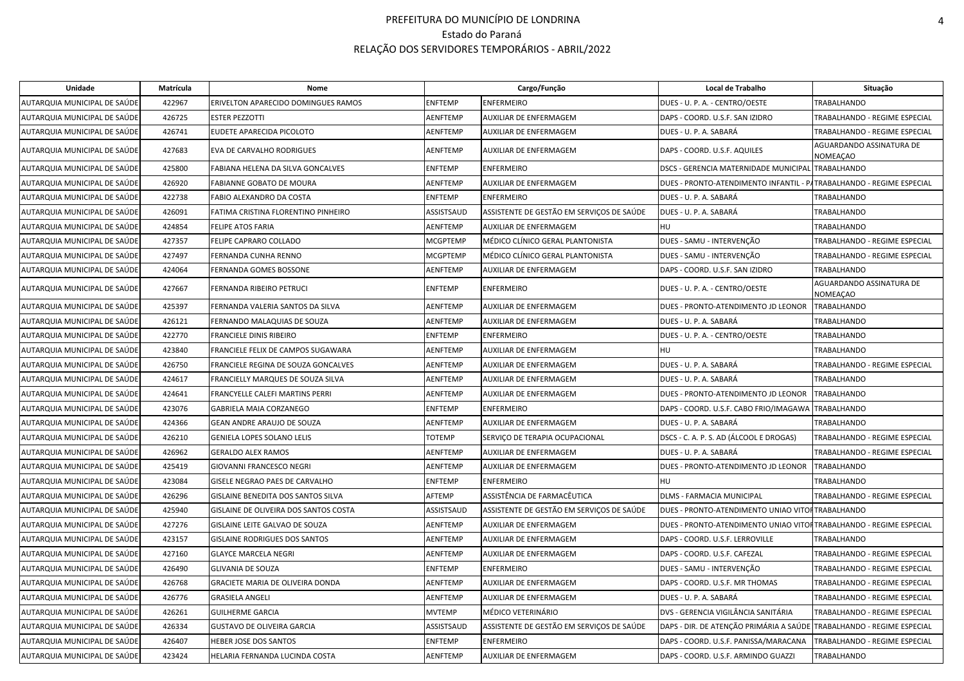| Unidade                      | Matrícula | Nome                                  |                 | Cargo/Função                              | Local de Trabalho                                                     | Situação                                    |
|------------------------------|-----------|---------------------------------------|-----------------|-------------------------------------------|-----------------------------------------------------------------------|---------------------------------------------|
| AUTARQUIA MUNICIPAL DE SAÚDE | 422967    | ERIVELTON APARECIDO DOMINGUES RAMOS   | <b>ENFTEMP</b>  | <b>ENFERMEIRO</b>                         | DUES - U. P. A. - CENTRO/OESTE                                        | TRABALHANDO                                 |
| AUTARQUIA MUNICIPAL DE SAÚDE | 426725    | <b>ESTER PEZZOTTI</b>                 | AENFTEMP        | AUXILIAR DE ENFERMAGEM                    | DAPS - COORD. U.S.F. SAN IZIDRO                                       | TRABALHANDO - REGIME ESPECIAL               |
| AUTARQUIA MUNICIPAL DE SAÚDE | 426741    | EUDETE APARECIDA PICOLOTO             | AENFTEMP        | AUXILIAR DE ENFERMAGEM                    | DUES - U. P. A. SABARÁ                                                | TRABALHANDO - REGIME ESPECIAL               |
| AUTARQUIA MUNICIPAL DE SAÚDE | 427683    | EVA DE CARVALHO RODRIGUES             | <b>AENFTEMP</b> | AUXILIAR DE ENFERMAGEM                    | DAPS - COORD. U.S.F. AQUILES                                          | AGUARDANDO ASSINATURA DE<br>NOMEAÇAO        |
| AUTARQUIA MUNICIPAL DE SAÚDE | 425800    | FABIANA HELENA DA SILVA GONCALVES     | <b>ENFTEMP</b>  | <b>ENFERMEIRO</b>                         | DSCS - GERENCIA MATERNIDADE MUNICIPAL TRABALHANDO                     |                                             |
| AUTARQUIA MUNICIPAL DE SAÚDE | 426920    | FABIANNE GOBATO DE MOURA              | AENFTEMP        | AUXILIAR DE ENFERMAGEM                    | DUES - PRONTO-ATENDIMENTO INFANTIL - PATRABALHANDO - REGIME ESPECIAL  |                                             |
| AUTARQUIA MUNICIPAL DE SAÚDE | 422738    | FABIO ALEXANDRO DA COSTA              | <b>ENFTEMP</b>  | <b>ENFERMEIRO</b>                         | DUES - U. P. A. SABARA                                                | <b>TRABALHANDO</b>                          |
| AUTARQUIA MUNICIPAL DE SAÚDE | 426091    | FATIMA CRISTINA FLORENTINO PINHEIRO   | ASSISTSAUD      | ASSISTENTE DE GESTÃO EM SERVIÇOS DE SAÚDE | DUES - U. P. A. SABARÁ                                                | TRABALHANDO                                 |
| AUTARQUIA MUNICIPAL DE SAÚDE | 424854    | <b>FELIPE ATOS FARIA</b>              | AENFTEMP        | AUXILIAR DE ENFERMAGEM                    | HU                                                                    | TRABALHANDO                                 |
| AUTARQUIA MUNICIPAL DE SAÚDE | 427357    | FELIPE CAPRARO COLLADO                | <b>MCGPTEMP</b> | MÉDICO CLÍNICO GERAL PLANTONISTA          | DUES - SAMU - INTERVENÇÃO                                             | TRABALHANDO - REGIME ESPECIAL               |
| AUTARQUIA MUNICIPAL DE SAÚDE | 427497    | FERNANDA CUNHA RENNO                  | <b>MCGPTEMP</b> | MÉDICO CLÍNICO GERAL PLANTONISTA          | DUES - SAMU - INTERVENÇÃO                                             | TRABALHANDO - REGIME ESPECIAL               |
| AUTARQUIA MUNICIPAL DE SAÚDE | 424064    | FERNANDA GOMES BOSSONE                | <b>AENFTEMP</b> | AUXILIAR DE ENFERMAGEM                    | DAPS - COORD. U.S.F. SAN IZIDRO                                       | TRABALHANDO                                 |
| AUTARQUIA MUNICIPAL DE SAÚDE | 427667    | FERNANDA RIBEIRO PETRUCI              | <b>ENFTEMP</b>  | <b>ENFERMEIRO</b>                         | DUES - U. P. A. - CENTRO/OESTE                                        | AGUARDANDO ASSINATURA DE<br><b>NOMEAÇAO</b> |
| AUTARQUIA MUNICIPAL DE SAÚDE | 425397    | FERNANDA VALERIA SANTOS DA SILVA      | <b>AENFTEMP</b> | AUXILIAR DE ENFERMAGEM                    | DUES - PRONTO-ATENDIMENTO JD LEONOR                                   | <b>TRABALHANDO</b>                          |
| AUTARQUIA MUNICIPAL DE SAÚDE | 426121    | FERNANDO MALAQUIAS DE SOUZA           | <b>AENFTEMP</b> | AUXILIAR DE ENFERMAGEM                    | DUES - U. P. A. SABARÁ                                                | <b>TRABALHANDO</b>                          |
| AUTARQUIA MUNICIPAL DE SAÚDE | 422770    | <b>FRANCIELE DINIS RIBEIRO</b>        | <b>ENFTEMP</b>  | <b>ENFERMEIRO</b>                         | DUES - U. P. A. - CENTRO/OESTE                                        | <b>TRABALHANDO</b>                          |
| AUTARQUIA MUNICIPAL DE SAÚDE | 423840    | FRANCIELE FELIX DE CAMPOS SUGAWARA    | AENFTEMP        | <b>AUXILIAR DE ENFERMAGEM</b>             | HU                                                                    | <b>TRABALHANDO</b>                          |
| AUTARQUIA MUNICIPAL DE SAÚDE | 426750    | FRANCIELE REGINA DE SOUZA GONCALVES   | <b>AENFTEMP</b> | AUXILIAR DE ENFERMAGEM                    | DUES - U. P. A. SABARÁ                                                | TRABALHANDO - REGIME ESPECIAL               |
| AUTARQUIA MUNICIPAL DE SAÚDE | 424617    | FRANCIELLY MARQUES DE SOUZA SILVA     | AENFTEMP        | AUXILIAR DE ENFERMAGEM                    | DUES - U. P. A. SABARÁ                                                | TRABALHANDO                                 |
| AUTARQUIA MUNICIPAL DE SAÚDE | 424641    | FRANCYELLE CALEFI MARTINS PERRI       | AENFTEMP        | AUXILIAR DE ENFERMAGEM                    | DUES - PRONTO-ATENDIMENTO JD LEONOR                                   | <b>TRABALHANDO</b>                          |
| AUTARQUIA MUNICIPAL DE SAÚDE | 423076    | GABRIELA MAIA CORZANEGO               | <b>ENFTEMP</b>  | ENFERMEIRO                                | DAPS - COORD. U.S.F. CABO FRIO/IMAGAWA                                | <b>TRABALHANDO</b>                          |
| AUTARQUIA MUNICIPAL DE SAÚDE | 424366    | GEAN ANDRE ARAUJO DE SOUZA            | <b>AENFTEMP</b> | AUXILIAR DE ENFERMAGEM                    | DUES - U. P. A. SABARÁ                                                | TRABALHANDO                                 |
| AUTARQUIA MUNICIPAL DE SAÚDE | 426210    | GENIELA LOPES SOLANO LELIS            | TOTEMP          | SERVIÇO DE TERAPIA OCUPACIONAL            | DSCS - C. A. P. S. AD (ÁLCOOL E DROGAS)                               | TRABALHANDO - REGIME ESPECIAL               |
| AUTARQUIA MUNICIPAL DE SAÚDE | 426962    | <b>GERALDO ALEX RAMOS</b>             | <b>AENFTEMP</b> | AUXILIAR DE ENFERMAGEM                    | DUES - U. P. A. SABARÁ                                                | TRABALHANDO - REGIME ESPECIAL               |
| AUTARQUIA MUNICIPAL DE SAÚDE | 425419    | GIOVANNI FRANCESCO NEGRI              | AENFTEMP        | AUXILIAR DE ENFERMAGEM                    | DUES - PRONTO-ATENDIMENTO JD LEONOR                                   | <b>TRABALHANDO</b>                          |
| AUTARQUIA MUNICIPAL DE SAÚDE | 423084    | GISELE NEGRAO PAES DE CARVALHO        | <b>ENFTEMP</b>  | ENFERMEIRO                                | HU                                                                    | <b>TRABALHANDO</b>                          |
| AUTARQUIA MUNICIPAL DE SAÚDE | 426296    | GISLAINE BENEDITA DOS SANTOS SILVA    | AFTEMP          | ASSISTÊNCIA DE FARMACÊUTICA               | DLMS - FARMACIA MUNICIPAL                                             | TRABALHANDO - REGIME ESPECIAL               |
| AUTARQUIA MUNICIPAL DE SAÚDE | 425940    | GISLAINE DE OLIVEIRA DOS SANTOS COSTA | ASSISTSAUD      | ASSISTENTE DE GESTÃO EM SERVIÇOS DE SAÚDE | DUES - PRONTO-ATENDIMENTO UNIAO VITOHTRABALHANDO                      |                                             |
| AUTARQUIA MUNICIPAL DE SAÚDE | 427276    | GISLAINE LEITE GALVAO DE SOUZA        | AENFTEMP        | AUXILIAR DE ENFERMAGEM                    | DUES - PRONTO-ATENDIMENTO UNIAO VITOFTRABALHANDO - REGIME ESPECIAL    |                                             |
| AUTARQUIA MUNICIPAL DE SAÚDE | 423157    | <b>GISLAINE RODRIGUES DOS SANTOS</b>  | AENFTEMP        | AUXILIAR DE ENFERMAGEM                    | DAPS - COORD. U.S.F. LERROVILLE                                       | TRABALHANDO                                 |
| AUTARQUIA MUNICIPAL DE SAÚDE | 427160    | <b>GLAYCE MARCELA NEGRI</b>           | AENFTEMP        | AUXILIAR DE ENFERMAGEM                    | DAPS - COORD. U.S.F. CAFEZAL                                          | TRABALHANDO - REGIME ESPECIAL               |
| AUTARQUIA MUNICIPAL DE SAÚDE | 426490    | <b>GLIVANIA DE SOUZA</b>              | <b>ENFTEMP</b>  | <b>ENFERMEIRO</b>                         | DUES - SAMU - INTERVENÇÃO                                             | TRABALHANDO - REGIME ESPECIAL               |
| AUTARQUIA MUNICIPAL DE SAÚDE | 426768    | GRACIETE MARIA DE OLIVEIRA DONDA      | <b>AENFTEMP</b> | AUXILIAR DE ENFERMAGEM                    | DAPS - COORD. U.S.F. MR THOMAS                                        | TRABALHANDO - REGIME ESPECIAL               |
| AUTARQUIA MUNICIPAL DE SAÚDE | 426776    | <b>GRASIELA ANGELI</b>                | <b>AENFTEMP</b> | AUXILIAR DE ENFERMAGEM                    | DUES - U. P. A. SABARA                                                | TRABALHANDO - REGIME ESPECIAL               |
| AUTARQUIA MUNICIPAL DE SAÚDE | 426261    | <b>GUILHERME GARCIA</b>               | <b>MVTEMP</b>   | MÉDICO VETERINÁRIO                        | DVS - GERENCIA VIGILÂNCIA SANITÁRIA                                   | TRABALHANDO - REGIME ESPECIAL               |
| AUTARQUIA MUNICIPAL DE SAÚDE | 426334    | <b>GUSTAVO DE OLIVEIRA GARCIA</b>     | ASSISTSAUD      | ASSISTENTE DE GESTÃO EM SERVIÇOS DE SAÚDE | DAPS - DIR. DE ATENÇÃO PRIMÁRIA A SAÚDE TRABALHANDO - REGIME ESPECIAL |                                             |
| AUTARQUIA MUNICIPAL DE SAÚDE | 426407    | HEBER JOSE DOS SANTOS                 | <b>ENFTEMP</b>  | <b>ENFERMEIRO</b>                         | DAPS - COORD. U.S.F. PANISSA/MARACANA                                 | TRABALHANDO - REGIME ESPECIAL               |
| AUTARQUIA MUNICIPAL DE SAÚDE | 423424    | HELARIA FERNANDA LUCINDA COSTA        | <b>AENFTEMP</b> | AUXILIAR DE ENFERMAGEM                    | DAPS - COORD. U.S.F. ARMINDO GUAZZI                                   | TRABALHANDO                                 |
|                              |           |                                       |                 |                                           |                                                                       |                                             |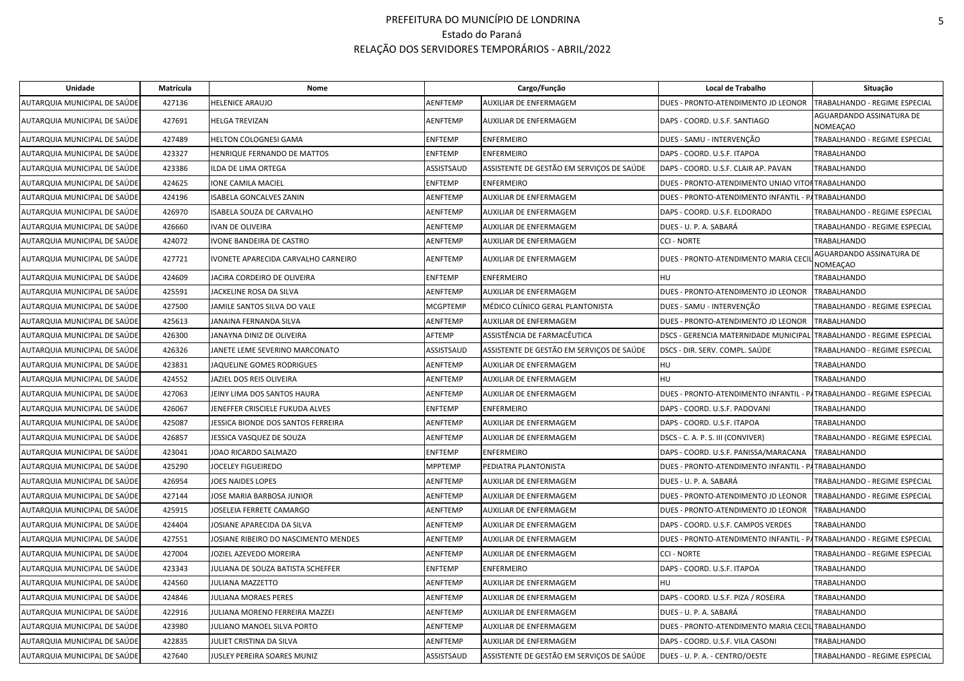| Unidade                      | Matrícula | Nome                                 |                 | Cargo/Função                              | Local de Trabalho                                                    | Situação                                    |
|------------------------------|-----------|--------------------------------------|-----------------|-------------------------------------------|----------------------------------------------------------------------|---------------------------------------------|
| AUTARQUIA MUNICIPAL DE SAÚDE | 427136    | HELENICE ARAUJO                      | AENFTEMP        | AUXILIAR DE ENFERMAGEM                    | DUES - PRONTO-ATENDIMENTO JD LEONOR                                  | TRABALHANDO - REGIME ESPECIAL               |
| AUTARQUIA MUNICIPAL DE SAÚDE | 427691    | HELGA TREVIZAN                       | <b>AENFTEMP</b> | AUXILIAR DE ENFERMAGEM                    | DAPS - COORD. U.S.F. SANTIAGO                                        | AGUARDANDO ASSINATURA DE<br><b>NOMEAÇAO</b> |
| AUTARQUIA MUNICIPAL DE SAÚDE | 427489    | HELTON COLOGNESI GAMA                | <b>ENFTEMP</b>  | <b>ENFERMEIRO</b>                         | DUES - SAMU - INTERVENÇÃO                                            | TRABALHANDO - REGIME ESPECIAL               |
| AUTARQUIA MUNICIPAL DE SAÚDE | 423327    | HENRIQUE FERNANDO DE MATTOS          | <b>ENFTEMP</b>  | <b>ENFERMEIRO</b>                         | DAPS - COORD. U.S.F. ITAPOA                                          | TRABALHANDO                                 |
| AUTARQUIA MUNICIPAL DE SAÚDE | 423386    | LDA DE LIMA ORTEGA                   | ASSISTSAUD      | ASSISTENTE DE GESTÃO EM SERVIÇOS DE SAÚDE | DAPS - COORD. U.S.F. CLAIR AP. PAVAN                                 | TRABALHANDO                                 |
| AUTARQUIA MUNICIPAL DE SAÚDE | 424625    | IONE CAMILA MACIEL                   | <b>ENFTEMP</b>  | <b>ENFERMEIRO</b>                         | DUES - PRONTO-ATENDIMENTO UNIAO VITOFTRABALHANDO                     |                                             |
| AUTARQUIA MUNICIPAL DE SAÚDE | 424196    | ISABELA GONCALVES ZANIN              | <b>AENFTEMP</b> | AUXILIAR DE ENFERMAGEM                    | DUES - PRONTO-ATENDIMENTO INFANTIL - PATRABALHANDO                   |                                             |
| AUTARQUIA MUNICIPAL DE SAÚDE | 426970    | ISABELA SOUZA DE CARVALHO            | <b>AENFTEMP</b> | AUXILIAR DE ENFERMAGEM                    | DAPS - COORD. U.S.F. ELDORADO                                        | TRABALHANDO - REGIME ESPECIAL               |
| AUTARQUIA MUNICIPAL DE SAÚDE | 426660    | IVAN DE OLIVEIRA                     | AENFTEMP        | AUXILIAR DE ENFERMAGEM                    | DUES - U. P. A. SABARÁ                                               | TRABALHANDO - REGIME ESPECIAL               |
| AUTARQUIA MUNICIPAL DE SAÚDE | 424072    | IVONE BANDEIRA DE CASTRO             | AENFTEMP        | AUXILIAR DE ENFERMAGEM                    | CCI - NORTE                                                          | TRABALHANDO                                 |
| AUTARQUIA MUNICIPAL DE SAÚDE | 427721    | IVONETE APARECIDA CARVALHO CARNEIRO  | AENFTEMP        | AUXILIAR DE ENFERMAGEM                    | DUES - PRONTO-ATENDIMENTO MARIA CECI                                 | AGUARDANDO ASSINATURA DE<br>NOMEAÇAO        |
| AUTARQUIA MUNICIPAL DE SAÚDE | 424609    | JACIRA CORDEIRO DE OLIVEIRA          | <b>ENFTEMP</b>  | <b>ENFERMEIRO</b>                         | HU                                                                   | TRABALHANDO                                 |
| AUTARQUIA MUNICIPAL DE SAÚDE | 425591    | JACKELINE ROSA DA SILVA              | AENFTEMP        | AUXILIAR DE ENFERMAGEM                    | DUES - PRONTO-ATENDIMENTO JD LEONOR                                  | <b>TRABALHANDO</b>                          |
| AUTARQUIA MUNICIPAL DE SAÚDE | 427500    | JAMILE SANTOS SILVA DO VALE          | <b>MCGPTEMP</b> | MÉDICO CLÍNICO GERAL PLANTONISTA          | DUES - SAMU - INTERVENÇÃO                                            | TRABALHANDO - REGIME ESPECIAL               |
| AUTARQUIA MUNICIPAL DE SAÚDE | 425613    | JANAINA FERNANDA SILVA               | AENFTEMP        | AUXILIAR DE ENFERMAGEM                    | DUES - PRONTO-ATENDIMENTO JD LEONOR                                  | <b>TRABALHANDO</b>                          |
| AUTARQUIA MUNICIPAL DE SAÚDE | 426300    | JANAYNA DINIZ DE OLIVEIRA            | AFTEMP          | ASSISTÊNCIA DE FARMACÊUTICA               | DSCS - GERENCIA MATERNIDADE MUNICIPAI                                | TRABALHANDO - REGIME ESPECIAL               |
| AUTARQUIA MUNICIPAL DE SAÚDE | 426326    | JANETE LEME SEVERINO MARCONATO       | ASSISTSAUD      | ASSISTENTE DE GESTÃO EM SERVIÇOS DE SAÚDE | DSCS - DIR. SERV. COMPL. SAÚDE                                       | TRABALHANDO - REGIME ESPECIAL               |
| AUTARQUIA MUNICIPAL DE SAÚDE | 423831    | JAQUELINE GOMES RODRIGUES            | <b>AENFTEMP</b> | AUXILIAR DE ENFERMAGEM                    | HU                                                                   | TRABALHANDO                                 |
| AUTARQUIA MUNICIPAL DE SAÚDE | 424552    | JAZIEL DOS REIS OLIVEIRA             | AENFTEMP        | AUXILIAR DE ENFERMAGEM                    | HU                                                                   | TRABALHANDO                                 |
| AUTARQUIA MUNICIPAL DE SAÚDE | 427063    | JEINY LIMA DOS SANTOS HAURA          | AENFTEMP        | AUXILIAR DE ENFERMAGEM                    | DUES - PRONTO-ATENDIMENTO INFANTIL - PATRABALHANDO - REGIME ESPECIAL |                                             |
| AUTARQUIA MUNICIPAL DE SAÚDE | 426067    | JENEFFER CRISCIELE FUKUDA ALVES      | <b>ENFTEMP</b>  | ENFERMEIRO                                | DAPS - COORD. U.S.F. PADOVANI                                        | TRABALHANDO                                 |
| AUTARQUIA MUNICIPAL DE SAÚDE | 425087    | JESSICA BIONDE DOS SANTOS FERREIRA   | AENFTEMP        | <b>AUXILIAR DE ENFERMAGEM</b>             | DAPS - COORD. U.S.F. ITAPOA                                          | <b>TRABALHANDO</b>                          |
| AUTARQUIA MUNICIPAL DE SAÚDE | 426857    | JESSICA VASQUEZ DE SOUZA             | AENFTEMP        | AUXILIAR DE ENFERMAGEM                    | DSCS - C. A. P. S. III (CONVIVER)                                    | TRABALHANDO - REGIME ESPECIAL               |
| AUTARQUIA MUNICIPAL DE SAÚDE | 423041    | JOAO RICARDO SALMAZO                 | <b>ENFTEMP</b>  | <b>ENFERMEIRO</b>                         | DAPS - COORD. U.S.F. PANISSA/MARACANA                                | <b>TRABALHANDO</b>                          |
| AUTARQUIA MUNICIPAL DE SAÚDE | 425290    | JOCELEY FIGUEIREDO                   | <b>MPPTEMP</b>  | PEDIATRA PLANTONISTA                      | DUES - PRONTO-ATENDIMENTO INFANTIL - PATRABALHANDO                   |                                             |
| AUTARQUIA MUNICIPAL DE SAÚDE | 426954    | <b>JOES NAIDES LOPES</b>             | AENFTEMP        | AUXILIAR DE ENFERMAGEM                    | DUES - U. P. A. SABARÁ                                               | TRABALHANDO - REGIME ESPECIAL               |
| AUTARQUIA MUNICIPAL DE SAÚDE | 427144    | JOSE MARIA BARBOSA JUNIOR            | AENFTEMP        | AUXILIAR DE ENFERMAGEM                    | DUES - PRONTO-ATENDIMENTO JD LEONOR                                  | TRABALHANDO - REGIME ESPECIAL               |
| AUTARQUIA MUNICIPAL DE SAÚDE | 425915    | JOSELEIA FERRETE CAMARGO             | AENFTEMP        | AUXILIAR DE ENFERMAGEM                    | DUES - PRONTO-ATENDIMENTO JD LEONOR                                  | <b>TRABALHANDO</b>                          |
| AUTARQUIA MUNICIPAL DE SAÚDE | 424404    | JOSIANE APARECIDA DA SILVA           | <b>AENFTEMP</b> | AUXILIAR DE ENFERMAGEM                    | DAPS - COORD. U.S.F. CAMPOS VERDES                                   | TRABALHANDO                                 |
| AUTARQUIA MUNICIPAL DE SAÚDE | 427551    | JOSIANE RIBEIRO DO NASCIMENTO MENDES | AENFTEMP        | AUXILIAR DE ENFERMAGEM                    | DUES - PRONTO-ATENDIMENTO INFANTIL - PATRABALHANDO - REGIME ESPECIAL |                                             |
| AUTARQUIA MUNICIPAL DE SAÚDE | 427004    | JOZIEL AZEVEDO MOREIRA               | AENFTEMP        | AUXILIAR DE ENFERMAGEM                    | <b>CCI - NORTE</b>                                                   | TRABALHANDO - REGIME ESPECIAL               |
| AUTARQUIA MUNICIPAL DE SAÚDE | 423343    | JULIANA DE SOUZA BATISTA SCHEFFER    | <b>ENFTEMP</b>  | <b>ENFERMEIRO</b>                         | DAPS - COORD. U.S.F. ITAPOA                                          | TRABALHANDO                                 |
| AUTARQUIA MUNICIPAL DE SAÚDE | 424560    | <b>JULIANA MAZZETTO</b>              | <b>AENFTEMP</b> | AUXILIAR DE ENFERMAGEM                    | HU                                                                   | TRABALHANDO                                 |
| AUTARQUIA MUNICIPAL DE SAÚDE | 424846    | <b>IULIANA MORAES PERES</b>          | <b>AENFTEMP</b> | AUXILIAR DE ENFERMAGEM                    | DAPS - COORD. U.S.F. PIZA / ROSEIRA                                  | TRABALHANDO                                 |
| AUTARQUIA MUNICIPAL DE SAÚDE | 422916    | JULIANA MORENO FERREIRA MAZZEI       | <b>AENFTEMP</b> | AUXILIAR DE ENFERMAGEM                    | DUES - U. P. A. SABARÁ                                               | TRABALHANDO                                 |
| AUTARQUIA MUNICIPAL DE SAÚDE | 423980    | JULIANO MANOEL SILVA PORTO           | AENFTEMP        | AUXILIAR DE ENFERMAGEM                    | DUES - PRONTO-ATENDIMENTO MARIA CECIL TRABALHANDO                    |                                             |
| AUTARQUIA MUNICIPAL DE SAÚDE | 422835    | JULIET CRISTINA DA SILVA             | <b>AENFTEMP</b> | <b>AUXILIAR DE ENFERMAGEM</b>             | DAPS - COORD. U.S.F. VILA CASONI                                     | <b>TRABALHANDO</b>                          |
| AUTARQUIA MUNICIPAL DE SAÚDE | 427640    | JUSLEY PEREIRA SOARES MUNIZ          | ASSISTSAUD      | ASSISTENTE DE GESTÃO EM SERVIÇOS DE SAÚDE | DUES - U. P. A. - CENTRO/OESTE                                       | TRABALHANDO - REGIME ESPECIAL               |
|                              |           |                                      |                 |                                           |                                                                      |                                             |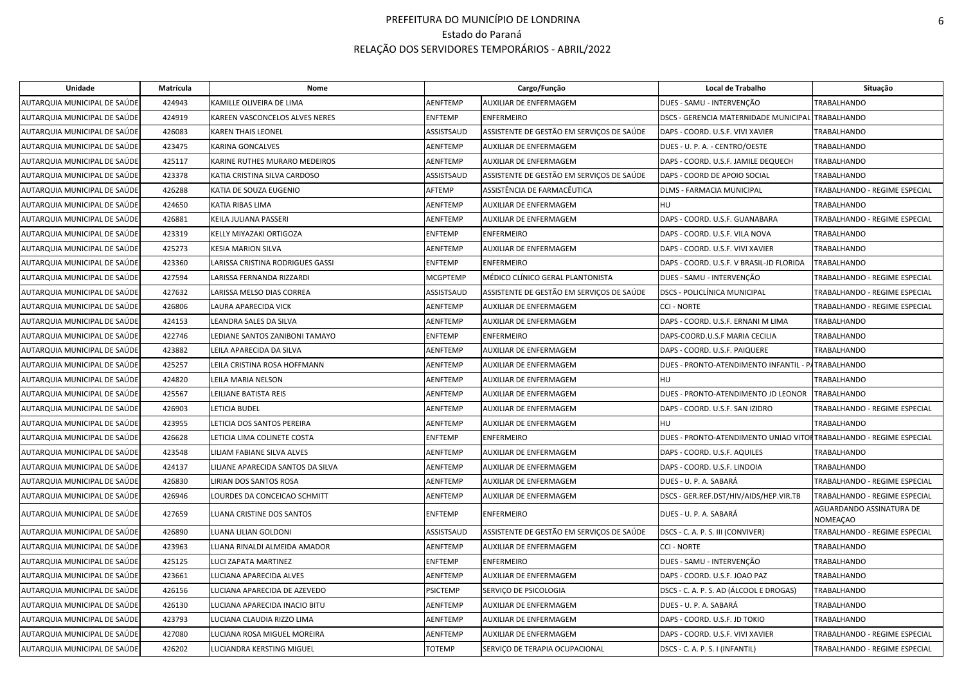| Unidade                      | Matrícula | Nome                              |                 | Cargo/Função                              | Local de Trabalho                                                   | Situação                                    |
|------------------------------|-----------|-----------------------------------|-----------------|-------------------------------------------|---------------------------------------------------------------------|---------------------------------------------|
| AUTARQUIA MUNICIPAL DE SAÚDE | 424943    | KAMILLE OLIVEIRA DE LIMA          | <b>AENFTEMP</b> | AUXILIAR DE ENFERMAGEM                    | DUES - SAMU - INTERVENÇÃO                                           | <b>TRABALHANDO</b>                          |
| AUTARQUIA MUNICIPAL DE SAÚDE | 424919    | KAREEN VASCONCELOS ALVES NERES    | <b>ENFTEMP</b>  | <b>ENFERMEIRO</b>                         | DSCS - GERENCIA MATERNIDADE MUNICIPAL                               | <b>TRABALHANDO</b>                          |
| AUTARQUIA MUNICIPAL DE SAÚDE | 426083    | <b>KAREN THAIS LEONEL</b>         | ASSISTSAUD      | ASSISTENTE DE GESTÃO EM SERVIÇOS DE SAÚDE | DAPS - COORD. U.S.F. VIVI XAVIER                                    | TRABALHANDO                                 |
| AUTARQUIA MUNICIPAL DE SAÚDE | 423475    | KARINA GONCALVES                  | <b>AENFTEMP</b> | <b>AUXILIAR DE ENFERMAGEM</b>             | DUES - U. P. A. - CENTRO/OESTE                                      | <b>TRABALHANDO</b>                          |
| AUTARQUIA MUNICIPAL DE SAÚDE | 425117    | KARINE RUTHES MURARO MEDEIROS     | <b>AENFTEMP</b> | AUXILIAR DE ENFERMAGEM                    | DAPS - COORD. U.S.F. JAMILE DEQUECH                                 | <b>TRABALHANDO</b>                          |
| AUTARQUIA MUNICIPAL DE SAÚDE | 423378    | KATIA CRISTINA SILVA CARDOSO      | ASSISTSAUD      | ASSISTENTE DE GESTÃO EM SERVIÇOS DE SAÚDE | DAPS - COORD DE APOIO SOCIAL                                        | TRABALHANDO                                 |
| AUTARQUIA MUNICIPAL DE SAÚDE | 426288    | KATIA DE SOUZA EUGENIO            | AFTEMP          | ASSISTÊNCIA DE FARMACÊUTICA               | DLMS - FARMACIA MUNICIPAL                                           | TRABALHANDO - REGIME ESPECIAL               |
| AUTARQUIA MUNICIPAL DE SAÚDE | 424650    | KATIA RIBAS LIMA                  | <b>AENFTEMP</b> | AUXILIAR DE ENFERMAGEM                    | <b>HU</b>                                                           | <b>TRABALHANDO</b>                          |
| AUTARQUIA MUNICIPAL DE SAÚDE | 426881    | KEILA JULIANA PASSERI             | AENFTEMP        | AUXILIAR DE ENFERMAGEM                    | DAPS - COORD. U.S.F. GUANABARA                                      | TRABALHANDO - REGIME ESPECIAL               |
| AUTARQUIA MUNICIPAL DE SAÚDE | 423319    | KELLY MIYAZAKI ORTIGOZA           | <b>ENFTEMP</b>  | <b>ENFERMEIRO</b>                         | DAPS - COORD. U.S.F. VILA NOVA                                      | <b>TRABALHANDO</b>                          |
| AUTARQUIA MUNICIPAL DE SAÚDE | 425273    | <b>KESIA MARION SILVA</b>         | AENFTEMP        | AUXILIAR DE ENFERMAGEM                    | DAPS - COORD. U.S.F. VIVI XAVIER                                    | <b>TRABALHANDO</b>                          |
| AUTARQUIA MUNICIPAL DE SAÚDE | 423360    | LARISSA CRISTINA RODRIGUES GASSI  | <b>ENFTEMP</b>  | <b>ENFERMEIRO</b>                         | DAPS - COORD. U.S.F. V BRASIL-JD FLORIDA                            | <b>TRABALHANDO</b>                          |
| AUTARQUIA MUNICIPAL DE SAÚDE | 427594    | LARISSA FERNANDA RIZZARDI         | <b>MCGPTEMP</b> | MÉDICO CLÍNICO GERAL PLANTONISTA          | DUES - SAMU - INTERVENÇÃO                                           | TRABALHANDO - REGIME ESPECIAL               |
| AUTARQUIA MUNICIPAL DE SAÚDE | 427632    | LARISSA MELSO DIAS CORREA         | ASSISTSAUD      | ASSISTENTE DE GESTÃO EM SERVIÇOS DE SAÚDE | <b>DSCS - POLICLÍNICA MUNICIPAL</b>                                 | TRABALHANDO - REGIME ESPECIAL               |
| AUTARQUIA MUNICIPAL DE SAÚDE | 426806    | LAURA APARECIDA VICK              | AENFTEMP        | AUXILIAR DE ENFERMAGEM                    | <b>CCI - NORTE</b>                                                  | TRABALHANDO - REGIME ESPECIAL               |
| AUTARQUIA MUNICIPAL DE SAÚDE | 424153    | EANDRA SALES DA SILVA             | AENFTEMP        | AUXILIAR DE ENFERMAGEM                    | DAPS - COORD. U.S.F. ERNANI M LIMA                                  | TRABALHANDO                                 |
| AUTARQUIA MUNICIPAL DE SAÚDE | 422746    | LEDIANE SANTOS ZANIBONI TAMAYO    | <b>ENFTEMP</b>  | <b>ENFERMEIRO</b>                         | DAPS-COORD.U.S.F MARIA CECILIA                                      | <b>TRABALHANDO</b>                          |
| AUTARQUIA MUNICIPAL DE SAÚDE | 423882    | LEILA APARECIDA DA SILVA          | AENFTEMP        | AUXILIAR DE ENFERMAGEM                    | DAPS - COORD. U.S.F. PAIQUERE                                       | TRABALHANDO                                 |
| AUTARQUIA MUNICIPAL DE SAÚDE | 425257    | LEILA CRISTINA ROSA HOFFMANN      | AENFTEMP        | AUXILIAR DE ENFERMAGEM                    | DUES - PRONTO-ATENDIMENTO INFANTIL - PATRABALHANDO                  |                                             |
| AUTARQUIA MUNICIPAL DE SAÚDE | 424820    | LEILA MARIA NELSON                | <b>AENFTEMP</b> | AUXILIAR DE ENFERMAGEM                    | <b>HU</b>                                                           | TRABALHANDO                                 |
| AUTARQUIA MUNICIPAL DE SAÚDE | 425567    | LEILIANE BATISTA REIS             | <b>AENFTEMP</b> | AUXILIAR DE ENFERMAGEM                    | DUES - PRONTO-ATENDIMENTO JD LEONOR                                 | <b>TRABALHANDO</b>                          |
| AUTARQUIA MUNICIPAL DE SAÚDE | 426903    | LETICIA BUDEL                     | AENFTEMP        | AUXILIAR DE ENFERMAGEM                    | DAPS - COORD. U.S.F. SAN IZIDRO                                     | TRABALHANDO - REGIME ESPECIAL               |
| AUTARQUIA MUNICIPAL DE SAÚDE | 423955    | ETICIA DOS SANTOS PEREIRA         | AENFTEMP        | AUXILIAR DE ENFERMAGEM                    | HU                                                                  | TRABALHANDO                                 |
| AUTARQUIA MUNICIPAL DE SAÚDE | 426628    | LETICIA LIMA COLINETE COSTA       | <b>ENFTEMP</b>  | <b>ENFERMEIRO</b>                         | DUES - PRONTO-ATENDIMENTO UNIAO VITOFITRABALHANDO - REGIME ESPECIAL |                                             |
| AUTARQUIA MUNICIPAL DE SAÚDE | 423548    | LILIAM FABIANE SILVA ALVES        | <b>AENFTEMP</b> | AUXILIAR DE ENFERMAGEM                    | DAPS - COORD. U.S.F. AQUILES                                        | <b>TRABALHANDO</b>                          |
| AUTARQUIA MUNICIPAL DE SAÚDE | 424137    | LILIANE APARECIDA SANTOS DA SILVA | <b>AENFTEMP</b> | AUXILIAR DE ENFERMAGEM                    | DAPS - COORD. U.S.F. LINDOIA                                        | <b>TRABALHANDO</b>                          |
| AUTARQUIA MUNICIPAL DE SAÚDE | 426830    | LIRIAN DOS SANTOS ROSA            | <b>AENFTEMP</b> | AUXILIAR DE ENFERMAGEM                    | DUES - U. P. A. SABARÁ                                              | TRABALHANDO - REGIME ESPECIAL               |
| AUTARQUIA MUNICIPAL DE SAÚDE | 426946    | LOURDES DA CONCEICAO SCHMITT      | <b>AENFTEMP</b> | AUXILIAR DE ENFERMAGEM                    | DSCS - GER.REF.DST/HIV/AIDS/HEP.VIR.TB                              | TRABALHANDO - REGIME ESPECIAL               |
| AUTARQUIA MUNICIPAL DE SAUDE | 427659    | LUANA CRISTINE DOS SANTOS         | <b>ENFTEMP</b>  | <b>ENFERMEIRO</b>                         | DUES - U. P. A. SABARÁ                                              | AGUARDANDO ASSINATURA DE<br><b>NOMEACAO</b> |
| AUTARQUIA MUNICIPAL DE SAÚDE | 426890    | LUANA LILIAN GOLDONI              | ASSISTSAUD      | ASSISTENTE DE GESTÃO EM SERVIÇOS DE SAÚDE | DSCS - C. A. P. S. III (CONVIVER)                                   | TRABALHANDO - REGIME ESPECIAL               |
| AUTARQUIA MUNICIPAL DE SAÚDE | 423963    | LUANA RINALDI ALMEIDA AMADOR      | <b>AENFTEMP</b> | AUXILIAR DE ENFERMAGEM                    | <b>CCI - NORTE</b>                                                  | <b>TRABALHANDO</b>                          |
| AUTARQUIA MUNICIPAL DE SAÚDE | 425125    | LUCI ZAPATA MARTINEZ              | <b>ENFTEMP</b>  | <b>ENFERMEIRO</b>                         | DUES - SAMU - INTERVENÇÃO                                           | TRABALHANDO                                 |
| AUTARQUIA MUNICIPAL DE SAÚDE | 423661    | LUCIANA APARECIDA ALVES           | AENFTEMP        | AUXILIAR DE ENFERMAGEM                    | DAPS - COORD. U.S.F. JOAO PAZ                                       | TRABALHANDO                                 |
| AUTARQUIA MUNICIPAL DE SAÚDE | 426156    | LUCIANA APARECIDA DE AZEVEDO      | <b>PSICTEMP</b> | SERVIÇO DE PSICOLOGIA                     | DSCS - C. A. P. S. AD (ÁLCOOL E DROGAS)                             | TRABALHANDO                                 |
| AUTARQUIA MUNICIPAL DE SAÚDE | 426130    | LUCIANA APARECIDA INACIO BITU     | <b>AENFTEMP</b> | AUXILIAR DE ENFERMAGEM                    | DUES - U. P. A. SABARÁ                                              | TRABALHANDO                                 |
| AUTARQUIA MUNICIPAL DE SAÚDE | 423793    | LUCIANA CLAUDIA RIZZO LIMA        | <b>AENFTEMP</b> | AUXILIAR DE ENFERMAGEM                    | DAPS - COORD. U.S.F. JD TOKIO                                       | <b>TRABALHANDO</b>                          |
| AUTARQUIA MUNICIPAL DE SAÚDE | 427080    | LUCIANA ROSA MIGUEL MOREIRA       | AENFTEMP        | AUXILIAR DE ENFERMAGEM                    | DAPS - COORD. U.S.F. VIVI XAVIER                                    | TRABALHANDO - REGIME ESPECIAL               |
| AUTARQUIA MUNICIPAL DE SAÚDE | 426202    | LUCIANDRA KERSTING MIGUEL         | <b>TOTEMP</b>   | SERVIÇO DE TERAPIA OCUPACIONAL            | DSCS - C. A. P. S. I (INFANTIL)                                     | TRABALHANDO - REGIME ESPECIAL               |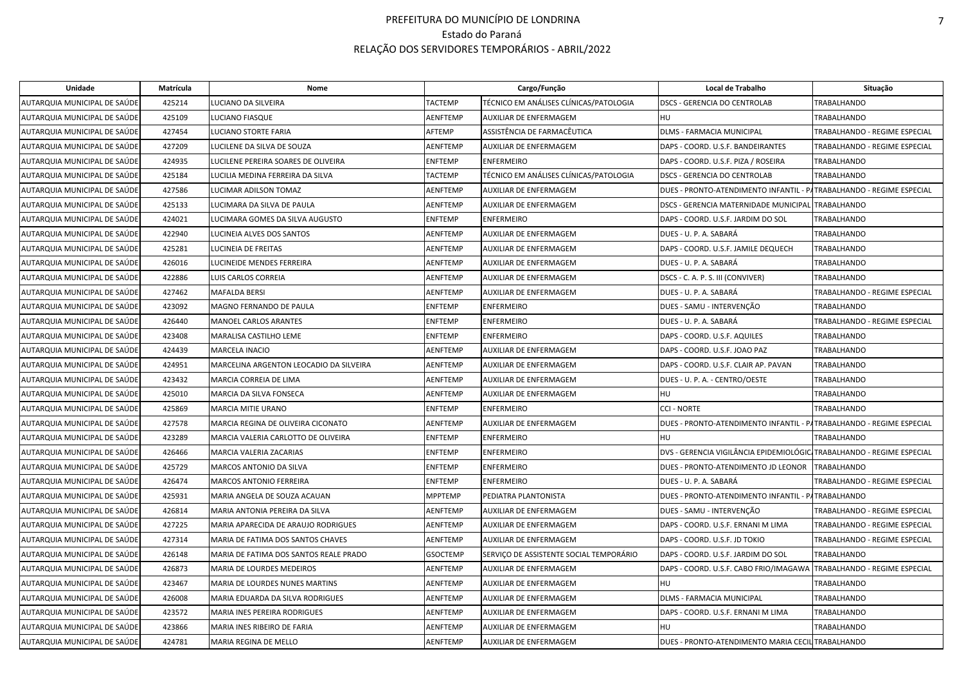| Unidade                      | Matrícula | Nome                                    |                 | Cargo/Função                            | Local de Trabalho                                                     | Situação                      |
|------------------------------|-----------|-----------------------------------------|-----------------|-----------------------------------------|-----------------------------------------------------------------------|-------------------------------|
| AUTARQUIA MUNICIPAL DE SAÚDE | 425214    | LUCIANO DA SILVEIRA                     | <b>TACTEMP</b>  | TÉCNICO EM ANÁLISES CLÍNICAS/PATOLOGIA  | <b>DSCS - GERENCIA DO CENTROLAB</b>                                   | <b>TRABALHANDO</b>            |
| AUTARQUIA MUNICIPAL DE SAÚDE | 425109    | LUCIANO FIASQUE                         | <b>AENFTEMP</b> | AUXILIAR DE ENFERMAGEM                  | <b>HU</b>                                                             | <b>TRABALHANDO</b>            |
| AUTARQUIA MUNICIPAL DE SAÚDE | 427454    | LUCIANO STORTE FARIA                    | AFTEMP          | ASSISTÊNCIA DE FARMACÊUTICA             | <b>DLMS - FARMACIA MUNICIPAL</b>                                      | TRABALHANDO - REGIME ESPECIAL |
| AUTARQUIA MUNICIPAL DE SAÚDE | 427209    | LUCILENE DA SILVA DE SOUZA              | <b>AENFTEMP</b> | AUXILIAR DE ENFERMAGEM                  | DAPS - COORD. U.S.F. BANDEIRANTES                                     | TRABALHANDO - REGIME ESPECIAL |
| AUTARQUIA MUNICIPAL DE SAÚDE | 424935    | LUCILENE PEREIRA SOARES DE OLIVEIRA     | <b>ENFTEMP</b>  | <b>ENFERMEIRO</b>                       | DAPS - COORD. U.S.F. PIZA / ROSEIRA                                   | TRABALHANDO                   |
| AUTARQUIA MUNICIPAL DE SAÚDE | 425184    | LUCILIA MEDINA FERREIRA DA SILVA        | <b>TACTEMP</b>  | TÉCNICO EM ANÁLISES CLÍNICAS/PATOLOGIA  | <b>DSCS - GERENCIA DO CENTROLAB</b>                                   | <b>TRABALHANDO</b>            |
| AUTARQUIA MUNICIPAL DE SAÚDE | 427586    | LUCIMAR ADILSON TOMAZ                   | <b>AENFTEMP</b> | AUXILIAR DE ENFERMAGEM                  | DUES - PRONTO-ATENDIMENTO INFANTIL - PATRABALHANDO - REGIME ESPECIAL  |                               |
| AUTARQUIA MUNICIPAL DE SAÚDE | 425133    | LUCIMARA DA SILVA DE PAULA              | AENFTEMP        | <b>AUXILIAR DE ENFERMAGEM</b>           | DSCS - GERENCIA MATERNIDADE MUNICIPAL TRABALHANDO                     |                               |
| AUTARQUIA MUNICIPAL DE SAÚDE | 424021    | LUCIMARA GOMES DA SILVA AUGUSTO         | <b>ENFTEMP</b>  | <b>ENFERMEIRO</b>                       | DAPS - COORD. U.S.F. JARDIM DO SOL                                    | TRABALHANDO                   |
| AUTARQUIA MUNICIPAL DE SAÚDE | 422940    | LUCINEIA ALVES DOS SANTOS               | <b>AENFTEMP</b> | AUXILIAR DE ENFERMAGEM                  | DUES - U. P. A. SABARÁ                                                | TRABALHANDO                   |
| AUTARQUIA MUNICIPAL DE SAÚDE | 425281    | LUCINEIA DE FREITAS                     | AENFTEMP        | AUXILIAR DE ENFERMAGEM                  | DAPS - COORD. U.S.F. JAMILE DEQUECH                                   | TRABALHANDO                   |
| AUTARQUIA MUNICIPAL DE SAÚDE | 426016    | LUCINEIDE MENDES FERREIRA               | <b>AENFTEMP</b> | <b>AUXILIAR DE ENFERMAGEM</b>           | DUES - U. P. A. SABARÁ                                                | <b>TRABALHANDO</b>            |
| AUTARQUIA MUNICIPAL DE SAÚDE | 422886    | LUIS CARLOS CORREIA                     | <b>AENFTEMP</b> | <b>AUXILIAR DE ENFERMAGEM</b>           | DSCS - C. A. P. S. III (CONVIVER)                                     | <b>TRABALHANDO</b>            |
| AUTARQUIA MUNICIPAL DE SAÚDE | 427462    | <b>MAFALDA BERSI</b>                    | AENFTEMP        | AUXILIAR DE ENFERMAGEM                  | DUES - U. P. A. SABARÁ                                                | TRABALHANDO - REGIME ESPECIAL |
| AUTARQUIA MUNICIPAL DE SAÚDE | 423092    | MAGNO FERNANDO DE PAULA                 | <b>ENFTEMP</b>  | <b>ENFERMEIRO</b>                       | DUES - SAMU - INTERVENÇÃO                                             | <b>TRABALHANDO</b>            |
| AUTARQUIA MUNICIPAL DE SAÚDE | 426440    | <b>MANOEL CARLOS ARANTES</b>            | <b>ENFTEMP</b>  | <b>ENFERMEIRO</b>                       | DUES - U. P. A. SABARÁ                                                | TRABALHANDO - REGIME ESPECIAL |
| AUTARQUIA MUNICIPAL DE SAÚDE | 423408    | MARALISA CASTILHO LEME                  | <b>ENFTEMP</b>  | <b>ENFERMEIRO</b>                       | DAPS - COORD. U.S.F. AQUILES                                          | <b>TRABALHANDO</b>            |
| AUTARQUIA MUNICIPAL DE SAÚDE | 424439    | <b>MARCELA INACIO</b>                   | <b>AENFTEMP</b> | AUXILIAR DE ENFERMAGEM                  | DAPS - COORD. U.S.F. JOAO PAZ                                         | <b>TRABALHANDO</b>            |
| AUTARQUIA MUNICIPAL DE SAÚDE | 424951    | MARCELINA ARGENTON LEOCADIO DA SILVEIRA | AENFTEMP        | AUXILIAR DE ENFERMAGEM                  | DAPS - COORD. U.S.F. CLAIR AP. PAVAN                                  | TRABALHANDO                   |
| AUTARQUIA MUNICIPAL DE SAÚDE | 423432    | MARCIA CORREIA DE LIMA                  | <b>AENFTEMP</b> | AUXILIAR DE ENFERMAGEM                  | DUES - U. P. A. - CENTRO/OESTE                                        | TRABALHANDO                   |
| AUTARQUIA MUNICIPAL DE SAÚDE | 425010    | MARCIA DA SILVA FONSECA                 | <b>AENFTEMP</b> | AUXILIAR DE ENFERMAGEM                  | HU                                                                    | TRABALHANDO                   |
| AUTARQUIA MUNICIPAL DE SAÚDE | 425869    | <b>MARCIA MITIE URANO</b>               | <b>ENFTEMP</b>  | <b>ENFERMEIRO</b>                       | <b>CCI - NORTE</b>                                                    | <b>TRABALHANDO</b>            |
| AUTARQUIA MUNICIPAL DE SAÚDE | 427578    | MARCIA REGINA DE OLIVEIRA CICONATO      | <b>AENFTEMP</b> | <b>AUXILIAR DE ENFERMAGEM</b>           | DUES - PRONTO-ATENDIMENTO INFANTIL - PATRABALHANDO - REGIME ESPECIAL  |                               |
| AUTARQUIA MUNICIPAL DE SAÚDE | 423289    | MARCIA VALERIA CARLOTTO DE OLIVEIRA     | <b>ENFTEMP</b>  | <b>ENFERMEIRO</b>                       | <b>HU</b>                                                             | TRABALHANDO                   |
| AUTARQUIA MUNICIPAL DE SAÚDE | 426466    | MARCIA VALERIA ZACARIAS                 | <b>ENFTEMP</b>  | <b>ENFERMEIRO</b>                       | DVS - GERENCIA VIGILÂNCIA EPIDEMIOLÓGIC TRABALHANDO - REGIME ESPECIAL |                               |
| AUTARQUIA MUNICIPAL DE SAÚDE | 425729    | MARCOS ANTONIO DA SILVA                 | <b>ENFTEMP</b>  | <b>ENFERMEIRO</b>                       | DUES - PRONTO-ATENDIMENTO JD LEONOR                                   | TRABALHANDO                   |
| AUTARQUIA MUNICIPAL DE SAÚDE | 426474    | MARCOS ANTONIO FERREIRA                 | <b>ENFTEMP</b>  | <b>ENFERMEIRO</b>                       | DUES - U. P. A. SABARÁ                                                | TRABALHANDO - REGIME ESPECIAL |
| AUTARQUIA MUNICIPAL DE SAÚDE | 425931    | MARIA ANGELA DE SOUZA ACAUAN            | <b>MPPTEMP</b>  | PEDIATRA PLANTONISTA                    | DUES - PRONTO-ATENDIMENTO INFANTIL - PATRABALHANDO                    |                               |
| AUTARQUIA MUNICIPAL DE SAÚDE | 426814    | MARIA ANTONIA PEREIRA DA SILVA          | <b>AENFTEMP</b> | AUXILIAR DE ENFERMAGEM                  | DUES - SAMU - INTERVENÇÃO                                             | TRABALHANDO - REGIME ESPECIAL |
| AUTARQUIA MUNICIPAL DE SAÚDE | 427225    | MARIA APARECIDA DE ARAUJO RODRIGUES     | <b>AENFTEMP</b> | AUXILIAR DE ENFERMAGEM                  | DAPS - COORD. U.S.F. ERNANI M LIMA                                    | TRABALHANDO - REGIME ESPECIAL |
| AUTARQUIA MUNICIPAL DE SAÚDE | 427314    | MARIA DE FATIMA DOS SANTOS CHAVES       | <b>AENFTEMP</b> | AUXILIAR DE ENFERMAGEM                  | DAPS - COORD. U.S.F. JD TOKIO                                         | TRABALHANDO - REGIME ESPECIAL |
| AUTARQUIA MUNICIPAL DE SAÚDE | 426148    | MARIA DE FATIMA DOS SANTOS REALE PRADO  | <b>GSOCTEMP</b> | SERVIÇO DE ASSISTENTE SOCIAL TEMPORÁRIO | DAPS - COORD. U.S.F. JARDIM DO SOL                                    | <b>TRABALHANDO</b>            |
| AUTARQUIA MUNICIPAL DE SAÚDE | 426873    | MARIA DE LOURDES MEDEIROS               | AENFTEMP        | AUXILIAR DE ENFERMAGEM                  | DAPS - COORD. U.S.F. CABO FRIO/IMAGAWA                                | TRABALHANDO - REGIME ESPECIAL |
| AUTARQUIA MUNICIPAL DE SAÚDE | 423467    | MARIA DE LOURDES NUNES MARTINS          | <b>AENFTEMP</b> | AUXILIAR DE ENFERMAGEM                  | HU                                                                    | <b>TRABALHANDO</b>            |
| AUTARQUIA MUNICIPAL DE SAÚDE | 426008    | MARIA EDUARDA DA SILVA RODRIGUES        | <b>AENFTEMP</b> | AUXILIAR DE ENFERMAGEM                  | DLMS - FARMACIA MUNICIPAL                                             | TRABALHANDO                   |
| AUTARQUIA MUNICIPAL DE SAÚDE | 423572    | MARIA INES PEREIRA RODRIGUES            | AENFTEMP        | AUXILIAR DE ENFERMAGEM                  | DAPS - COORD. U.S.F. ERNANI M LIMA                                    | TRABALHANDO                   |
| AUTARQUIA MUNICIPAL DE SAÚDE | 423866    | MARIA INES RIBEIRO DE FARIA             | <b>AENFTEMP</b> | AUXILIAR DE ENFERMAGEM                  | <b>HU</b>                                                             | <b>TRABALHANDO</b>            |
| AUTARQUIA MUNICIPAL DE SAÚDE | 424781    | MARIA REGINA DE MELLO                   | <b>AENFTEMP</b> | <b>AUXILIAR DE ENFERMAGEM</b>           | DUES - PRONTO-ATENDIMENTO MARIA CECIL TRABALHANDO                     |                               |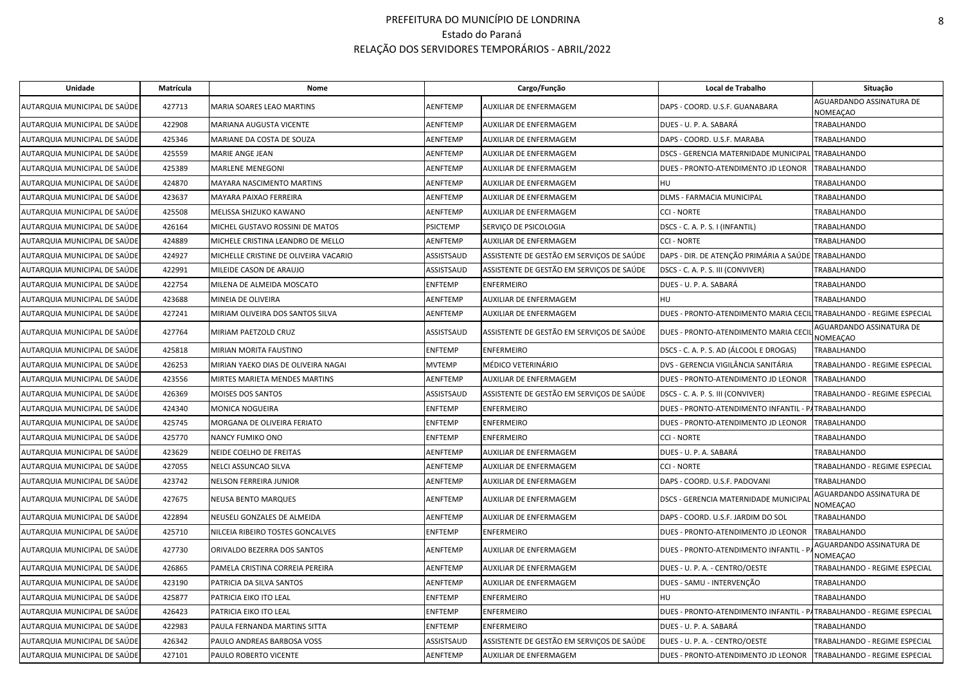| Unidade                      | Matrícula | Nome                                  |                 | Cargo/Função                              | Local de Trabalho                                                    | Situação                             |
|------------------------------|-----------|---------------------------------------|-----------------|-------------------------------------------|----------------------------------------------------------------------|--------------------------------------|
| AUTARQUIA MUNICIPAL DE SAÚDE | 427713    | MARIA SOARES LEAO MARTINS             | AENFTEMP        | AUXILIAR DE ENFERMAGEM                    | DAPS - COORD. U.S.F. GUANABARA                                       | AGUARDANDO ASSINATURA DE<br>NOMEAÇAO |
| AUTARQUIA MUNICIPAL DE SAÚDE | 422908    | MARIANA AUGUSTA VICENTE               | <b>AENFTEMP</b> | AUXILIAR DE ENFERMAGEM                    | DUES - U. P. A. SABARÁ                                               | <b>TRABALHANDO</b>                   |
| AUTARQUIA MUNICIPAL DE SAÚDE | 425346    | MARIANE DA COSTA DE SOUZA             | AENFTEMP        | AUXILIAR DE ENFERMAGEM                    | DAPS - COORD. U.S.F. MARABA                                          | <b>TRABALHANDO</b>                   |
| AUTARQUIA MUNICIPAL DE SAÚDE | 425559    | MARIE ANGE JEAN                       | AENFTEMP        | AUXILIAR DE ENFERMAGEM                    | DSCS - GERENCIA MATERNIDADE MUNICIPAL                                | TRABALHANDO                          |
| AUTARQUIA MUNICIPAL DE SAÚDE | 425389    | <b>MARLENE MENEGONI</b>               | AENFTEMP        | AUXILIAR DE ENFERMAGEM                    | DUES - PRONTO-ATENDIMENTO JD LEONOR                                  | TRABALHANDO                          |
| AUTARQUIA MUNICIPAL DE SAÚDE | 424870    | MAYARA NASCIMENTO MARTINS             | AENFTEMP        | AUXILIAR DE ENFERMAGEM                    | HU                                                                   | TRABALHANDO                          |
| AUTARQUIA MUNICIPAL DE SAÚDE | 423637    | MAYARA PAIXAO FERREIRA                | AENFTEMP        | AUXILIAR DE ENFERMAGEM                    | DLMS - FARMACIA MUNICIPAL                                            | TRABALHANDO                          |
| AUTARQUIA MUNICIPAL DE SAÚDE | 425508    | MELISSA SHIZUKO KAWANO                | AENFTEMP        | AUXILIAR DE ENFERMAGEM                    | <b>CCI - NORTE</b>                                                   | <b>TRABALHANDO</b>                   |
| AUTARQUIA MUNICIPAL DE SAÚDE | 426164    | MICHEL GUSTAVO ROSSINI DE MATOS       | <b>PSICTEMP</b> | SERVIÇO DE PSICOLOGIA                     | DSCS - C. A. P. S. I (INFANTIL)                                      | TRABALHANDO                          |
| AUTARQUIA MUNICIPAL DE SAÚDE | 424889    | MICHELE CRISTINA LEANDRO DE MELLO     | AENFTEMP        | AUXILIAR DE ENFERMAGEM                    | <b>CCI - NORTE</b>                                                   | TRABALHANDO                          |
| AUTARQUIA MUNICIPAL DE SAÚDE | 424927    | MICHELLE CRISTINE DE OLIVEIRA VACARIO | ASSISTSAUD      | ASSISTENTE DE GESTÃO EM SERVIÇOS DE SAÚDE | DAPS - DIR. DE ATENÇÃO PRIMÁRIA A SAÚDE                              | <b>TRABALHANDO</b>                   |
| AUTARQUIA MUNICIPAL DE SAÚDE | 422991    | MILEIDE CASON DE ARAUJO               | ASSISTSAUD      | ASSISTENTE DE GESTÃO EM SERVIÇOS DE SAÚDE | DSCS - C. A. P. S. III (CONVIVER)                                    | TRABALHANDO                          |
| AUTARQUIA MUNICIPAL DE SAÚDE | 422754    | MILENA DE ALMEIDA MOSCATO             | ENFTEMP         | <b>ENFERMEIRO</b>                         | DUES - U. P. A. SABARÁ                                               | TRABALHANDO                          |
| AUTARQUIA MUNICIPAL DE SAÚDE | 423688    | MINEIA DE OLIVEIRA                    | AENFTEMP        | AUXILIAR DE ENFERMAGEM                    | HU                                                                   | <b>TRABALHANDO</b>                   |
| AUTARQUIA MUNICIPAL DE SAÚDE | 427241    | MIRIAM OLIVEIRA DOS SANTOS SILVA      | AENFTEMP        | AUXILIAR DE ENFERMAGEM                    | DUES - PRONTO-ATENDIMENTO MARIA CECIL TRABALHANDO - REGIME ESPECIAL  |                                      |
| AUTARQUIA MUNICIPAL DE SAÚDE | 427764    | MIRIAM PAETZOLD CRUZ                  | ASSISTSAUD      | ASSISTENTE DE GESTÃO EM SERVIÇOS DE SAÚDE | DUES - PRONTO-ATENDIMENTO MARIA CECI                                 | AGUARDANDO ASSINATURA DE<br>NOMEAÇAO |
| AUTARQUIA MUNICIPAL DE SAÚDE | 425818    | MIRIAN MORITA FAUSTINO                | ENFTEMP         | <b>ENFERMEIRO</b>                         | DSCS - C. A. P. S. AD (ÁLCOOL E DROGAS)                              | TRABALHANDO                          |
| AUTARQUIA MUNICIPAL DE SAÚDE | 426253    | MIRIAN YAEKO DIAS DE OLIVEIRA NAGAI   | <b>MVTEMP</b>   | MÉDICO VETERINÁRIO                        | DVS - GERENCIA VIGILÂNCIA SANITÁRIA                                  | TRABALHANDO - REGIME ESPECIAL        |
| AUTARQUIA MUNICIPAL DE SAÚDE | 423556    | MIRTES MARIETA MENDES MARTINS         | AENFTEMP        | AUXILIAR DE ENFERMAGEM                    | DUES - PRONTO-ATENDIMENTO JD LEONOR                                  | <b>TRABALHANDO</b>                   |
| AUTARQUIA MUNICIPAL DE SAÚDE | 426369    | MOISES DOS SANTOS                     | ASSISTSAUD      | ASSISTENTE DE GESTÃO EM SERVIÇOS DE SAÚDE | DSCS - C. A. P. S. III (CONVIVER)                                    | TRABALHANDO - REGIME ESPECIAL        |
| AUTARQUIA MUNICIPAL DE SAÚDE | 424340    | <b>MONICA NOGUEIRA</b>                | ENFTEMP         | <b>ENFERMEIRO</b>                         | DUES - PRONTO-ATENDIMENTO INFANTIL - PATRABALHANDO                   |                                      |
| AUTARQUIA MUNICIPAL DE SAÚDE | 425745    | MORGANA DE OLIVEIRA FERIATO           | ENFTEMP         | <b>ENFERMEIRO</b>                         | DUES - PRONTO-ATENDIMENTO JD LEONOR                                  | TRABALHANDO                          |
| AUTARQUIA MUNICIPAL DE SAÚDE | 425770    | NANCY FUMIKO ONO                      | ENFTEMP         | <b>ENFERMEIRO</b>                         | <b>CCI - NORTE</b>                                                   | TRABALHANDO                          |
| AUTARQUIA MUNICIPAL DE SAÚDE | 423629    | NEIDE COELHO DE FREITAS               | AENFTEMP        | AUXILIAR DE ENFERMAGEM                    | DUES - U. P. A. SABARÁ                                               | TRABALHANDO                          |
| AUTARQUIA MUNICIPAL DE SAÚDE | 427055    | NELCI ASSUNCAO SILVA                  | AENFTEMP        | AUXILIAR DE ENFERMAGEM                    | <b>CCI - NORTE</b>                                                   | TRABALHANDO - REGIME ESPECIAL        |
| AUTARQUIA MUNICIPAL DE SAÚDE | 423742    | NELSON FERREIRA JUNIOR                | AENFTEMP        | AUXILIAR DE ENFERMAGEM                    | DAPS - COORD, U.S.F. PADOVANI                                        | <b>TRABALHANDO</b>                   |
| AUTARQUIA MUNICIPAL DE SAÚDE | 427675    | <b>NEUSA BENTO MARQUES</b>            | AENFTEMP        | <b>AUXILIAR DE ENFERMAGEM</b>             | DSCS - GERENCIA MATERNIDADE MUNICIPAI                                | AGUARDANDO ASSINATURA DE<br>NOMEAÇAO |
| AUTARQUIA MUNICIPAL DE SAÚDE | 422894    | NEUSELI GONZALES DE ALMEIDA           | AENFTEMP        | AUXILIAR DE ENFERMAGEM                    | DAPS - COORD. U.S.F. JARDIM DO SOL                                   | TRABALHANDO                          |
| AUTARQUIA MUNICIPAL DE SAÚDE | 425710    | NILCEIA RIBEIRO TOSTES GONCALVES      | ENFTEMP         | <b>ENFERMEIRO</b>                         | DUES - PRONTO-ATENDIMENTO JD LEONOR                                  | <b>TRABALHANDO</b>                   |
| AUTARQUIA MUNICIPAL DE SAÚDE | 427730    | ORIVALDO BEZERRA DOS SANTOS           | AENFTEMP        | AUXILIAR DE ENFERMAGEM                    | DUES - PRONTO-ATENDIMENTO INFANTIL - I                               | AGUARDANDO ASSINATURA DE<br>NOMEAÇAO |
| AUTARQUIA MUNICIPAL DE SAÚDE | 426865    | PAMELA CRISTINA CORREIA PEREIRA       | AENFTEMP        | AUXILIAR DE ENFERMAGEM                    | DUES - U. P. A. - CENTRO/OESTE                                       | TRABALHANDO - REGIME ESPECIAL        |
| AUTARQUIA MUNICIPAL DE SAÚDE | 423190    | PATRICIA DA SILVA SANTOS              | AENFTEMP        | AUXILIAR DE ENFERMAGEM                    | DUES - SAMU - INTERVENÇÃO                                            | TRABALHANDO                          |
| AUTARQUIA MUNICIPAL DE SAÚDE | 425877    | PATRICIA EIKO ITO LEAL                | ENFTEMP         | <b>ENFERMEIRO</b>                         | HU                                                                   | TRABALHANDO                          |
| AUTARQUIA MUNICIPAL DE SAÚDE | 426423    | PATRICIA EIKO ITO LEAL                | ENFTEMP         | <b>ENFERMEIRO</b>                         | DUES - PRONTO-ATENDIMENTO INFANTIL - PATRABALHANDO - REGIME ESPECIAL |                                      |
| AUTARQUIA MUNICIPAL DE SAÚDE | 422983    | PAULA FERNANDA MARTINS SITTA          | ENFTEMP         | <b>ENFERMEIRO</b>                         | DUES - U. P. A. SABARÁ                                               | TRABALHANDO                          |
| AUTARQUIA MUNICIPAL DE SAÚDE | 426342    | PAULO ANDREAS BARBOSA VOSS            | ASSISTSAUD      | ASSISTENTE DE GESTÃO EM SERVIÇOS DE SAÚDE | DUES - U. P. A. - CENTRO/OESTE                                       | TRABALHANDO - REGIME ESPECIAL        |
| AUTARQUIA MUNICIPAL DE SAÚDE | 427101    | PAULO ROBERTO VICENTE                 | AENFTEMP        | AUXILIAR DE ENFERMAGEM                    | DUES - PRONTO-ATENDIMENTO JD LEONOR                                  | TRABALHANDO - REGIME ESPECIAL        |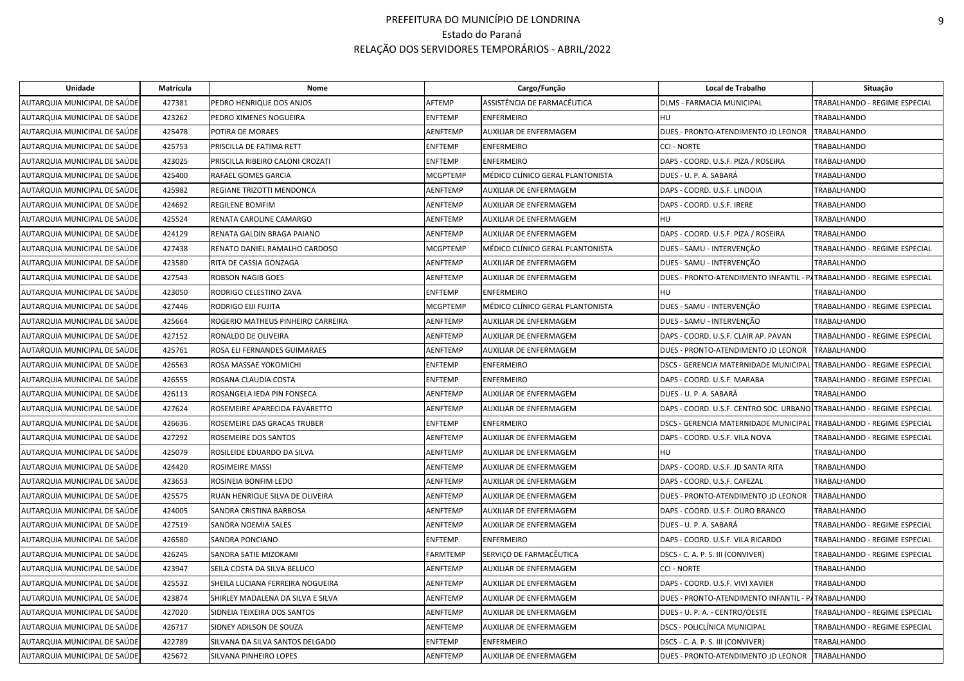| Unidade                      | Matrícula | Nome                              |                 | Cargo/Função                     | Local de Trabalho                                                     | Situação                      |
|------------------------------|-----------|-----------------------------------|-----------------|----------------------------------|-----------------------------------------------------------------------|-------------------------------|
| AUTARQUIA MUNICIPAL DE SAÚDE | 427381    | PEDRO HENRIQUE DOS ANJOS          | AFTEMP          | ASSISTÊNCIA DE FARMACÊUTICA      | DLMS - FARMACIA MUNICIPAL                                             | TRABALHANDO - REGIME ESPECIAL |
| AUTARQUIA MUNICIPAL DE SAÚDE | 423262    | PEDRO XIMENES NOGUEIRA            | <b>ENFTEMP</b>  | <b>ENFERMEIRO</b>                | <b>HU</b>                                                             | <b>TRABALHANDO</b>            |
| AUTARQUIA MUNICIPAL DE SAÚDE | 425478    | POTIRA DE MORAES                  | <b>AENFTEMP</b> | <b>AUXILIAR DE ENFERMAGEM</b>    | DUES - PRONTO-ATENDIMENTO JD LEONOR                                   | <b>TRABALHANDO</b>            |
| AUTARQUIA MUNICIPAL DE SAÚDE | 425753    | PRISCILLA DE FATIMA RETT          | <b>ENFTEMP</b>  | <b>ENFERMEIRO</b>                | <b>CCI - NORTE</b>                                                    | <b>TRABALHANDO</b>            |
| AUTARQUIA MUNICIPAL DE SAÚDE | 423025    | PRISCILLA RIBEIRO CALONI CROZATI  | <b>ENFTEMP</b>  | <b>ENFERMEIRO</b>                | DAPS - COORD. U.S.F. PIZA / ROSEIRA                                   | <b>TRABALHANDO</b>            |
| AUTARQUIA MUNICIPAL DE SAÚDE | 425400    | RAFAEL GOMES GARCIA               | <b>MCGPTEMP</b> | MÉDICO CLÍNICO GERAL PLANTONISTA | DUES - U. P. A. SABARÁ                                                | TRABALHANDO                   |
| AUTARQUIA MUNICIPAL DE SAÚDE | 425982    | REGIANE TRIZOTTI MENDONCA         | <b>AENFTEMP</b> | AUXILIAR DE ENFERMAGEM           | DAPS - COORD. U.S.F. LINDOIA                                          | TRABALHANDO                   |
| AUTARQUIA MUNICIPAL DE SAÚDE | 424692    | REGILENE BOMFIM                   | AENFTEMP        | AUXILIAR DE ENFERMAGEM           | DAPS - COORD. U.S.F. IRERE                                            | TRABALHANDO                   |
| AUTARQUIA MUNICIPAL DE SAÚDE | 425524    | RENATA CAROLINE CAMARGO           | <b>AENFTEMP</b> | AUXILIAR DE ENFERMAGEM           | <b>HU</b>                                                             | TRABALHANDO                   |
| AUTARQUIA MUNICIPAL DE SAÚDE | 424129    | RENATA GALDIN BRAGA PAIANO        | <b>AENFTEMP</b> | AUXILIAR DE ENFERMAGEM           | DAPS - COORD. U.S.F. PIZA / ROSEIRA                                   | <b>TRABALHANDO</b>            |
| AUTARQUIA MUNICIPAL DE SAÚDE | 427438    | RENATO DANIEL RAMALHO CARDOSO     | <b>MCGPTEMP</b> | MÉDICO CLÍNICO GERAL PLANTONISTA | DUES - SAMU - INTERVENÇÃO                                             | TRABALHANDO - REGIME ESPECIAL |
| AUTARQUIA MUNICIPAL DE SAÚDE | 423580    | RITA DE CASSIA GONZAGA            | AENFTEMP        | AUXILIAR DE ENFERMAGEM           | DUES - SAMU - INTERVENÇÃO                                             | TRABALHANDO                   |
| AUTARQUIA MUNICIPAL DE SAÚDE | 427543    | ROBSON NAGIB GOES                 | AENFTEMP        | AUXILIAR DE ENFERMAGEM           | DUES - PRONTO-ATENDIMENTO INFANTIL - PATRABALHANDO - REGIME ESPECIAL  |                               |
| AUTARQUIA MUNICIPAL DE SAÚDE | 423050    | RODRIGO CELESTINO ZAVA            | <b>ENFTEMP</b>  | <b>ENFERMEIRO</b>                | <b>HU</b>                                                             | <b>TRABALHANDO</b>            |
| AUTARQUIA MUNICIPAL DE SAÚDE | 427446    | RODRIGO EIJI FUJITA               | <b>MCGPTEMP</b> | MÉDICO CLÍNICO GERAL PLANTONISTA | DUES - SAMU - INTERVENÇÃO                                             | TRABALHANDO - REGIME ESPECIAL |
| AUTARQUIA MUNICIPAL DE SAÚDE | 425664    | ROGERIO MATHEUS PINHEIRO CARREIRA | <b>AENFTEMP</b> | AUXILIAR DE ENFERMAGEM           | DUES - SAMU - INTERVENÇÃO                                             | <b>TRABALHANDO</b>            |
| AUTARQUIA MUNICIPAL DE SAÚDE | 427152    | RONALDO DE OLIVEIRA               | <b>AENFTEMP</b> | AUXILIAR DE ENFERMAGEM           | DAPS - COORD. U.S.F. CLAIR AP. PAVAN                                  | TRABALHANDO - REGIME ESPECIAL |
| AUTARQUIA MUNICIPAL DE SAÚDE | 425761    | ROSA ELI FERNANDES GUIMARAES      | AENFTEMP        | <b>AUXILIAR DE ENFERMAGEM</b>    | DUES - PRONTO-ATENDIMENTO JD LEONOR                                   | <b>TRABALHANDO</b>            |
| AUTARQUIA MUNICIPAL DE SAÚDE | 426563    | ROSA MASSAE YOKOMICHI             | <b>ENFTEMP</b>  | <b>ENFERMEIRO</b>                | <b>DSCS - GERENCIA MATERNIDADE MUNICIPAL</b>                          | TRABALHANDO - REGIME ESPECIAL |
| AUTARQUIA MUNICIPAL DE SAÚDE | 426555    | ROSANA CLAUDIA COSTA              | <b>ENFTEMP</b>  | <b>ENFERMEIRO</b>                | DAPS - COORD. U.S.F. MARABA                                           | TRABALHANDO - REGIME ESPECIAL |
| AUTARQUIA MUNICIPAL DE SAÚDE | 426113    | ROSANGELA IEDA PIN FONSECA        | AENFTEMP        | AUXILIAR DE ENFERMAGEM           | DUES - U. P. A. SABARÁ                                                | TRABALHANDO                   |
| AUTARQUIA MUNICIPAL DE SAÚDE | 427624    | ROSEMEIRE APARECIDA FAVARETTO     | AENFTEMP        | AUXILIAR DE ENFERMAGEM           | DAPS - COORD. U.S.F. CENTRO SOC. URBANO TRABALHANDO - REGIME ESPECIAL |                               |
| AUTARQUIA MUNICIPAL DE SAÚDE | 426636    | ROSEMEIRE DAS GRACAS TRUBER       | <b>ENFTEMP</b>  | <b>ENFERMEIRO</b>                | DSCS - GERENCIA MATERNIDADE MUNICIPAL TRABALHANDO - REGIME ESPECIAL   |                               |
| AUTARQUIA MUNICIPAL DE SAÚDE | 427292    | ROSEMEIRE DOS SANTOS              | <b>AENFTEMP</b> | AUXILIAR DE ENFERMAGEM           | DAPS - COORD. U.S.F. VILA NOVA                                        | TRABALHANDO - REGIME ESPECIAL |
| AUTARQUIA MUNICIPAL DE SAÚDE | 425079    | ROSILEIDE EDUARDO DA SILVA        | AENFTEMP        | AUXILIAR DE ENFERMAGEM           | <b>HU</b>                                                             | <b>TRABALHANDO</b>            |
| AUTARQUIA MUNICIPAL DE SAÚDE | 424420    | ROSIMEIRE MASSI                   | AENFTEMP        | AUXILIAR DE ENFERMAGEM           | DAPS - COORD. U.S.F. JD SANTA RITA                                    | TRABALHANDO                   |
| AUTARQUIA MUNICIPAL DE SAÚDE | 423653    | ROSINEIA BONFIM LEDO              | <b>AENFTEMP</b> | AUXILIAR DE ENFERMAGEM           | DAPS - COORD. U.S.F. CAFEZAL                                          | TRABALHANDO                   |
| AUTARQUIA MUNICIPAL DE SAÚDE | 425575    | RUAN HENRIQUE SILVA DE OLIVEIRA   | AENFTEMP        | AUXILIAR DE ENFERMAGEM           | DUES - PRONTO-ATENDIMENTO JD LEONOR                                   | <b>TRABALHANDO</b>            |
| AUTARQUIA MUNICIPAL DE SAÚDE | 424005    | SANDRA CRISTINA BARBOSA           | AENFTEMP        | AUXILIAR DE ENFERMAGEM           | DAPS - COORD. U.S.F. OURO BRANCO                                      | <b>TRABALHANDO</b>            |
| AUTARQUIA MUNICIPAL DE SAÚDE | 427519    | SANDRA NOEMIA SALES               | <b>AENFTEMP</b> | AUXILIAR DE ENFERMAGEM           | DUES - U. P. A. SABARÁ                                                | TRABALHANDO - REGIME ESPECIAL |
| AUTARQUIA MUNICIPAL DE SAÚDE | 426580    | SANDRA PONCIANO                   | <b>ENFTEMP</b>  | <b>ENFERMEIRO</b>                | DAPS - COORD. U.S.F. VILA RICARDO                                     | TRABALHANDO - REGIME ESPECIAL |
| AUTARQUIA MUNICIPAL DE SAÚDE | 426245    | SANDRA SATIE MIZOKAMI             | <b>FARMTEMP</b> | SERVIÇO DE FARMACÊUTICA          | DSCS - C. A. P. S. III (CONVIVER)                                     | TRABALHANDO - REGIME ESPECIAL |
| AUTARQUIA MUNICIPAL DE SAÚDE | 423947    | SEILA COSTA DA SILVA BELUCO       | AENFTEMP        | AUXILIAR DE ENFERMAGEM           | <b>CCI - NORTE</b>                                                    | TRABALHANDO                   |
| AUTARQUIA MUNICIPAL DE SAÚDE | 425532    | SHEILA LUCIANA FERREIRA NOGUEIRA  | <b>AENFTEMP</b> | AUXILIAR DE ENFERMAGEM           | DAPS - COORD. U.S.F. VIVI XAVIER                                      | <b>TRABALHANDO</b>            |
| AUTARQUIA MUNICIPAL DE SAÚDE | 423874    | SHIRLEY MADALENA DA SILVA E SILVA | AENFTEMP        | AUXILIAR DE ENFERMAGEM           | DUES - PRONTO-ATENDIMENTO INFANTIL - PATRABALHANDO                    |                               |
| AUTARQUIA MUNICIPAL DE SAÚDE | 427020    | SIDNEIA TEIXEIRA DOS SANTOS       | AENFTEMP        | AUXILIAR DE ENFERMAGEM           | DUES - U. P. A. - CENTRO/OESTE                                        | TRABALHANDO - REGIME ESPECIAL |
| AUTARQUIA MUNICIPAL DE SAÚDE | 426717    | SIDNEY ADILSON DE SOUZA           | <b>AENFTEMP</b> | AUXILIAR DE ENFERMAGEM           | DSCS - POLICLÍNICA MUNICIPAL                                          | TRABALHANDO - REGIME ESPECIAL |
| AUTARQUIA MUNICIPAL DE SAÚDE | 422789    | SILVANA DA SILVA SANTOS DELGADO   | <b>ENFTEMP</b>  | <b>ENFERMEIRO</b>                | DSCS - C. A. P. S. III (CONVIVER)                                     | TRABALHANDO                   |
| AUTARQUIA MUNICIPAL DE SAÚDE | 425672    | SILVANA PINHEIRO LOPES            | <b>AENFTEMP</b> | AUXILIAR DE ENFERMAGEM           | DUES - PRONTO-ATENDIMENTO JD LEONOR                                   | <b>TRABALHANDO</b>            |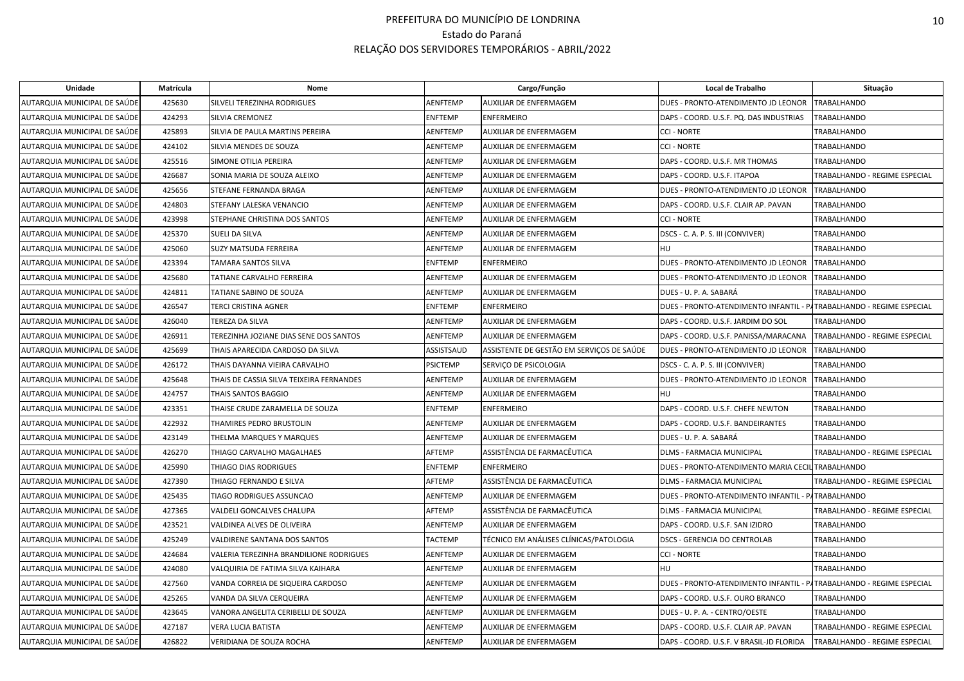| Unidade                      | Matrícula | Nome                                     |                 | Cargo/Função                              | Local de Trabalho                                                    | Situação                      |
|------------------------------|-----------|------------------------------------------|-----------------|-------------------------------------------|----------------------------------------------------------------------|-------------------------------|
| AUTARQUIA MUNICIPAL DE SAÚDE | 425630    | SILVELI TEREZINHA RODRIGUES              | <b>AENFTEMP</b> | <b>AUXILIAR DE ENFERMAGEM</b>             | DUES - PRONTO-ATENDIMENTO JD LEONOR                                  | <b>TRABALHANDO</b>            |
| AUTARQUIA MUNICIPAL DE SAÚDE | 424293    | <b>SILVIA CREMONEZ</b>                   | <b>ENFTEMP</b>  | <b>ENFERMEIRO</b>                         | DAPS - COORD. U.S.F. PQ. DAS INDUSTRIAS                              | TRABALHANDO                   |
| AUTARQUIA MUNICIPAL DE SAÚDE | 425893    | SILVIA DE PAULA MARTINS PEREIRA          | <b>AENFTEMP</b> | <b>AUXILIAR DE ENFERMAGEM</b>             | <b>CCI - NORTE</b>                                                   | TRABALHANDO                   |
| AUTARQUIA MUNICIPAL DE SAÚDE | 424102    | SILVIA MENDES DE SOUZA                   | AENFTEMP        | AUXILIAR DE ENFERMAGEM                    | <b>CCI - NORTE</b>                                                   | TRABALHANDO                   |
| AUTARQUIA MUNICIPAL DE SAÚDE | 425516    | SIMONE OTILIA PEREIRA                    | AENFTEMP        | AUXILIAR DE ENFERMAGEM                    | DAPS - COORD. U.S.F. MR THOMAS                                       | <b>TRABALHANDO</b>            |
| AUTARQUIA MUNICIPAL DE SAÚDE | 426687    | SONIA MARIA DE SOUZA ALEIXO              | <b>AENFTEMP</b> | AUXILIAR DE ENFERMAGEM                    | DAPS - COORD. U.S.F. ITAPOA                                          | TRABALHANDO - REGIME ESPECIAL |
| AUTARQUIA MUNICIPAL DE SAÚDE | 425656    | STEFANE FERNANDA BRAGA                   | <b>AENFTEMP</b> | AUXILIAR DE ENFERMAGEM                    | DUES - PRONTO-ATENDIMENTO JD LEONOR                                  | <b>TRABALHANDO</b>            |
| AUTARQUIA MUNICIPAL DE SAÚDE | 424803    | STEFANY LALESKA VENANCIO                 | AENFTEMP        | AUXILIAR DE ENFERMAGEM                    | DAPS - COORD. U.S.F. CLAIR AP. PAVAN                                 | TRABALHANDO                   |
| AUTARQUIA MUNICIPAL DE SAÚDE | 423998    | STEPHANE CHRISTINA DOS SANTOS            | AENFTEMP        | AUXILIAR DE ENFERMAGEM                    | <b>CCI - NORTE</b>                                                   | TRABALHANDO                   |
| AUTARQUIA MUNICIPAL DE SAÚDE | 425370    | SUELI DA SILVA                           | <b>AENFTEMP</b> | AUXILIAR DE ENFERMAGEM                    | DSCS - C. A. P. S. III (CONVIVER)                                    | TRABALHANDO                   |
| AUTARQUIA MUNICIPAL DE SAÚDE | 425060    | SUZY MATSUDA FERREIRA                    | AENFTEMP        | AUXILIAR DE ENFERMAGEM                    | HU                                                                   | TRABALHANDO                   |
| AUTARQUIA MUNICIPAL DE SAÚDE | 423394    | TAMARA SANTOS SILVA                      | <b>ENFTEMP</b>  | <b>ENFERMEIRO</b>                         | DUES - PRONTO-ATENDIMENTO JD LEONOR                                  | <b>TRABALHANDO</b>            |
| AUTARQUIA MUNICIPAL DE SAÚDE | 425680    | TATIANE CARVALHO FERREIRA                | <b>AENFTEMP</b> | <b>AUXILIAR DE ENFERMAGEM</b>             | DUES - PRONTO-ATENDIMENTO JD LEONOR                                  | TRABALHANDO                   |
| AUTARQUIA MUNICIPAL DE SAÚDE | 424811    | TATIANE SABINO DE SOUZA                  | <b>AENFTEMP</b> | AUXILIAR DE ENFERMAGEM                    | DUES - U. P. A. SABARÁ                                               | TRABALHANDO                   |
| AUTARQUIA MUNICIPAL DE SAÚDE | 426547    | <b>TERCI CRISTINA AGNER</b>              | <b>ENFTEMP</b>  | <b>ENFERMEIRO</b>                         | DUES - PRONTO-ATENDIMENTO INFANTIL - PATRABALHANDO - REGIME ESPECIAL |                               |
| AUTARQUIA MUNICIPAL DE SAÚDE | 426040    | TEREZA DA SILVA                          | <b>AENFTEMP</b> | AUXILIAR DE ENFERMAGEM                    | DAPS - COORD. U.S.F. JARDIM DO SOL                                   | <b>TRABALHANDO</b>            |
| AUTARQUIA MUNICIPAL DE SAÚDE | 426911    | TEREZINHA JOZIANE DIAS SENE DOS SANTOS   | AENFTEMP        | AUXILIAR DE ENFERMAGEM                    | DAPS - COORD. U.S.F. PANISSA/MARACANA                                | TRABALHANDO - REGIME ESPECIAL |
| AUTARQUIA MUNICIPAL DE SAÚDE | 425699    | THAIS APARECIDA CARDOSO DA SILVA         | ASSISTSAUD      | ASSISTENTE DE GESTÃO EM SERVIÇOS DE SAÚDE | DUES - PRONTO-ATENDIMENTO JD LEONOR                                  | <b>TRABALHANDO</b>            |
| AUTARQUIA MUNICIPAL DE SAÚDE | 426172    | THAIS DAYANNA VIEIRA CARVALHO            | <b>PSICTEMP</b> | SERVICO DE PSICOLOGIA                     | DSCS - C. A. P. S. III (CONVIVER)                                    | TRABALHANDO                   |
| AUTARQUIA MUNICIPAL DE SAÚDE | 425648    | THAIS DE CASSIA SILVA TEIXEIRA FERNANDES | AENFTEMP        | AUXILIAR DE ENFERMAGEM                    | DUES - PRONTO-ATENDIMENTO JD LEONOR                                  | TRABALHANDO                   |
| AUTARQUIA MUNICIPAL DE SAÚDE | 424757    | THAIS SANTOS BAGGIO                      | <b>AENFTEMP</b> | AUXILIAR DE ENFERMAGEM                    | HU                                                                   | <b>TRABALHANDO</b>            |
| AUTARQUIA MUNICIPAL DE SAÚDE | 423351    | THAISE CRUDE ZARAMELLA DE SOUZA          | <b>ENFTEMP</b>  | <b>ENFERMEIRO</b>                         | DAPS - COORD, U.S.F. CHEFE NEWTON                                    | TRABALHANDO                   |
| AUTARQUIA MUNICIPAL DE SAÚDE | 422932    | THAMIRES PEDRO BRUSTOLIN                 | <b>AENFTEMP</b> | AUXILIAR DE ENFERMAGEM                    | DAPS - COORD. U.S.F. BANDEIRANTES                                    | TRABALHANDO                   |
| AUTARQUIA MUNICIPAL DE SAÚDE | 423149    | THELMA MARQUES Y MARQUES                 | <b>AENFTEMP</b> | AUXILIAR DE ENFERMAGEM                    | DUES - U. P. A. SABARÁ                                               | <b>TRABALHANDO</b>            |
| AUTARQUIA MUNICIPAL DE SAÚDE | 426270    | THIAGO CARVALHO MAGALHAES                | AFTEMP          | ASSISTÊNCIA DE FARMACÊUTICA               | <b>DLMS - FARMACIA MUNICIPAL</b>                                     | TRABALHANDO - REGIME ESPECIAL |
| AUTARQUIA MUNICIPAL DE SAÚDE | 425990    | THIAGO DIAS RODRIGUES                    | <b>ENFTEMP</b>  | <b>ENFERMEIRO</b>                         | DUES - PRONTO-ATENDIMENTO MARIA CECIL TRABALHANDO                    |                               |
| AUTARQUIA MUNICIPAL DE SAÚDE | 427390    | THIAGO FERNANDO E SILVA                  | AFTEMP          | ASSISTÊNCIA DE FARMACÊUTICA               | <b>DLMS - FARMACIA MUNICIPAL</b>                                     | TRABALHANDO - REGIME ESPECIAL |
| AUTARQUIA MUNICIPAL DE SAÚDE | 425435    | TIAGO RODRIGUES ASSUNCAO                 | <b>AENFTEMP</b> | AUXILIAR DE ENFERMAGEM                    | DUES - PRONTO-ATENDIMENTO INFANTIL - PATRABALHANDO                   |                               |
| AUTARQUIA MUNICIPAL DE SAÚDE | 427365    | VALDELI GONCALVES CHALUPA                | AFTEMP          | ASSISTÊNCIA DE FARMACÊUTICA               | DLMS - FARMACIA MUNICIPAL                                            | TRABALHANDO - REGIME ESPECIAL |
| AUTARQUIA MUNICIPAL DE SAÚDE | 423521    | VALDINEA ALVES DE OLIVEIRA               | AENFTEMP        | AUXILIAR DE ENFERMAGEM                    | DAPS - COORD, U.S.F. SAN IZIDRO                                      | TRABALHANDO                   |
| AUTARQUIA MUNICIPAL DE SAÚDE | 425249    | VALDIRENE SANTANA DOS SANTOS             | <b>TACTEMP</b>  | TÉCNICO EM ANÁLISES CLÍNICAS/PATOLOGIA    | DSCS - GERENCIA DO CENTROLAB                                         | TRABALHANDO                   |
| AUTARQUIA MUNICIPAL DE SAÚDE | 424684    | VALERIA TEREZINHA BRANDILIONE RODRIGUES  | <b>AENFTEMP</b> | AUXILIAR DE ENFERMAGEM                    | <b>CCI - NORTE</b>                                                   | <b>TRABALHANDO</b>            |
| AUTARQUIA MUNICIPAL DE SAÚDE | 424080    | VALQUIRIA DE FATIMA SILVA KAIHARA        | <b>AENFTEMP</b> | AUXILIAR DE ENFERMAGEM                    | HU                                                                   | TRABALHANDO                   |
| AUTARQUIA MUNICIPAL DE SAÚDE | 427560    | VANDA CORREIA DE SIQUEIRA CARDOSO        | <b>AENFTEMP</b> | AUXILIAR DE ENFERMAGEM                    | DUES - PRONTO-ATENDIMENTO INFANTIL - PATRABALHANDO - REGIME ESPECIAL |                               |
| AUTARQUIA MUNICIPAL DE SAÚDE | 425265    | VANDA DA SILVA CERQUEIRA                 | <b>AENFTEMP</b> | AUXILIAR DE ENFERMAGEM                    | DAPS - COORD, U.S.F. OURO BRANCO                                     | TRABALHANDO                   |
| AUTARQUIA MUNICIPAL DE SAÚDE | 423645    | VANORA ANGELITA CERIBELLI DE SOUZA       | <b>AENFTEMP</b> | AUXILIAR DE ENFERMAGEM                    | DUES - U. P. A. - CENTRO/OESTE                                       | TRABALHANDO                   |
| AUTARQUIA MUNICIPAL DE SAÚDE | 427187    | VERA LUCIA BATISTA                       | <b>AENFTEMP</b> | AUXILIAR DE ENFERMAGEM                    | DAPS - COORD. U.S.F. CLAIR AP. PAVAN                                 | TRABALHANDO - REGIME ESPECIAL |
| AUTARQUIA MUNICIPAL DE SAÚDE | 426822    | VERIDIANA DE SOUZA ROCHA                 | <b>AENFTEMP</b> | AUXILIAR DE ENFERMAGEM                    | DAPS - COORD. U.S.F. V BRASIL-JD FLORIDA                             | TRABALHANDO - REGIME ESPECIAL |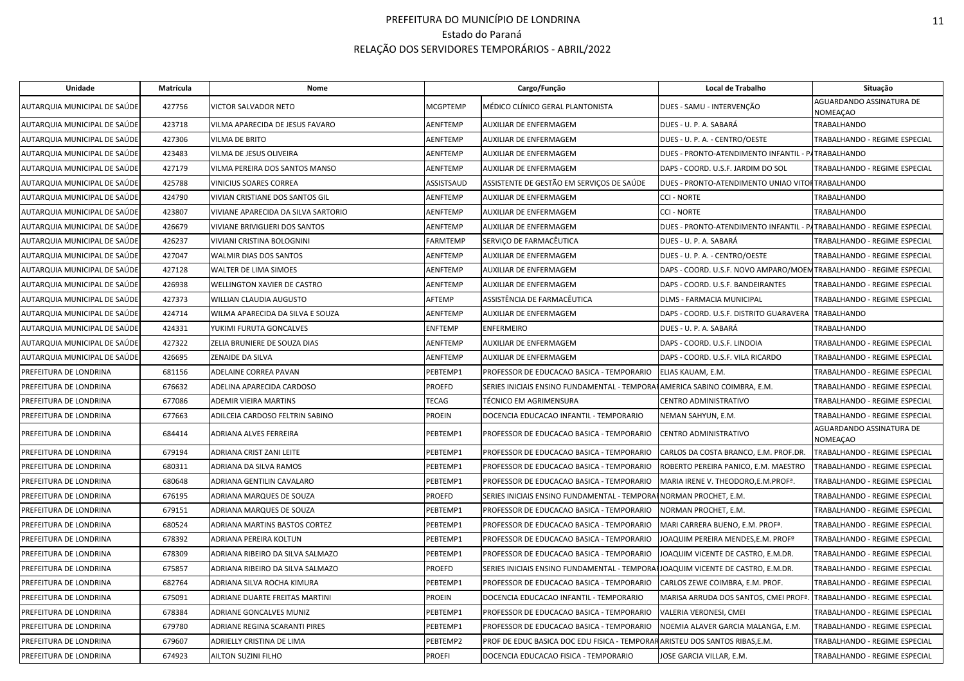| Unidade                      | Matrícula | Nome                                |                 | Cargo/Função                                                                    | Local de Trabalho                                                    | Situação                                    |
|------------------------------|-----------|-------------------------------------|-----------------|---------------------------------------------------------------------------------|----------------------------------------------------------------------|---------------------------------------------|
| AUTARQUIA MUNICIPAL DE SAÚDE | 427756    | <b>VICTOR SALVADOR NETO</b>         | <b>MCGPTEMP</b> | MÉDICO CLÍNICO GERAL PLANTONISTA                                                | DUES - SAMU - INTERVENÇÃO                                            | <b>AGUARDANDO ASSINATURA DE</b><br>NOMEAÇAO |
| AUTARQUIA MUNICIPAL DE SAÚDE | 423718    | VILMA APARECIDA DE JESUS FAVARO     | AENFTEMP        | AUXILIAR DE ENFERMAGEM                                                          | DUES - U. P. A. SABARÁ                                               | TRABALHANDO                                 |
| AUTARQUIA MUNICIPAL DE SAÚDE | 427306    | VILMA DE BRITO                      | AENFTEMP        | AUXILIAR DE ENFERMAGEM                                                          | DUES - U. P. A. - CENTRO/OESTE                                       | TRABALHANDO - REGIME ESPECIAL               |
| AUTARQUIA MUNICIPAL DE SAÚDE | 423483    | VILMA DE JESUS OLIVEIRA             | AENFTEMP        | AUXILIAR DE ENFERMAGEM                                                          | DUES - PRONTO-ATENDIMENTO INFANTIL - PATRABALHANDO                   |                                             |
| AUTARQUIA MUNICIPAL DE SAÚDE | 427179    | VILMA PEREIRA DOS SANTOS MANSO      | AENFTEMP        | AUXILIAR DE ENFERMAGEM                                                          | DAPS - COORD. U.S.F. JARDIM DO SOL                                   | TRABALHANDO - REGIME ESPECIAL               |
| AUTARQUIA MUNICIPAL DE SAÚDE | 425788    | VINICIUS SOARES CORREA              | ASSISTSAUD      | ASSISTENTE DE GESTÃO EM SERVIÇOS DE SAÚDE                                       | DUES - PRONTO-ATENDIMENTO UNIAO VITOF TRABALHANDO                    |                                             |
| AUTARQUIA MUNICIPAL DE SAÚDE | 424790    | VIVIAN CRISTIANE DOS SANTOS GIL     | AENFTEMP        | AUXILIAR DE ENFERMAGEM                                                          | <b>CCI - NORTE</b>                                                   | <b>TRABALHANDO</b>                          |
| AUTARQUIA MUNICIPAL DE SAÚDE | 423807    | VIVIANE APARECIDA DA SILVA SARTORIO | AENFTEMP        | AUXILIAR DE ENFERMAGEM                                                          | <b>CCI - NORTE</b>                                                   | TRABALHANDO                                 |
| AUTARQUIA MUNICIPAL DE SAÚDE | 426679    | VIVIANE BRIVIGLIERI DOS SANTOS      | AENFTEMP        | AUXILIAR DE ENFERMAGEM                                                          | DUES - PRONTO-ATENDIMENTO INFANTIL - PATRABALHANDO - REGIME ESPECIAL |                                             |
| AUTARQUIA MUNICIPAL DE SAÚDE | 426237    | VIVIANI CRISTINA BOLOGNINI          | FARMTEMP        | SERVIÇO DE FARMACÊUTICA                                                         | DUES - U. P. A. SABARÁ                                               | TRABALHANDO - REGIME ESPECIAL               |
| AUTARQUIA MUNICIPAL DE SAÚDE | 427047    | <b>WALMIR DIAS DOS SANTOS</b>       | AENFTEMP        | AUXILIAR DE ENFERMAGEM                                                          | DUES - U. P. A. - CENTRO/OESTE                                       | TRABALHANDO - REGIME ESPECIAL               |
| AUTARQUIA MUNICIPAL DE SAÚDE | 427128    | WALTER DE LIMA SIMOES               | AENFTEMP        | AUXILIAR DE ENFERMAGEM                                                          | DAPS - COORD. U.S.F. NOVO AMPARO/MOEMTRABALHANDO - REGIME ESPECIAL   |                                             |
| AUTARQUIA MUNICIPAL DE SAÚDE | 426938    | WELLINGTON XAVIER DE CASTRO         | AENFTEMP        | AUXILIAR DE ENFERMAGEM                                                          | DAPS - COORD. U.S.F. BANDEIRANTES                                    | TRABALHANDO - REGIME ESPECIAL               |
| AUTARQUIA MUNICIPAL DE SAÚDE | 427373    | WILLIAN CLAUDIA AUGUSTO             | AFTEMP          | ASSISTÊNCIA DE FARMACÊUTICA                                                     | DLMS - FARMACIA MUNICIPAL                                            | TRABALHANDO - REGIME ESPECIAL               |
| AUTARQUIA MUNICIPAL DE SAÚDE | 424714    | WILMA APARECIDA DA SILVA E SOUZA    | <b>AENFTEMP</b> | AUXILIAR DE ENFERMAGEM                                                          | DAPS - COORD. U.S.F. DISTRITO GUARAVERA                              | <b>TRABALHANDO</b>                          |
| AUTARQUIA MUNICIPAL DE SAÚDE | 424331    | YUKIMI FURUTA GONCALVES             | ENFTEMP         | <b>ENFERMEIRO</b>                                                               | DUES - U. P. A. SABARÁ                                               | <b>TRABALHANDO</b>                          |
| AUTARQUIA MUNICIPAL DE SAÚDE | 427322    | ZELIA BRUNIERE DE SOUZA DIAS        | AENFTEMP        | AUXILIAR DE ENFERMAGEM                                                          | DAPS - COORD. U.S.F. LINDOIA                                         | TRABALHANDO - REGIME ESPECIAL               |
| AUTARQUIA MUNICIPAL DE SAÚDE | 426695    | ZENAIDE DA SILVA                    | AENFTEMP        | AUXILIAR DE ENFERMAGEM                                                          | DAPS - COORD. U.S.F. VILA RICARDO                                    | TRABALHANDO - REGIME ESPECIAL               |
| PREFEITURA DE LONDRINA       | 681156    | ADELAINE CORREA PAVAN               | PEBTEMP1        | PROFESSOR DE EDUCACAO BASICA - TEMPORARIO                                       | ELIAS KAUAM, E.M.                                                    | TRABALHANDO - REGIME ESPECIAL               |
| PREFEITURA DE LONDRINA       | 676632    | ADELINA APARECIDA CARDOSO           | PROEFD          | SERIES INICIAIS ENSINO FUNDAMENTAL - TEMPORAHAMERICA SABINO COIMBRA, E.M.       |                                                                      | TRABALHANDO - REGIME ESPECIAL               |
| PREFEITURA DE LONDRINA       | 677086    | ADEMIR VIEIRA MARTINS               | <b>TECAG</b>    | TÉCNICO EM AGRIMENSURA                                                          | CENTRO ADMINISTRATIVO                                                | TRABALHANDO - REGIME ESPECIAL               |
| PREFEITURA DE LONDRINA       | 677663    | ADILCEIA CARDOSO FELTRIN SABINO     | PROEIN          | DOCENCIA EDUCACAO INFANTIL - TEMPORARIO                                         | NEMAN SAHYUN, E.M.                                                   | TRABALHANDO - REGIME ESPECIAL               |
| PREFEITURA DE LONDRINA       | 684414    | ADRIANA ALVES FERREIRA              | PEBTEMP1        | PROFESSOR DE EDUCACAO BASICA - TEMPORARIO                                       | CENTRO ADMINISTRATIVO                                                | AGUARDANDO ASSINATURA DE<br>NOMEAÇAO        |
| PREFEITURA DE LONDRINA       | 679194    | ADRIANA CRIST ZANI LEITE            | PEBTEMP1        | PROFESSOR DE EDUCACAO BASICA - TEMPORARIO                                       | CARLOS DA COSTA BRANCO, E.M. PROF.DR.                                | TRABALHANDO - REGIME ESPECIAL               |
| PREFEITURA DE LONDRINA       | 680311    | ADRIANA DA SILVA RAMOS              | PEBTEMP1        | PROFESSOR DE EDUCACAO BASICA - TEMPORARIO                                       | ROBERTO PEREIRA PANICO, E.M. MAESTRO                                 | TRABALHANDO - REGIME ESPECIAL               |
| PREFEITURA DE LONDRINA       | 680648    | ADRIANA GENTILIN CAVALARO           | PEBTEMP1        | PROFESSOR DE EDUCACAO BASICA - TEMPORARIO                                       | MARIA IRENE V. THEODORO, E.M. PROF <sup>ª</sup> .                    | TRABALHANDO - REGIME ESPECIAL               |
| PREFEITURA DE LONDRINA       | 676195    | ADRIANA MARQUES DE SOUZA            | PROEFD          | SERIES INICIAIS ENSINO FUNDAMENTAL - TEMPORAHNORMAN PROCHET, E.M.               |                                                                      | TRABALHANDO - REGIME ESPECIAL               |
| PREFEITURA DE LONDRINA       | 679151    | ADRIANA MARQUES DE SOUZA            | PEBTEMP1        | PROFESSOR DE EDUCACAO BASICA - TEMPORARIO                                       | NORMAN PROCHET, E.M.                                                 | TRABALHANDO - REGIME ESPECIAL               |
| PREFEITURA DE LONDRINA       | 680524    | ADRIANA MARTINS BASTOS CORTEZ       | PEBTEMP1        | PROFESSOR DE EDUCACAO BASICA - TEMPORARIO                                       | MARI CARRERA BUENO, E.M. PROFª.                                      | TRABALHANDO - REGIME ESPECIAL               |
| PREFEITURA DE LONDRINA       | 678392    | ADRIANA PEREIRA KOLTUN              | PEBTEMP1        | PROFESSOR DE EDUCACAO BASICA - TEMPORARIO                                       | JOAQUIM PEREIRA MENDES, E.M. PROFº                                   | TRABALHANDO - REGIME ESPECIAL               |
| PREFEITURA DE LONDRINA       | 678309    | ADRIANA RIBEIRO DA SILVA SALMAZO    | PEBTEMP1        | PROFESSOR DE EDUCACAO BASICA - TEMPORARIO                                       | JOAQUIM VICENTE DE CASTRO, E.M.DR.                                   | TRABALHANDO - REGIME ESPECIAL               |
| PREFEITURA DE LONDRINA       | 675857    | ADRIANA RIBEIRO DA SILVA SALMAZO    | PROEFD          | SERIES INICIAIS ENSINO FUNDAMENTAL - TEMPORAHJOAQUIM VICENTE DE CASTRO, E.M.DR. |                                                                      | TRABALHANDO - REGIME ESPECIAL               |
| PREFEITURA DE LONDRINA       | 682764    | ADRIANA SILVA ROCHA KIMURA          | PEBTEMP1        | PROFESSOR DE EDUCACAO BASICA - TEMPORARIO                                       | CARLOS ZEWE COIMBRA, E.M. PROF.                                      | TRABALHANDO - REGIME ESPECIAL               |
| PREFEITURA DE LONDRINA       | 675091    | ADRIANE DUARTE FREITAS MARTINI      | PROEIN          | DOCENCIA EDUCACAO INFANTIL - TEMPORARIO                                         | MARISA ARRUDA DOS SANTOS, CMEI PROFª.                                | TRABALHANDO - REGIME ESPECIAL               |
| PREFEITURA DE LONDRINA       | 678384    | ADRIANE GONCALVES MUNIZ             | PEBTEMP1        | PROFESSOR DE EDUCACAO BASICA - TEMPORARIO                                       | VALERIA VERONESI, CMEI                                               | TRABALHANDO - REGIME ESPECIAL               |
| PREFEITURA DE LONDRINA       | 679780    | ADRIANE REGINA SCARANTI PIRES       | PEBTEMP1        | PROFESSOR DE EDUCACAO BASICA - TEMPORARIO                                       | NOEMIA ALAVER GARCIA MALANGA, E.M.                                   | TRABALHANDO - REGIME ESPECIAL               |
| PREFEITURA DE LONDRINA       | 679607    | ADRIELLY CRISTINA DE LIMA           | PEBTEMP2        | PROF DE EDUC BASICA DOC EDU FISICA - TEMPORARARISTEU DOS SANTOS RIBAS, E.M.     |                                                                      | TRABALHANDO - REGIME ESPECIAL               |
| PREFEITURA DE LONDRINA       | 674923    | AILTON SUZINI FILHO                 | PROEFI          | DOCENCIA EDUCACAO FISICA - TEMPORARIO                                           | JOSE GARCIA VILLAR, E.M.                                             | TRABALHANDO - REGIME ESPECIAL               |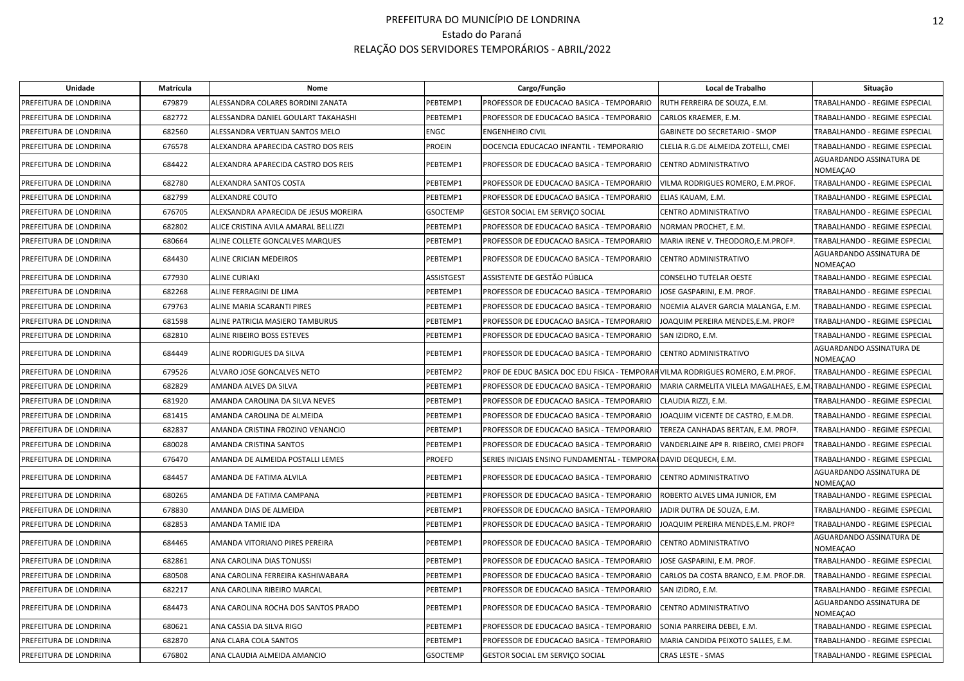| Unidade                | Matrícula | <b>Nome</b>                           |                   | Cargo/Função                                                                   | Local de Trabalho                                                    | Situação                                    |
|------------------------|-----------|---------------------------------------|-------------------|--------------------------------------------------------------------------------|----------------------------------------------------------------------|---------------------------------------------|
| PREFEITURA DE LONDRINA | 679879    | ALESSANDRA COLARES BORDINI ZANATA     | PEBTEMP1          | PROFESSOR DE EDUCACAO BASICA - TEMPORARIO                                      | RUTH FERREIRA DE SOUZA, E.M.                                         | TRABALHANDO - REGIME ESPECIAL               |
| PREFEITURA DE LONDRINA | 682772    | ALESSANDRA DANIEL GOULART TAKAHASHI   | PEBTEMP1          | PROFESSOR DE EDUCACAO BASICA - TEMPORARIO                                      | CARLOS KRAEMER, E.M.                                                 | TRABALHANDO - REGIME ESPECIAL               |
| PREFEITURA DE LONDRINA | 682560    | ALESSANDRA VERTUAN SANTOS MELO        | <b>ENGC</b>       | <b>ENGENHEIRO CIVIL</b>                                                        | <b>GABINETE DO SECRETARIO - SMOP</b>                                 | TRABALHANDO - REGIME ESPECIAL               |
| PREFEITURA DE LONDRINA | 676578    | ALEXANDRA APARECIDA CASTRO DOS REIS   | <b>PROEIN</b>     | DOCENCIA EDUCACAO INFANTIL - TEMPORARIO                                        | CLELIA R.G.DE ALMEIDA ZOTELLI, CMEI                                  | TRABALHANDO - REGIME ESPECIAL               |
| PREFEITURA DE LONDRINA | 684422    | ALEXANDRA APARECIDA CASTRO DOS REIS   | PEBTEMP1          | PROFESSOR DE EDUCACAO BASICA - TEMPORARIO                                      | CENTRO ADMINISTRATIVO                                                | AGUARDANDO ASSINATURA DE<br><b>NOMEAÇAO</b> |
| PREFEITURA DE LONDRINA | 682780    | ALEXANDRA SANTOS COSTA                | PEBTEMP1          | PROFESSOR DE EDUCACAO BASICA - TEMPORARIO                                      | VILMA RODRIGUES ROMERO, E.M.PROF.                                    | TRABALHANDO - REGIME ESPECIAL               |
| PREFEITURA DE LONDRINA | 682799    | ALEXANDRE COUTO                       | PEBTEMP1          | PROFESSOR DE EDUCACAO BASICA - TEMPORARIO                                      | ELIAS KAUAM, E.M.                                                    | TRABALHANDO - REGIME ESPECIAL               |
| PREFEITURA DE LONDRINA | 676705    | ALEXSANDRA APARECIDA DE JESUS MOREIRA | <b>GSOCTEMP</b>   | GESTOR SOCIAL EM SERVIÇO SOCIAL                                                | CENTRO ADMINISTRATIVO                                                | TRABALHANDO - REGIME ESPECIAL               |
| PREFEITURA DE LONDRINA | 682802    | ALICE CRISTINA AVILA AMARAL BELLIZZI  | PEBTEMP1          | PROFESSOR DE EDUCACAO BASICA - TEMPORARIO                                      | NORMAN PROCHET, E.M.                                                 | TRABALHANDO - REGIME ESPECIAL               |
| PREFEITURA DE LONDRINA | 680664    | ALINE COLLETE GONCALVES MARQUES       | PEBTEMP1          | PROFESSOR DE EDUCACAO BASICA - TEMPORARIO                                      | MARIA IRENE V. THEODORO, E.M. PROF <sup>ª</sup> .                    | TRABALHANDO - REGIME ESPECIAL               |
| PREFEITURA DE LONDRINA | 684430    | ALINE CRICIAN MEDEIROS                | PEBTEMP1          | PROFESSOR DE EDUCACAO BASICA - TEMPORARIO                                      | CENTRO ADMINISTRATIVO                                                | AGUARDANDO ASSINATURA DE<br>NOMEAÇAO        |
| PREFEITURA DE LONDRINA | 677930    | <b>ALINE CURIAKI</b>                  | <b>ASSISTGEST</b> | ASSISTENTE DE GESTÃO PÚBLICA                                                   | <b>CONSELHO TUTELAR OESTE</b>                                        | TRABALHANDO - REGIME ESPECIAL               |
| PREFEITURA DE LONDRINA | 682268    | ALINE FERRAGINI DE LIMA               | PEBTEMP1          | PROFESSOR DE EDUCACAO BASICA - TEMPORARIO                                      | JOSE GASPARINI, E.M. PROF.                                           | TRABALHANDO - REGIME ESPECIAL               |
| PREFEITURA DE LONDRINA | 679763    | ALINE MARIA SCARANTI PIRES            | PEBTEMP1          | PROFESSOR DE EDUCACAO BASICA - TEMPORARIO                                      | NOEMIA ALAVER GARCIA MALANGA, E.M.                                   | TRABALHANDO - REGIME ESPECIAL               |
| PREFEITURA DE LONDRINA | 681598    | ALINE PATRICIA MASIERO TAMBURUS       | PEBTEMP1          | PROFESSOR DE EDUCACAO BASICA - TEMPORARIO                                      | JOAQUIM PEREIRA MENDES, E.M. PROFº                                   | TRABALHANDO - REGIME ESPECIAL               |
| PREFEITURA DE LONDRINA | 682810    | ALINE RIBEIRO BOSS ESTEVES            | PEBTEMP1          | PROFESSOR DE EDUCACAO BASICA - TEMPORARIO                                      | SAN IZIDRO, E.M.                                                     | <b>TRABALHANDO - REGIME ESPECIAL</b>        |
| PREFEITURA DE LONDRINA | 684449    | ALINE RODRIGUES DA SILVA              | PEBTEMP1          | PROFESSOR DE EDUCACAO BASICA - TEMPORARIO                                      | CENTRO ADMINISTRATIVO                                                | AGUARDANDO ASSINATURA DE<br><b>NOMEAÇAO</b> |
| PREFEITURA DE LONDRINA | 679526    | ALVARO JOSE GONCALVES NETO            | PEBTEMP2          | PROF DE EDUC BASICA DOC EDU FISICA - TEMPORARVILMA RODRIGUES ROMERO, E.M.PROF. |                                                                      | TRABALHANDO - REGIME ESPECIAL               |
| PREFEITURA DE LONDRINA | 682829    | AMANDA ALVES DA SILVA                 | PEBTEMP1          | PROFESSOR DE EDUCACAO BASICA - TEMPORARIO                                      | MARIA CARMELITA VILELA MAGALHAES, E.M. TRABALHANDO - REGIME ESPECIAL |                                             |
| PREFEITURA DE LONDRINA | 681920    | AMANDA CAROLINA DA SILVA NEVES        | PEBTEMP1          | PROFESSOR DE EDUCACAO BASICA - TEMPORARIO                                      | CLAUDIA RIZZI, E.M.                                                  | TRABALHANDO - REGIME ESPECIAL               |
| PREFEITURA DE LONDRINA | 681415    | AMANDA CAROLINA DE ALMEIDA            | PEBTEMP1          | PROFESSOR DE EDUCACAO BASICA - TEMPORARIO                                      | JOAQUIM VICENTE DE CASTRO, E.M.DR.                                   | TRABALHANDO - REGIME ESPECIAL               |
| PREFEITURA DE LONDRINA | 682837    | AMANDA CRISTINA FROZINO VENANCIO      | PEBTEMP1          | PROFESSOR DE EDUCACAO BASICA - TEMPORARIO                                      | TEREZA CANHADAS BERTAN, E.M. PROF <sup>ª</sup> .                     | TRABALHANDO - REGIME ESPECIAL               |
| PREFEITURA DE LONDRINA | 680028    | AMANDA CRISTINA SANTOS                | PEBTEMP1          | PROFESSOR DE EDUCACAO BASICA - TEMPORARIO                                      | VANDERLAINE AP <sup>ª</sup> R. RIBEIRO, CMEI PROF <sup>ª</sup>       | TRABALHANDO - REGIME ESPECIAL               |
| PREFEITURA DE LONDRINA | 676470    | AMANDA DE ALMEIDA POSTALLI LEMES      | <b>PROEFD</b>     | SERIES INICIAIS ENSINO FUNDAMENTAL - TEMPORAI DAVID DEQUECH, E.M.              |                                                                      | TRABALHANDO - REGIME ESPECIAL               |
| PREFEITURA DE LONDRINA | 684457    | AMANDA DE FATIMA ALVILA               | PEBTEMP1          | PROFESSOR DE EDUCACAO BASICA - TEMPORARIO                                      | CENTRO ADMINISTRATIVO                                                | AGUARDANDO ASSINATURA DE<br><b>NOMEAÇAO</b> |
| PREFEITURA DE LONDRINA | 680265    | AMANDA DE FATIMA CAMPANA              | PEBTEMP1          | PROFESSOR DE EDUCACAO BASICA - TEMPORARIO                                      | ROBERTO ALVES LIMA JUNIOR, EM                                        | TRABALHANDO - REGIME ESPECIAL               |
| PREFEITURA DE LONDRINA | 678830    | AMANDA DIAS DE ALMEIDA                | PEBTEMP1          | PROFESSOR DE EDUCACAO BASICA - TEMPORARIO                                      | JADIR DUTRA DE SOUZA, E.M.                                           | TRABALHANDO - REGIME ESPECIAL               |
| PREFEITURA DE LONDRINA | 682853    | AMANDA TAMIE IDA                      | PEBTEMP1          | PROFESSOR DE EDUCACAO BASICA - TEMPORARIO                                      | JOAQUIM PEREIRA MENDES, E.M. PROFº                                   | TRABALHANDO - REGIME ESPECIAL               |
| PREFEITURA DE LONDRINA | 684465    | AMANDA VITORIANO PIRES PEREIRA        | PEBTEMP1          | PROFESSOR DE EDUCACAO BASICA - TEMPORARIO                                      | <b>CENTRO ADMINISTRATIVO</b>                                         | AGUARDANDO ASSINATURA DE<br><b>NOMEAÇAO</b> |
| PREFEITURA DE LONDRINA | 682861    | ANA CAROLINA DIAS TONUSSI             | PEBTEMP1          | PROFESSOR DE EDUCACAO BASICA - TEMPORARIO                                      | JOSE GASPARINI, E.M. PROF.                                           | TRABALHANDO - REGIME ESPECIAL               |
| PREFEITURA DE LONDRINA | 680508    | ANA CAROLINA FERREIRA KASHIWABARA     | PEBTEMP1          | PROFESSOR DE EDUCACAO BASICA - TEMPORARIO                                      | CARLOS DA COSTA BRANCO, E.M. PROF.DR.                                | TRABALHANDO - REGIME ESPECIAL               |
| PREFEITURA DE LONDRINA | 682217    | ANA CAROLINA RIBEIRO MARCAL           | PEBTEMP1          | PROFESSOR DE EDUCACAO BASICA - TEMPORARIO                                      | SAN IZIDRO, E.M.                                                     | TRABALHANDO - REGIME ESPECIAL               |
| PREFEITURA DE LONDRINA | 684473    | ANA CAROLINA ROCHA DOS SANTOS PRADO   | PEBTEMP1          | PROFESSOR DE EDUCACAO BASICA - TEMPORARIO                                      | <b>CENTRO ADMINISTRATIVO</b>                                         | AGUARDANDO ASSINATURA DE<br><b>NOMEAÇAO</b> |
| PREFEITURA DE LONDRINA | 680621    | ANA CASSIA DA SILVA RIGO              | PEBTEMP1          | PROFESSOR DE EDUCACAO BASICA - TEMPORARIO                                      | SONIA PARREIRA DEBEI, E.M.                                           | TRABALHANDO - REGIME ESPECIAL               |
| PREFEITURA DE LONDRINA | 682870    | ANA CLARA COLA SANTOS                 | PEBTEMP1          | PROFESSOR DE EDUCACAO BASICA - TEMPORARIO                                      | MARIA CANDIDA PEIXOTO SALLES, E.M.                                   | TRABALHANDO - REGIME ESPECIAL               |
| PREFEITURA DE LONDRINA | 676802    | ANA CLAUDIA ALMEIDA AMANCIO           | <b>GSOCTEMP</b>   | GESTOR SOCIAL EM SERVIÇO SOCIAL                                                | <b>CRAS LESTE - SMAS</b>                                             | TRABALHANDO - REGIME ESPECIAL               |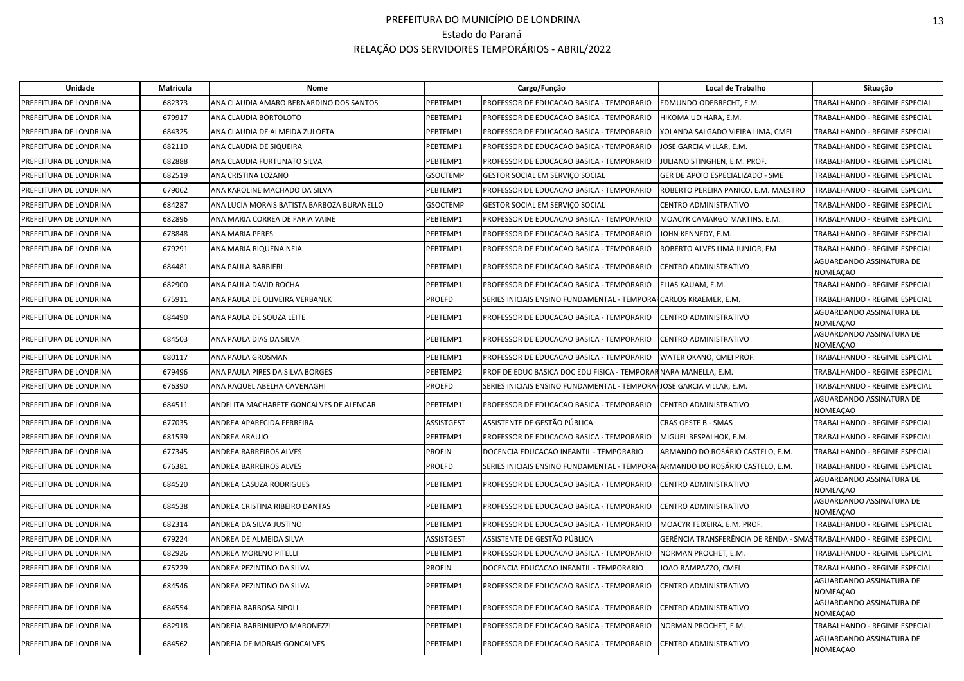| Unidade                | Matrícula | Nome                                       |                   | Cargo/Função                                                                  | Local de Trabalho                                                   | Situação                                    |
|------------------------|-----------|--------------------------------------------|-------------------|-------------------------------------------------------------------------------|---------------------------------------------------------------------|---------------------------------------------|
| PREFEITURA DE LONDRINA | 682373    | ANA CLAUDIA AMARO BERNARDINO DOS SANTOS    | PEBTEMP1          | PROFESSOR DE EDUCACAO BASICA - TEMPORARIO                                     | EDMUNDO ODEBRECHT, E.M.                                             | TRABALHANDO - REGIME ESPECIAL               |
| PREFEITURA DE LONDRINA | 679917    | ANA CLAUDIA BORTOLOTO                      | PEBTEMP1          | PROFESSOR DE EDUCACAO BASICA - TEMPORARIO                                     | HIKOMA UDIHARA, E.M.                                                | TRABALHANDO - REGIME ESPECIAL               |
| PREFEITURA DE LONDRINA | 684325    | ANA CLAUDIA DE ALMEIDA ZULOETA             | PEBTEMP1          | PROFESSOR DE EDUCACAO BASICA - TEMPORARIO                                     | YOLANDA SALGADO VIEIRA LIMA, CMEI                                   | <b>TRABALHANDO - REGIME ESPECIAL</b>        |
| PREFEITURA DE LONDRINA | 682110    | ANA CLAUDIA DE SIQUEIRA                    | PEBTEMP1          | PROFESSOR DE EDUCACAO BASICA - TEMPORARIO                                     | JOSE GARCIA VILLAR, E.M.                                            | TRABALHANDO - REGIME ESPECIAL               |
| PREFEITURA DE LONDRINA | 682888    | ANA CLAUDIA FURTUNATO SILVA                | PEBTEMP1          | PROFESSOR DE EDUCACAO BASICA - TEMPORARIO                                     | JULIANO STINGHEN, E.M. PROF.                                        | TRABALHANDO - REGIME ESPECIAL               |
| PREFEITURA DE LONDRINA | 682519    | ANA CRISTINA LOZANO                        | <b>GSOCTEMP</b>   | GESTOR SOCIAL EM SERVIÇO SOCIAL                                               | GER DE APOIO ESPECIALIZADO - SME                                    | TRABALHANDO - REGIME ESPECIAL               |
| PREFEITURA DE LONDRINA | 679062    | ANA KAROLINE MACHADO DA SILVA              | PEBTEMP1          | PROFESSOR DE EDUCACAO BASICA - TEMPORARIO                                     | ROBERTO PEREIRA PANICO, E.M. MAESTRO                                | TRABALHANDO - REGIME ESPECIAL               |
| PREFEITURA DE LONDRINA | 684287    | ANA LUCIA MORAIS BATISTA BARBOZA BURANELLO | <b>GSOCTEMP</b>   | GESTOR SOCIAL EM SERVIÇO SOCIAL                                               | CENTRO ADMINISTRATIVO                                               | TRABALHANDO - REGIME ESPECIAL               |
| PREFEITURA DE LONDRINA | 682896    | ANA MARIA CORREA DE FARIA VAINE            | PEBTEMP1          | PROFESSOR DE EDUCACAO BASICA - TEMPORARIO                                     | MOACYR CAMARGO MARTINS, E.M.                                        | TRABALHANDO - REGIME ESPECIAL               |
| PREFEITURA DE LONDRINA | 678848    | ANA MARIA PERES                            | PEBTEMP1          | PROFESSOR DE EDUCACAO BASICA - TEMPORARIO                                     | JOHN KENNEDY, E.M.                                                  | TRABALHANDO - REGIME ESPECIAL               |
| PREFEITURA DE LONDRINA | 679291    | ANA MARIA RIQUENA NEIA                     | PEBTEMP1          | PROFESSOR DE EDUCACAO BASICA - TEMPORARIO                                     | ROBERTO ALVES LIMA JUNIOR, EM                                       | TRABALHANDO - REGIME ESPECIAL               |
| PREFEITURA DE LONDRINA | 684481    | ANA PAULA BARBIERI                         | PEBTEMP1          | PROFESSOR DE EDUCACAO BASICA - TEMPORARIO                                     | CENTRO ADMINISTRATIVO                                               | AGUARDANDO ASSINATURA DE<br><b>NOMEAÇAO</b> |
| PREFEITURA DE LONDRINA | 682900    | ANA PAULA DAVID ROCHA                      | PEBTEMP1          | PROFESSOR DE EDUCACAO BASICA - TEMPORARIO                                     | ELIAS KAUAM, E.M.                                                   | TRABALHANDO - REGIME ESPECIAL               |
| PREFEITURA DE LONDRINA | 675911    | ANA PAULA DE OLIVEIRA VERBANEK             | <b>PROEFD</b>     | SERIES INICIAIS ENSINO FUNDAMENTAL - TEMPORA                                  | <b>\FCARLOS KRAEMER, E.M.</b>                                       | TRABALHANDO - REGIME ESPECIAL               |
| PREFEITURA DE LONDRINA | 684490    | ANA PAULA DE SOUZA LEITE                   | PEBTEMP1          | PROFESSOR DE EDUCACAO BASICA - TEMPORARIO                                     | CENTRO ADMINISTRATIVO                                               | AGUARDANDO ASSINATURA DE<br><b>NOMEAÇAO</b> |
| PREFEITURA DE LONDRINA | 684503    | ANA PAULA DIAS DA SILVA                    | PEBTEMP1          | PROFESSOR DE EDUCACAO BASICA - TEMPORARIO                                     | CENTRO ADMINISTRATIVO                                               | AGUARDANDO ASSINATURA DE<br>NOMEAÇAO        |
| PREFEITURA DE LONDRINA | 680117    | ANA PAULA GROSMAN                          | PEBTEMP1          | PROFESSOR DE EDUCACAO BASICA - TEMPORARIO                                     | WATER OKANO, CMEI PROF.                                             | TRABALHANDO - REGIME ESPECIAL               |
| PREFEITURA DE LONDRINA | 679496    | ANA PAULA PIRES DA SILVA BORGES            | PEBTEMP2          | PROF DE EDUC BASICA DOC EDU FISICA - TEMPORAR NARA MANELLA, E.M.              |                                                                     | TRABALHANDO - REGIME ESPECIAL               |
| PREFEITURA DE LONDRINA | 676390    | ANA RAQUEL ABELHA CAVENAGHI                | <b>PROEFD</b>     | SERIES INICIAIS ENSINO FUNDAMENTAL - TEMPORAIJOSE GARCIA VILLAR, E.M.         |                                                                     | <b>TRABALHANDO - REGIME ESPECIAL</b>        |
| PREFEITURA DE LONDRINA | 684511    | ANDELITA MACHARETE GONCALVES DE ALENCAR    | PEBTEMP1          | PROFESSOR DE EDUCACAO BASICA - TEMPORARIO                                     | CENTRO ADMINISTRATIVO                                               | AGUARDANDO ASSINATURA DE<br><b>NOMEACAO</b> |
| PREFEITURA DE LONDRINA | 677035    | ANDREA APARECIDA FERREIRA                  | <b>ASSISTGEST</b> | ASSISTENTE DE GESTÃO PÚBLICA                                                  | <b>CRAS OESTE B - SMAS</b>                                          | TRABALHANDO - REGIME ESPECIAL               |
| PREFEITURA DE LONDRINA | 681539    | ANDREA ARAUJO                              | PEBTEMP1          | PROFESSOR DE EDUCACAO BASICA - TEMPORARIO                                     | MIGUEL BESPALHOK, E.M.                                              | TRABALHANDO - REGIME ESPECIAL               |
| PREFEITURA DE LONDRINA | 677345    | ANDREA BARREIROS ALVES                     | <b>PROEIN</b>     | DOCENCIA EDUCACAO INFANTIL - TEMPORARIO                                       | ARMANDO DO ROSÁRIO CASTELO, E.M.                                    | TRABALHANDO - REGIME ESPECIAL               |
| PREFEITURA DE LONDRINA | 676381    | ANDREA BARREIROS ALVES                     | <b>PROEFD</b>     | SERIES INICIAIS ENSINO FUNDAMENTAL - TEMPORAHARMANDO DO ROSÁRIO CASTELO, E.M. |                                                                     | TRABALHANDO - REGIME ESPECIAL               |
| PREFEITURA DE LONDRINA | 684520    | ANDREA CASUZA RODRIGUES                    | PEBTEMP1          | PROFESSOR DE EDUCACAO BASICA - TEMPORARIO                                     | CENTRO ADMINISTRATIVO                                               | AGUARDANDO ASSINATURA DE<br><b>NOMEAÇAO</b> |
| PREFEITURA DE LONDRINA | 684538    | ANDREA CRISTINA RIBEIRO DANTAS             | PEBTEMP1          | PROFESSOR DE EDUCACAO BASICA - TEMPORARIO                                     | CENTRO ADMINISTRATIVO                                               | AGUARDANDO ASSINATURA DE<br><b>NOMEAÇAO</b> |
| PREFEITURA DE LONDRINA | 682314    | ANDREA DA SILVA JUSTINO                    | PEBTEMP1          | PROFESSOR DE EDUCACAO BASICA - TEMPORARIO                                     | MOACYR TEIXEIRA, E.M. PROF.                                         | TRABALHANDO - REGIME ESPECIAL               |
| PREFEITURA DE LONDRINA | 679224    | ANDREA DE ALMEIDA SILVA                    | <b>ASSISTGEST</b> | ASSISTENTE DE GESTÃO PÚBLICA                                                  | GERÊNCIA TRANSFERÊNCIA DE RENDA - SMASTRABALHANDO - REGIME ESPECIAL |                                             |
| PREFEITURA DE LONDRINA | 682926    | ANDREA MORENO PITELLI                      | PEBTEMP1          | PROFESSOR DE EDUCACAO BASICA - TEMPORARIO                                     | NORMAN PROCHET, E.M.                                                | TRABALHANDO - REGIME ESPECIAL               |
| PREFEITURA DE LONDRINA | 675229    | ANDREA PEZINTINO DA SILVA                  | <b>PROEIN</b>     | DOCENCIA EDUCACAO INFANTIL - TEMPORARIO                                       | JOAO RAMPAZZO, CMEI                                                 | TRABALHANDO - REGIME ESPECIAL               |
| PREFEITURA DE LONDRINA | 684546    | ANDREA PEZINTINO DA SILVA                  | PEBTEMP1          | PROFESSOR DE EDUCACAO BASICA - TEMPORARIO                                     | CENTRO ADMINISTRATIVO                                               | AGUARDANDO ASSINATURA DE<br>NOMEAÇAO        |
| PREFEITURA DE LONDRINA | 684554    | ANDREIA BARBOSA SIPOLI                     | PEBTEMP1          | PROFESSOR DE EDUCACAO BASICA - TEMPORARIO                                     | <b>CENTRO ADMINISTRATIVO</b>                                        | AGUARDANDO ASSINATURA DE<br><b>NOMEAÇAO</b> |
| PREFEITURA DE LONDRINA | 682918    | ANDREIA BARRINUEVO MARONEZZI               | PEBTEMP1          | PROFESSOR DE EDUCACAO BASICA - TEMPORARIO                                     | NORMAN PROCHET, E.M.                                                | TRABALHANDO - REGIME ESPECIAL               |
| PREFEITURA DE LONDRINA | 684562    | ANDREIA DE MORAIS GONCALVES                | PEBTEMP1          | PROFESSOR DE EDUCACAO BASICA - TEMPORARIO                                     | CENTRO ADMINISTRATIVO                                               | AGUARDANDO ASSINATURA DE<br>NOMEAÇAO        |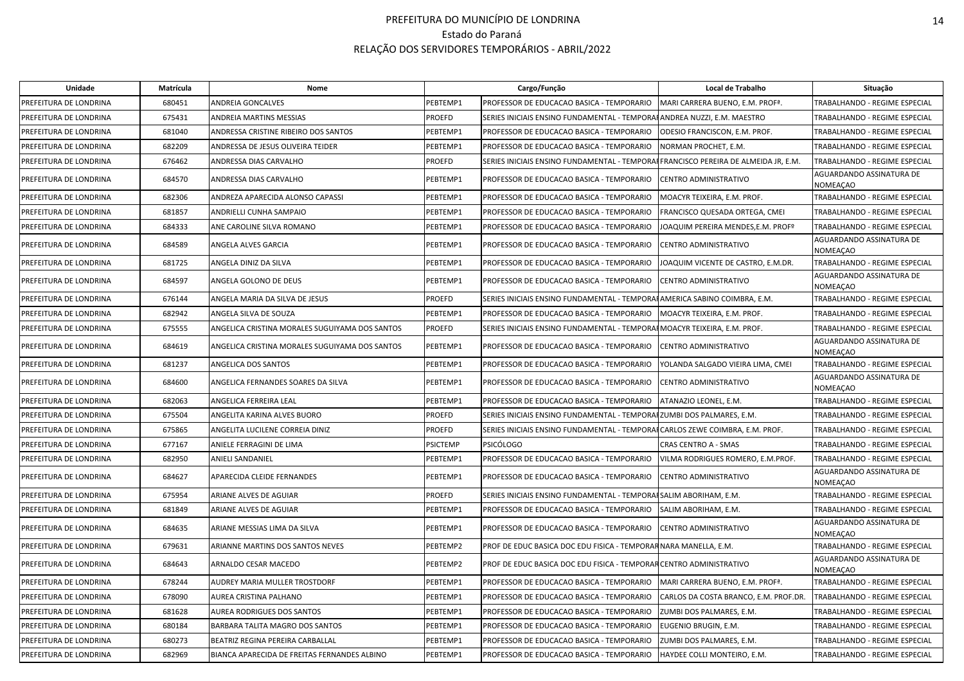| Unidade                | Matrícula | Nome                                           |                 | Cargo/Função                                                                       | Local de Trabalho                     | Situação                                    |
|------------------------|-----------|------------------------------------------------|-----------------|------------------------------------------------------------------------------------|---------------------------------------|---------------------------------------------|
| PREFEITURA DE LONDRINA | 680451    | ANDREIA GONCALVES                              | PEBTEMP1        | PROFESSOR DE EDUCACAO BASICA - TEMPORARIO                                          | MARI CARRERA BUENO, E.M. PROFª.       | TRABALHANDO - REGIME ESPECIAL               |
| PREFEITURA DE LONDRINA | 675431    | ANDREIA MARTINS MESSIAS                        | <b>PROEFD</b>   | SERIES INICIAIS ENSINO FUNDAMENTAL - TEMPORAHANDREA NUZZI, E.M. MAESTRO            |                                       | TRABALHANDO - REGIME ESPECIAL               |
| PREFEITURA DE LONDRINA | 681040    | ANDRESSA CRISTINE RIBEIRO DOS SANTOS           | PEBTEMP1        | PROFESSOR DE EDUCACAO BASICA - TEMPORARIO                                          | ODESIO FRANCISCON, E.M. PROF.         | TRABALHANDO - REGIME ESPECIAL               |
| PREFEITURA DE LONDRINA | 682209    | ANDRESSA DE JESUS OLIVEIRA TEIDER              | PEBTEMP1        | PROFESSOR DE EDUCACAO BASICA - TEMPORARIO                                          | NORMAN PROCHET, E.M.                  | TRABALHANDO - REGIME ESPECIAL               |
| PREFEITURA DE LONDRINA | 676462    | ANDRESSA DIAS CARVALHO                         | <b>PROEFD</b>   | SERIES INICIAIS ENSINO FUNDAMENTAL - TEMPORAFFRANCISCO PEREIRA DE ALMEIDA JR, E.M. |                                       | TRABALHANDO - REGIME ESPECIAL               |
| PREFEITURA DE LONDRINA | 684570    | ANDRESSA DIAS CARVALHO                         | PEBTEMP1        | PROFESSOR DE EDUCACAO BASICA - TEMPORARIO                                          | CENTRO ADMINISTRATIVO                 | AGUARDANDO ASSINATURA DE<br>NOMEAÇAO        |
| PREFEITURA DE LONDRINA | 682306    | ANDREZA APARECIDA ALONSO CAPASSI               | PEBTEMP1        | PROFESSOR DE EDUCACAO BASICA - TEMPORARIO                                          | MOACYR TEIXEIRA, E.M. PROF.           | TRABALHANDO - REGIME ESPECIAL               |
| PREFEITURA DE LONDRINA | 681857    | ANDRIELLI CUNHA SAMPAIO                        | PEBTEMP1        | PROFESSOR DE EDUCACAO BASICA - TEMPORARIO                                          | FRANCISCO QUESADA ORTEGA, CMEI        | TRABALHANDO - REGIME ESPECIAL               |
| PREFEITURA DE LONDRINA | 684333    | ANE CAROLINE SILVA ROMANO                      | PEBTEMP1        | PROFESSOR DE EDUCACAO BASICA - TEMPORARIO                                          | JOAQUIM PEREIRA MENDES, E.M. PROFº    | TRABALHANDO - REGIME ESPECIAL               |
| PREFEITURA DE LONDRINA | 684589    | ANGELA ALVES GARCIA                            | PEBTEMP1        | PROFESSOR DE EDUCACAO BASICA - TEMPORARIO                                          | CENTRO ADMINISTRATIVO                 | AGUARDANDO ASSINATURA DE<br><b>NOMEAÇAO</b> |
| PREFEITURA DE LONDRINA | 681725    | ANGELA DINIZ DA SILVA                          | PEBTEMP1        | PROFESSOR DE EDUCACAO BASICA - TEMPORARIO                                          | JOAQUIM VICENTE DE CASTRO, E.M.DR.    | TRABALHANDO - REGIME ESPECIAL               |
| PREFEITURA DE LONDRINA | 684597    | ANGELA GOLONO DE DEUS                          | PEBTEMP1        | PROFESSOR DE EDUCACAO BASICA - TEMPORARIO                                          | CENTRO ADMINISTRATIVO                 | AGUARDANDO ASSINATURA DE<br>NOMEAÇAO        |
| PREFEITURA DE LONDRINA | 676144    | ANGELA MARIA DA SILVA DE JESUS                 | <b>PROEFD</b>   | SERIES INICIAIS ENSINO FUNDAMENTAL - TEMPORAHAMERICA SABINO COIMBRA, E.M.          |                                       | TRABALHANDO - REGIME ESPECIAL               |
| PREFEITURA DE LONDRINA | 682942    | ANGELA SILVA DE SOUZA                          | PEBTEMP1        | PROFESSOR DE EDUCACAO BASICA - TEMPORARIO                                          | MOACYR TEIXEIRA, E.M. PROF.           | TRABALHANDO - REGIME ESPECIAL               |
| PREFEITURA DE LONDRINA | 675555    | ANGELICA CRISTINA MORALES SUGUIYAMA DOS SANTOS | <b>PROEFD</b>   | SERIES INICIAIS ENSINO FUNDAMENTAL - TEMPORAI MOACYR TEIXEIRA, E.M. PROF.          |                                       | TRABALHANDO - REGIME ESPECIAL               |
| PREFEITURA DE LONDRINA | 684619    | ANGELICA CRISTINA MORALES SUGUIYAMA DOS SANTOS | PEBTEMP1        | PROFESSOR DE EDUCACAO BASICA - TEMPORARIO                                          | CENTRO ADMINISTRATIVO                 | AGUARDANDO ASSINATURA DE<br><b>NOMEAÇAO</b> |
| PREFEITURA DE LONDRINA | 681237    | ANGELICA DOS SANTOS                            | PEBTEMP1        | PROFESSOR DE EDUCACAO BASICA - TEMPORARIO                                          | YOLANDA SALGADO VIEIRA LIMA, CMEI     | TRABALHANDO - REGIME ESPECIAL               |
| PREFEITURA DE LONDRINA | 684600    | ANGELICA FERNANDES SOARES DA SILVA             | PEBTEMP1        | PROFESSOR DE EDUCACAO BASICA - TEMPORARIO                                          | CENTRO ADMINISTRATIVO                 | AGUARDANDO ASSINATURA DE<br><b>NOMEAÇAO</b> |
| PREFEITURA DE LONDRINA | 682063    | ANGELICA FERREIRA LEAL                         | PEBTEMP1        | PROFESSOR DE EDUCACAO BASICA - TEMPORARIO                                          | ATANAZIO LEONEL, E.M.                 | TRABALHANDO - REGIME ESPECIAL               |
| PREFEITURA DE LONDRINA | 675504    | ANGELITA KARINA ALVES BUORO                    | <b>PROEFD</b>   | SERIES INICIAIS ENSINO FUNDAMENTAL - TEMPORAIZUMBI DOS PALMARES, E.M.              |                                       | TRABALHANDO - REGIME ESPECIAL               |
| PREFEITURA DE LONDRINA | 675865    | ANGELITA LUCILENE CORREIA DINIZ                | <b>PROEFD</b>   | SERIES INICIAIS ENSINO FUNDAMENTAL - TEMPORAICARLOS ZEWE COIMBRA, E.M. PROF.       |                                       | TRABALHANDO - REGIME ESPECIAL               |
| PREFEITURA DE LONDRINA | 677167    | ANIELE FERRAGINI DE LIMA                       | <b>PSICTEMP</b> | <b>PSICÓLOGO</b>                                                                   | <b>CRAS CENTRO A - SMAS</b>           | TRABALHANDO - REGIME ESPECIAL               |
| PREFEITURA DE LONDRINA | 682950    | ANIELI SANDANIEL                               | PEBTEMP1        | PROFESSOR DE EDUCACAO BASICA - TEMPORARIO                                          | VILMA RODRIGUES ROMERO, E.M.PROF.     | TRABALHANDO - REGIME ESPECIAL               |
| PREFEITURA DE LONDRINA | 684627    | APARECIDA CLEIDE FERNANDES                     | PEBTEMP1        | PROFESSOR DE EDUCACAO BASICA - TEMPORARIO                                          | CENTRO ADMINISTRATIVO                 | AGUARDANDO ASSINATURA DE<br><b>NOMEAÇAO</b> |
| PREFEITURA DE LONDRINA | 675954    | ARIANE ALVES DE AGUIAR                         | <b>PROEFD</b>   | SERIES INICIAIS ENSINO FUNDAMENTAL - TEMPORAISALIM ABORIHAM, E.M.                  |                                       | TRABALHANDO - REGIME ESPECIAL               |
| PREFEITURA DE LONDRINA | 681849    | ARIANE ALVES DE AGUIAR                         | PEBTEMP1        | PROFESSOR DE EDUCACAO BASICA - TEMPORARIO                                          | SALIM ABORIHAM, E.M.                  | TRABALHANDO - REGIME ESPECIAL               |
| PREFEITURA DE LONDRINA | 684635    | ARIANE MESSIAS LIMA DA SILVA                   | PEBTEMP1        | PROFESSOR DE EDUCACAO BASICA - TEMPORARIO                                          | CENTRO ADMINISTRATIVO                 | AGUARDANDO ASSINATURA DE<br><b>NOMEAÇAO</b> |
| PREFEITURA DE LONDRINA | 679631    | ARIANNE MARTINS DOS SANTOS NEVES               | PEBTEMP2        | PROF DE EDUC BASICA DOC EDU FISICA - TEMPORAR NARA MANELLA, E.M.                   |                                       | TRABALHANDO - REGIME ESPECIAL               |
| PREFEITURA DE LONDRINA | 684643    | ARNALDO CESAR MACEDO                           | PEBTEMP2        | PROF DE EDUC BASICA DOC EDU FISICA - TEMPORAR CENTRO ADMINISTRATIVO                |                                       | AGUARDANDO ASSINATURA DE<br><b>NOMEACAO</b> |
| PREFEITURA DE LONDRINA | 678244    | AUDREY MARIA MULLER TROSTDORF                  | PEBTEMP1        | PROFESSOR DE EDUCACAO BASICA - TEMPORARIO                                          | MARI CARRERA BUENO, E.M. PROFª.       | TRABALHANDO - REGIME ESPECIAL               |
| PREFEITURA DE LONDRINA | 678090    | AUREA CRISTINA PALHANO                         | PEBTEMP1        | PROFESSOR DE EDUCACAO BASICA - TEMPORARIO                                          | CARLOS DA COSTA BRANCO, E.M. PROF.DR. | TRABALHANDO - REGIME ESPECIAL               |
| PREFEITURA DE LONDRINA | 681628    | AUREA RODRIGUES DOS SANTOS                     | PEBTEMP1        | PROFESSOR DE EDUCACAO BASICA - TEMPORARIO                                          | ZUMBI DOS PALMARES, E.M.              | TRABALHANDO - REGIME ESPECIAL               |
| PREFEITURA DE LONDRINA | 680184    | BARBARA TALITA MAGRO DOS SANTOS                | PEBTEMP1        | PROFESSOR DE EDUCACAO BASICA - TEMPORARIO                                          | EUGENIO BRUGIN, E.M.                  | TRABALHANDO - REGIME ESPECIAL               |
| PREFEITURA DE LONDRINA | 680273    | BEATRIZ REGINA PEREIRA CARBALLAL               | PEBTEMP1        | PROFESSOR DE EDUCACAO BASICA - TEMPORARIO                                          | ZUMBI DOS PALMARES, E.M.              | TRABALHANDO - REGIME ESPECIAL               |
| PREFEITURA DE LONDRINA | 682969    | BIANCA APARECIDA DE FREITAS FERNANDES ALBINO   | PEBTEMP1        | PROFESSOR DE EDUCACAO BASICA - TEMPORARIO                                          | HAYDEE COLLI MONTEIRO, E.M.           | TRABALHANDO - REGIME ESPECIAL               |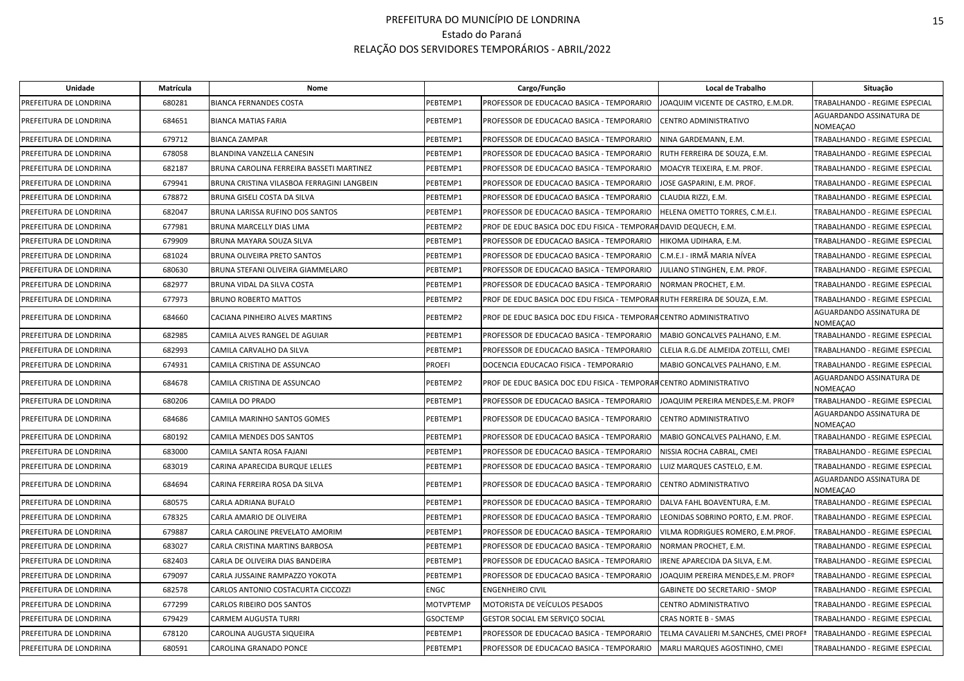| Unidade                | Matrícula | Nome                                       |                  | Cargo/Função                                                              | Local de Trabalho                     | Situação                                    |
|------------------------|-----------|--------------------------------------------|------------------|---------------------------------------------------------------------------|---------------------------------------|---------------------------------------------|
| PREFEITURA DE LONDRINA | 680281    | <b>BIANCA FERNANDES COSTA</b>              | PEBTEMP1         | PROFESSOR DE EDUCACAO BASICA - TEMPORARIO                                 | JOAQUIM VICENTE DE CASTRO, E.M.DR.    | TRABALHANDO - REGIME ESPECIAL               |
| PREFEITURA DE LONDRINA | 684651    | <b>BIANCA MATIAS FARIA</b>                 | PEBTEMP1         | PROFESSOR DE EDUCACAO BASICA - TEMPORARIO                                 | CENTRO ADMINISTRATIVO                 | AGUARDANDO ASSINATURA DE<br>NOMEAÇAO        |
| PREFEITURA DE LONDRINA | 679712    | <b>BIANCA ZAMPAR</b>                       | PEBTEMP1         | PROFESSOR DE EDUCACAO BASICA - TEMPORARIO                                 | NINA GARDEMANN, E.M.                  | TRABALHANDO - REGIME ESPECIAL               |
| PREFEITURA DE LONDRINA | 678058    | BLANDINA VANZELLA CANESIN                  | PEBTEMP1         | PROFESSOR DE EDUCACAO BASICA - TEMPORARIO                                 | RUTH FERREIRA DE SOUZA, E.M.          | TRABALHANDO - REGIME ESPECIAL               |
| PREFEITURA DE LONDRINA | 682187    | BRUNA CAROLINA FERREIRA BASSETI MARTINEZ   | PEBTEMP1         | PROFESSOR DE EDUCACAO BASICA - TEMPORARIO                                 | MOACYR TEIXEIRA, E.M. PROF.           | TRABALHANDO - REGIME ESPECIAL               |
| PREFEITURA DE LONDRINA | 679941    | BRUNA CRISTINA VILASBOA FERRAGINI LANGBEIN | PEBTEMP1         | PROFESSOR DE EDUCACAO BASICA - TEMPORARIO                                 | IOSE GASPARINI, E.M. PROF.            | TRABALHANDO - REGIME ESPECIAL               |
| PREFEITURA DE LONDRINA | 678872    | BRUNA GISELI COSTA DA SILVA                | PEBTEMP1         | PROFESSOR DE EDUCACAO BASICA - TEMPORARIO                                 | CLAUDIA RIZZI. E.M.                   | TRABALHANDO - REGIME ESPECIAL               |
| PREFEITURA DE LONDRINA | 682047    | BRUNA LARISSA RUFINO DOS SANTOS            | PEBTEMP1         | PROFESSOR DE EDUCACAO BASICA - TEMPORARIO                                 | HELENA OMETTO TORRES, C.M.E.I.        | TRABALHANDO - REGIME ESPECIAL               |
| PREFEITURA DE LONDRINA | 677981    | BRUNA MARCELLY DIAS LIMA                   | PEBTEMP2         | PROF DE EDUC BASICA DOC EDU FISICA - TEMPORAR DAVID DEQUECH, E.M.         |                                       | TRABALHANDO - REGIME ESPECIAL               |
| PREFEITURA DE LONDRINA | 679909    | BRUNA MAYARA SOUZA SILVA                   | PEBTEMP1         | PROFESSOR DE EDUCACAO BASICA - TEMPORARIO                                 | HIKOMA UDIHARA, E.M.                  | TRABALHANDO - REGIME ESPECIAL               |
| PREFEITURA DE LONDRINA | 681024    | BRUNA OLIVEIRA PRETO SANTOS                | PEBTEMP1         | PROFESSOR DE EDUCACAO BASICA - TEMPORARIO                                 | C.M.E.I - IRMÃ MARIA NÍVEA            | TRABALHANDO - REGIME ESPECIAL               |
| PREFEITURA DE LONDRINA | 680630    | BRUNA STEFANI OLIVEIRA GIAMMELARO          | PEBTEMP1         | PROFESSOR DE EDUCACAO BASICA - TEMPORARIO                                 | IULIANO STINGHEN, E.M. PROF.          | TRABALHANDO - REGIME ESPECIAL               |
| PREFEITURA DE LONDRINA | 682977    | BRUNA VIDAL DA SILVA COSTA                 | PEBTEMP1         | PROFESSOR DE EDUCACAO BASICA - TEMPORARIO                                 | NORMAN PROCHET, E.M.                  | TRABALHANDO - REGIME ESPECIAL               |
| PREFEITURA DE LONDRINA | 677973    | <b>BRUNO ROBERTO MATTOS</b>                | PEBTEMP2         | PROF DE EDUC BASICA DOC EDU FISICA - TEMPORARRUTH FERREIRA DE SOUZA, E.M. |                                       | TRABALHANDO - REGIME ESPECIAL               |
| PREFEITURA DE LONDRINA | 684660    | CACIANA PINHEIRO ALVES MARTINS             | PEBTEMP2         | PROF DE EDUC BASICA DOC EDU FISICA - TEMPORAR CENTRO ADMINISTRATIVO       |                                       | AGUARDANDO ASSINATURA DE<br>NOMEAÇAO        |
| PREFEITURA DE LONDRINA | 682985    | CAMILA ALVES RANGEL DE AGUIAR              | PEBTEMP1         | PROFESSOR DE EDUCACAO BASICA - TEMPORARIO                                 | MABIO GONCALVES PALHANO, E.M.         | TRABALHANDO - REGIME ESPECIAL               |
| PREFEITURA DE LONDRINA | 682993    | CAMILA CARVALHO DA SILVA                   | PEBTEMP1         | PROFESSOR DE EDUCACAO BASICA - TEMPORARIO                                 | CLELIA R.G.DE ALMEIDA ZOTELLI, CMEI   | TRABALHANDO - REGIME ESPECIAL               |
| PREFEITURA DE LONDRINA | 674931    | CAMILA CRISTINA DE ASSUNCAO                | <b>PROEFI</b>    | DOCENCIA EDUCACAO FISICA - TEMPORARIO                                     | MABIO GONCALVES PALHANO, E.M.         | TRABALHANDO - REGIME ESPECIAL               |
| PREFEITURA DE LONDRINA | 684678    | CAMILA CRISTINA DE ASSUNCAO                | PEBTEMP2         | PROF DE EDUC BASICA DOC EDU FISICA - TEMPORAR CENTRO ADMINISTRATIVO       |                                       | AGUARDANDO ASSINATURA DE<br>NOMEAÇAO        |
| PREFEITURA DE LONDRINA | 680206    | CAMILA DO PRADO                            | PEBTEMP1         | PROFESSOR DE EDUCACAO BASICA - TEMPORARIO                                 | JOAQUIM PEREIRA MENDES,E.M. PROFº     | TRABALHANDO - REGIME ESPECIAL               |
| PREFEITURA DE LONDRINA | 684686    | CAMILA MARINHO SANTOS GOMES                | PEBTEMP1         | PROFESSOR DE EDUCACAO BASICA - TEMPORARIO                                 | CENTRO ADMINISTRATIVO                 | AGUARDANDO ASSINATURA DE<br><b>NOMEAÇAO</b> |
| PREFEITURA DE LONDRINA | 680192    | CAMILA MENDES DOS SANTOS                   | PEBTEMP1         | PROFESSOR DE EDUCACAO BASICA - TEMPORARIO                                 | MABIO GONCALVES PALHANO, E.M.         | TRABALHANDO - REGIME ESPECIAL               |
| PREFEITURA DE LONDRINA | 683000    | CAMILA SANTA ROSA FAJANI                   | PEBTEMP1         | PROFESSOR DE EDUCACAO BASICA - TEMPORARIO                                 | NISSIA ROCHA CABRAL, CMEI             | TRABALHANDO - REGIME ESPECIAL               |
| PREFEITURA DE LONDRINA | 683019    | CARINA APARECIDA BURQUE LELLES             | PEBTEMP1         | PROFESSOR DE EDUCACAO BASICA - TEMPORARIO                                 | LUIZ MARQUES CASTELO, E.M.            | TRABALHANDO - REGIME ESPECIAL               |
| PREFEITURA DE LONDRINA | 684694    | CARINA FERREIRA ROSA DA SILVA              | PEBTEMP1         | PROFESSOR DE EDUCACAO BASICA - TEMPORARIO                                 | CENTRO ADMINISTRATIVO                 | AGUARDANDO ASSINATURA DE<br>NOMEACAO        |
| PREFEITURA DE LONDRINA | 680575    | CARLA ADRIANA BUFALO                       | PEBTEMP1         | PROFESSOR DE EDUCACAO BASICA - TEMPORARIO                                 | DALVA FAHL BOAVENTURA, E.M.           | TRABALHANDO - REGIME ESPECIAL               |
| PREFEITURA DE LONDRINA | 678325    | CARLA AMARIO DE OLIVEIRA                   | PEBTEMP1         | PROFESSOR DE EDUCACAO BASICA - TEMPORARIO                                 | LEONIDAS SOBRINO PORTO, E.M. PROF.    | TRABALHANDO - REGIME ESPECIAL               |
| PREFEITURA DE LONDRINA | 679887    | CARLA CAROLINE PREVELATO AMORIM            | PEBTEMP1         | PROFESSOR DE EDUCACAO BASICA - TEMPORARIO                                 | VILMA RODRIGUES ROMERO, E.M.PROF.     | TRABALHANDO - REGIME ESPECIAL               |
| PREFEITURA DE LONDRINA | 683027    | CARLA CRISTINA MARTINS BARBOSA             | PEBTEMP1         | PROFESSOR DE EDUCACAO BASICA - TEMPORARIO                                 | <b>NORMAN PROCHET, E.M.</b>           | TRABALHANDO - REGIME ESPECIAL               |
| PREFEITURA DE LONDRINA | 682403    | CARLA DE OLIVEIRA DIAS BANDEIRA            | PEBTEMP1         | PROFESSOR DE EDUCACAO BASICA - TEMPORARIO                                 | IRENE APARECIDA DA SILVA, E.M.        | TRABALHANDO - REGIME ESPECIAL               |
| PREFEITURA DE LONDRINA | 679097    | CARLA JUSSAINE RAMPAZZO YOKOTA             | PEBTEMP1         | PROFESSOR DE EDUCACAO BASICA - TEMPORARIO                                 | IOAQUIM PEREIRA MENDES,E.M. PROFº     | TRABALHANDO - REGIME ESPECIAL               |
| PREFEITURA DE LONDRINA | 682578    | CARLOS ANTONIO COSTACURTA CICCOZZI         | <b>ENGC</b>      | <b>ENGENHEIRO CIVIL</b>                                                   | GABINETE DO SECRETARIO - SMOP         | TRABALHANDO - REGIME ESPECIAL               |
| PREFEITURA DE LONDRINA | 677299    | CARLOS RIBEIRO DOS SANTOS                  | <b>MOTVPTEMP</b> | MOTORISTA DE VEÍCULOS PESADOS                                             | CENTRO ADMINISTRATIVO                 | TRABALHANDO - REGIME ESPECIAL               |
| PREFEITURA DE LONDRINA | 679429    | <b>CARMEM AUGUSTA TURRI</b>                | <b>GSOCTEMP</b>  | GESTOR SOCIAL EM SERVIÇO SOCIAL                                           | CRAS NORTE B - SMAS                   | TRABALHANDO - REGIME ESPECIAL               |
| PREFEITURA DE LONDRINA | 678120    | CAROLINA AUGUSTA SIQUEIRA                  | PEBTEMP1         | PROFESSOR DE EDUCACAO BASICA - TEMPORARIO                                 | TELMA CAVALIERI M.SANCHES, CMEI PROFª | TRABALHANDO - REGIME ESPECIAL               |
| PREFEITURA DE LONDRINA | 680591    | CAROLINA GRANADO PONCE                     | PEBTEMP1         | PROFESSOR DE EDUCACAO BASICA - TEMPORARIO                                 | MARLI MARQUES AGOSTINHO, CMEI         | TRABALHANDO - REGIME ESPECIAL               |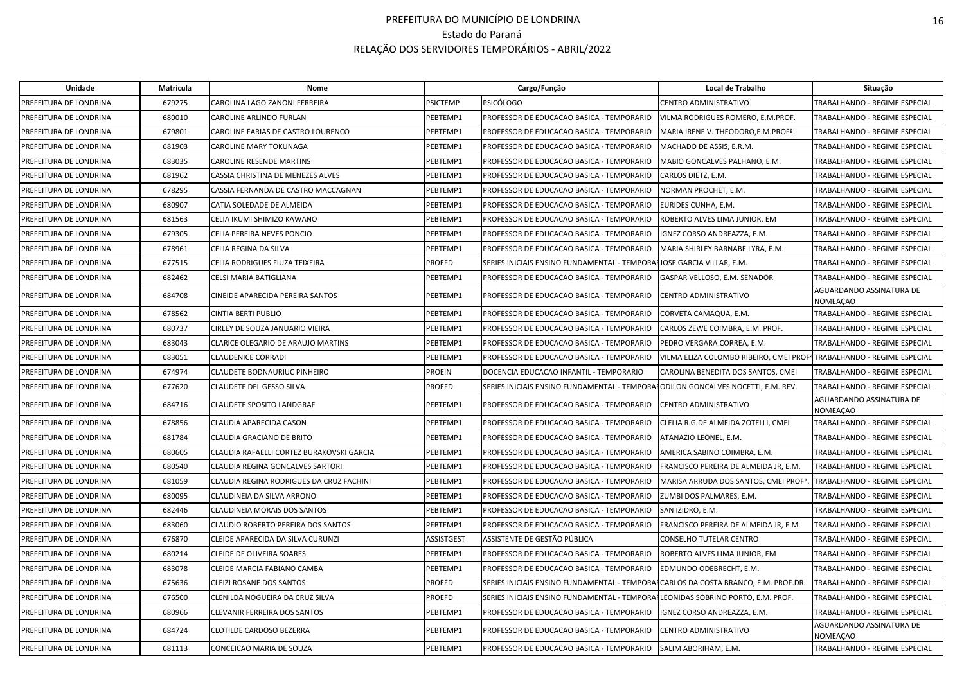| <b>Unidade</b>         | Matrícula | Nome                                      |                   | Cargo/Função                                                                       | Local de Trabalho                                                    | Situação                             |
|------------------------|-----------|-------------------------------------------|-------------------|------------------------------------------------------------------------------------|----------------------------------------------------------------------|--------------------------------------|
| PREFEITURA DE LONDRINA | 679275    | CAROLINA LAGO ZANONI FERREIRA             | <b>PSICTEMP</b>   | <b>PSICÓLOGO</b>                                                                   | CENTRO ADMINISTRATIVO                                                | TRABALHANDO - REGIME ESPECIAL        |
| PREFEITURA DE LONDRINA | 680010    | CAROLINE ARLINDO FURLAN                   | PEBTEMP1          | PROFESSOR DE EDUCACAO BASICA - TEMPORARIO                                          | VILMA RODRIGUES ROMERO, E.M.PROF.                                    | TRABALHANDO - REGIME ESPECIAL        |
| PREFEITURA DE LONDRINA | 679801    | CAROLINE FARIAS DE CASTRO LOURENCO        | PEBTEMP1          | PROFESSOR DE EDUCACAO BASICA - TEMPORARIO                                          | MARIA IRENE V. THEODORO, E.M. PROF <sup>ª</sup> .                    | TRABALHANDO - REGIME ESPECIAL        |
| PREFEITURA DE LONDRINA | 681903    | CAROLINE MARY TOKUNAGA                    | PEBTEMP1          | PROFESSOR DE EDUCACAO BASICA - TEMPORARIO                                          | MACHADO DE ASSIS, E.R.M.                                             | TRABALHANDO - REGIME ESPECIAL        |
| PREFEITURA DE LONDRINA | 683035    | CAROLINE RESENDE MARTINS                  | PEBTEMP1          | PROFESSOR DE EDUCACAO BASICA - TEMPORARIO                                          | MABIO GONCALVES PALHANO, E.M.                                        | TRABALHANDO - REGIME ESPECIAL        |
| PREFEITURA DE LONDRINA | 681962    | CASSIA CHRISTINA DE MENEZES ALVES         | PEBTEMP1          | PROFESSOR DE EDUCACAO BASICA - TEMPORARIO                                          | CARLOS DIETZ, E.M.                                                   | TRABALHANDO - REGIME ESPECIAL        |
| PREFEITURA DE LONDRINA | 678295    | CASSIA FERNANDA DE CASTRO MACCAGNAN       | PEBTEMP1          | PROFESSOR DE EDUCACAO BASICA - TEMPORARIO                                          | NORMAN PROCHET, E.M.                                                 | TRABALHANDO - REGIME ESPECIAL        |
| PREFEITURA DE LONDRINA | 680907    | CATIA SOLEDADE DE ALMEIDA                 | PEBTEMP1          | PROFESSOR DE EDUCACAO BASICA - TEMPORARIO                                          | EURIDES CUNHA, E.M.                                                  | TRABALHANDO - REGIME ESPECIAL        |
| PREFEITURA DE LONDRINA | 681563    | CELIA IKUMI SHIMIZO KAWANO                | PEBTEMP1          | PROFESSOR DE EDUCACAO BASICA - TEMPORARIO                                          | ROBERTO ALVES LIMA JUNIOR, EM                                        | TRABALHANDO - REGIME ESPECIAL        |
| PREFEITURA DE LONDRINA | 679305    | CELIA PEREIRA NEVES PONCIO                | PEBTEMP1          | PROFESSOR DE EDUCACAO BASICA - TEMPORARIO                                          | IGNEZ CORSO ANDREAZZA, E.M.                                          | TRABALHANDO - REGIME ESPECIAL        |
| PREFEITURA DE LONDRINA | 678961    | CELIA REGINA DA SILVA                     | PEBTEMP1          | PROFESSOR DE EDUCACAO BASICA - TEMPORARIO                                          | MARIA SHIRLEY BARNABE LYRA, E.M.                                     | TRABALHANDO - REGIME ESPECIAL        |
| PREFEITURA DE LONDRINA | 677515    | CELIA RODRIGUES FIUZA TEIXEIRA            | PROEFD            | SERIES INICIAIS ENSINO FUNDAMENTAL - TEMPORAHJOSE GARCIA VILLAR, E.M.              |                                                                      | TRABALHANDO - REGIME ESPECIAL        |
| PREFEITURA DE LONDRINA | 682462    | CELSI MARIA BATIGLIANA                    | PEBTEMP1          | PROFESSOR DE EDUCACAO BASICA - TEMPORARIO                                          | GASPAR VELLOSO, E.M. SENADOR                                         | TRABALHANDO - REGIME ESPECIAL        |
| PREFEITURA DE LONDRINA | 684708    | CINEIDE APARECIDA PEREIRA SANTOS          | PEBTEMP1          | PROFESSOR DE EDUCACAO BASICA - TEMPORARIO                                          | CENTRO ADMINISTRATIVO                                                | AGUARDANDO ASSINATURA DE<br>NOMEACAO |
| PREFEITURA DE LONDRINA | 678562    | CINTIA BERTI PUBLIO                       | PEBTEMP1          | PROFESSOR DE EDUCACAO BASICA - TEMPORARIO                                          | CORVETA CAMAQUA, E.M.                                                | TRABALHANDO - REGIME ESPECIAL        |
| PREFEITURA DE LONDRINA | 680737    | CIRLEY DE SOUZA JANUARIO VIEIRA           | PEBTEMP1          | PROFESSOR DE EDUCACAO BASICA - TEMPORARIO                                          | CARLOS ZEWE COIMBRA, E.M. PROF.                                      | TRABALHANDO - REGIME ESPECIAL        |
| PREFEITURA DE LONDRINA | 683043    | CLARICE OLEGARIO DE ARAUJO MARTINS        | PEBTEMP1          | PROFESSOR DE EDUCACAO BASICA - TEMPORARIO                                          | PEDRO VERGARA CORREA, E.M.                                           | TRABALHANDO - REGIME ESPECIAL        |
| PREFEITURA DE LONDRINA | 683051    | <b>CLAUDENICE CORRADI</b>                 | PEBTEMP1          | PROFESSOR DE EDUCACAO BASICA - TEMPORARIO                                          | VILMA ELIZA COLOMBO RIBEIRO, CMEI PROFªTRABALHANDO - REGIME ESPECIAL |                                      |
| PREFEITURA DE LONDRINA | 674974    | CLAUDETE BODNAURIUC PINHEIRO              | <b>PROEIN</b>     | DOCENCIA EDUCACAO INFANTIL - TEMPORARIO                                            | CAROLINA BENEDITA DOS SANTOS, CMEI                                   | TRABALHANDO - REGIME ESPECIAL        |
| PREFEITURA DE LONDRINA | 677620    | CLAUDETE DEL GESSO SILVA                  | PROEFD            | SERIES INICIAIS ENSINO FUNDAMENTAL - TEMPORAI ODILON GONCALVES NOCETTI, E.M. REV.  |                                                                      | TRABALHANDO - REGIME ESPECIAL        |
| PREFEITURA DE LONDRINA | 684716    | <b>CLAUDETE SPOSITO LANDGRAF</b>          | PEBTEMP1          | PROFESSOR DE EDUCACAO BASICA - TEMPORARIO                                          | CENTRO ADMINISTRATIVO                                                | AGUARDANDO ASSINATURA DE<br>NOMEAÇAO |
| PREFEITURA DE LONDRINA | 678856    | CLAUDIA APARECIDA CASON                   | PEBTEMP1          | PROFESSOR DE EDUCACAO BASICA - TEMPORARIO                                          | CLELIA R.G.DE ALMEIDA ZOTELLI, CMEI                                  | TRABALHANDO - REGIME ESPECIAL        |
| PREFEITURA DE LONDRINA | 681784    | CLAUDIA GRACIANO DE BRITO                 | PEBTEMP1          | PROFESSOR DE EDUCACAO BASICA - TEMPORARIO                                          | ATANAZIO LEONEL, E.M.                                                | TRABALHANDO - REGIME ESPECIAL        |
| PREFEITURA DE LONDRINA | 680605    | CLAUDIA RAFAELLI CORTEZ BURAKOVSKI GARCIA | PEBTEMP1          | PROFESSOR DE EDUCACAO BASICA - TEMPORARIO                                          | AMERICA SABINO COIMBRA, E.M.                                         | TRABALHANDO - REGIME ESPECIAL        |
| PREFEITURA DE LONDRINA | 680540    | CLAUDIA REGINA GONCALVES SARTORI          | PEBTEMP1          | PROFESSOR DE EDUCACAO BASICA - TEMPORARIO                                          | FRANCISCO PEREIRA DE ALMEIDA JR, E.M.                                | TRABALHANDO - REGIME ESPECIAL        |
| PREFEITURA DE LONDRINA | 681059    | CLAUDIA REGINA RODRIGUES DA CRUZ FACHINI  | PEBTEMP1          | PROFESSOR DE EDUCACAO BASICA - TEMPORARIO                                          | MARISA ARRUDA DOS SANTOS, CMEI PROFª                                 | TRABALHANDO - REGIME ESPECIAL        |
| PREFEITURA DE LONDRINA | 680095    | CLAUDINEIA DA SILVA ARRONO                | PEBTEMP1          | PROFESSOR DE EDUCACAO BASICA - TEMPORARIO                                          | ZUMBI DOS PALMARES, E.M.                                             | TRABALHANDO - REGIME ESPECIAL        |
| PREFEITURA DE LONDRINA | 682446    | <b>CLAUDINEIA MORAIS DOS SANTOS</b>       | PEBTEMP1          | PROFESSOR DE EDUCACAO BASICA - TEMPORARIO                                          | SAN IZIDRO, E.M.                                                     | TRABALHANDO - REGIME ESPECIAL        |
| PREFEITURA DE LONDRINA | 683060    | CLAUDIO ROBERTO PEREIRA DOS SANTOS        | PEBTEMP1          | PROFESSOR DE EDUCACAO BASICA - TEMPORARIO                                          | FRANCISCO PEREIRA DE ALMEIDA JR, E.M.                                | TRABALHANDO - REGIME ESPECIAL        |
| PREFEITURA DE LONDRINA | 676870    | CLEIDE APARECIDA DA SILVA CURUNZI         | <b>ASSISTGEST</b> | ASSISTENTE DE GESTÃO PÚBLICA                                                       | CONSELHO TUTELAR CENTRO                                              | TRABALHANDO - REGIME ESPECIAL        |
| PREFEITURA DE LONDRINA | 680214    | CLEIDE DE OLIVEIRA SOARES                 | PEBTEMP1          | PROFESSOR DE EDUCACAO BASICA - TEMPORARIO                                          | ROBERTO ALVES LIMA JUNIOR, EM                                        | TRABALHANDO - REGIME ESPECIAL        |
| PREFEITURA DE LONDRINA | 683078    | CLEIDE MARCIA FABIANO CAMBA               | PEBTEMP1          | PROFESSOR DE EDUCACAO BASICA - TEMPORARIO                                          | EDMUNDO ODEBRECHT, E.M.                                              | TRABALHANDO - REGIME ESPECIAL        |
| PREFEITURA DE LONDRINA | 675636    | CLEIZI ROSANE DOS SANTOS                  | <b>PROEFD</b>     | SERIES INICIAIS ENSINO FUNDAMENTAL - TEMPORAICARLOS DA COSTA BRANCO, E.M. PROF.DR. |                                                                      | TRABALHANDO - REGIME ESPECIAL        |
| PREFEITURA DE LONDRINA | 676500    | CLENILDA NOGUEIRA DA CRUZ SILVA           | <b>PROEFD</b>     | SERIES INICIAIS ENSINO FUNDAMENTAL - TEMPORAFLEONIDAS SOBRINO PORTO, E.M. PROF.    |                                                                      | TRABALHANDO - REGIME ESPECIAL        |
| PREFEITURA DE LONDRINA | 680966    | CLEVANIR FERREIRA DOS SANTOS              | PEBTEMP1          | PROFESSOR DE EDUCACAO BASICA - TEMPORARIO                                          | IGNEZ CORSO ANDREAZZA, E.M.                                          | TRABALHANDO - REGIME ESPECIAL        |
| PREFEITURA DE LONDRINA | 684724    | CLOTILDE CARDOSO BEZERRA                  | PEBTEMP1          | PROFESSOR DE EDUCACAO BASICA - TEMPORARIO                                          | CENTRO ADMINISTRATIVO                                                | AGUARDANDO ASSINATURA DE<br>NOMEAÇAO |
| PREFEITURA DE LONDRINA | 681113    | CONCEICAO MARIA DE SOUZA                  | PEBTEMP1          | PROFESSOR DE EDUCACAO BASICA - TEMPORARIO                                          | SALIM ABORIHAM, E.M.                                                 | TRABALHANDO - REGIME ESPECIAL        |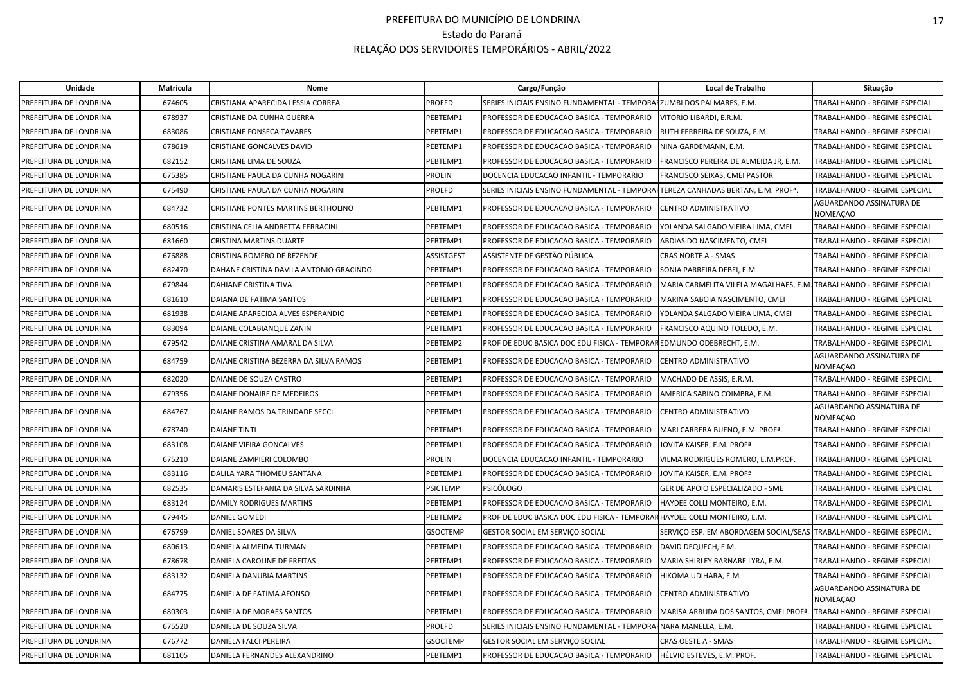| Unidade                | Matrícula | Nome                                    |                   | Cargo/Função                                                                     | Local de Trabalho                                                    | Situação                                    |
|------------------------|-----------|-----------------------------------------|-------------------|----------------------------------------------------------------------------------|----------------------------------------------------------------------|---------------------------------------------|
| PREFEITURA DE LONDRINA | 674605    | CRISTIANA APARECIDA LESSIA CORREA       | <b>PROEFD</b>     | SERIES INICIAIS ENSINO FUNDAMENTAL - TEMPORAFZUMBI DOS PALMARES, E.M.            |                                                                      | TRABALHANDO - REGIME ESPECIAL               |
| PREFEITURA DE LONDRINA | 678937    | CRISTIANE DA CUNHA GUERRA               | PEBTEMP1          | PROFESSOR DE EDUCACAO BASICA - TEMPORARIO                                        | VITORIO LIBARDI, E.R.M.                                              | TRABALHANDO - REGIME ESPECIAL               |
| PREFEITURA DE LONDRINA | 683086    | CRISTIANE FONSECA TAVARES               | PEBTEMP1          | PROFESSOR DE EDUCACAO BASICA - TEMPORARIO                                        | RUTH FERREIRA DE SOUZA, E.M.                                         | TRABALHANDO - REGIME ESPECIAL               |
| PREFEITURA DE LONDRINA | 678619    | CRISTIANE GONCALVES DAVID               | PEBTEMP1          | PROFESSOR DE EDUCACAO BASICA - TEMPORARIO                                        | NINA GARDEMANN, E.M.                                                 | TRABALHANDO - REGIME ESPECIAL               |
| PREFEITURA DE LONDRINA | 682152    | CRISTIANE LIMA DE SOUZA                 | PEBTEMP1          | PROFESSOR DE EDUCACAO BASICA - TEMPORARIO                                        | FRANCISCO PEREIRA DE ALMEIDA JR, E.M.                                | TRABALHANDO - REGIME ESPECIAL               |
| PREFEITURA DE LONDRINA | 675385    | CRISTIANE PAULA DA CUNHA NOGARINI       | <b>PROEIN</b>     | DOCENCIA EDUCACAO INFANTIL - TEMPORARIO                                          | <b>FRANCISCO SEIXAS, CMEI PASTOR</b>                                 | TRABALHANDO - REGIME ESPECIAL               |
| PREFEITURA DE LONDRINA | 675490    | CRISTIANE PAULA DA CUNHA NOGARINI       | <b>PROEFD</b>     | SERIES INICIAIS ENSINO FUNDAMENTAL - TEMPORAFTEREZA CANHADAS BERTAN, E.M. PROFª. |                                                                      | TRABALHANDO - REGIME ESPECIAL               |
| PREFEITURA DE LONDRINA | 684732    | CRISTIANE PONTES MARTINS BERTHOLINO     | PEBTEMP1          | PROFESSOR DE EDUCACAO BASICA - TEMPORARIO                                        | CENTRO ADMINISTRATIVO                                                | AGUARDANDO ASSINATURA DE<br><b>NOMEACAO</b> |
| PREFEITURA DE LONDRINA | 680516    | CRISTINA CELIA ANDRETTA FERRACINI       | PEBTEMP1          | PROFESSOR DE EDUCACAO BASICA - TEMPORARIO                                        | YOLANDA SALGADO VIEIRA LIMA, CMEI                                    | TRABALHANDO - REGIME ESPECIAL               |
| PREFEITURA DE LONDRINA | 681660    | CRISTINA MARTINS DUARTE                 | PEBTEMP1          | PROFESSOR DE EDUCACAO BASICA - TEMPORARIO                                        | ABDIAS DO NASCIMENTO, CMEI                                           | TRABALHANDO - REGIME ESPECIAL               |
| PREFEITURA DE LONDRINA | 676888    | CRISTINA ROMERO DE REZENDE              | <b>ASSISTGEST</b> | ASSISTENTE DE GESTÃO PÚBLICA                                                     | <b>CRAS NORTE A - SMAS</b>                                           | TRABALHANDO - REGIME ESPECIAL               |
| PREFEITURA DE LONDRINA | 682470    | DAHANE CRISTINA DAVILA ANTONIO GRACINDO | PEBTEMP1          | PROFESSOR DE EDUCACAO BASICA - TEMPORARIO                                        | SONIA PARREIRA DEBEI, E.M.                                           | TRABALHANDO - REGIME ESPECIAL               |
| PREFEITURA DE LONDRINA | 679844    | DAHIANE CRISTINA TIVA                   | PEBTEMP1          | PROFESSOR DE EDUCACAO BASICA - TEMPORARIO                                        | MARIA CARMELITA VILELA MAGALHAES, E.M. TRABALHANDO - REGIME ESPECIAL |                                             |
| PREFEITURA DE LONDRINA | 681610    | DAIANA DE FATIMA SANTOS                 | PEBTEMP1          | PROFESSOR DE EDUCACAO BASICA - TEMPORARIO                                        | MARINA SABOIA NASCIMENTO, CMEI                                       | TRABALHANDO - REGIME ESPECIAL               |
| PREFEITURA DE LONDRINA | 681938    | DAIANE APARECIDA ALVES ESPERANDIO       | PEBTEMP1          | PROFESSOR DE EDUCACAO BASICA - TEMPORARIO                                        | YOLANDA SALGADO VIEIRA LIMA, CMEI                                    | TRABALHANDO - REGIME ESPECIAL               |
| PREFEITURA DE LONDRINA | 683094    | DAIANE COLABIANQUE ZANIN                | PEBTEMP1          | PROFESSOR DE EDUCACAO BASICA - TEMPORARIO                                        | FRANCISCO AQUINO TOLEDO, E.M.                                        | TRABALHANDO - REGIME ESPECIAL               |
| PREFEITURA DE LONDRINA | 679542    | DAIANE CRISTINA AMARAL DA SILVA         | PEBTEMP2          | PROF DE EDUC BASICA DOC EDU FISICA - TEMPORAR EDMUNDO ODEBRECHT, E.M.            |                                                                      | TRABALHANDO - REGIME ESPECIAL               |
| PREFEITURA DE LONDRINA | 684759    | DAIANE CRISTINA BEZERRA DA SILVA RAMOS  | PEBTEMP1          | PROFESSOR DE EDUCACAO BASICA - TEMPORARIO                                        | CENTRO ADMINISTRATIVO                                                | AGUARDANDO ASSINATURA DE<br><b>NOMEACAO</b> |
| PREFEITURA DE LONDRINA | 682020    | DAIANE DE SOUZA CASTRO                  | PEBTEMP1          | PROFESSOR DE EDUCACAO BASICA - TEMPORARIO                                        | MACHADO DE ASSIS, E.R.M.                                             | TRABALHANDO - REGIME ESPECIAL               |
| PREFEITURA DE LONDRINA | 679356    | DAIANE DONAIRE DE MEDEIROS              | PEBTEMP1          | PROFESSOR DE EDUCACAO BASICA - TEMPORARIO                                        | AMERICA SABINO COIMBRA, E.M.                                         | TRABALHANDO - REGIME ESPECIAL               |
| PREFEITURA DE LONDRINA | 684767    | DAIANE RAMOS DA TRINDADE SECCI          | PEBTEMP1          | PROFESSOR DE EDUCACAO BASICA - TEMPORARIO                                        | CENTRO ADMINISTRATIVO                                                | AGUARDANDO ASSINATURA DE<br><b>NOMEAÇAO</b> |
| PREFEITURA DE LONDRINA | 678740    | <b>DAIANE TINTI</b>                     | PEBTEMP1          | PROFESSOR DE EDUCACAO BASICA - TEMPORARIO                                        | MARI CARRERA BUENO, E.M. PROFª.                                      | TRABALHANDO - REGIME ESPECIAL               |
| PREFEITURA DE LONDRINA | 683108    | DAIANE VIEIRA GONCALVES                 | PEBTEMP1          | PROFESSOR DE EDUCACAO BASICA - TEMPORARIO                                        | JOVITA KAISER, E.M. PROFª                                            | TRABALHANDO - REGIME ESPECIAL               |
| PREFEITURA DE LONDRINA | 675210    | DAIANE ZAMPIERI COLOMBO                 | <b>PROEIN</b>     | DOCENCIA EDUCACAO INFANTIL - TEMPORARIO                                          | VILMA RODRIGUES ROMERO, E.M.PROF.                                    | TRABALHANDO - REGIME ESPECIAL               |
| PREFEITURA DE LONDRINA | 683116    | DALILA YARA THOMEU SANTANA              | PEBTEMP1          | PROFESSOR DE EDUCACAO BASICA - TEMPORARIO                                        | JOVITA KAISER, E.M. PROF <sup>ª</sup>                                | TRABALHANDO - REGIME ESPECIAL               |
| PREFEITURA DE LONDRINA | 682535    | DAMARIS ESTEFANIA DA SILVA SARDINHA     | <b>PSICTEMP</b>   | <b>PSICÓLOGO</b>                                                                 | GER DE APOIO ESPECIALIZADO - SME                                     | TRABALHANDO - REGIME ESPECIAL               |
| PREFEITURA DE LONDRINA | 683124    | DAMILY RODRIGUES MARTINS                | PEBTEMP1          | PROFESSOR DE EDUCACAO BASICA - TEMPORARIO                                        | HAYDEE COLLI MONTEIRO, E.M.                                          | TRABALHANDO - REGIME ESPECIAL               |
| PREFEITURA DE LONDRINA | 679445    | DANIEL GOMEDI                           | PEBTEMP2          | PROF DE EDUC BASICA DOC EDU FISICA - TEMPORARHAYDEE COLLI MONTEIRO, E.M.         |                                                                      | TRABALHANDO - REGIME ESPECIAL               |
| PREFEITURA DE LONDRINA | 676799    | DANIEL SOARES DA SILVA                  | <b>GSOCTEMP</b>   | GESTOR SOCIAL EM SERVIÇO SOCIAL                                                  | SERVIÇO ESP. EM ABORDAGEM SOCIAL/SEAS TRABALHANDO - REGIME ESPECIAL  |                                             |
| PREFEITURA DE LONDRINA | 680613    | DANIELA ALMEIDA TURMAN                  | PEBTEMP1          | PROFESSOR DE EDUCACAO BASICA - TEMPORARIO                                        | DAVID DEQUECH, E.M.                                                  | TRABALHANDO - REGIME ESPECIAL               |
| PREFEITURA DE LONDRINA | 678678    | DANIELA CAROLINE DE FREITAS             | PEBTEMP1          | PROFESSOR DE EDUCACAO BASICA - TEMPORARIO                                        | MARIA SHIRLEY BARNABE LYRA, E.M.                                     | TRABALHANDO - REGIME ESPECIAL               |
| PREFEITURA DE LONDRINA | 683132    | DANIELA DANUBIA MARTINS                 | PEBTEMP1          | PROFESSOR DE EDUCACAO BASICA - TEMPORARIO                                        | HIKOMA UDIHARA, E.M.                                                 | TRABALHANDO - REGIME ESPECIAL               |
| PREFEITURA DE LONDRINA | 684775    | DANIELA DE FATIMA AFONSO                | PEBTEMP1          | PROFESSOR DE EDUCACAO BASICA - TEMPORARIO                                        | <b>CENTRO ADMINISTRATIVO</b>                                         | AGUARDANDO ASSINATURA DE<br><b>NOMEAÇAO</b> |
| PREFEITURA DE LONDRINA | 680303    | DANIELA DE MORAES SANTOS                | PEBTEMP1          | PROFESSOR DE EDUCACAO BASICA - TEMPORARIO                                        | MARISA ARRUDA DOS SANTOS, CMEI PROFª                                 | TRABALHANDO - REGIME ESPECIAL               |
| PREFEITURA DE LONDRINA | 675520    | DANIELA DE SOUZA SILVA                  | <b>PROEFD</b>     | SERIES INICIAIS ENSINO FUNDAMENTAL - TEMPORAFNARA MANELLA, E.M.                  |                                                                      | TRABALHANDO - REGIME ESPECIAL               |
| PREFEITURA DE LONDRINA | 676772    | DANIELA FALCI PEREIRA                   | <b>GSOCTEMP</b>   | GESTOR SOCIAL EM SERVIÇO SOCIAL                                                  | <b>CRAS OESTE A - SMAS</b>                                           | <b>TRABALHANDO - REGIME ESPECIAL</b>        |
| PREFEITURA DE LONDRINA | 681105    | DANIELA FERNANDES ALEXANDRINO           | PEBTEMP1          | PROFESSOR DE EDUCACAO BASICA - TEMPORARIO                                        | HÉLVIO ESTEVES, E.M. PROF.                                           | TRABALHANDO - REGIME ESPECIAL               |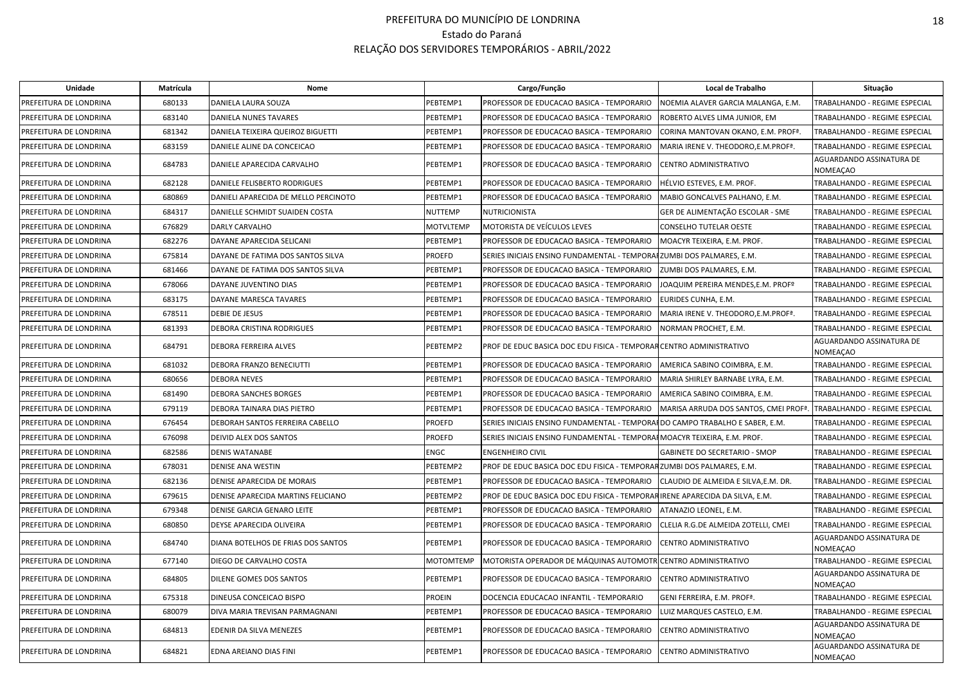| Unidade                | Matrícula | Nome                                 |                  | Cargo/Função                                                                  | Local de Trabalho                                 | Situação                                    |
|------------------------|-----------|--------------------------------------|------------------|-------------------------------------------------------------------------------|---------------------------------------------------|---------------------------------------------|
| PREFEITURA DE LONDRINA | 680133    | DANIELA LAURA SOUZA                  | PEBTEMP1         | PROFESSOR DE EDUCACAO BASICA - TEMPORARIO                                     | NOEMIA ALAVER GARCIA MALANGA, E.M.                | TRABALHANDO - REGIME ESPECIAL               |
| PREFEITURA DE LONDRINA | 683140    | DANIELA NUNES TAVARES                | PEBTEMP1         | PROFESSOR DE EDUCACAO BASICA - TEMPORARIO                                     | ROBERTO ALVES LIMA JUNIOR, EM                     | TRABALHANDO - REGIME ESPECIAL               |
| PREFEITURA DE LONDRINA | 681342    | DANIELA TEIXEIRA QUEIROZ BIGUETTI    | PEBTEMP1         | PROFESSOR DE EDUCACAO BASICA - TEMPORARIO                                     | CORINA MANTOVAN OKANO, E.M. PROFª.                | TRABALHANDO - REGIME ESPECIAL               |
| PREFEITURA DE LONDRINA | 683159    | DANIELE ALINE DA CONCEICAO           | PEBTEMP1         | PROFESSOR DE EDUCACAO BASICA - TEMPORARIO                                     | MARIA IRENE V. THEODORO, E.M. PROF <sup>ª</sup> . | TRABALHANDO - REGIME ESPECIAL               |
| PREFEITURA DE LONDRINA | 684783    | DANIELE APARECIDA CARVALHO           | PEBTEMP1         | PROFESSOR DE EDUCACAO BASICA - TEMPORARIO                                     | CENTRO ADMINISTRATIVO                             | AGUARDANDO ASSINATURA DE<br><b>NOMEAÇAO</b> |
| PREFEITURA DE LONDRINA | 682128    | DANIELE FELISBERTO RODRIGUES         | PEBTEMP1         | PROFESSOR DE EDUCACAO BASICA - TEMPORARIO                                     | HÉLVIO ESTEVES, E.M. PROF.                        | TRABALHANDO - REGIME ESPECIAL               |
| PREFEITURA DE LONDRINA | 680869    | DANIELI APARECIDA DE MELLO PERCINOTO | PEBTEMP1         | PROFESSOR DE EDUCACAO BASICA - TEMPORARIO                                     | MABIO GONCALVES PALHANO, E.M.                     | TRABALHANDO - REGIME ESPECIAL               |
| PREFEITURA DE LONDRINA | 684317    | DANIELLE SCHMIDT SUAIDEN COSTA       | <b>NUTTEMP</b>   | NUTRICIONISTA                                                                 | GER DE ALIMENTAÇÃO ESCOLAR - SME                  | TRABALHANDO - REGIME ESPECIAL               |
| PREFEITURA DE LONDRINA | 676829    | DARLY CARVALHO                       | <b>MOTVLTEMP</b> | MOTORISTA DE VEÍCULOS LEVES                                                   | <b>CONSELHO TUTELAR OESTE</b>                     | TRABALHANDO - REGIME ESPECIAL               |
| PREFEITURA DE LONDRINA | 682276    | DAYANE APARECIDA SELICANI            | PEBTEMP1         | PROFESSOR DE EDUCACAO BASICA - TEMPORARIO                                     | MOACYR TEIXEIRA, E.M. PROF.                       | TRABALHANDO - REGIME ESPECIAL               |
| PREFEITURA DE LONDRINA | 675814    | DAYANE DE FATIMA DOS SANTOS SILVA    | <b>PROEFD</b>    | SERIES INICIAIS ENSINO FUNDAMENTAL - TEMPOR                                   | <b>IFZUMBI DOS PALMARES, E.M.</b>                 | TRABALHANDO - REGIME ESPECIAL               |
| PREFEITURA DE LONDRINA | 681466    | DAYANE DE FATIMA DOS SANTOS SILVA    | PEBTEMP1         | PROFESSOR DE EDUCACAO BASICA - TEMPORARIO                                     | ZUMBI DOS PALMARES, E.M.                          | TRABALHANDO - REGIME ESPECIAL               |
| PREFEITURA DE LONDRINA | 678066    | DAYANE JUVENTINO DIAS                | PEBTEMP1         | PROFESSOR DE EDUCACAO BASICA - TEMPORARIO                                     | JOAQUIM PEREIRA MENDES, E.M. PROFº                | TRABALHANDO - REGIME ESPECIAL               |
| PREFEITURA DE LONDRINA | 683175    | DAYANE MARESCA TAVARES               | PEBTEMP1         | PROFESSOR DE EDUCACAO BASICA - TEMPORARIO                                     | EURIDES CUNHA, E.M.                               | TRABALHANDO - REGIME ESPECIAL               |
| PREFEITURA DE LONDRINA | 678511    | DEBIE DE JESUS                       | PEBTEMP1         | PROFESSOR DE EDUCACAO BASICA - TEMPORARIO                                     | MARIA IRENE V. THEODORO, E.M. PROF <sup>ª</sup> . | TRABALHANDO - REGIME ESPECIAL               |
| PREFEITURA DE LONDRINA | 681393    | DEBORA CRISTINA RODRIGUES            | PEBTEMP1         | PROFESSOR DE EDUCACAO BASICA - TEMPORARIO                                     | NORMAN PROCHET, E.M.                              | <b>TRABALHANDO - REGIME ESPECIAL</b>        |
| PREFEITURA DE LONDRINA | 684791    | DEBORA FERREIRA ALVES                | PEBTEMP2         | PROF DE EDUC BASICA DOC EDU FISICA - TEMPORAR CENTRO ADMINISTRATIVO           |                                                   | AGUARDANDO ASSINATURA DE<br><b>NOMEAÇAO</b> |
| PREFEITURA DE LONDRINA | 681032    | DEBORA FRANZO BENECIUTTI             | PEBTEMP1         | PROFESSOR DE EDUCACAO BASICA - TEMPORARIO                                     | AMERICA SABINO COIMBRA, E.M.                      | TRABALHANDO - REGIME ESPECIAL               |
| PREFEITURA DE LONDRINA | 680656    | DEBORA NEVES                         | PEBTEMP1         | PROFESSOR DE EDUCACAO BASICA - TEMPORARIO                                     | MARIA SHIRLEY BARNABE LYRA, E.M.                  | TRABALHANDO - REGIME ESPECIAL               |
| PREFEITURA DE LONDRINA | 681490    | DEBORA SANCHES BORGES                | PEBTEMP1         | PROFESSOR DE EDUCACAO BASICA - TEMPORARIO                                     | AMERICA SABINO COIMBRA, E.M.                      | TRABALHANDO - REGIME ESPECIAL               |
| PREFEITURA DE LONDRINA | 679119    | DEBORA TAINARA DIAS PIETRO           | PEBTEMP1         | PROFESSOR DE EDUCACAO BASICA - TEMPORARIO                                     | MARISA ARRUDA DOS SANTOS, CMEI PROF <sup>ª</sup>  | TRABALHANDO - REGIME ESPECIAL               |
| PREFEITURA DE LONDRINA | 676454    | DEBORAH SANTOS FERREIRA CABELLO      | <b>PROEFD</b>    | SERIES INICIAIS ENSINO FUNDAMENTAL - TEMPORAI DO CAMPO TRABALHO E SABER, E.M. |                                                   | TRABALHANDO - REGIME ESPECIAL               |
| PREFEITURA DE LONDRINA | 676098    | DEIVID ALEX DOS SANTOS               | <b>PROEFD</b>    | SERIES INICIAIS ENSINO FUNDAMENTAL - TEMPORAI MOACYR TEIXEIRA, E.M. PROF.     |                                                   | TRABALHANDO - REGIME ESPECIAL               |
| PREFEITURA DE LONDRINA | 682586    | <b>DENIS WATANABE</b>                | <b>ENGC</b>      | <b>ENGENHEIRO CIVIL</b>                                                       | GABINETE DO SECRETARIO - SMOP                     | TRABALHANDO - REGIME ESPECIAL               |
| PREFEITURA DE LONDRINA | 678031    | DENISE ANA WESTIN                    | PEBTEMP2         | PROF DE EDUC BASICA DOC EDU FISICA - TEMPORARZUMBI DOS PALMARES, E.M.         |                                                   | TRABALHANDO - REGIME ESPECIAL               |
| PREFEITURA DE LONDRINA | 682136    | DENISE APARECIDA DE MORAIS           | PEBTEMP1         | PROFESSOR DE EDUCACAO BASICA - TEMPORARIO                                     | CLAUDIO DE ALMEIDA E SILVA, E.M. DR.              | TRABALHANDO - REGIME ESPECIAL               |
| PREFEITURA DE LONDRINA | 679615    | DENISE APARECIDA MARTINS FELICIANO   | PEBTEMP2         | PROF DE EDUC BASICA DOC EDU FISICA - TEMPORARIRENE APARECIDA DA SILVA, E.M.   |                                                   | TRABALHANDO - REGIME ESPECIAL               |
| PREFEITURA DE LONDRINA | 679348    | DENISE GARCIA GENARO LEITE           | PEBTEMP1         | PROFESSOR DE EDUCACAO BASICA - TEMPORARIO                                     | ATANAZIO LEONEL. E.M.                             | TRABALHANDO - REGIME ESPECIAL               |
| PREFEITURA DE LONDRINA | 680850    | DEYSE APARECIDA OLIVEIRA             | PEBTEMP1         | PROFESSOR DE EDUCACAO BASICA - TEMPORARIO                                     | CLELIA R.G.DE ALMEIDA ZOTELLI, CMEI               | TRABALHANDO - REGIME ESPECIAL               |
| PREFEITURA DE LONDRINA | 684740    | DIANA BOTELHOS DE FRIAS DOS SANTOS   | PEBTEMP1         | PROFESSOR DE EDUCACAO BASICA - TEMPORARIO                                     | CENTRO ADMINISTRATIVO                             | AGUARDANDO ASSINATURA DE<br><b>NOMEAÇAO</b> |
| PREFEITURA DE LONDRINA | 677140    | DIEGO DE CARVALHO COSTA              | <b>MOTOMTEMP</b> | MOTORISTA OPERADOR DE MÁQUINAS AUTOMOTI                                       | <b>ICENTRO ADMINISTRATIVO</b>                     | TRABALHANDO - REGIME ESPECIAL               |
| PREFEITURA DE LONDRINA | 684805    | DILENE GOMES DOS SANTOS              | PEBTEMP1         | PROFESSOR DE EDUCACAO BASICA - TEMPORARIO                                     | CENTRO ADMINISTRATIVO                             | AGUARDANDO ASSINATURA DE<br><b>NOMEAÇAO</b> |
| PREFEITURA DE LONDRINA | 675318    | DINEUSA CONCEICAO BISPO              | <b>PROEIN</b>    | DOCENCIA EDUCACAO INFANTIL - TEMPORARIO                                       | GENI FERREIRA, E.M. PROFª.                        | TRABALHANDO - REGIME ESPECIAL               |
| PREFEITURA DE LONDRINA | 680079    | DIVA MARIA TREVISAN PARMAGNANI       | PEBTEMP1         | PROFESSOR DE EDUCACAO BASICA - TEMPORARIO                                     | LUIZ MARQUES CASTELO, E.M.                        | TRABALHANDO - REGIME ESPECIAL               |
| PREFEITURA DE LONDRINA | 684813    | EDENIR DA SILVA MENEZES              | PEBTEMP1         | PROFESSOR DE EDUCACAO BASICA - TEMPORARIO                                     | CENTRO ADMINISTRATIVO                             | AGUARDANDO ASSINATURA DE<br><b>NOMEAÇAO</b> |
| PREFEITURA DE LONDRINA | 684821    | EDNA AREIANO DIAS FINI               | PEBTEMP1         | PROFESSOR DE EDUCACAO BASICA - TEMPORARIO                                     | CENTRO ADMINISTRATIVO                             | AGUARDANDO ASSINATURA DE<br><b>NOMEAÇAO</b> |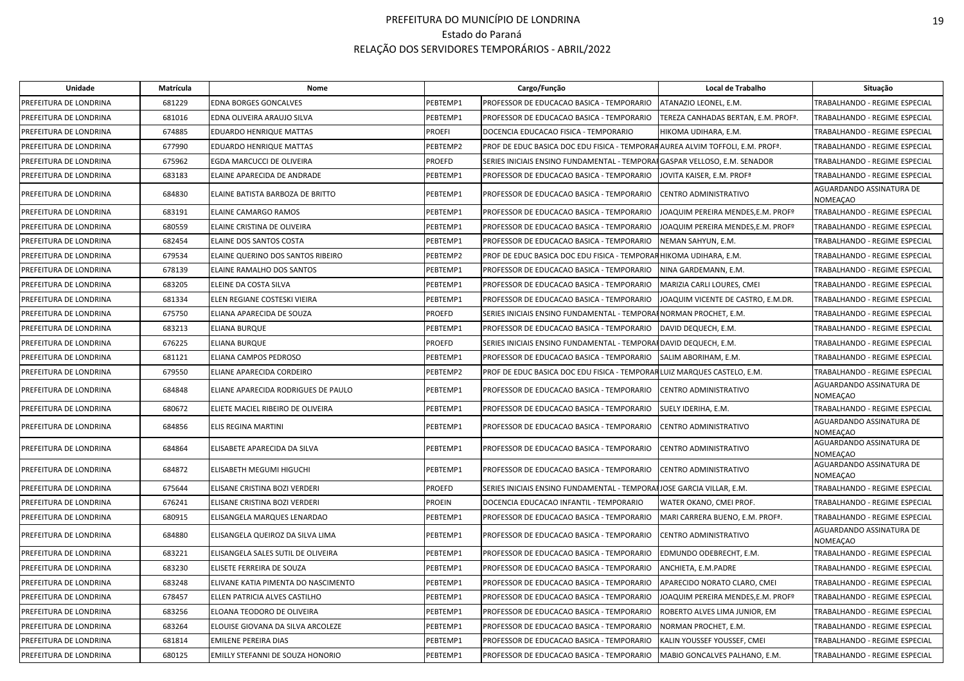| Unidade                | Matrícula | Nome                                |               | Cargo/Função                                                                  | Local de Trabalho                     | Situação                                    |
|------------------------|-----------|-------------------------------------|---------------|-------------------------------------------------------------------------------|---------------------------------------|---------------------------------------------|
| PREFEITURA DE LONDRINA | 681229    | <b>EDNA BORGES GONCALVES</b>        | PEBTEMP1      | PROFESSOR DE EDUCACAO BASICA - TEMPORARIO                                     | ATANAZIO LEONEL, E.M.                 | TRABALHANDO - REGIME ESPECIAL               |
| PREFEITURA DE LONDRINA | 681016    | EDNA OLIVEIRA ARAUJO SILVA          | PEBTEMP1      | PROFESSOR DE EDUCACAO BASICA - TEMPORARIO                                     | TEREZA CANHADAS BERTAN, E.M. PROFª.   | TRABALHANDO - REGIME ESPECIAL               |
| PREFEITURA DE LONDRINA | 674885    | EDUARDO HENRIQUE MATTAS             | <b>PROEFI</b> | DOCENCIA EDUCACAO FISICA - TEMPORARIO                                         | HIKOMA UDIHARA, E.M.                  | TRABALHANDO - REGIME ESPECIAL               |
| PREFEITURA DE LONDRINA | 677990    | EDUARDO HENRIQUE MATTAS             | PEBTEMP2      | PROF DE EDUC BASICA DOC EDU FISICA - TEMPORARAUREA ALVIM TOFFOLI, E.M. PROFª. |                                       | TRABALHANDO - REGIME ESPECIAL               |
| PREFEITURA DE LONDRINA | 675962    | EGDA MARCUCCI DE OLIVEIRA           | <b>PROEFD</b> | SERIES INICIAIS ENSINO FUNDAMENTAL - TEMPORAIGASPAR VELLOSO, E.M. SENADOR     |                                       | TRABALHANDO - REGIME ESPECIAL               |
| PREFEITURA DE LONDRINA | 683183    | ELAINE APARECIDA DE ANDRADE         | PEBTEMP1      | PROFESSOR DE EDUCACAO BASICA - TEMPORARIO                                     | JOVITA KAISER, E.M. PROF <sup>ª</sup> | TRABALHANDO - REGIME ESPECIAL               |
| PREFEITURA DE LONDRINA | 684830    | ELAINE BATISTA BARBOZA DE BRITTO    | PEBTEMP1      | PROFESSOR DE EDUCACAO BASICA - TEMPORARIO                                     | CENTRO ADMINISTRATIVO                 | AGUARDANDO ASSINATURA DE<br><b>NOMEAÇAO</b> |
| PREFEITURA DE LONDRINA | 683191    | <b>ELAINE CAMARGO RAMOS</b>         | PEBTEMP1      | PROFESSOR DE EDUCACAO BASICA - TEMPORARIO                                     | JOAQUIM PEREIRA MENDES, E.M. PROFº    | TRABALHANDO - REGIME ESPECIAL               |
| PREFEITURA DE LONDRINA | 680559    | ELAINE CRISTINA DE OLIVEIRA         | PEBTEMP1      | PROFESSOR DE EDUCACAO BASICA - TEMPORARIO                                     | JOAQUIM PEREIRA MENDES, E.M. PROFº    | <b>TRABALHANDO - REGIME ESPECIAL</b>        |
| PREFEITURA DE LONDRINA | 682454    | ELAINE DOS SANTOS COSTA             | PEBTEMP1      | PROFESSOR DE EDUCACAO BASICA - TEMPORARIO                                     | NEMAN SAHYUN, E.M.                    | TRABALHANDO - REGIME ESPECIAL               |
| PREFEITURA DE LONDRINA | 679534    | ELAINE QUERINO DOS SANTOS RIBEIRO   | PEBTEMP2      | PROF DE EDUC BASICA DOC EDU FISICA - TEMPORAR HIKOMA UDIHARA, E.M.            |                                       | TRABALHANDO - REGIME ESPECIAL               |
| PREFEITURA DE LONDRINA | 678139    | <b>ELAINE RAMALHO DOS SANTOS</b>    | PEBTEMP1      | PROFESSOR DE EDUCACAO BASICA - TEMPORARIO                                     | NINA GARDEMANN, E.M.                  | TRABALHANDO - REGIME ESPECIAL               |
| PREFEITURA DE LONDRINA | 683205    | ELEINE DA COSTA SILVA               | PEBTEMP1      | PROFESSOR DE EDUCACAO BASICA - TEMPORARIO                                     | MARIZIA CARLI LOURES, CMEI            | TRABALHANDO - REGIME ESPECIAL               |
| PREFEITURA DE LONDRINA | 681334    | ELEN REGIANE COSTESKI VIEIRA        | PEBTEMP1      | PROFESSOR DE EDUCACAO BASICA - TEMPORARIO                                     | JOAQUIM VICENTE DE CASTRO, E.M.DR.    | TRABALHANDO - REGIME ESPECIAL               |
| PREFEITURA DE LONDRINA | 675750    | ELIANA APARECIDA DE SOUZA           | <b>PROEFD</b> | SERIES INICIAIS ENSINO FUNDAMENTAL - TEMPORAINORMAN PROCHET, E.M.             |                                       | TRABALHANDO - REGIME ESPECIAL               |
| PREFEITURA DE LONDRINA | 683213    | ELIANA BURQUE                       | PEBTEMP1      | PROFESSOR DE EDUCACAO BASICA - TEMPORARIO                                     | DAVID DEQUECH, E.M.                   | TRABALHANDO - REGIME ESPECIAL               |
| PREFEITURA DE LONDRINA | 676225    | ELIANA BURQUE                       | <b>PROEFD</b> | SERIES INICIAIS ENSINO FUNDAMENTAL - TEMPORAI DAVID DEQUECH, E.M.             |                                       | TRABALHANDO - REGIME ESPECIAL               |
| PREFEITURA DE LONDRINA | 681121    | ELIANA CAMPOS PEDROSO               | PEBTEMP1      | PROFESSOR DE EDUCACAO BASICA - TEMPORARIO                                     | SALIM ABORIHAM, E.M.                  | TRABALHANDO - REGIME ESPECIAL               |
| PREFEITURA DE LONDRINA | 679550    | ELIANE APARECIDA CORDEIRO           | PEBTEMP2      | PROF DE EDUC BASICA DOC EDU FISICA - TEMPORARLUIZ MARQUES CASTELO, E.M.       |                                       | TRABALHANDO - REGIME ESPECIAL               |
| PREFEITURA DE LONDRINA | 684848    | ELIANE APARECIDA RODRIGUES DE PAULO | PEBTEMP1      | PROFESSOR DE EDUCACAO BASICA - TEMPORARIO                                     | <b>CENTRO ADMINISTRATIVO</b>          | AGUARDANDO ASSINATURA DE<br>NOMEAÇAO        |
| PREFEITURA DE LONDRINA | 680672    | ELIETE MACIEL RIBEIRO DE OLIVEIRA   | PEBTEMP1      | PROFESSOR DE EDUCACAO BASICA - TEMPORARIO                                     | SUELY IDERIHA, E.M.                   | TRABALHANDO - REGIME ESPECIAL               |
| PREFEITURA DE LONDRINA | 684856    | ELIS REGINA MARTINI                 | PEBTEMP1      | PROFESSOR DE EDUCACAO BASICA - TEMPORARIO                                     | CENTRO ADMINISTRATIVO                 | AGUARDANDO ASSINATURA DE<br><b>NOMEAÇAO</b> |
| PREFEITURA DE LONDRINA | 684864    | ELISABETE APARECIDA DA SILVA        | PEBTEMP1      | PROFESSOR DE EDUCACAO BASICA - TEMPORARIO                                     | CENTRO ADMINISTRATIVO                 | AGUARDANDO ASSINATURA DE<br><b>NOMEAÇAO</b> |
| PREFEITURA DE LONDRINA | 684872    | ELISABETH MEGUMI HIGUCHI            | PEBTEMP1      | PROFESSOR DE EDUCACAO BASICA - TEMPORARIO                                     | CENTRO ADMINISTRATIVO                 | AGUARDANDO ASSINATURA DE<br><b>NOMEAÇAO</b> |
| PREFEITURA DE LONDRINA | 675644    | ELISANE CRISTINA BOZI VERDERI       | <b>PROEFD</b> | SERIES INICIAIS ENSINO FUNDAMENTAL - TEMPORAIJOSE GARCIA VILLAR, E.M.         |                                       | TRABALHANDO - REGIME ESPECIAL               |
| PREFEITURA DE LONDRINA | 676241    | ELISANE CRISTINA BOZI VERDERI       | <b>PROEIN</b> | DOCENCIA EDUCACAO INFANTIL - TEMPORARIO                                       | WATER OKANO, CMEI PROF.               | TRABALHANDO - REGIME ESPECIAL               |
| PREFEITURA DE LONDRINA | 680915    | ELISANGELA MARQUES LENARDAO         | PEBTEMP1      | PROFESSOR DE EDUCACAO BASICA - TEMPORARIO                                     | MARI CARRERA BUENO, E.M. PROFª.       | TRABALHANDO - REGIME ESPECIAL               |
| PREFEITURA DE LONDRINA | 684880    | ELISANGELA QUEIROZ DA SILVA LIMA    | PEBTEMP1      | PROFESSOR DE EDUCACAO BASICA - TEMPORARIO                                     | CENTRO ADMINISTRATIVO                 | AGUARDANDO ASSINATURA DE<br><b>NOMEAÇAO</b> |
| PREFEITURA DE LONDRINA | 683221    | ELISANGELA SALES SUTIL DE OLIVEIRA  | PEBTEMP1      | PROFESSOR DE EDUCACAO BASICA - TEMPORARIO                                     | EDMUNDO ODEBRECHT, E.M.               | TRABALHANDO - REGIME ESPECIAL               |
| PREFEITURA DE LONDRINA | 683230    | ELISETE FERREIRA DE SOUZA           | PEBTEMP1      | PROFESSOR DE EDUCACAO BASICA - TEMPORARIO                                     | ANCHIETA, E.M.PADRE                   | TRABALHANDO - REGIME ESPECIAL               |
| PREFEITURA DE LONDRINA | 683248    | ELIVANE KATIA PIMENTA DO NASCIMENTO | PEBTEMP1      | PROFESSOR DE EDUCACAO BASICA - TEMPORARIO                                     | APARECIDO NORATO CLARO, CMEI          | TRABALHANDO - REGIME ESPECIAL               |
| PREFEITURA DE LONDRINA | 678457    | ELLEN PATRICIA ALVES CASTILHO       | PEBTEMP1      | PROFESSOR DE EDUCACAO BASICA - TEMPORARIO                                     | JOAQUIM PEREIRA MENDES, E.M. PROFº    | <b>TRABALHANDO - REGIME ESPECIAL</b>        |
| PREFEITURA DE LONDRINA | 683256    | ELOANA TEODORO DE OLIVEIRA          | PEBTEMP1      | PROFESSOR DE EDUCACAO BASICA - TEMPORARIO                                     | ROBERTO ALVES LIMA JUNIOR, EM         | TRABALHANDO - REGIME ESPECIAL               |
| PREFEITURA DE LONDRINA | 683264    | ELOUISE GIOVANA DA SILVA ARCOLEZE   | PEBTEMP1      | PROFESSOR DE EDUCACAO BASICA - TEMPORARIO                                     | NORMAN PROCHET, E.M.                  | TRABALHANDO - REGIME ESPECIAL               |
| PREFEITURA DE LONDRINA | 681814    | <b>EMILENE PEREIRA DIAS</b>         | PEBTEMP1      | PROFESSOR DE EDUCACAO BASICA - TEMPORARIO                                     | KALIN YOUSSEF YOUSSEF, CMEI           | TRABALHANDO - REGIME ESPECIAL               |
| PREFEITURA DE LONDRINA | 680125    | EMILLY STEFANNI DE SOUZA HONORIO    | PEBTEMP1      | PROFESSOR DE EDUCACAO BASICA - TEMPORARIO                                     | MABIO GONCALVES PALHANO, E.M.         | TRABALHANDO - REGIME ESPECIAL               |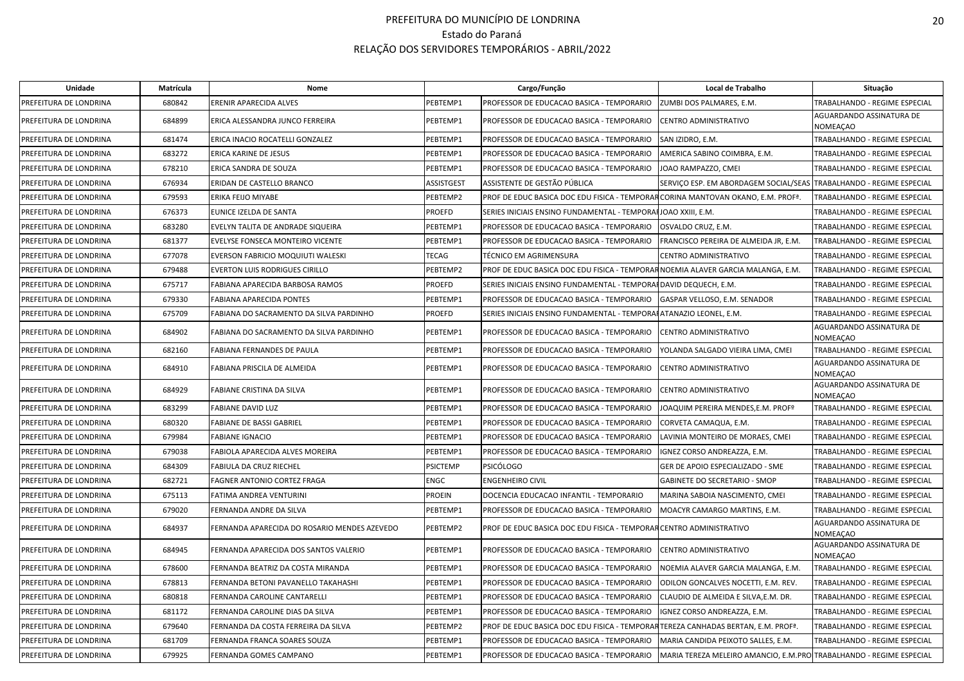| Unidade                | Matrícula | Nome                                         |                 | Cargo/Função                                                                     | Local de Trabalho                                                   | Situação                             |
|------------------------|-----------|----------------------------------------------|-----------------|----------------------------------------------------------------------------------|---------------------------------------------------------------------|--------------------------------------|
| PREFEITURA DE LONDRINA | 680842    | ERENIR APARECIDA ALVES                       | PEBTEMP1        | PROFESSOR DE EDUCACAO BASICA - TEMPORARIO                                        | ZUMBI DOS PALMARES, E.M.                                            | TRABALHANDO - REGIME ESPECIAL        |
| PREFEITURA DE LONDRINA | 684899    | ERICA ALESSANDRA JUNCO FERREIRA              | PEBTEMP1        | PROFESSOR DE EDUCACAO BASICA - TEMPORARIO                                        | CENTRO ADMINISTRATIVO                                               | AGUARDANDO ASSINATURA DE<br>NOMEAÇAO |
| PREFEITURA DE LONDRINA | 681474    | ERICA INACIO ROCATELLI GONZALEZ              | PEBTEMP1        | PROFESSOR DE EDUCACAO BASICA - TEMPORARIO                                        | SAN IZIDRO, E.M.                                                    | TRABALHANDO - REGIME ESPECIAL        |
| PREFEITURA DE LONDRINA | 683272    | <b>ERICA KARINE DE JESUS</b>                 | PEBTEMP1        | PROFESSOR DE EDUCACAO BASICA - TEMPORARIO                                        | AMERICA SABINO COIMBRA, E.M.                                        | TRABALHANDO - REGIME ESPECIAL        |
| PREFEITURA DE LONDRINA | 678210    | ERICA SANDRA DE SOUZA                        | PEBTEMP1        | PROFESSOR DE EDUCACAO BASICA - TEMPORARIO                                        | JOAO RAMPAZZO, CMEI                                                 | TRABALHANDO - REGIME ESPECIAL        |
| PREFEITURA DE LONDRINA | 676934    | ERIDAN DE CASTELLO BRANCO                    | ASSISTGEST      | ASSISTENTE DE GESTÃO PÚBLICA                                                     | SERVICO ESP. EM ABORDAGEM SOCIAL/SEAS TRABALHANDO - REGIME ESPECIAL |                                      |
| PREFEITURA DE LONDRINA | 679593    | ERIKA FEIJO MIYABE                           | PEBTEMP2        | PROF DE EDUC BASICA DOC EDU FISICA - TEMPORAR CORINA MANTOVAN OKANO, E.M. PROFª. |                                                                     | TRABALHANDO - REGIME ESPECIAL        |
| PREFEITURA DE LONDRINA | 676373    | EUNICE IZELDA DE SANTA                       | PROEFD          | SERIES INICIAIS ENSINO FUNDAMENTAL - TEMPORAI JOAO XXIII, E.M.                   |                                                                     | TRABALHANDO - REGIME ESPECIAL        |
| PREFEITURA DE LONDRINA | 683280    | EVELYN TALITA DE ANDRADE SIQUEIRA            | PEBTEMP1        | PROFESSOR DE EDUCACAO BASICA - TEMPORARIO                                        | OSVALDO CRUZ, E.M.                                                  | TRABALHANDO - REGIME ESPECIAL        |
| PREFEITURA DE LONDRINA | 681377    | EVELYSE FONSECA MONTEIRO VICENTE             | PEBTEMP1        | PROFESSOR DE EDUCACAO BASICA - TEMPORARIO                                        | FRANCISCO PEREIRA DE ALMEIDA JR, E.M.                               | TRABALHANDO - REGIME ESPECIAL        |
| PREFEITURA DE LONDRINA | 677078    | EVERSON FABRICIO MOQUIUTI WALESKI            | <b>TECAG</b>    | TÉCNICO EM AGRIMENSURA                                                           | CENTRO ADMINISTRATIVO                                               | TRABALHANDO - REGIME ESPECIAL        |
| PREFEITURA DE LONDRINA | 679488    | EVERTON LUIS RODRIGUES CIRILLO               | PEBTEMP2        | PROF DE EDUC BASICA DOC EDU FISICA - TEMPORAR NOEMIA ALAVER GARCIA MALANGA, E.M. |                                                                     | TRABALHANDO - REGIME ESPECIAL        |
| PREFEITURA DE LONDRINA | 675717    | FABIANA APARECIDA BARBOSA RAMOS              | PROEFD          | SERIES INICIAIS ENSINO FUNDAMENTAL - TEMPORAI DAVID DEQUECH, E.M.                |                                                                     | TRABALHANDO - REGIME ESPECIAL        |
| PREFEITURA DE LONDRINA | 679330    | FABIANA APARECIDA PONTES                     | PEBTEMP1        | PROFESSOR DE EDUCACAO BASICA - TEMPORARIO                                        | GASPAR VELLOSO, E.M. SENADOR                                        | TRABALHANDO - REGIME ESPECIAL        |
| PREFEITURA DE LONDRINA | 675709    | FABIANA DO SACRAMENTO DA SILVA PARDINHO      | PROEFD          | SERIES INICIAIS ENSINO FUNDAMENTAL - TEMPORAHATANAZIO LEONEL, E.M.               |                                                                     | TRABALHANDO - REGIME ESPECIAL        |
| PREFEITURA DE LONDRINA | 684902    | FABIANA DO SACRAMENTO DA SILVA PARDINHO      | PEBTEMP1        | PROFESSOR DE EDUCACAO BASICA - TEMPORARIO                                        | CENTRO ADMINISTRATIVO                                               | AGUARDANDO ASSINATURA DE<br>NOMEAÇAO |
| PREFEITURA DE LONDRINA | 682160    | FABIANA FERNANDES DE PAULA                   | PEBTEMP1        | PROFESSOR DE EDUCACAO BASICA - TEMPORARIO                                        | YOLANDA SALGADO VIEIRA LIMA, CMEI                                   | TRABALHANDO - REGIME ESPECIAL        |
| PREFEITURA DE LONDRINA | 684910    | FABIANA PRISCILA DE ALMEIDA                  | PEBTEMP1        | PROFESSOR DE EDUCACAO BASICA - TEMPORARIO                                        | CENTRO ADMINISTRATIVO                                               | AGUARDANDO ASSINATURA DE<br>NOMEAÇAO |
| PREFEITURA DE LONDRINA | 684929    | FABIANE CRISTINA DA SILVA                    | PEBTEMP1        | PROFESSOR DE EDUCACAO BASICA - TEMPORARIO                                        | CENTRO ADMINISTRATIVO                                               | AGUARDANDO ASSINATURA DE<br>NOMEAÇAO |
| PREFEITURA DE LONDRINA | 683299    | <b>FABIANE DAVID LUZ</b>                     | PEBTEMP1        | PROFESSOR DE EDUCACAO BASICA - TEMPORARIO                                        | JOAQUIM PEREIRA MENDES, E.M. PROFº                                  | TRABALHANDO - REGIME ESPECIAL        |
| PREFEITURA DE LONDRINA | 680320    | FABIANE DE BASSI GABRIEL                     | PEBTEMP1        | PROFESSOR DE EDUCACAO BASICA - TEMPORARIO                                        | CORVETA CAMAQUA, E.M.                                               | TRABALHANDO - REGIME ESPECIAL        |
| PREFEITURA DE LONDRINA | 679984    | <b>FABIANE IGNACIO</b>                       | PEBTEMP1        | PROFESSOR DE EDUCACAO BASICA - TEMPORARIO                                        | LAVINIA MONTEIRO DE MORAES, CMEI                                    | TRABALHANDO - REGIME ESPECIAL        |
| PREFEITURA DE LONDRINA | 679038    | FABIOLA APARECIDA ALVES MOREIRA              | PEBTEMP1        | PROFESSOR DE EDUCACAO BASICA - TEMPORARIO                                        | IGNEZ CORSO ANDREAZZA, E.M.                                         | TRABALHANDO - REGIME ESPECIAL        |
| PREFEITURA DE LONDRINA | 684309    | FABIULA DA CRUZ RIECHEL                      | <b>PSICTEMP</b> | <b>PSICÓLOGO</b>                                                                 | GER DE APOIO ESPECIALIZADO - SME                                    | TRABALHANDO - REGIME ESPECIAL        |
| PREFEITURA DE LONDRINA | 682721    | FAGNER ANTONIO CORTEZ FRAGA                  | ENGC            | <b>ENGENHEIRO CIVIL</b>                                                          | GABINETE DO SECRETARIO - SMOP                                       | TRABALHANDO - REGIME ESPECIAL        |
| PREFEITURA DE LONDRINA | 675113    | FATIMA ANDREA VENTURINI                      | PROEIN          | DOCENCIA EDUCACAO INFANTIL - TEMPORARIO                                          | MARINA SABOIA NASCIMENTO, CMEI                                      | TRABALHANDO - REGIME ESPECIAL        |
| PREFEITURA DE LONDRINA | 679020    | FERNANDA ANDRE DA SILVA                      | PEBTEMP1        | PROFESSOR DE EDUCACAO BASICA - TEMPORARIO                                        | MOACYR CAMARGO MARTINS, E.M.                                        | TRABALHANDO - REGIME ESPECIAL        |
| PREFEITURA DE LONDRINA | 684937    | FERNANDA APARECIDA DO ROSARIO MENDES AZEVEDO | PEBTEMP2        | PROF DE EDUC BASICA DOC EDU FISICA - TEMPORAR CENTRO ADMINISTRATIVO              |                                                                     | AGUARDANDO ASSINATURA DE<br>NOMEAÇAO |
| PREFEITURA DE LONDRINA | 684945    | FERNANDA APARECIDA DOS SANTOS VALERIO        | PEBTEMP1        | PROFESSOR DE EDUCACAO BASICA - TEMPORARIO                                        | CENTRO ADMINISTRATIVO                                               | AGUARDANDO ASSINATURA DE<br>NOMEAÇAO |
| PREFEITURA DE LONDRINA | 678600    | FERNANDA BEATRIZ DA COSTA MIRANDA            | PEBTEMP1        | PROFESSOR DE EDUCACAO BASICA - TEMPORARIO                                        | NOEMIA ALAVER GARCIA MALANGA, E.M.                                  | TRABALHANDO - REGIME ESPECIAL        |
| PREFEITURA DE LONDRINA | 678813    | FERNANDA BETONI PAVANELLO TAKAHASHI          | PEBTEMP1        | PROFESSOR DE EDUCACAO BASICA - TEMPORARIO                                        | ODILON GONCALVES NOCETTI, E.M. REV.                                 | TRABALHANDO - REGIME ESPECIAL        |
| PREFEITURA DE LONDRINA | 680818    | FERNANDA CAROLINE CANTARELLI                 | PEBTEMP1        | PROFESSOR DE EDUCACAO BASICA - TEMPORARIO                                        | CLAUDIO DE ALMEIDA E SILVA,E.M. DR.                                 | TRABALHANDO - REGIME ESPECIAL        |
| PREFEITURA DE LONDRINA | 681172    | FERNANDA CAROLINE DIAS DA SILVA              | PEBTEMP1        | PROFESSOR DE EDUCACAO BASICA - TEMPORARIO                                        | IGNEZ CORSO ANDREAZZA, E.M.                                         | TRABALHANDO - REGIME ESPECIAL        |
| PREFEITURA DE LONDRINA | 679640    | FERNANDA DA COSTA FERREIRA DA SILVA          | PEBTEMP2        | PROF DE EDUC BASICA DOC EDU FISICA - TEMPORARTEREZA CANHADAS BERTAN, E.M. PROFª. |                                                                     | TRABALHANDO - REGIME ESPECIAL        |
| PREFEITURA DE LONDRINA | 681709    | FERNANDA FRANCA SOARES SOUZA                 | PEBTEMP1        | PROFESSOR DE EDUCACAO BASICA - TEMPORARIO                                        | MARIA CANDIDA PEIXOTO SALLES, E.M.                                  | TRABALHANDO - REGIME ESPECIAL        |
| PREFEITURA DE LONDRINA | 679925    | FERNANDA GOMES CAMPANO                       | PEBTEMP1        | PROFESSOR DE EDUCACAO BASICA - TEMPORARIO                                        | MARIA TEREZA MELEIRO AMANCIO, E.M.PRO TRABALHANDO - REGIME ESPECIAL |                                      |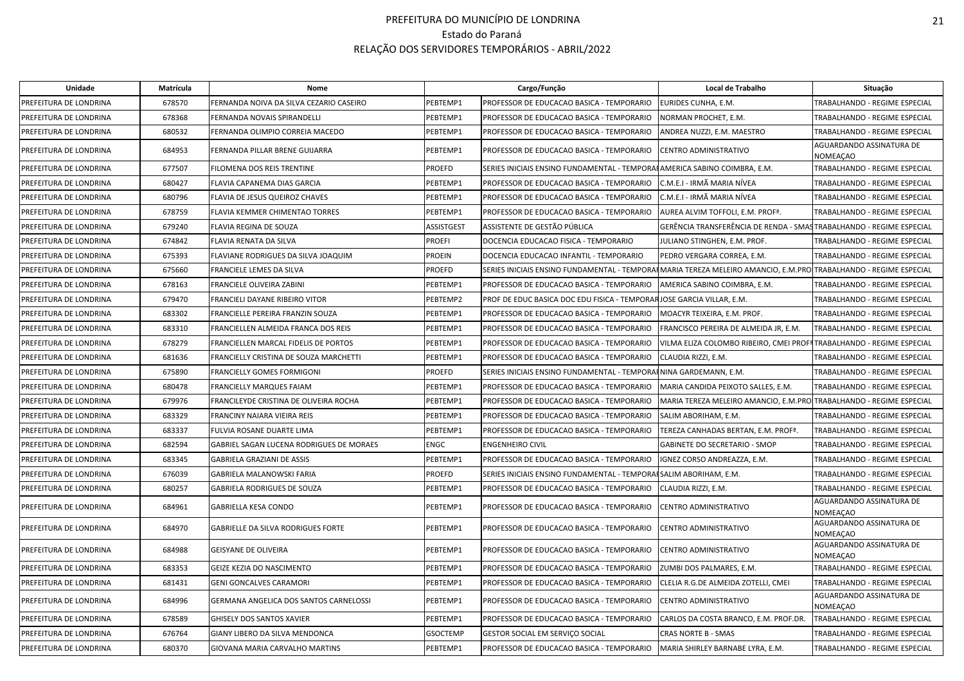| <b>Unidade</b>         | Matrícula | <b>Nome</b>                              |               | Cargo/Função                                                                                                     | Local de Trabalho                                                    | Situação                             |
|------------------------|-----------|------------------------------------------|---------------|------------------------------------------------------------------------------------------------------------------|----------------------------------------------------------------------|--------------------------------------|
| PREFEITURA DE LONDRINA | 678570    | FERNANDA NOIVA DA SILVA CEZARIO CASEIRO  | PEBTEMP1      | PROFESSOR DE EDUCACAO BASICA - TEMPORARIO                                                                        | EURIDES CUNHA, E.M.                                                  | TRABALHANDO - REGIME ESPECIAL        |
| PREFEITURA DE LONDRINA | 678368    | FERNANDA NOVAIS SPIRANDELLI              | PEBTEMP1      | PROFESSOR DE EDUCACAO BASICA - TEMPORARIO                                                                        | NORMAN PROCHET, E.M.                                                 | TRABALHANDO - REGIME ESPECIAL        |
| PREFEITURA DE LONDRINA | 680532    | FERNANDA OLIMPIO CORREIA MACEDO          | PEBTEMP1      | PROFESSOR DE EDUCACAO BASICA - TEMPORARIO                                                                        | ANDREA NUZZI, E.M. MAESTRO                                           | TRABALHANDO - REGIME ESPECIAL        |
| PREFEITURA DE LONDRINA | 684953    | FERNANDA PILLAR BRENE GUIJARRA           | PEBTEMP1      | PROFESSOR DE EDUCACAO BASICA - TEMPORARIO                                                                        | CENTRO ADMINISTRATIVO                                                | AGUARDANDO ASSINATURA DE<br>NOMEACAO |
| PREFEITURA DE LONDRINA | 677507    | FILOMENA DOS REIS TRENTINE               | PROEFD        | SERIES INICIAIS ENSINO FUNDAMENTAL - TEMPORA HAMERICA SABINO COIMBRA, E.M.                                       |                                                                      | TRABALHANDO - REGIME ESPECIAL        |
| PREFEITURA DE LONDRINA | 680427    | FLAVIA CAPANEMA DIAS GARCIA              | PEBTEMP1      | PROFESSOR DE EDUCACAO BASICA - TEMPORARIO                                                                        | C.M.E.I - IRMÃ MARIA NÍVEA                                           | TRABALHANDO - REGIME ESPECIAL        |
| PREFEITURA DE LONDRINA | 680796    | FLAVIA DE JESUS QUEIROZ CHAVES           | PEBTEMP1      | PROFESSOR DE EDUCACAO BASICA - TEMPORARIO                                                                        | C.M.E.I - IRMÃ MARIA NÍVEA                                           | TRABALHANDO - REGIME ESPECIAL        |
| PREFEITURA DE LONDRINA | 678759    | FLAVIA KEMMER CHIMENTAO TORRES           | PEBTEMP1      | PROFESSOR DE EDUCACAO BASICA - TEMPORARIO                                                                        | AUREA ALVIM TOFFOLI, E.M. PROFª.                                     | TRABALHANDO - REGIME ESPECIAL        |
| PREFEITURA DE LONDRINA | 679240    | <b>FLAVIA REGINA DE SOUZA</b>            | ASSISTGEST    | ASSISTENTE DE GESTÃO PÚBLICA                                                                                     | GERÊNCIA TRANSFERÊNCIA DE RENDA - SMASTRABALHANDO - REGIME ESPECIAL  |                                      |
| PREFEITURA DE LONDRINA | 674842    | FLAVIA RENATA DA SILVA                   | <b>PROEFI</b> | DOCENCIA EDUCACAO FISICA - TEMPORARIO                                                                            | JULIANO STINGHEN, E.M. PROF.                                         | TRABALHANDO - REGIME ESPECIAL        |
| PREFEITURA DE LONDRINA | 675393    | FLAVIANE RODRIGUES DA SILVA JOAQUIM      | PROEIN        | DOCENCIA EDUCACAO INFANTIL - TEMPORARIO                                                                          | PEDRO VERGARA CORREA, E.M.                                           | TRABALHANDO - REGIME ESPECIAL        |
| PREFEITURA DE LONDRINA | 675660    | FRANCIELE LEMES DA SILVA                 | <b>PROEFD</b> | SERIES INICIAIS ENSINO FUNDAMENTAL - TEMPORAIMARIA TEREZA MELEIRO AMANCIO, E.M.PRO TRABALHANDO - REGIME ESPECIAL |                                                                      |                                      |
| PREFEITURA DE LONDRINA | 678163    | FRANCIELE OLIVEIRA ZABINI                | PEBTEMP1      | PROFESSOR DE EDUCACAO BASICA - TEMPORARIO                                                                        | AMERICA SABINO COIMBRA, E.M.                                         | TRABALHANDO - REGIME ESPECIAL        |
| PREFEITURA DE LONDRINA | 679470    | FRANCIELI DAYANE RIBEIRO VITOR           | PEBTEMP2      | PROF DE EDUC BASICA DOC EDU FISICA - TEMPORARJOSE GARCIA VILLAR, E.M.                                            |                                                                      | TRABALHANDO - REGIME ESPECIAL        |
| PREFEITURA DE LONDRINA | 683302    | FRANCIELLE PEREIRA FRANZIN SOUZA         | PEBTEMP1      | PROFESSOR DE EDUCACAO BASICA - TEMPORARIO                                                                        | MOACYR TEIXEIRA, E.M. PROF.                                          | TRABALHANDO - REGIME ESPECIAL        |
| PREFEITURA DE LONDRINA | 683310    | FRANCIELLEN ALMEIDA FRANCA DOS REIS      | PEBTEMP1      | PROFESSOR DE EDUCACAO BASICA - TEMPORARIO                                                                        | FRANCISCO PEREIRA DE ALMEIDA JR, E.M.                                | TRABALHANDO - REGIME ESPECIAL        |
| PREFEITURA DE LONDRINA | 678279    | FRANCIELLEN MARCAL FIDELIS DE PORTOS     | PEBTEMP1      | PROFESSOR DE EDUCACAO BASICA - TEMPORARIO                                                                        | VILMA ELIZA COLOMBO RIBEIRO, CMEI PROFªTRABALHANDO - REGIME ESPECIAL |                                      |
| PREFEITURA DE LONDRINA | 681636    | FRANCIELLY CRISTINA DE SOUZA MARCHETTI   | PEBTEMP1      | PROFESSOR DE EDUCACAO BASICA - TEMPORARIO                                                                        | CLAUDIA RIZZI, E.M.                                                  | TRABALHANDO - REGIME ESPECIAL        |
| PREFEITURA DE LONDRINA | 675890    | FRANCIELLY GOMES FORMIGONI               | <b>PROEFD</b> | SERIES INICIAIS ENSINO FUNDAMENTAL - TEMPORAHNINA GARDEMANN, E.M.                                                |                                                                      | TRABALHANDO - REGIME ESPECIAL        |
| PREFEITURA DE LONDRINA | 680478    | FRANCIELLY MARQUES FAIAM                 | PEBTEMP1      | PROFESSOR DE EDUCACAO BASICA - TEMPORARIO                                                                        | MARIA CANDIDA PEIXOTO SALLES, E.M.                                   | TRABALHANDO - REGIME ESPECIAL        |
| PREFEITURA DE LONDRINA | 679976    | FRANCILEYDE CRISTINA DE OLIVEIRA ROCHA   | PEBTEMP1      | PROFESSOR DE EDUCACAO BASICA - TEMPORARIO                                                                        | MARIA TEREZA MELEIRO AMANCIO, E.M.PROJTRABALHANDO - REGIME ESPECIAL  |                                      |
| PREFEITURA DE LONDRINA | 683329    | FRANCINY NAIARA VIEIRA REIS              | PEBTEMP1      | PROFESSOR DE EDUCACAO BASICA - TEMPORARIO                                                                        | SALIM ABORIHAM, E.M.                                                 | TRABALHANDO - REGIME ESPECIAL        |
| PREFEITURA DE LONDRINA | 683337    | FULVIA ROSANE DUARTE LIMA                | PEBTEMP1      | PROFESSOR DE EDUCACAO BASICA - TEMPORARIO                                                                        | TEREZA CANHADAS BERTAN, E.M. PROFª.                                  | TRABALHANDO - REGIME ESPECIAL        |
| PREFEITURA DE LONDRINA | 682594    | GABRIEL SAGAN LUCENA RODRIGUES DE MORAES | <b>ENGC</b>   | <b>ENGENHEIRO CIVIL</b>                                                                                          | <b>GABINETE DO SECRETARIO - SMOP</b>                                 | TRABALHANDO - REGIME ESPECIAL        |
| PREFEITURA DE LONDRINA | 683345    | GABRIELA GRAZIANI DE ASSIS               | PEBTEMP1      | PROFESSOR DE EDUCACAO BASICA - TEMPORARIO                                                                        | IGNEZ CORSO ANDREAZZA, E.M.                                          | TRABALHANDO - REGIME ESPECIAL        |
| PREFEITURA DE LONDRINA | 676039    | GABRIELA MALANOWSKI FARIA                | PROEFD        | SERIES INICIAIS ENSINO FUNDAMENTAL - TEMPORAI SALIM ABORIHAM, E.M.                                               |                                                                      | TRABALHANDO - REGIME ESPECIAL        |
| PREFEITURA DE LONDRINA | 680257    | <b>GABRIELA RODRIGUES DE SOUZA</b>       | PEBTEMP1      | PROFESSOR DE EDUCACAO BASICA - TEMPORARIO                                                                        | CLAUDIA RIZZI. E.M.                                                  | TRABALHANDO - REGIME ESPECIAL        |
| PREFEITURA DE LONDRINA | 684961    | GABRIELLA KESA CONDO                     | PEBTEMP1      | PROFESSOR DE EDUCACAO BASICA - TEMPORARIO                                                                        | CENTRO ADMINISTRATIVO                                                | AGUARDANDO ASSINATURA DE<br>NOMEAÇAO |
| PREFEITURA DE LONDRINA | 684970    | GABRIELLE DA SILVA RODRIGUES FORTE       | PEBTEMP1      | PROFESSOR DE EDUCACAO BASICA - TEMPORARIO                                                                        | CENTRO ADMINISTRATIVO                                                | AGUARDANDO ASSINATURA DE<br>NOMEAÇAO |
| PREFEITURA DE LONDRINA | 684988    | <b>GEISYANE DE OLIVEIRA</b>              | PEBTEMP1      | PROFESSOR DE EDUCACAO BASICA - TEMPORARIO                                                                        | CENTRO ADMINISTRATIVO                                                | AGUARDANDO ASSINATURA DE<br>NOMEAÇAO |
| PREFEITURA DE LONDRINA | 683353    | GEIZE KEZIA DO NASCIMENTO                | PEBTEMP1      | PROFESSOR DE EDUCACAO BASICA - TEMPORARIO                                                                        | ZUMBI DOS PALMARES, E.M.                                             | TRABALHANDO - REGIME ESPECIAL        |
| PREFEITURA DE LONDRINA | 681431    | <b>GENI GONCALVES CARAMORI</b>           | PEBTEMP1      | PROFESSOR DE EDUCACAO BASICA - TEMPORARIO                                                                        | CLELIA R.G.DE ALMEIDA ZOTELLI. CMEI                                  | TRABALHANDO - REGIME ESPECIAL        |
| PREFEITURA DE LONDRINA | 684996    | GERMANA ANGELICA DOS SANTOS CARNELOSSI   | PEBTEMP1      | PROFESSOR DE EDUCACAO BASICA - TEMPORARIO                                                                        | CENTRO ADMINISTRATIVO                                                | AGUARDANDO ASSINATURA DE<br>NOMEACAO |
| PREFEITURA DE LONDRINA | 678589    | <b>GHISELY DOS SANTOS XAVIER</b>         | PEBTEMP1      | PROFESSOR DE EDUCACAO BASICA - TEMPORARIO                                                                        | CARLOS DA COSTA BRANCO, E.M. PROF.DR.                                | TRABALHANDO - REGIME ESPECIAL        |
| PREFEITURA DE LONDRINA | 676764    | GIANY LIBERO DA SILVA MENDONCA           | GSOCTEMP      | GESTOR SOCIAL EM SERVIÇO SOCIAL                                                                                  | CRAS NORTE B - SMAS                                                  | TRABALHANDO - REGIME ESPECIAL        |
| PREFEITURA DE LONDRINA | 680370    | GIOVANA MARIA CARVALHO MARTINS           | PEBTEMP1      | PROFESSOR DE EDUCACAO BASICA - TEMPORARIO                                                                        | MARIA SHIRLEY BARNABE LYRA, E.M.                                     | TRABALHANDO - REGIME ESPECIAL        |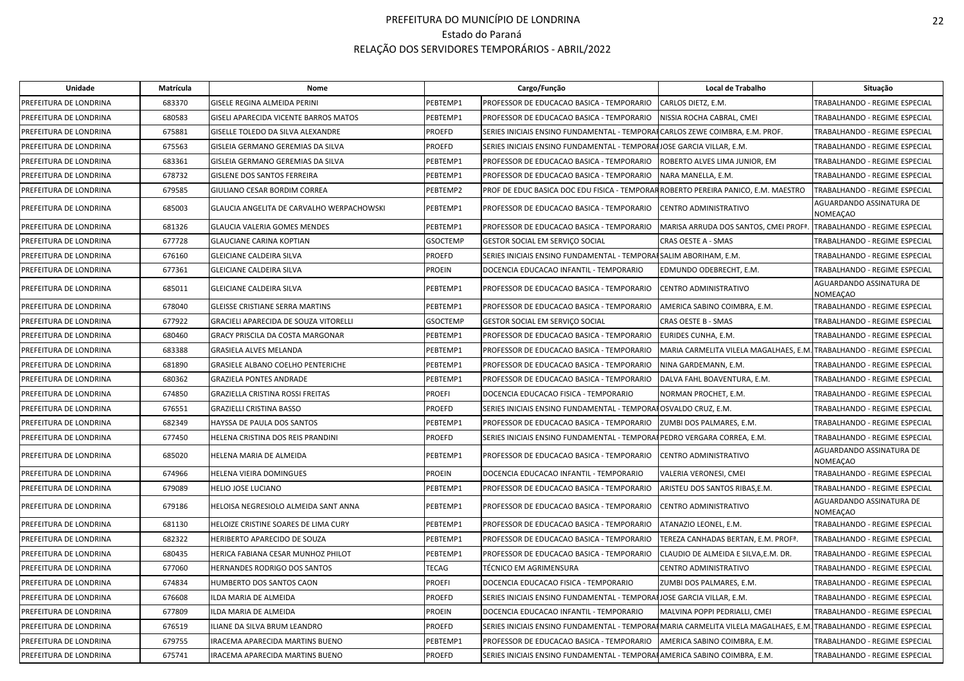| Unidade                | Matrícula | <b>Nome</b>                               |                 | Cargo/Função                                                                                                      | Local de Trabalho                                                    | Situação                                    |
|------------------------|-----------|-------------------------------------------|-----------------|-------------------------------------------------------------------------------------------------------------------|----------------------------------------------------------------------|---------------------------------------------|
| PREFEITURA DE LONDRINA | 683370    | GISELE REGINA ALMEIDA PERINI              | PEBTEMP1        | PROFESSOR DE EDUCACAO BASICA - TEMPORARIO                                                                         | CARLOS DIETZ, E.M.                                                   | TRABALHANDO - REGIME ESPECIAL               |
| PREFEITURA DE LONDRINA | 680583    | GISELI APARECIDA VICENTE BARROS MATOS     | PEBTEMP1        | PROFESSOR DE EDUCACAO BASICA - TEMPORARIO                                                                         | NISSIA ROCHA CABRAL, CMEI                                            | TRABALHANDO - REGIME ESPECIAL               |
| PREFEITURA DE LONDRINA | 675881    | GISELLE TOLEDO DA SILVA ALEXANDRE         | <b>PROEFD</b>   | SERIES INICIAIS ENSINO FUNDAMENTAL - TEMPORAFCARLOS ZEWE COIMBRA, E.M. PROF.                                      |                                                                      | TRABALHANDO - REGIME ESPECIAL               |
| PREFEITURA DE LONDRINA | 675563    | GISLEIA GERMANO GEREMIAS DA SILVA         | <b>PROEFD</b>   | SERIES INICIAIS ENSINO FUNDAMENTAL - TEMPORAIJOSE GARCIA VILLAR, E.M.                                             |                                                                      | TRABALHANDO - REGIME ESPECIAL               |
| PREFEITURA DE LONDRINA | 683361    | GISLEIA GERMANO GEREMIAS DA SILVA         | PEBTEMP1        | PROFESSOR DE EDUCACAO BASICA - TEMPORARIO                                                                         | ROBERTO ALVES LIMA JUNIOR, EM                                        | TRABALHANDO - REGIME ESPECIAL               |
| PREFEITURA DE LONDRINA | 678732    | GISLENE DOS SANTOS FERREIRA               | PEBTEMP1        | PROFESSOR DE EDUCACAO BASICA - TEMPORARIO                                                                         | NARA MANELLA, E.M.                                                   | TRABALHANDO - REGIME ESPECIAL               |
| PREFEITURA DE LONDRINA | 679585    | GIULIANO CESAR BORDIM CORREA              | PEBTEMP2        | PROF DE EDUC BASICA DOC EDU FISICA - TEMPORAR ROBERTO PEREIRA PANICO, E.M. MAESTRO                                |                                                                      | TRABALHANDO - REGIME ESPECIAL               |
| PREFEITURA DE LONDRINA | 685003    | GLAUCIA ANGELITA DE CARVALHO WERPACHOWSKI | PEBTEMP1        | PROFESSOR DE EDUCACAO BASICA - TEMPORARIO                                                                         | CENTRO ADMINISTRATIVO                                                | AGUARDANDO ASSINATURA DE<br><b>NOMEAÇAO</b> |
| PREFEITURA DE LONDRINA | 681326    | <b>GLAUCIA VALERIA GOMES MENDES</b>       | PEBTEMP1        | PROFESSOR DE EDUCACAO BASICA - TEMPORARIO                                                                         | MARISA ARRUDA DOS SANTOS, CMEI PROF <sup>ª</sup>                     | TRABALHANDO - REGIME ESPECIAL               |
| PREFEITURA DE LONDRINA | 677728    | <b>GLAUCIANE CARINA KOPTIAN</b>           | <b>GSOCTEMP</b> | GESTOR SOCIAL EM SERVIÇO SOCIAL                                                                                   | CRAS OESTE A - SMAS                                                  | TRABALHANDO - REGIME ESPECIAL               |
| PREFEITURA DE LONDRINA | 676160    | GLEICIANE CALDEIRA SILVA                  | <b>PROEFD</b>   | SERIES INICIAIS ENSINO FUNDAMENTAL - TEMPORAISALIM ABORIHAM, E.M.                                                 |                                                                      | TRABALHANDO - REGIME ESPECIAL               |
| PREFEITURA DE LONDRINA | 677361    | GLEICIANE CALDEIRA SILVA                  | <b>PROEIN</b>   | DOCENCIA EDUCACAO INFANTIL - TEMPORARIO                                                                           | EDMUNDO ODEBRECHT, E.M.                                              | TRABALHANDO - REGIME ESPECIAL               |
| PREFEITURA DE LONDRINA | 685011    | GLEICIANE CALDEIRA SILVA                  | PEBTEMP1        | PROFESSOR DE EDUCACAO BASICA - TEMPORARIO                                                                         | CENTRO ADMINISTRATIVO                                                | AGUARDANDO ASSINATURA DE<br><b>NOMEAÇAO</b> |
| PREFEITURA DE LONDRINA | 678040    | GLEISSE CRISTIANE SERRA MARTINS           | PEBTEMP1        | PROFESSOR DE EDUCACAO BASICA - TEMPORARIO                                                                         | AMERICA SABINO COIMBRA, E.M.                                         | TRABALHANDO - REGIME ESPECIAL               |
| PREFEITURA DE LONDRINA | 677922    | GRACIELI APARECIDA DE SOUZA VITORELLI     | <b>GSOCTEMP</b> | <b>GESTOR SOCIAL EM SERVIÇO SOCIAL</b>                                                                            | <b>CRAS OESTE B - SMAS</b>                                           | TRABALHANDO - REGIME ESPECIAL               |
| PREFEITURA DE LONDRINA | 680460    | GRACY PRISCILA DA COSTA MARGONAR          | PEBTEMP1        | PROFESSOR DE EDUCACAO BASICA - TEMPORARIO                                                                         | EURIDES CUNHA, E.M.                                                  | <b>TRABALHANDO - REGIME ESPECIAL</b>        |
| PREFEITURA DE LONDRINA | 683388    | GRASIELA ALVES MELANDA                    | PEBTEMP1        | PROFESSOR DE EDUCACAO BASICA - TEMPORARIO                                                                         | MARIA CARMELITA VILELA MAGALHAES, E.M. TRABALHANDO - REGIME ESPECIAL |                                             |
| PREFEITURA DE LONDRINA | 681890    | <b>GRASIELE ALBANO COELHO PENTERICHE</b>  | PEBTEMP1        | PROFESSOR DE EDUCACAO BASICA - TEMPORARIO                                                                         | NINA GARDEMANN, E.M.                                                 | TRABALHANDO - REGIME ESPECIAL               |
| PREFEITURA DE LONDRINA | 680362    | <b>GRAZIELA PONTES ANDRADE</b>            | PEBTEMP1        | PROFESSOR DE EDUCACAO BASICA - TEMPORARIO                                                                         | DALVA FAHL BOAVENTURA. E.M.                                          | TRABALHANDO - REGIME ESPECIAL               |
| PREFEITURA DE LONDRINA | 674850    | GRAZIELLA CRISTINA ROSSI FREITAS          | <b>PROEFI</b>   | DOCENCIA EDUCACAO FISICA - TEMPORARIO                                                                             | NORMAN PROCHET, E.M.                                                 | TRABALHANDO - REGIME ESPECIAL               |
| PREFEITURA DE LONDRINA | 676551    | GRAZIELLI CRISTINA BASSO                  | <b>PROEFD</b>   | SERIES INICIAIS ENSINO FUNDAMENTAL - TEMPORAHOSVALDO CRUZ, E.M.                                                   |                                                                      | TRABALHANDO - REGIME ESPECIAL               |
| PREFEITURA DE LONDRINA | 682349    | HAYSSA DE PAULA DOS SANTOS                | PEBTEMP1        | PROFESSOR DE EDUCACAO BASICA - TEMPORARIO                                                                         | ZUMBI DOS PALMARES, E.M.                                             | TRABALHANDO - REGIME ESPECIAL               |
| PREFEITURA DE LONDRINA | 677450    | HELENA CRISTINA DOS REIS PRANDINI         | <b>PROEFD</b>   | SERIES INICIAIS ENSINO FUNDAMENTAL - TEMPORAI PEDRO VERGARA CORREA. E.M.                                          |                                                                      | <b>TRABALHANDO - REGIME ESPECIAL</b>        |
| PREFEITURA DE LONDRINA | 685020    | HELENA MARIA DE ALMEIDA                   | PEBTEMP1        | PROFESSOR DE EDUCACAO BASICA - TEMPORARIO                                                                         | CENTRO ADMINISTRATIVO                                                | AGUARDANDO ASSINATURA DE<br><b>NOMEACAO</b> |
| PREFEITURA DE LONDRINA | 674966    | HELENA VIEIRA DOMINGUES                   | <b>PROEIN</b>   | DOCENCIA EDUCACAO INFANTIL - TEMPORARIO                                                                           | VALERIA VERONESI, CMEI                                               | TRABALHANDO - REGIME ESPECIAL               |
| PREFEITURA DE LONDRINA | 679089    | <b>HELIO JOSE LUCIANO</b>                 | PEBTEMP1        | PROFESSOR DE EDUCACAO BASICA - TEMPORARIO                                                                         | ARISTEU DOS SANTOS RIBAS, E.M.                                       | TRABALHANDO - REGIME ESPECIAL               |
| PREFEITURA DE LONDRINA | 679186    | HELOISA NEGRESIOLO ALMEIDA SANT ANNA      | PEBTEMP1        | PROFESSOR DE EDUCACAO BASICA - TEMPORARIO                                                                         | CENTRO ADMINISTRATIVO                                                | AGUARDANDO ASSINATURA DE<br><b>NOMEAÇAO</b> |
| PREFEITURA DE LONDRINA | 681130    | HELOIZE CRISTINE SOARES DE LIMA CURY      | PEBTEMP1        | PROFESSOR DE EDUCACAO BASICA - TEMPORARIO                                                                         | ATANAZIO LEONEL. E.M.                                                | TRABALHANDO - REGIME ESPECIAL               |
| PREFEITURA DE LONDRINA | 682322    | HERIBERTO APARECIDO DE SOUZA              | PEBTEMP1        | PROFESSOR DE EDUCACAO BASICA - TEMPORARIO                                                                         | TEREZA CANHADAS BERTAN, E.M. PROF <sup>ª</sup> .                     | <b>TRABALHANDO - REGIME ESPECIAL</b>        |
| PREFEITURA DE LONDRINA | 680435    | HERICA FABIANA CESAR MUNHOZ PHILOT        | PEBTEMP1        | PROFESSOR DE EDUCACAO BASICA - TEMPORARIO                                                                         | CLAUDIO DE ALMEIDA E SILVA, E.M. DR.                                 | TRABALHANDO - REGIME ESPECIAL               |
| PREFEITURA DE LONDRINA | 677060    | HERNANDES RODRIGO DOS SANTOS              | <b>TECAG</b>    | TÉCNICO EM AGRIMENSURA                                                                                            | CENTRO ADMINISTRATIVO                                                | TRABALHANDO - REGIME ESPECIAL               |
| PREFEITURA DE LONDRINA | 674834    | HUMBERTO DOS SANTOS CAON                  | <b>PROEFI</b>   | DOCENCIA EDUCACAO FISICA - TEMPORARIO                                                                             | ZUMBI DOS PALMARES, E.M.                                             | TRABALHANDO - REGIME ESPECIAL               |
| PREFEITURA DE LONDRINA | 676608    | ILDA MARIA DE ALMEIDA                     | <b>PROEFD</b>   | SERIES INICIAIS ENSINO FUNDAMENTAL - TEMPORAIJOSE GARCIA VILLAR, E.M.                                             |                                                                      | TRABALHANDO - REGIME ESPECIAL               |
| PREFEITURA DE LONDRINA | 677809    | LDA MARIA DE ALMEIDA                      | <b>PROEIN</b>   | DOCENCIA EDUCACAO INFANTIL - TEMPORARIO                                                                           | MALVINA POPPI PEDRIALLI, CMEI                                        | TRABALHANDO - REGIME ESPECIAL               |
| PREFEITURA DE LONDRINA | 676519    | LIANE DA SILVA BRUM LEANDRO               | <b>PROEFD</b>   | SERIES INICIAIS ENSINO FUNDAMENTAL - TEMPORAIMARIA CARMELITA VILELA MAGALHAES, E.M. TRABALHANDO - REGIME ESPECIAL |                                                                      |                                             |
| PREFEITURA DE LONDRINA | 679755    | IRACEMA APARECIDA MARTINS BUENO           | PEBTEMP1        | PROFESSOR DE EDUCACAO BASICA - TEMPORARIO                                                                         | AMERICA SABINO COIMBRA, E.M.                                         | TRABALHANDO - REGIME ESPECIAL               |
| PREFEITURA DE LONDRINA | 675741    | IRACEMA APARECIDA MARTINS BUENO           | <b>PROEFD</b>   | SERIES INICIAIS ENSINO FUNDAMENTAL - TEMPORAHAMERICA SABINO COIMBRA, E.M.                                         |                                                                      | TRABALHANDO - REGIME ESPECIAL               |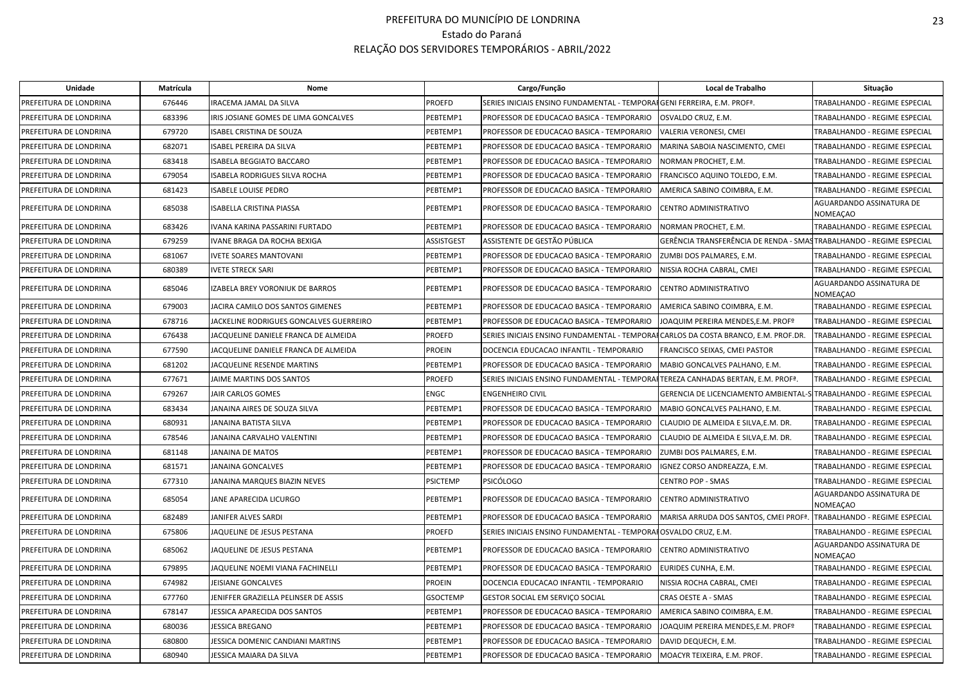| Unidade                | Matrícula | Nome                                    |                   | Cargo/Função                                                                       | Local de Trabalho                                                   | Situação                                    |
|------------------------|-----------|-----------------------------------------|-------------------|------------------------------------------------------------------------------------|---------------------------------------------------------------------|---------------------------------------------|
| PREFEITURA DE LONDRINA | 676446    | IRACEMA JAMAL DA SILVA                  | <b>PROEFD</b>     | SERIES INICIAIS ENSINO FUNDAMENTAL - TEMPORAIGENI FERREIRA, E.M. PROFª.            |                                                                     | TRABALHANDO - REGIME ESPECIAL               |
| PREFEITURA DE LONDRINA | 683396    | IRIS JOSIANE GOMES DE LIMA GONCALVES    | PEBTEMP1          | PROFESSOR DE EDUCACAO BASICA - TEMPORARIO                                          | OSVALDO CRUZ, E.M.                                                  | TRABALHANDO - REGIME ESPECIAL               |
| PREFEITURA DE LONDRINA | 679720    | <b>ISABEL CRISTINA DE SOUZA</b>         | PEBTEMP1          | PROFESSOR DE EDUCACAO BASICA - TEMPORARIO                                          | VALERIA VERONESI, CMEI                                              | TRABALHANDO - REGIME ESPECIAL               |
| PREFEITURA DE LONDRINA | 682071    | SABEL PEREIRA DA SILVA                  | PEBTEMP1          | PROFESSOR DE EDUCACAO BASICA - TEMPORARIO                                          | MARINA SABOIA NASCIMENTO, CMEI                                      | TRABALHANDO - REGIME ESPECIAL               |
| PREFEITURA DE LONDRINA | 683418    | ISABELA BEGGIATO BACCARO                | PEBTEMP1          | PROFESSOR DE EDUCACAO BASICA - TEMPORARIO                                          | NORMAN PROCHET, E.M.                                                | TRABALHANDO - REGIME ESPECIAL               |
| PREFEITURA DE LONDRINA | 679054    | <b>ISABELA RODRIGUES SILVA ROCHA</b>    | PEBTEMP1          | PROFESSOR DE EDUCACAO BASICA - TEMPORARIO                                          | FRANCISCO AQUINO TOLEDO, E.M.                                       | TRABALHANDO - REGIME ESPECIAL               |
| PREFEITURA DE LONDRINA | 681423    | <b>ISABELE LOUISE PEDRO</b>             | PEBTEMP1          | PROFESSOR DE EDUCACAO BASICA - TEMPORARIO                                          | AMERICA SABINO COIMBRA, E.M.                                        | TRABALHANDO - REGIME ESPECIAL               |
| PREFEITURA DE LONDRINA | 685038    | ISABELLA CRISTINA PIASSA                | PEBTEMP1          | PROFESSOR DE EDUCACAO BASICA - TEMPORARIO                                          | CENTRO ADMINISTRATIVO                                               | AGUARDANDO ASSINATURA DE<br><b>NOMEAÇAO</b> |
| PREFEITURA DE LONDRINA | 683426    | IVANA KARINA PASSARINI FURTADO          | PEBTEMP1          | PROFESSOR DE EDUCACAO BASICA - TEMPORARIO                                          | NORMAN PROCHET, E.M.                                                | TRABALHANDO - REGIME ESPECIAL               |
| PREFEITURA DE LONDRINA | 679259    | VANE BRAGA DA ROCHA BEXIGA              | <b>ASSISTGEST</b> | ASSISTENTE DE GESTÃO PÚBLICA                                                       | GERÊNCIA TRANSFERÊNCIA DE RENDA - SMASTRABALHANDO - REGIME ESPECIAL |                                             |
| PREFEITURA DE LONDRINA | 681067    | <b>IVETE SOARES MANTOVANI</b>           | PEBTEMP1          | PROFESSOR DE EDUCACAO BASICA - TEMPORARIO                                          | ZUMBI DOS PALMARES. E.M.                                            | <b>TRABALHANDO - REGIME ESPECIAL</b>        |
| PREFEITURA DE LONDRINA | 680389    | IVETE STRECK SARI                       | PEBTEMP1          | PROFESSOR DE EDUCACAO BASICA - TEMPORARIO                                          | NISSIA ROCHA CABRAL, CMEI                                           | TRABALHANDO - REGIME ESPECIAL               |
| PREFEITURA DE LONDRINA | 685046    | ZABELA BREY VORONIUK DE BARROS          | PEBTEMP1          | PROFESSOR DE EDUCACAO BASICA - TEMPORARIO                                          | CENTRO ADMINISTRATIVO                                               | AGUARDANDO ASSINATURA DE<br><b>NOMEAÇAO</b> |
| PREFEITURA DE LONDRINA | 679003    | <b>IACIRA CAMILO DOS SANTOS GIMENES</b> | PEBTEMP1          | PROFESSOR DE EDUCACAO BASICA - TEMPORARIO                                          | AMERICA SABINO COIMBRA, E.M.                                        | TRABALHANDO - REGIME ESPECIAL               |
| PREFEITURA DE LONDRINA | 678716    | JACKELINE RODRIGUES GONCALVES GUERREIRO | PEBTEMP1          | PROFESSOR DE EDUCACAO BASICA - TEMPORARIO                                          | JOAQUIM PEREIRA MENDES, E.M. PROFº                                  | TRABALHANDO - REGIME ESPECIAL               |
| PREFEITURA DE LONDRINA | 676438    | JACQUELINE DANIELE FRANCA DE ALMEIDA    | <b>PROEFD</b>     | SERIES INICIAIS ENSINO FUNDAMENTAL - TEMPORAICARLOS DA COSTA BRANCO, E.M. PROF.DR. |                                                                     | <b>TRABALHANDO - REGIME ESPECIAL</b>        |
| PREFEITURA DE LONDRINA | 677590    | JACQUELINE DANIELE FRANCA DE ALMEIDA    | PROEIN            | DOCENCIA EDUCACAO INFANTIL - TEMPORARIO                                            | <b>FRANCISCO SEIXAS, CMEI PASTOR</b>                                | TRABALHANDO - REGIME ESPECIAL               |
| PREFEITURA DE LONDRINA | 681202    | <b>IACQUELINE RESENDE MARTINS</b>       | PEBTEMP1          | PROFESSOR DE EDUCACAO BASICA - TEMPORARIO                                          | MABIO GONCALVES PALHANO, E.M.                                       | TRABALHANDO - REGIME ESPECIAL               |
| PREFEITURA DE LONDRINA | 677671    | <b>IAIME MARTINS DOS SANTOS</b>         | <b>PROEFD</b>     | SERIES INICIAIS ENSINO FUNDAMENTAL - TEMPORAITEREZA CANHADAS BERTAN, E.M. PROFª.   |                                                                     | TRABALHANDO - REGIME ESPECIAL               |
| PREFEITURA DE LONDRINA | 679267    | JAIR CARLOS GOMES                       | <b>ENGC</b>       | <b>ENGENHEIRO CIVIL</b>                                                            | GERENCIA DE LICENCIAMENTO AMBIENTAL-SITRABALHANDO - REGIME ESPECIAL |                                             |
| PREFEITURA DE LONDRINA | 683434    | <b>IANAINA AIRES DE SOUZA SILVA</b>     | PEBTEMP1          | PROFESSOR DE EDUCACAO BASICA - TEMPORARIO                                          | MABIO GONCALVES PALHANO, E.M.                                       | TRABALHANDO - REGIME ESPECIAL               |
| PREFEITURA DE LONDRINA | 680931    | JANAINA BATISTA SILVA                   | PEBTEMP1          | PROFESSOR DE EDUCACAO BASICA - TEMPORARIO                                          | CLAUDIO DE ALMEIDA E SILVA, E.M. DR.                                | TRABALHANDO - REGIME ESPECIAL               |
| PREFEITURA DE LONDRINA | 678546    | JANAINA CARVALHO VALENTINI              | PEBTEMP1          | PROFESSOR DE EDUCACAO BASICA - TEMPORARIO                                          | CLAUDIO DE ALMEIDA E SILVA, E.M. DR.                                | TRABALHANDO - REGIME ESPECIAL               |
| PREFEITURA DE LONDRINA | 681148    | JANAINA DE MATOS                        | PEBTEMP1          | PROFESSOR DE EDUCACAO BASICA - TEMPORARIO                                          | ZUMBI DOS PALMARES, E.M.                                            | TRABALHANDO - REGIME ESPECIAL               |
| PREFEITURA DE LONDRINA | 681571    | <b>IANAINA GONCALVES</b>                | PEBTEMP1          | PROFESSOR DE EDUCACAO BASICA - TEMPORARIO                                          | IGNEZ CORSO ANDREAZZA, E.M.                                         | TRABALHANDO - REGIME ESPECIAL               |
| PREFEITURA DE LONDRINA | 677310    | JANAINA MARQUES BIAZIN NEVES            | <b>PSICTEMP</b>   | <b>PSICÓLOGO</b>                                                                   | <b>CENTRO POP - SMAS</b>                                            | TRABALHANDO - REGIME ESPECIAL               |
| PREFEITURA DE LONDRINA | 685054    | JANE APARECIDA LICURGO                  | PEBTEMP1          | PROFESSOR DE EDUCACAO BASICA - TEMPORARIO                                          | CENTRO ADMINISTRATIVO                                               | AGUARDANDO ASSINATURA DE<br><b>NOMEAÇAO</b> |
| PREFEITURA DE LONDRINA | 682489    | JANIFER ALVES SARDI                     | PEBTEMP1          | PROFESSOR DE EDUCACAO BASICA - TEMPORARIO                                          | MARISA ARRUDA DOS SANTOS, CMEI PROF <sup>ª</sup>                    | TRABALHANDO - REGIME ESPECIAL               |
| PREFEITURA DE LONDRINA | 675806    | JAQUELINE DE JESUS PESTANA              | <b>PROEFD</b>     | SERIES INICIAIS ENSINO FUNDAMENTAL - TEMPORAIOSVALDO CRUZ, E.M.                    |                                                                     | TRABALHANDO - REGIME ESPECIAL               |
| PREFEITURA DE LONDRINA | 685062    | JAQUELINE DE JESUS PESTANA              | PEBTEMP1          | PROFESSOR DE EDUCACAO BASICA - TEMPORARIO                                          | CENTRO ADMINISTRATIVO                                               | AGUARDANDO ASSINATURA DE<br><b>NOMEACAO</b> |
| PREFEITURA DE LONDRINA | 679895    | <b>IAQUELINE NOEMI VIANA FACHINELLI</b> | PEBTEMP1          | PROFESSOR DE EDUCACAO BASICA - TEMPORARIO                                          | EURIDES CUNHA, E.M.                                                 | TRABALHANDO - REGIME ESPECIAL               |
| PREFEITURA DE LONDRINA | 674982    | JEISIANE GONCALVES                      | <b>PROEIN</b>     | DOCENCIA EDUCACAO INFANTIL - TEMPORARIO                                            | NISSIA ROCHA CABRAL, CMEI                                           | TRABALHANDO - REGIME ESPECIAL               |
| PREFEITURA DE LONDRINA | 677760    | JENIFFER GRAZIELLA PELINSER DE ASSIS    | <b>GSOCTEMP</b>   | GESTOR SOCIAL EM SERVIÇO SOCIAL                                                    | CRAS OESTE A - SMAS                                                 | TRABALHANDO - REGIME ESPECIAL               |
| PREFEITURA DE LONDRINA | 678147    | <b>IESSICA APARECIDA DOS SANTOS</b>     | PEBTEMP1          | PROFESSOR DE EDUCACAO BASICA - TEMPORARIO                                          | AMERICA SABINO COIMBRA, E.M.                                        | TRABALHANDO - REGIME ESPECIAL               |
| PREFEITURA DE LONDRINA | 680036    | JESSICA BREGANO                         | PEBTEMP1          | PROFESSOR DE EDUCACAO BASICA - TEMPORARIO                                          | JOAQUIM PEREIRA MENDES, E.M. PROFº                                  | TRABALHANDO - REGIME ESPECIAL               |
| PREFEITURA DE LONDRINA | 680800    | JESSICA DOMENIC CANDIANI MARTINS        | PEBTEMP1          | PROFESSOR DE EDUCACAO BASICA - TEMPORARIO                                          | DAVID DEQUECH, E.M.                                                 | TRABALHANDO - REGIME ESPECIAL               |
| PREFEITURA DE LONDRINA | 680940    | JESSICA MAIARA DA SILVA                 | PEBTEMP1          | PROFESSOR DE EDUCACAO BASICA - TEMPORARIO                                          | MOACYR TEIXEIRA, E.M. PROF.                                         | TRABALHANDO - REGIME ESPECIAL               |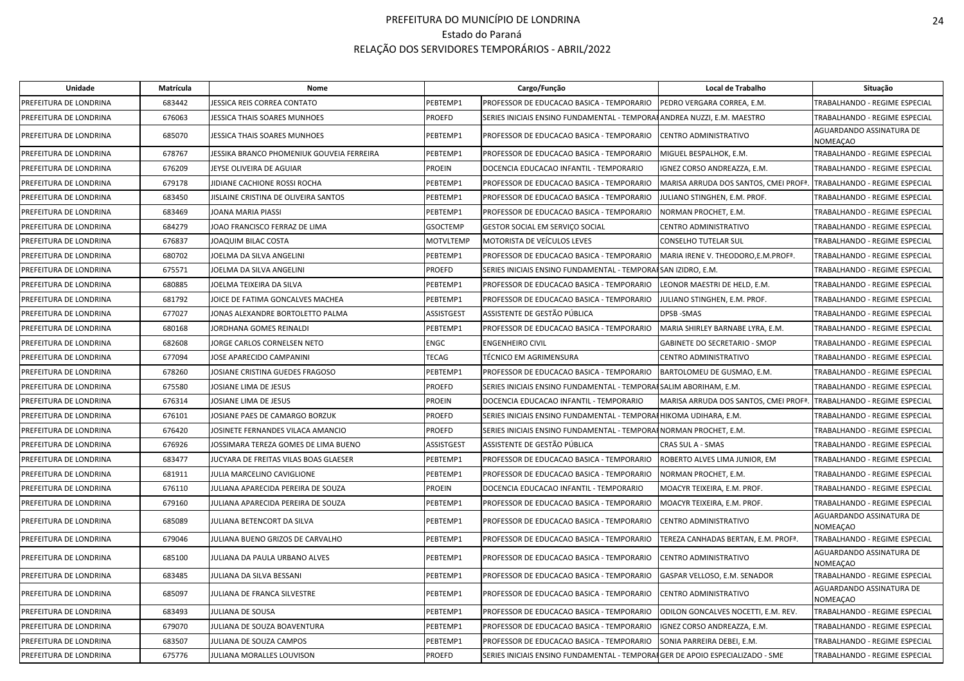| Unidade                | Matrícula | Nome                                     |                   | Cargo/Função                                                                  | Local de Trabalho                                 | Situação                             |
|------------------------|-----------|------------------------------------------|-------------------|-------------------------------------------------------------------------------|---------------------------------------------------|--------------------------------------|
| PREFEITURA DE LONDRINA | 683442    | JESSICA REIS CORREA CONTATO              | PEBTEMP1          | PROFESSOR DE EDUCACAO BASICA - TEMPORARIO                                     | PEDRO VERGARA CORREA, E.M.                        | TRABALHANDO - REGIME ESPECIAL        |
| PREFEITURA DE LONDRINA | 676063    | IESSICA THAIS SOARES MUNHOES             | PROEFD            | SERIES INICIAIS ENSINO FUNDAMENTAL - TEMPORAHANDREA NUZZI, E.M. MAESTRO       |                                                   | TRABALHANDO - REGIME ESPECIAL        |
| PREFEITURA DE LONDRINA | 685070    | JESSICA THAIS SOARES MUNHOES             | PEBTEMP1          | PROFESSOR DE EDUCACAO BASICA - TEMPORARIO                                     | CENTRO ADMINISTRATIVO                             | AGUARDANDO ASSINATURA DE<br>NOMEACAO |
| PREFEITURA DE LONDRINA | 678767    | ESSIKA BRANCO PHOMENIUK GOUVEIA FERREIRA | PEBTEMP1          | PROFESSOR DE EDUCACAO BASICA - TEMPORARIO                                     | MIGUEL BESPALHOK, E.M.                            | TRABALHANDO - REGIME ESPECIAL        |
| PREFEITURA DE LONDRINA | 676209    | <b>IEYSE OLIVEIRA DE AGUIAR</b>          | PROEIN            | DOCENCIA EDUCACAO INFANTIL - TEMPORARIO                                       | IGNEZ CORSO ANDREAZZA, E.M.                       | TRABALHANDO - REGIME ESPECIAL        |
| PREFEITURA DE LONDRINA | 679178    | IIDIANE CACHIONE ROSSI ROCHA             | PEBTEMP1          | PROFESSOR DE EDUCACAO BASICA - TEMPORARIO                                     | MARISA ARRUDA DOS SANTOS, CMEI PROFª.             | TRABALHANDO - REGIME ESPECIAL        |
| PREFEITURA DE LONDRINA | 683450    | ISLAINE CRISTINA DE OLIVEIRA SANTOS      | PEBTEMP1          | PROFESSOR DE EDUCACAO BASICA - TEMPORARIO                                     | ULIANO STINGHEN, E.M. PROF.                       | TRABALHANDO - REGIME ESPECIAL        |
| PREFEITURA DE LONDRINA | 683469    | JOANA MARIA PIASSI                       | PEBTEMP1          | PROFESSOR DE EDUCACAO BASICA - TEMPORARIO                                     | NORMAN PROCHET, E.M.                              | TRABALHANDO - REGIME ESPECIAL        |
| PREFEITURA DE LONDRINA | 684279    | JOAO FRANCISCO FERRAZ DE LIMA            | <b>GSOCTEMP</b>   | GESTOR SOCIAL EM SERVIÇO SOCIAL                                               | CENTRO ADMINISTRATIVO                             | TRABALHANDO - REGIME ESPECIAL        |
| PREFEITURA DE LONDRINA | 676837    | JOAQUIM BILAC COSTA                      | <b>MOTVLTEMP</b>  | MOTORISTA DE VEÍCULOS LEVES                                                   | CONSELHO TUTELAR SUL                              | TRABALHANDO - REGIME ESPECIAL        |
| PREFEITURA DE LONDRINA | 680702    | JOELMA DA SILVA ANGELINI                 | PEBTEMP1          | PROFESSOR DE EDUCACAO BASICA - TEMPORARIO                                     | MARIA IRENE V. THEODORO, E.M. PROF <sup>ª</sup> . | TRABALHANDO - REGIME ESPECIAL        |
| PREFEITURA DE LONDRINA | 675571    | JOELMA DA SILVA ANGELINI                 | <b>PROEFD</b>     | SERIES INICIAIS ENSINO FUNDAMENTAL - TEMPORAISAN IZIDRO, E.M.                 |                                                   | TRABALHANDO - REGIME ESPECIAL        |
| PREFEITURA DE LONDRINA | 680885    | JOELMA TEIXEIRA DA SILVA                 | PEBTEMP1          | PROFESSOR DE EDUCACAO BASICA - TEMPORARIO                                     | LEONOR MAESTRI DE HELD, E.M.                      | TRABALHANDO - REGIME ESPECIAL        |
| PREFEITURA DE LONDRINA | 681792    | JOICE DE FATIMA GONCALVES MACHEA         | PEBTEMP1          | PROFESSOR DE EDUCACAO BASICA - TEMPORARIO                                     | JULIANO STINGHEN, E.M. PROF.                      | TRABALHANDO - REGIME ESPECIAL        |
| PREFEITURA DE LONDRINA | 677027    | JONAS ALEXANDRE BORTOLETTO PALMA         | ASSISTGEST        | ASSISTENTE DE GESTÃO PÚBLICA                                                  | DPSB-SMAS                                         | TRABALHANDO - REGIME ESPECIAL        |
| PREFEITURA DE LONDRINA | 680168    | JORDHANA GOMES REINALDI                  | PEBTEMP1          | PROFESSOR DE EDUCACAO BASICA - TEMPORARIO                                     | MARIA SHIRLEY BARNABE LYRA, E.M.                  | TRABALHANDO - REGIME ESPECIAL        |
| PREFEITURA DE LONDRINA | 682608    | JORGE CARLOS CORNELSEN NETO              | ENGC              | <b>ENGENHEIRO CIVIL</b>                                                       | GABINETE DO SECRETARIO - SMOP                     | TRABALHANDO - REGIME ESPECIAL        |
| PREFEITURA DE LONDRINA | 677094    | <b>IOSE APARECIDO CAMPANINI</b>          | <b>TECAG</b>      | TÉCNICO EM AGRIMENSURA                                                        | CENTRO ADMINISTRATIVO                             | TRABALHANDO - REGIME ESPECIAL        |
| PREFEITURA DE LONDRINA | 678260    | <b>IOSIANE CRISTINA GUEDES FRAGOSO</b>   | PEBTEMP1          | PROFESSOR DE EDUCACAO BASICA - TEMPORARIO                                     | BARTOLOMEU DE GUSMAO, E.M.                        | TRABALHANDO - REGIME ESPECIAL        |
| PREFEITURA DE LONDRINA | 675580    | <b>IOSIANE LIMA DE JESUS</b>             | PROEFD            | SERIES INICIAIS ENSINO FUNDAMENTAL - TEMPORAISALIM ABORIHAM, E.M.             |                                                   | TRABALHANDO - REGIME ESPECIAL        |
| PREFEITURA DE LONDRINA | 676314    | JOSIANE LIMA DE JESUS                    | PROEIN            | DOCENCIA EDUCACAO INFANTIL - TEMPORARIO                                       | MARISA ARRUDA DOS SANTOS, CMEI PROFª.             | TRABALHANDO - REGIME ESPECIAL        |
| PREFEITURA DE LONDRINA | 676101    | <b>IOSIANE PAES DE CAMARGO BORZUK</b>    | PROEFD            | SERIES INICIAIS ENSINO FUNDAMENTAL - TEMPORAHHIKOMA UDIHARA, E.M.             |                                                   | TRABALHANDO - REGIME ESPECIAL        |
| PREFEITURA DE LONDRINA | 676420    | JOSINETE FERNANDES VILACA AMANCIO        | PROEFD            | SERIES INICIAIS ENSINO FUNDAMENTAL - TEMPORAHNORMAN PROCHET, E.M.             |                                                   | TRABALHANDO - REGIME ESPECIAL        |
| PREFEITURA DE LONDRINA | 676926    | JOSSIMARA TEREZA GOMES DE LIMA BUENO     | <b>ASSISTGEST</b> | ASSISTENTE DE GESTÃO PÚBLICA                                                  | CRAS SUL A - SMAS                                 | TRABALHANDO - REGIME ESPECIAL        |
| PREFEITURA DE LONDRINA | 683477    | JUCYARA DE FREITAS VILAS BOAS GLAESER    | PEBTEMP1          | PROFESSOR DE EDUCACAO BASICA - TEMPORARIO                                     | ROBERTO ALVES LIMA JUNIOR, EM                     | TRABALHANDO - REGIME ESPECIAL        |
| PREFEITURA DE LONDRINA | 681911    | <b>JULIA MARCELINO CAVIGLIONE</b>        | PEBTEMP1          | PROFESSOR DE EDUCACAO BASICA - TEMPORARIO                                     | NORMAN PROCHET, E.M.                              | TRABALHANDO - REGIME ESPECIAL        |
| PREFEITURA DE LONDRINA | 676110    | IULIANA APARECIDA PEREIRA DE SOUZA       | PROEIN            | DOCENCIA EDUCACAO INFANTIL - TEMPORARIO                                       | MOACYR TEIXEIRA, E.M. PROF.                       | TRABALHANDO - REGIME ESPECIAL        |
| PREFEITURA DE LONDRINA | 679160    | IULIANA APARECIDA PEREIRA DE SOUZA       | PEBTEMP1          | PROFESSOR DE EDUCACAO BASICA - TEMPORARIO                                     | MOACYR TEIXEIRA, E.M. PROF.                       | TRABALHANDO - REGIME ESPECIAL        |
| PREFEITURA DE LONDRINA | 685089    | IULIANA BETENCORT DA SILVA               | PEBTEMP1          | PROFESSOR DE EDUCACAO BASICA - TEMPORARIO                                     | CENTRO ADMINISTRATIVO                             | AGUARDANDO ASSINATURA DE<br>NOMEAÇAO |
| PREFEITURA DE LONDRINA | 679046    | JULIANA BUENO GRIZOS DE CARVALHO         | PEBTEMP1          | PROFESSOR DE EDUCACAO BASICA - TEMPORARIO                                     | TEREZA CANHADAS BERTAN, E.M. PROF <sup>ª</sup> .  | TRABALHANDO - REGIME ESPECIAL        |
| PREFEITURA DE LONDRINA | 685100    | JULIANA DA PAULA URBANO ALVES            | PEBTEMP1          | PROFESSOR DE EDUCACAO BASICA - TEMPORARIO                                     | CENTRO ADMINISTRATIVO                             | AGUARDANDO ASSINATURA DE<br>NOMEAÇAO |
| PREFEITURA DE LONDRINA | 683485    | IULIANA DA SILVA BESSANI                 | PEBTEMP1          | PROFESSOR DE EDUCACAO BASICA - TEMPORARIO                                     | GASPAR VELLOSO. E.M. SENADOR                      | TRABALHANDO - REGIME ESPECIAL        |
| PREFEITURA DE LONDRINA | 685097    | JULIANA DE FRANCA SILVESTRE              | PEBTEMP1          | PROFESSOR DE EDUCACAO BASICA - TEMPORARIO                                     | CENTRO ADMINISTRATIVO                             | AGUARDANDO ASSINATURA DE<br>NOMEAÇAO |
| PREFEITURA DE LONDRINA | 683493    | JULIANA DE SOUSA                         | PEBTEMP1          | PROFESSOR DE EDUCACAO BASICA - TEMPORARIO                                     | ODILON GONCALVES NOCETTI, E.M. REV.               | TRABALHANDO - REGIME ESPECIAL        |
| PREFEITURA DE LONDRINA | 679070    | ULIANA DE SOUZA BOAVENTURA               | PEBTEMP1          | PROFESSOR DE EDUCACAO BASICA - TEMPORARIO                                     | IGNEZ CORSO ANDREAZZA, E.M.                       | TRABALHANDO - REGIME ESPECIAL        |
| PREFEITURA DE LONDRINA | 683507    | JULIANA DE SOUZA CAMPOS                  | PEBTEMP1          | PROFESSOR DE EDUCACAO BASICA - TEMPORARIO                                     | SONIA PARREIRA DEBEI, E.M.                        | TRABALHANDO - REGIME ESPECIAL        |
| PREFEITURA DE LONDRINA | 675776    | JULIANA MORALLES LOUVISON                | PROEFD            | SERIES INICIAIS ENSINO FUNDAMENTAL - TEMPORAIGER DE APOIO ESPECIALIZADO - SME |                                                   | TRABALHANDO - REGIME ESPECIAL        |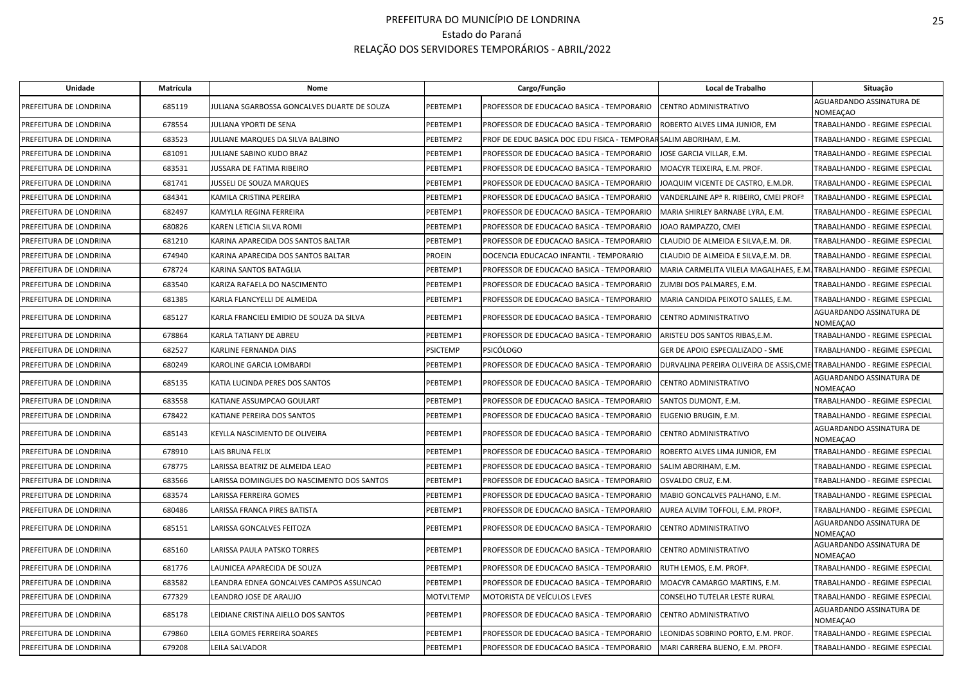| Unidade                | Matrícula | Nome                                        |                 | Cargo/Função                                                       | Local de Trabalho                                                      | Situação                             |
|------------------------|-----------|---------------------------------------------|-----------------|--------------------------------------------------------------------|------------------------------------------------------------------------|--------------------------------------|
| PREFEITURA DE LONDRINA | 685119    | JULIANA SGARBOSSA GONCALVES DUARTE DE SOUZA | PEBTEMP1        | PROFESSOR DE EDUCACAO BASICA - TEMPORARIO                          | CENTRO ADMINISTRATIVO                                                  | AGUARDANDO ASSINATURA DE<br>NOMEAÇAO |
| PREFEITURA DE LONDRINA | 678554    | JULIANA YPORTI DE SENA                      | PEBTEMP1        | PROFESSOR DE EDUCACAO BASICA - TEMPORARIO                          | ROBERTO ALVES LIMA JUNIOR, EM                                          | TRABALHANDO - REGIME ESPECIAL        |
| PREFEITURA DE LONDRINA | 683523    | JULIANE MARQUES DA SILVA BALBINO            | PEBTEMP2        | PROF DE EDUC BASICA DOC EDU FISICA - TEMPORAR SALIM ABORIHAM, E.M. |                                                                        | TRABALHANDO - REGIME ESPECIAL        |
| PREFEITURA DE LONDRINA | 681091    | JULIANE SABINO KUDO BRAZ                    | PEBTEMP1        | PROFESSOR DE EDUCACAO BASICA - TEMPORARIO                          | JOSE GARCIA VILLAR, E.M.                                               | TRABALHANDO - REGIME ESPECIAL        |
| PREFEITURA DE LONDRINA | 683531    | JUSSARA DE FATIMA RIBEIRO                   | PEBTEMP1        | PROFESSOR DE EDUCACAO BASICA - TEMPORARIO                          | MOACYR TEIXEIRA, E.M. PROF.                                            | TRABALHANDO - REGIME ESPECIAL        |
| PREFEITURA DE LONDRINA | 681741    | JUSSELI DE SOUZA MARQUES                    | PEBTEMP1        | PROFESSOR DE EDUCACAO BASICA - TEMPORARIO                          | IOAQUIM VICENTE DE CASTRO, E.M.DR.                                     | TRABALHANDO - REGIME ESPECIAL        |
| PREFEITURA DE LONDRINA | 684341    | KAMILA CRISTINA PEREIRA                     | PEBTEMP1        | PROFESSOR DE EDUCACAO BASICA - TEMPORARIO                          | VANDERLAINE AP <sup>a</sup> R. RIBEIRO, CMEI PROF <sup>a</sup>         | TRABALHANDO - REGIME ESPECIAL        |
| PREFEITURA DE LONDRINA | 682497    | KAMYLLA REGINA FERREIRA                     | PEBTEMP1        | PROFESSOR DE EDUCACAO BASICA - TEMPORARIO                          | MARIA SHIRLEY BARNABE LYRA, E.M.                                       | TRABALHANDO - REGIME ESPECIAL        |
| PREFEITURA DE LONDRINA | 680826    | KAREN LETICIA SILVA ROMI                    | PEBTEMP1        | PROFESSOR DE EDUCACAO BASICA - TEMPORARIO                          | JOAO RAMPAZZO, CMEI                                                    | TRABALHANDO - REGIME ESPECIAL        |
| PREFEITURA DE LONDRINA | 681210    | KARINA APARECIDA DOS SANTOS BALTAR          | PEBTEMP1        | PROFESSOR DE EDUCACAO BASICA - TEMPORARIO                          | CLAUDIO DE ALMEIDA E SILVA,E.M. DR.                                    | TRABALHANDO - REGIME ESPECIAL        |
| PREFEITURA DE LONDRINA | 674940    | KARINA APARECIDA DOS SANTOS BALTAR          | PROEIN          | DOCENCIA EDUCACAO INFANTIL - TEMPORARIO                            | CLAUDIO DE ALMEIDA E SILVA, E.M. DR.                                   | TRABALHANDO - REGIME ESPECIAL        |
| PREFEITURA DE LONDRINA | 678724    | KARINA SANTOS BATAGLIA                      | PEBTEMP1        | PROFESSOR DE EDUCACAO BASICA - TEMPORARIO                          | MARIA CARMELITA VILELA MAGALHAES, E.M. TRABALHANDO - REGIME ESPECIAL   |                                      |
| PREFEITURA DE LONDRINA | 683540    | KARIZA RAFAELA DO NASCIMENTO                | PEBTEMP1        | PROFESSOR DE EDUCACAO BASICA - TEMPORARIO                          | ZUMBI DOS PALMARES, E.M.                                               | TRABALHANDO - REGIME ESPECIAL        |
| PREFEITURA DE LONDRINA | 681385    | KARLA FLANCYELLI DE ALMEIDA                 | PEBTEMP1        | PROFESSOR DE EDUCACAO BASICA - TEMPORARIO                          | MARIA CANDIDA PEIXOTO SALLES. E.M.                                     | TRABALHANDO - REGIME ESPECIAL        |
| PREFEITURA DE LONDRINA | 685127    | KARLA FRANCIELI EMIDIO DE SOUZA DA SILVA    | PEBTEMP1        | PROFESSOR DE EDUCACAO BASICA - TEMPORARIO                          | CENTRO ADMINISTRATIVO                                                  | AGUARDANDO ASSINATURA DE<br>NOMEAÇAO |
| PREFEITURA DE LONDRINA | 678864    | KARLA TATIANY DE ABREU                      | PEBTEMP1        | PROFESSOR DE EDUCACAO BASICA - TEMPORARIO                          | ARISTEU DOS SANTOS RIBAS,E.M.                                          | TRABALHANDO - REGIME ESPECIAL        |
| PREFEITURA DE LONDRINA | 682527    | KARLINE FERNANDA DIAS                       | <b>PSICTEMP</b> | PSICÓLOGO                                                          | GER DE APOIO ESPECIALIZADO - SME                                       | TRABALHANDO - REGIME ESPECIAL        |
| PREFEITURA DE LONDRINA | 680249    | KAROLINE GARCIA LOMBARDI                    | PEBTEMP1        | PROFESSOR DE EDUCACAO BASICA - TEMPORARIO                          | DURVALINA PEREIRA OLIVEIRA DE ASSIS, CMEITRABALHANDO - REGIME ESPECIAL |                                      |
| PREFEITURA DE LONDRINA | 685135    | KATIA LUCINDA PERES DOS SANTOS              | PEBTEMP1        | PROFESSOR DE EDUCACAO BASICA - TEMPORARIO                          | CENTRO ADMINISTRATIVO                                                  | AGUARDANDO ASSINATURA DE<br>NOMEAÇAO |
| PREFEITURA DE LONDRINA | 683558    | KATIANE ASSUMPCAO GOULART                   | PEBTEMP1        | PROFESSOR DE EDUCACAO BASICA - TEMPORARIO                          | SANTOS DUMONT, E.M.                                                    | TRABALHANDO - REGIME ESPECIAL        |
| PREFEITURA DE LONDRINA | 678422    | KATIANE PEREIRA DOS SANTOS                  | PEBTEMP1        | PROFESSOR DE EDUCACAO BASICA - TEMPORARIO                          | EUGENIO BRUGIN, E.M.                                                   | TRABALHANDO - REGIME ESPECIAL        |
| PREFEITURA DE LONDRINA | 685143    | KEYLLA NASCIMENTO DE OLIVEIRA               | PEBTEMP1        | PROFESSOR DE EDUCACAO BASICA - TEMPORARIO                          | CENTRO ADMINISTRATIVO                                                  | AGUARDANDO ASSINATURA DE<br>NOMEACAO |
| PREFEITURA DE LONDRINA | 678910    | LAIS BRUNA FELIX                            | PEBTEMP1        | PROFESSOR DE EDUCACAO BASICA - TEMPORARIO                          | ROBERTO ALVES LIMA JUNIOR, EM                                          | TRABALHANDO - REGIME ESPECIAL        |
| PREFEITURA DE LONDRINA | 678775    | LARISSA BEATRIZ DE ALMEIDA LEAO             | PEBTEMP1        | PROFESSOR DE EDUCACAO BASICA - TEMPORARIO                          | SALIM ABORIHAM, E.M.                                                   | TRABALHANDO - REGIME ESPECIAL        |
| PREFEITURA DE LONDRINA | 683566    | LARISSA DOMINGUES DO NASCIMENTO DOS SANTOS  | PEBTEMP1        | PROFESSOR DE EDUCACAO BASICA - TEMPORARIO                          | OSVALDO CRUZ, E.M.                                                     | TRABALHANDO - REGIME ESPECIAL        |
| PREFEITURA DE LONDRINA | 683574    | LARISSA FERREIRA GOMES                      | PEBTEMP1        | PROFESSOR DE EDUCACAO BASICA - TEMPORARIO                          | MABIO GONCALVES PALHANO, E.M.                                          | TRABALHANDO - REGIME ESPECIAL        |
| PREFEITURA DE LONDRINA | 680486    | <b>LARISSA FRANCA PIRES BATISTA</b>         | PEBTEMP1        | PROFESSOR DE EDUCACAO BASICA - TEMPORARIO                          | AUREA ALVIM TOFFOLI, E.M. PROFª.                                       | TRABALHANDO - REGIME ESPECIAL        |
| PREFEITURA DE LONDRINA | 685151    | LARISSA GONCALVES FEITOZA                   | PEBTEMP1        | PROFESSOR DE EDUCACAO BASICA - TEMPORARIO                          | CENTRO ADMINISTRATIVO                                                  | AGUARDANDO ASSINATURA DE<br>NOMEAÇAO |
| PREFEITURA DE LONDRINA | 685160    | LARISSA PAULA PATSKO TORRES                 | PEBTEMP1        | PROFESSOR DE EDUCACAO BASICA - TEMPORARIO                          | CENTRO ADMINISTRATIVO                                                  | AGUARDANDO ASSINATURA DE<br>NOMEAÇAO |
| PREFEITURA DE LONDRINA | 681776    | LAUNICEA APARECIDA DE SOUZA                 | PEBTEMP1        | PROFESSOR DE EDUCACAO BASICA - TEMPORARIO                          | RUTH LEMOS, E.M. PROFª.                                                | TRABALHANDO - REGIME ESPECIAL        |
| PREFEITURA DE LONDRINA | 683582    | LEANDRA EDNEA GONCALVES CAMPOS ASSUNCAO     | PEBTEMP1        | PROFESSOR DE EDUCACAO BASICA - TEMPORARIO                          | MOACYR CAMARGO MARTINS, E.M.                                           | TRABALHANDO - REGIME ESPECIAL        |
| PREFEITURA DE LONDRINA | 677329    | LEANDRO JOSE DE ARAUJO                      | MOTVLTEMP       | MOTORISTA DE VEÍCULOS LEVES                                        | CONSELHO TUTELAR LESTE RURAL                                           | TRABALHANDO - REGIME ESPECIAL        |
| PREFEITURA DE LONDRINA | 685178    | LEIDIANE CRISTINA AIELLO DOS SANTOS         | PEBTEMP1        | PROFESSOR DE EDUCACAO BASICA - TEMPORARIO                          | CENTRO ADMINISTRATIVO                                                  | AGUARDANDO ASSINATURA DE<br>NOMEAÇAO |
| PREFEITURA DE LONDRINA | 679860    | LEILA GOMES FERREIRA SOARES                 | PEBTEMP1        | PROFESSOR DE EDUCACAO BASICA - TEMPORARIO                          | EONIDAS SOBRINO PORTO, E.M. PROF.                                      | TRABALHANDO - REGIME ESPECIAL        |
| PREFEITURA DE LONDRINA | 679208    | LEILA SALVADOR                              | PEBTEMP1        | PROFESSOR DE EDUCACAO BASICA - TEMPORARIO                          | MARI CARRERA BUENO, E.M. PROFª.                                        | TRABALHANDO - REGIME ESPECIAL        |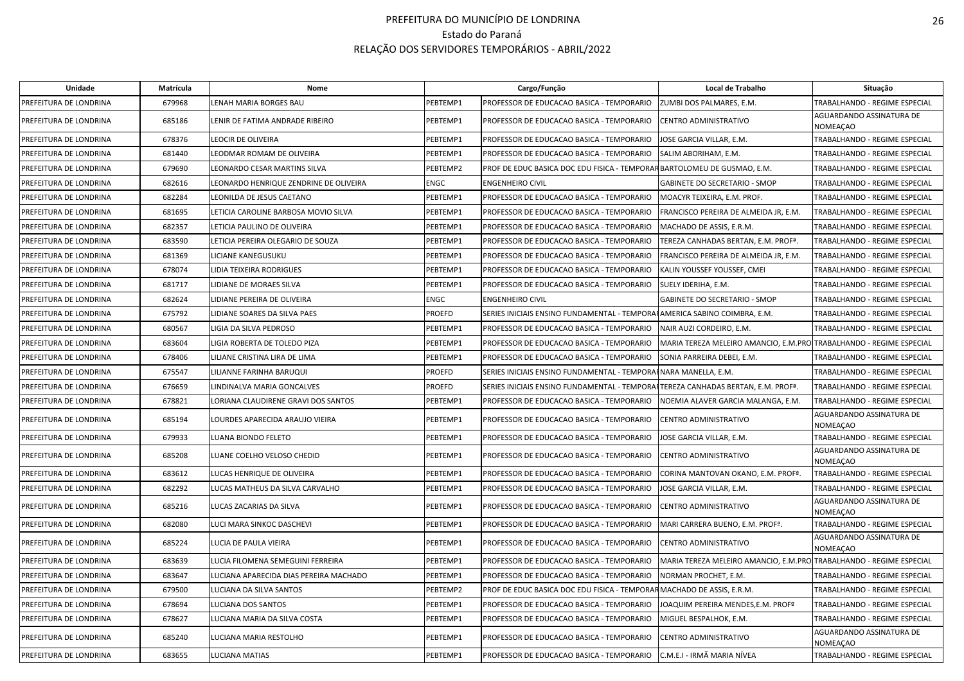| Unidade                | Matrícula | Nome                                   |          | Cargo/Função                                                                                | Local de Trabalho                                                   | Situação                             |
|------------------------|-----------|----------------------------------------|----------|---------------------------------------------------------------------------------------------|---------------------------------------------------------------------|--------------------------------------|
| PREFEITURA DE LONDRINA | 679968    | ENAH MARIA BORGES BAU                  | PEBTEMP1 | PROFESSOR DE EDUCACAO BASICA - TEMPORARIO                                                   | ZUMBI DOS PALMARES, E.M.                                            | TRABALHANDO - REGIME ESPECIAL        |
| PREFEITURA DE LONDRINA | 685186    | LENIR DE FATIMA ANDRADE RIBEIRO        | PEBTEMP1 | PROFESSOR DE EDUCACAO BASICA - TEMPORARIO                                                   | <b>CENTRO ADMINISTRATIVO</b>                                        | AGUARDANDO ASSINATURA DE<br>NOMEAÇAO |
| PREFEITURA DE LONDRINA | 678376    | LEOCIR DE OLIVEIRA                     | PEBTEMP1 | PROFESSOR DE EDUCACAO BASICA - TEMPORARIO                                                   | JOSE GARCIA VILLAR, E.M.                                            | TRABALHANDO - REGIME ESPECIAL        |
| PREFEITURA DE LONDRINA | 681440    | LEODMAR ROMAM DE OLIVEIRA              | PEBTEMP1 | PROFESSOR DE EDUCACAO BASICA - TEMPORARIO                                                   | SALIM ABORIHAM, E.M.                                                | TRABALHANDO - REGIME ESPECIAL        |
| PREFEITURA DE LONDRINA | 679690    | LEONARDO CESAR MARTINS SILVA           | PEBTEMP2 | PROF DE EDUC BASICA DOC EDU FISICA - TEMPORAR BARTOLOMEU DE GUSMAO, E.M.                    |                                                                     | TRABALHANDO - REGIME ESPECIAL        |
| PREFEITURA DE LONDRINA | 682616    | LEONARDO HENRIQUE ZENDRINE DE OLIVEIRA | ENGC     | <b>ENGENHEIRO CIVIL</b>                                                                     | GABINETE DO SECRETARIO - SMOP                                       | TRABALHANDO - REGIME ESPECIAL        |
| PREFEITURA DE LONDRINA | 682284    | LEONILDA DE JESUS CAETANO              | PEBTEMP1 | PROFESSOR DE EDUCACAO BASICA - TEMPORARIO                                                   | MOACYR TEIXEIRA, E.M. PROF.                                         | TRABALHANDO - REGIME ESPECIAL        |
| PREFEITURA DE LONDRINA | 681695    | ETICIA CAROLINE BARBOSA MOVIO SILVA.   | PEBTEMP1 | PROFESSOR DE EDUCACAO BASICA - TEMPORARIO                                                   | FRANCISCO PEREIRA DE ALMEIDA JR, E.M.                               | TRABALHANDO - REGIME ESPECIAL        |
| PREFEITURA DE LONDRINA | 682357    | LETICIA PAULINO DE OLIVEIRA            | PEBTEMP1 | PROFESSOR DE EDUCACAO BASICA - TEMPORARIO                                                   | MACHADO DE ASSIS, E.R.M.                                            | TRABALHANDO - REGIME ESPECIAL        |
| PREFEITURA DE LONDRINA | 683590    | LETICIA PEREIRA OLEGARIO DE SOUZA      | PEBTEMP1 | PROFESSOR DE EDUCACAO BASICA - TEMPORARIO                                                   | TEREZA CANHADAS BERTAN, E.M. PROF <sup>ª</sup>                      | TRABALHANDO - REGIME ESPECIAL        |
| PREFEITURA DE LONDRINA | 681369    | LICIANE KANEGUSUKU                     | PEBTEMP1 | PROFESSOR DE EDUCACAO BASICA - TEMPORARIO                                                   | FRANCISCO PEREIRA DE ALMEIDA JR, E.M.                               | TRABALHANDO - REGIME ESPECIAL        |
| PREFEITURA DE LONDRINA | 678074    | LIDIA TEIXEIRA RODRIGUES               | PEBTEMP1 | PROFESSOR DE EDUCACAO BASICA - TEMPORARIO                                                   | KALIN YOUSSEF YOUSSEF, CMEI                                         | TRABALHANDO - REGIME ESPECIAL        |
| PREFEITURA DE LONDRINA | 681717    | IDIANE DE MORAES SILVA                 | PEBTEMP1 | PROFESSOR DE EDUCACAO BASICA - TEMPORARIO                                                   | SUELY IDERIHA, E.M.                                                 | TRABALHANDO - REGIME ESPECIAL        |
| PREFEITURA DE LONDRINA | 682624    | LIDIANE PEREIRA DE OLIVEIRA            | ENGC     | <b>ENGENHEIRO CIVIL</b>                                                                     | GABINETE DO SECRETARIO - SMOP                                       | TRABALHANDO - REGIME ESPECIAL        |
| PREFEITURA DE LONDRINA | 675792    | <b>IDIANE SOARES DA SILVA PAES</b>     | PROEFD   | SERIES INICIAIS ENSINO FUNDAMENTAL - TEMPORAHAMERICA SABINO COIMBRA, E.M.                   |                                                                     | TRABALHANDO - REGIME ESPECIAL        |
| PREFEITURA DE LONDRINA | 680567    | LIGIA DA SILVA PEDROSO                 | PEBTEMP1 | PROFESSOR DE EDUCACAO BASICA - TEMPORARIO                                                   | NAIR AUZI CORDEIRO, E.M.                                            | TRABALHANDO - REGIME ESPECIAL        |
| PREFEITURA DE LONDRINA | 683604    | LIGIA ROBERTA DE TOLEDO PIZA           | PEBTEMP1 | PROFESSOR DE EDUCACAO BASICA - TEMPORARIO                                                   | MARIA TEREZA MELEIRO AMANCIO, E.M.PRO TRABALHANDO - REGIME ESPECIAL |                                      |
| PREFEITURA DE LONDRINA | 678406    | LILIANE CRISTINA LIRA DE LIMA          | PEBTEMP1 | PROFESSOR DE EDUCACAO BASICA - TEMPORARIO                                                   | SONIA PARREIRA DEBEI, E.M.                                          | TRABALHANDO - REGIME ESPECIAL        |
| PREFEITURA DE LONDRINA | 675547    | ILIANNE FARINHA BARUQUI                | PROEFD   | SERIES INICIAIS ENSINO FUNDAMENTAL - TEMPORAHNARA MANELLA, E.M.                             |                                                                     | TRABALHANDO - REGIME ESPECIAL        |
| PREFEITURA DE LONDRINA | 676659    | LINDINALVA MARIA GONCALVES             | PROEFD   | SERIES INICIAIS ENSINO FUNDAMENTAL - TEMPORAFTEREZA CANHADAS BERTAN, E.M. PROF <sup>a</sup> |                                                                     | TRABALHANDO - REGIME ESPECIAL        |
| PREFEITURA DE LONDRINA | 678821    | LORIANA CLAUDIRENE GRAVI DOS SANTOS    | PEBTEMP1 | PROFESSOR DE EDUCACAO BASICA - TEMPORARIO                                                   | NOEMIA ALAVER GARCIA MALANGA, E.M.                                  | TRABALHANDO - REGIME ESPECIAL        |
| PREFEITURA DE LONDRINA | 685194    | LOURDES APARECIDA ARAUJO VIEIRA        | PEBTEMP1 | PROFESSOR DE EDUCACAO BASICA - TEMPORARIO                                                   | CENTRO ADMINISTRATIVO                                               | AGUARDANDO ASSINATURA DE<br>NOMEAÇAO |
| PREFEITURA DE LONDRINA | 679933    | LUANA BIONDO FELETO                    | PEBTEMP1 | PROFESSOR DE EDUCACAO BASICA - TEMPORARIO                                                   | JOSE GARCIA VILLAR, E.M.                                            | TRABALHANDO - REGIME ESPECIAL        |
| PREFEITURA DE LONDRINA | 685208    | LUANE COELHO VELOSO CHEDID             | PEBTEMP1 | PROFESSOR DE EDUCACAO BASICA - TEMPORARIO                                                   | CENTRO ADMINISTRATIVO                                               | AGUARDANDO ASSINATURA DE<br>NOMEAÇAO |
| PREFEITURA DE LONDRINA | 683612    | LUCAS HENRIQUE DE OLIVEIRA             | PEBTEMP1 | PROFESSOR DE EDUCACAO BASICA - TEMPORARIO                                                   | CORINA MANTOVAN OKANO, E.M. PROFª.                                  | TRABALHANDO - REGIME ESPECIAL        |
| PREFEITURA DE LONDRINA | 682292    | LUCAS MATHEUS DA SILVA CARVALHO        | PEBTEMP1 | PROFESSOR DE EDUCACAO BASICA - TEMPORARIO                                                   | JOSE GARCIA VILLAR, E.M.                                            | TRABALHANDO - REGIME ESPECIAL        |
| PREFEITURA DE LONDRINA | 685216    | LUCAS ZACARIAS DA SILVA                | PEBTEMP1 | PROFESSOR DE EDUCACAO BASICA - TEMPORARIO                                                   | CENTRO ADMINISTRATIVO                                               | AGUARDANDO ASSINATURA DE<br>NOMEAÇAO |
| PREFEITURA DE LONDRINA | 682080    | LUCI MARA SINKOC DASCHEVI              | PEBTEMP1 | PROFESSOR DE EDUCACAO BASICA - TEMPORARIO                                                   | MARI CARRERA BUENO, E.M. PROF <sup>ª</sup> .                        | TRABALHANDO - REGIME ESPECIAL        |
| PREFEITURA DE LONDRINA | 685224    | LUCIA DE PAULA VIEIRA                  | PEBTEMP1 | PROFESSOR DE EDUCACAO BASICA - TEMPORARIO                                                   | CENTRO ADMINISTRATIVO                                               | AGUARDANDO ASSINATURA DE<br>NOMEAÇAO |
| PREFEITURA DE LONDRINA | 683639    | LUCIA FILOMENA SEMEGUINI FERREIRA      | PEBTEMP1 | PROFESSOR DE EDUCACAO BASICA - TEMPORARIO                                                   | MARIA TEREZA MELEIRO AMANCIO, E.M.PRO TRABALHANDO - REGIME ESPECIAL |                                      |
| PREFEITURA DE LONDRINA | 683647    | LUCIANA APARECIDA DIAS PEREIRA MACHADO | PEBTEMP1 | PROFESSOR DE EDUCACAO BASICA - TEMPORARIO                                                   | NORMAN PROCHET, E.M.                                                | TRABALHANDO - REGIME ESPECIAL        |
| PREFEITURA DE LONDRINA | 679500    | LUCIANA DA SILVA SANTOS                | PEBTEMP2 | PROF DE EDUC BASICA DOC EDU FISICA - TEMPORAR MACHADO DE ASSIS, E.R.M.                      |                                                                     | TRABALHANDO - REGIME ESPECIAL        |
| PREFEITURA DE LONDRINA | 678694    | LUCIANA DOS SANTOS                     | PEBTEMP1 | PROFESSOR DE EDUCACAO BASICA - TEMPORARIO                                                   | JOAQUIM PEREIRA MENDES,E.M. PROFº                                   | TRABALHANDO - REGIME ESPECIAL        |
| PREFEITURA DE LONDRINA | 678627    | LUCIANA MARIA DA SILVA COSTA           | PEBTEMP1 | PROFESSOR DE EDUCACAO BASICA - TEMPORARIO                                                   | MIGUEL BESPALHOK, E.M.                                              | TRABALHANDO - REGIME ESPECIAL        |
| PREFEITURA DE LONDRINA | 685240    | LUCIANA MARIA RESTOLHO                 | PEBTEMP1 | PROFESSOR DE EDUCACAO BASICA - TEMPORARIO                                                   | CENTRO ADMINISTRATIVO                                               | AGUARDANDO ASSINATURA DE<br>NOMEAÇAO |
| PREFEITURA DE LONDRINA | 683655    | LUCIANA MATIAS                         | PEBTEMP1 | PROFESSOR DE EDUCACAO BASICA - TEMPORARIO                                                   | C.M.E.I - IRMÃ MARIA NÍVEA                                          | TRABALHANDO - REGIME ESPECIAL        |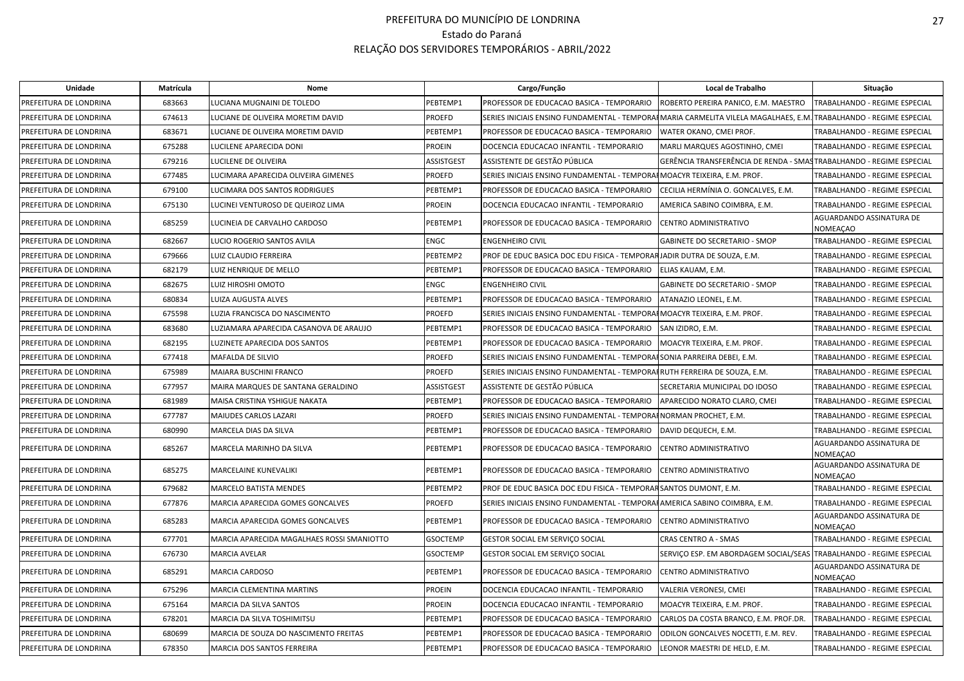| <b>Unidade</b>         | Matrícula | Nome                                       |                   | Cargo/Função                                                                                                      | Local de Trabalho                                                   | Situação                                    |
|------------------------|-----------|--------------------------------------------|-------------------|-------------------------------------------------------------------------------------------------------------------|---------------------------------------------------------------------|---------------------------------------------|
| PREFEITURA DE LONDRINA | 683663    | LUCIANA MUGNAINI DE TOLEDO                 | PEBTEMP1          | PROFESSOR DE EDUCACAO BASICA - TEMPORARIO                                                                         | ROBERTO PEREIRA PANICO, E.M. MAESTRO                                | TRABALHANDO - REGIME ESPECIAL               |
| PREFEITURA DE LONDRINA | 674613    | LUCIANE DE OLIVEIRA MORETIM DAVID          | <b>PROEFD</b>     | SERIES INICIAIS ENSINO FUNDAMENTAL - TEMPORAIMARIA CARMELITA VILELA MAGALHAES, E.M. TRABALHANDO - REGIME ESPECIAL |                                                                     |                                             |
| PREFEITURA DE LONDRINA | 683671    | LUCIANE DE OLIVEIRA MORETIM DAVID          | PEBTEMP1          | PROFESSOR DE EDUCACAO BASICA - TEMPORARIO                                                                         | WATER OKANO, CMEI PROF.                                             | TRABALHANDO - REGIME ESPECIAL               |
| PREFEITURA DE LONDRINA | 675288    | LUCILENE APARECIDA DONI                    | <b>PROEIN</b>     | DOCENCIA EDUCACAO INFANTIL - TEMPORARIO                                                                           | MARLI MARQUES AGOSTINHO, CMEI                                       | TRABALHANDO - REGIME ESPECIAL               |
| PREFEITURA DE LONDRINA | 679216    | LUCILENE DE OLIVEIRA                       | <b>ASSISTGEST</b> | ASSISTENTE DE GESTÃO PÚBLICA                                                                                      | GERÊNCIA TRANSFERÊNCIA DE RENDA - SMASTRABALHANDO - REGIME ESPECIAL |                                             |
| PREFEITURA DE LONDRINA | 677485    | LUCIMARA APARECIDA OLIVEIRA GIMENES        | <b>PROEFD</b>     | SERIES INICIAIS ENSINO FUNDAMENTAL - TEMPORAI MOACYR TEIXEIRA, E.M. PROF.                                         |                                                                     | TRABALHANDO - REGIME ESPECIAL               |
| PREFEITURA DE LONDRINA | 679100    | LUCIMARA DOS SANTOS RODRIGUES              | PEBTEMP1          | PROFESSOR DE EDUCACAO BASICA - TEMPORARIO                                                                         | CECILIA HERMÍNIA O. GONCALVES, E.M.                                 | TRABALHANDO - REGIME ESPECIAL               |
| PREFEITURA DE LONDRINA | 675130    | LUCINEI VENTUROSO DE QUEIROZ LIMA          | <b>PROEIN</b>     | DOCENCIA EDUCACAO INFANTIL - TEMPORARIO                                                                           | AMERICA SABINO COIMBRA, E.M.                                        | TRABALHANDO - REGIME ESPECIAL               |
| PREFEITURA DE LONDRINA | 685259    | LUCINEIA DE CARVALHO CARDOSO               | PEBTEMP1          | PROFESSOR DE EDUCACAO BASICA - TEMPORARIO                                                                         | CENTRO ADMINISTRATIVO                                               | AGUARDANDO ASSINATURA DE<br><b>NOMEAÇAO</b> |
| PREFEITURA DE LONDRINA | 682667    | LUCIO ROGERIO SANTOS AVILA                 | <b>ENGC</b>       | <b>ENGENHEIRO CIVIL</b>                                                                                           | GABINETE DO SECRETARIO - SMOP                                       | TRABALHANDO - REGIME ESPECIAL               |
| PREFEITURA DE LONDRINA | 679666    | LUIZ CLAUDIO FERREIRA                      | PEBTEMP2          | PROF DE EDUC BASICA DOC EDU FISICA - TEMPORARJADIR DUTRA DE SOUZA, E.M.                                           |                                                                     | TRABALHANDO - REGIME ESPECIAL               |
| PREFEITURA DE LONDRINA | 682179    | LUIZ HENRIQUE DE MELLO                     | PEBTEMP1          | PROFESSOR DE EDUCACAO BASICA - TEMPORARIO                                                                         | ELIAS KAUAM, E.M.                                                   | TRABALHANDO - REGIME ESPECIAL               |
| PREFEITURA DE LONDRINA | 682675    | LUIZ HIROSHI OMOTO                         | <b>ENGC</b>       | <b>ENGENHEIRO CIVIL</b>                                                                                           | GABINETE DO SECRETARIO - SMOP                                       | TRABALHANDO - REGIME ESPECIAL               |
| PREFEITURA DE LONDRINA | 680834    | LUIZA AUGUSTA ALVES                        | PEBTEMP1          | PROFESSOR DE EDUCACAO BASICA - TEMPORARIO                                                                         | ATANAZIO LEONEL, E.M.                                               | TRABALHANDO - REGIME ESPECIAL               |
| PREFEITURA DE LONDRINA | 675598    | LUZIA FRANCISCA DO NASCIMENTO              | <b>PROEFD</b>     | SERIES INICIAIS ENSINO FUNDAMENTAL - TEMPORAIMOACYR TEIXEIRA, E.M. PROF.                                          |                                                                     | TRABALHANDO - REGIME ESPECIAL               |
| PREFEITURA DE LONDRINA | 683680    | LUZIAMARA APARECIDA CASANOVA DE ARAUJO     | PEBTEMP1          | PROFESSOR DE EDUCACAO BASICA - TEMPORARIO                                                                         | SAN IZIDRO, E.M.                                                    | TRABALHANDO - REGIME ESPECIAL               |
| PREFEITURA DE LONDRINA | 682195    | LUZINETE APARECIDA DOS SANTOS              | PEBTEMP1          | PROFESSOR DE EDUCACAO BASICA - TEMPORARIO                                                                         | MOACYR TEIXEIRA, E.M. PROF.                                         | TRABALHANDO - REGIME ESPECIAL               |
| PREFEITURA DE LONDRINA | 677418    | MAFALDA DE SILVIO                          | <b>PROEFD</b>     | SERIES INICIAIS ENSINO FUNDAMENTAL - TEMPORAISONIA PARREIRA DEBEI, E.M.                                           |                                                                     | TRABALHANDO - REGIME ESPECIAL               |
| PREFEITURA DE LONDRINA | 675989    | MAIARA BUSCHINI FRANCO                     | <b>PROEFD</b>     | SERIES INICIAIS ENSINO FUNDAMENTAL - TEMPORAIRUTH FERREIRA DE SOUZA, E.M.                                         |                                                                     | TRABALHANDO - REGIME ESPECIAL               |
| PREFEITURA DE LONDRINA | 677957    | MAIRA MARQUES DE SANTANA GERALDINO         | <b>ASSISTGEST</b> | ASSISTENTE DE GESTÃO PÚBLICA                                                                                      | SECRETARIA MUNICIPAL DO IDOSO                                       | TRABALHANDO - REGIME ESPECIAL               |
| PREFEITURA DE LONDRINA | 681989    | MAISA CRISTINA YSHIGUE NAKATA              | PEBTEMP1          | PROFESSOR DE EDUCACAO BASICA - TEMPORARIO                                                                         | APARECIDO NORATO CLARO, CMEI                                        | TRABALHANDO - REGIME ESPECIAL               |
| PREFEITURA DE LONDRINA | 677787    | MAIUDES CARLOS LAZARI                      | <b>PROEFD</b>     | SERIES INICIAIS ENSINO FUNDAMENTAL - TEMPORA                                                                      | <b>IFNORMAN PROCHET, E.M.</b>                                       | TRABALHANDO - REGIME ESPECIAL               |
| PREFEITURA DE LONDRINA | 680990    | MARCELA DIAS DA SILVA                      | PEBTEMP1          | PROFESSOR DE EDUCACAO BASICA - TEMPORARIO                                                                         | DAVID DEQUECH, E.M.                                                 | TRABALHANDO - REGIME ESPECIAL               |
| PREFEITURA DE LONDRINA | 685267    | MARCELA MARINHO DA SILVA                   | PEBTEMP1          | PROFESSOR DE EDUCACAO BASICA - TEMPORARIO                                                                         | <b>CENTRO ADMINISTRATIVO</b>                                        | AGUARDANDO ASSINATURA DE<br><b>NOMEAÇAO</b> |
| PREFEITURA DE LONDRINA | 685275    | MARCELAINE KUNEVALIKI                      | PEBTEMP1          | PROFESSOR DE EDUCACAO BASICA - TEMPORARIO                                                                         | CENTRO ADMINISTRATIVO                                               | AGUARDANDO ASSINATURA DE<br><b>NOMEAÇAO</b> |
| PREFEITURA DE LONDRINA | 679682    | <b>MARCELO BATISTA MENDES</b>              | PEBTEMP2          | PROF DE EDUC BASICA DOC EDU FISICA - TEMPORAR SANTOS DUMONT, E.M.                                                 |                                                                     | TRABALHANDO - REGIME ESPECIAL               |
| PREFEITURA DE LONDRINA | 677876    | MARCIA APARECIDA GOMES GONCALVES           | <b>PROEFD</b>     | SERIES INICIAIS ENSINO FUNDAMENTAL - TEMPORAHAMERICA SABINO COIMBRA, E.M.                                         |                                                                     | TRABALHANDO - REGIME ESPECIAL               |
| PREFEITURA DE LONDRINA | 685283    | MARCIA APARECIDA GOMES GONCALVES           | PEBTEMP1          | PROFESSOR DE EDUCACAO BASICA - TEMPORARIO                                                                         | CENTRO ADMINISTRATIVO                                               | AGUARDANDO ASSINATURA DE<br><b>NOMEAÇAO</b> |
| PREFEITURA DE LONDRINA | 677701    | MARCIA APARECIDA MAGALHAES ROSSI SMANIOTTO | <b>GSOCTEMP</b>   | GESTOR SOCIAL EM SERVIÇO SOCIAL                                                                                   | <b>CRAS CENTRO A - SMAS</b>                                         | TRABALHANDO - REGIME ESPECIAL               |
| PREFEITURA DE LONDRINA | 676730    | <b>MARCIA AVELAR</b>                       | <b>GSOCTEMP</b>   | GESTOR SOCIAL EM SERVIÇO SOCIAL                                                                                   | SERVIÇO ESP. EM ABORDAGEM SOCIAL/SEAS TRABALHANDO - REGIME ESPECIAL |                                             |
| PREFEITURA DE LONDRINA | 685291    | MARCIA CARDOSO                             | PEBTEMP1          | PROFESSOR DE EDUCACAO BASICA - TEMPORARIO                                                                         | CENTRO ADMINISTRATIVO                                               | AGUARDANDO ASSINATURA DE<br><b>NOMEAÇAO</b> |
| PREFEITURA DE LONDRINA | 675296    | MARCIA CLEMENTINA MARTINS                  | <b>PROEIN</b>     | DOCENCIA EDUCACAO INFANTIL - TEMPORARIO                                                                           | VALERIA VERONESI, CMEI                                              | TRABALHANDO - REGIME ESPECIAL               |
| PREFEITURA DE LONDRINA | 675164    | MARCIA DA SILVA SANTOS                     | <b>PROEIN</b>     | DOCENCIA EDUCACAO INFANTIL - TEMPORARIO                                                                           | MOACYR TEIXEIRA, E.M. PROF.                                         | TRABALHANDO - REGIME ESPECIAL               |
| PREFEITURA DE LONDRINA | 678201    | MARCIA DA SILVA TOSHIMITSU                 | PEBTEMP1          | PROFESSOR DE EDUCACAO BASICA - TEMPORARIO                                                                         | CARLOS DA COSTA BRANCO, E.M. PROF.DR.                               | TRABALHANDO - REGIME ESPECIAL               |
| PREFEITURA DE LONDRINA | 680699    | MARCIA DE SOUZA DO NASCIMENTO FREITAS      | PEBTEMP1          | PROFESSOR DE EDUCACAO BASICA - TEMPORARIO                                                                         | ODILON GONCALVES NOCETTI, E.M. REV.                                 | TRABALHANDO - REGIME ESPECIAL               |
| PREFEITURA DE LONDRINA | 678350    | MARCIA DOS SANTOS FERREIRA                 | PEBTEMP1          | PROFESSOR DE EDUCACAO BASICA - TEMPORARIO                                                                         | LEONOR MAESTRI DE HELD, E.M.                                        | TRABALHANDO - REGIME ESPECIAL               |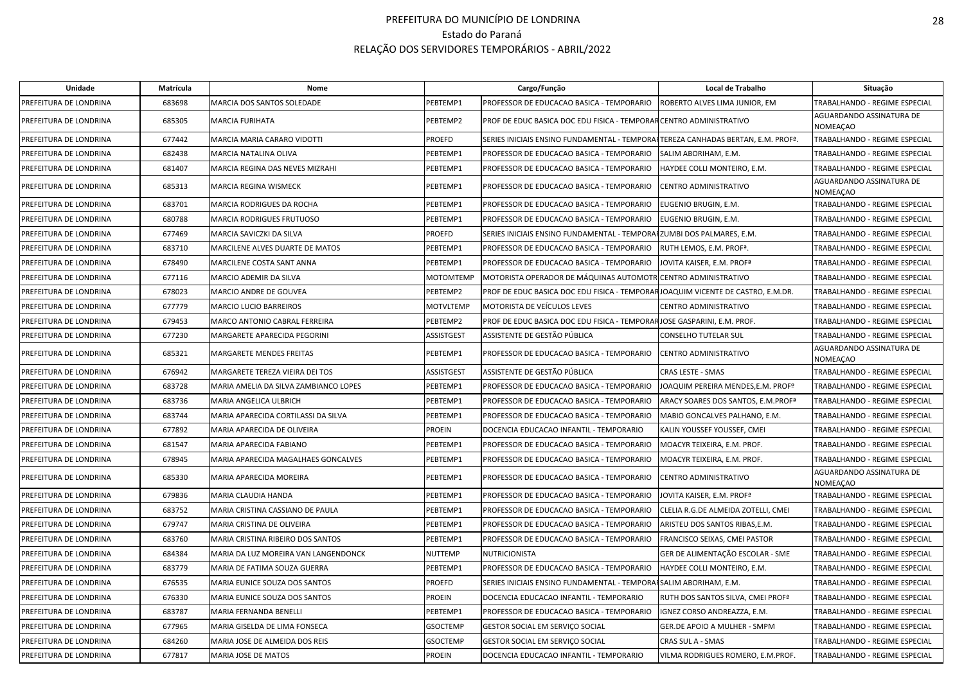| Unidade                | Matrícula | Nome                                  |                  | Cargo/Função                                                                      | Local de Trabalho                             | Situação                             |
|------------------------|-----------|---------------------------------------|------------------|-----------------------------------------------------------------------------------|-----------------------------------------------|--------------------------------------|
| PREFEITURA DE LONDRINA | 683698    | MARCIA DOS SANTOS SOLEDADE            | PEBTEMP1         | PROFESSOR DE EDUCACAO BASICA - TEMPORARIO                                         | ROBERTO ALVES LIMA JUNIOR, EM                 | TRABALHANDO - REGIME ESPECIAL        |
| PREFEITURA DE LONDRINA | 685305    | <b>MARCIA FURIHATA</b>                | PEBTEMP2         | PROF DE EDUC BASICA DOC EDU FISICA - TEMPORAR CENTRO ADMINISTRATIVO               |                                               | AGUARDANDO ASSINATURA DE<br>NOMEAÇAO |
| PREFEITURA DE LONDRINA | 677442    | MARCIA MARIA CARARO VIDOTTI           | PROEFD           | SERIES INICIAIS ENSINO FUNDAMENTAL - TEMPORAFITEREZA CANHADAS BERTAN, E.M. PROFª. |                                               | TRABALHANDO - REGIME ESPECIAL        |
| PREFEITURA DE LONDRINA | 682438    | MARCIA NATALINA OLIVA                 | PEBTEMP1         | PROFESSOR DE EDUCACAO BASICA - TEMPORARIO                                         | SALIM ABORIHAM, E.M.                          | TRABALHANDO - REGIME ESPECIAL        |
| PREFEITURA DE LONDRINA | 681407    | MARCIA REGINA DAS NEVES MIZRAHI       | PEBTEMP1         | PROFESSOR DE EDUCACAO BASICA - TEMPORARIO                                         | HAYDEE COLLI MONTEIRO, E.M.                   | TRABALHANDO - REGIME ESPECIAL        |
| PREFEITURA DE LONDRINA | 685313    | <b>MARCIA REGINA WISMECK</b>          | PEBTEMP1         | PROFESSOR DE EDUCACAO BASICA - TEMPORARIO                                         | CENTRO ADMINISTRATIVO                         | AGUARDANDO ASSINATURA DE<br>NOMEAÇAO |
| PREFEITURA DE LONDRINA | 683701    | MARCIA RODRIGUES DA ROCHA             | PEBTEMP1         | PROFESSOR DE EDUCACAO BASICA - TEMPORARIO                                         | EUGENIO BRUGIN, E.M.                          | TRABALHANDO - REGIME ESPECIAL        |
| PREFEITURA DE LONDRINA | 680788    | MARCIA RODRIGUES FRUTUOSO             | PEBTEMP1         | PROFESSOR DE EDUCACAO BASICA - TEMPORARIO                                         | EUGENIO BRUGIN, E.M.                          | TRABALHANDO - REGIME ESPECIAL        |
| PREFEITURA DE LONDRINA | 677469    | MARCIA SAVICZKI DA SILVA              | PROEFD           | SERIES INICIAIS ENSINO FUNDAMENTAL - TEMPORAIZUMBI DOS PALMARES, E.M.             |                                               | TRABALHANDO - REGIME ESPECIAL        |
| PREFEITURA DE LONDRINA | 683710    | MARCILENE ALVES DUARTE DE MATOS       | PEBTEMP1         | PROFESSOR DE EDUCACAO BASICA - TEMPORARIO                                         | RUTH LEMOS, E.M. PROFª.                       | TRABALHANDO - REGIME ESPECIAL        |
| PREFEITURA DE LONDRINA | 678490    | MARCILENE COSTA SANT ANNA             | PEBTEMP1         | PROFESSOR DE EDUCACAO BASICA - TEMPORARIO                                         | JOVITA KAISER, E.M. PROFª                     | TRABALHANDO - REGIME ESPECIAL        |
| PREFEITURA DE LONDRINA | 677116    | MARCIO ADEMIR DA SILVA                | MOTOMTEMP        | MOTORISTA OPERADOR DE MÁQUINAS AUTOMOTRI                                          | CENTRO ADMINISTRATIVO                         | TRABALHANDO - REGIME ESPECIAL        |
| PREFEITURA DE LONDRINA | 678023    | MARCIO ANDRE DE GOUVEA                | PEBTEMP2         | PROF DE EDUC BASICA DOC EDU FISICA - TEMPORARJOAQUIM VICENTE DE CASTRO, E.M.DR.   |                                               | TRABALHANDO - REGIME ESPECIAL        |
| PREFEITURA DE LONDRINA | 677779    | <b>MARCIO LUCIO BARREIROS</b>         | <b>MOTVLTEMP</b> | <b>MOTORISTA DE VEÍCULOS LEVES</b>                                                | CENTRO ADMINISTRATIVO                         | TRABALHANDO - REGIME ESPECIAL        |
| PREFEITURA DE LONDRINA | 679453    | MARCO ANTONIO CABRAL FERREIRA         | PEBTEMP2         | PROF DE EDUC BASICA DOC EDU FISICA - TEMPORARJOSE GASPARINI, E.M. PROF.           |                                               | TRABALHANDO - REGIME ESPECIAL        |
| PREFEITURA DE LONDRINA | 677230    | MARGARETE APARECIDA PEGORINI          | ASSISTGEST       | ASSISTENTE DE GESTÃO PÚBLICA                                                      | CONSELHO TUTELAR SUL                          | TRABALHANDO - REGIME ESPECIAL        |
| PREFEITURA DE LONDRINA | 685321    | MARGARETE MENDES FREITAS              | PEBTEMP1         | PROFESSOR DE EDUCACAO BASICA - TEMPORARIO                                         | CENTRO ADMINISTRATIVO                         | AGUARDANDO ASSINATURA DE<br>NOMEAÇAO |
| PREFEITURA DE LONDRINA | 676942    | MARGARETE TEREZA VIEIRA DEI TOS       | ASSISTGEST       | ASSISTENTE DE GESTÃO PÚBLICA                                                      | CRAS LESTE - SMAS                             | TRABALHANDO - REGIME ESPECIAL        |
| PREFEITURA DE LONDRINA | 683728    | MARIA AMELIA DA SILVA ZAMBIANCO LOPES | PEBTEMP1         | PROFESSOR DE EDUCACAO BASICA - TEMPORARIO                                         | JOAQUIM PEREIRA MENDES,E.M. PROFº             | TRABALHANDO - REGIME ESPECIAL        |
| PREFEITURA DE LONDRINA | 683736    | MARIA ANGELICA ULBRICH                | PEBTEMP1         | PROFESSOR DE EDUCACAO BASICA - TEMPORARIO                                         | ARACY SOARES DOS SANTOS, E.M.PROFª            | TRABALHANDO - REGIME ESPECIAL        |
| PREFEITURA DE LONDRINA | 683744    | MARIA APARECIDA CORTILASSI DA SILVA   | PEBTEMP1         | PROFESSOR DE EDUCACAO BASICA - TEMPORARIO                                         | MABIO GONCALVES PALHANO, E.M.                 | TRABALHANDO - REGIME ESPECIAL        |
| PREFEITURA DE LONDRINA | 677892    | MARIA APARECIDA DE OLIVEIRA           | PROEIN           | DOCENCIA EDUCACAO INFANTIL - TEMPORARIO                                           | KALIN YOUSSEF YOUSSEF, CMEI                   | TRABALHANDO - REGIME ESPECIAL        |
| PREFEITURA DE LONDRINA | 681547    | MARIA APARECIDA FABIANO               | PEBTEMP1         | PROFESSOR DE EDUCACAO BASICA - TEMPORARIO                                         | MOACYR TEIXEIRA, E.M. PROF.                   | TRABALHANDO - REGIME ESPECIAL        |
| PREFEITURA DE LONDRINA | 678945    | MARIA APARECIDA MAGALHAES GONCALVES   | PEBTEMP1         | PROFESSOR DE EDUCACAO BASICA - TEMPORARIO                                         | MOACYR TEIXEIRA, E.M. PROF.                   | TRABALHANDO - REGIME ESPECIAL        |
| PREFEITURA DE LONDRINA | 685330    | MARIA APARECIDA MOREIRA               | PEBTEMP1         | PROFESSOR DE EDUCACAO BASICA - TEMPORARIO                                         | CENTRO ADMINISTRATIVO                         | AGUARDANDO ASSINATURA DE<br>NOMEAÇAO |
| PREFEITURA DE LONDRINA | 679836    | MARIA CLAUDIA HANDA                   | PEBTEMP1         | PROFESSOR DE EDUCACAO BASICA - TEMPORARIO                                         | JOVITA KAISER, E.M. PROFª                     | TRABALHANDO - REGIME ESPECIAL        |
| PREFEITURA DE LONDRINA | 683752    | MARIA CRISTINA CASSIANO DE PAULA      | PEBTEMP1         | PROFESSOR DE EDUCACAO BASICA - TEMPORARIO                                         | CLELIA R.G.DE ALMEIDA ZOTELLI, CMEI           | TRABALHANDO - REGIME ESPECIAL        |
| PREFEITURA DE LONDRINA | 679747    | MARIA CRISTINA DE OLIVEIRA            | PEBTEMP1         | PROFESSOR DE EDUCACAO BASICA - TEMPORARIO                                         | ARISTEU DOS SANTOS RIBAS,E.M.                 | TRABALHANDO - REGIME ESPECIAL        |
| PREFEITURA DE LONDRINA | 683760    | MARIA CRISTINA RIBEIRO DOS SANTOS     | PEBTEMP1         | PROFESSOR DE EDUCACAO BASICA - TEMPORARIO                                         | FRANCISCO SEIXAS, CMEI PASTOR                 | TRABALHANDO - REGIME ESPECIAL        |
| PREFEITURA DE LONDRINA | 684384    | MARIA DA LUZ MOREIRA VAN LANGENDONCK  | NUTTEMP          | NUTRICIONISTA                                                                     | GER DE ALIMENTAÇÃO ESCOLAR - SME              | TRABALHANDO - REGIME ESPECIAL        |
| PREFEITURA DE LONDRINA | 683779    | MARIA DE FATIMA SOUZA GUERRA          | PEBTEMP1         | PROFESSOR DE EDUCACAO BASICA - TEMPORARIO                                         | HAYDEE COLLI MONTEIRO, E.M.                   | TRABALHANDO - REGIME ESPECIAL        |
| PREFEITURA DE LONDRINA | 676535    | MARIA EUNICE SOUZA DOS SANTOS         | PROEFD           | SERIES INICIAIS ENSINO FUNDAMENTAL - TEMPORAISALIM ABORIHAM, E.M.                 |                                               | TRABALHANDO - REGIME ESPECIAL        |
| PREFEITURA DE LONDRINA | 676330    | MARIA EUNICE SOUZA DOS SANTOS         | PROEIN           | DOCENCIA EDUCACAO INFANTIL - TEMPORARIO                                           | RUTH DOS SANTOS SILVA, CMEI PROF <sup>ª</sup> | TRABALHANDO - REGIME ESPECIAL        |
| PREFEITURA DE LONDRINA | 683787    | MARIA FERNANDA BENELLI                | PEBTEMP1         | PROFESSOR DE EDUCACAO BASICA - TEMPORARIO                                         | IGNEZ CORSO ANDREAZZA, E.M.                   | TRABALHANDO - REGIME ESPECIAL        |
| PREFEITURA DE LONDRINA | 677965    | MARIA GISELDA DE LIMA FONSECA         | GSOCTEMP         | GESTOR SOCIAL EM SERVIÇO SOCIAL                                                   | GER.DE APOIO A MULHER - SMPM                  | TRABALHANDO - REGIME ESPECIAL        |
| PREFEITURA DE LONDRINA | 684260    | MARIA JOSE DE ALMEIDA DOS REIS        | <b>GSOCTEMP</b>  | GESTOR SOCIAL EM SERVIÇO SOCIAL                                                   | CRAS SUL A - SMAS                             | TRABALHANDO - REGIME ESPECIAL        |
| PREFEITURA DE LONDRINA | 677817    | MARIA JOSE DE MATOS                   | PROEIN           | DOCENCIA EDUCACAO INFANTIL - TEMPORARIO                                           | VILMA RODRIGUES ROMERO, E.M.PROF.             | TRABALHANDO - REGIME ESPECIAL        |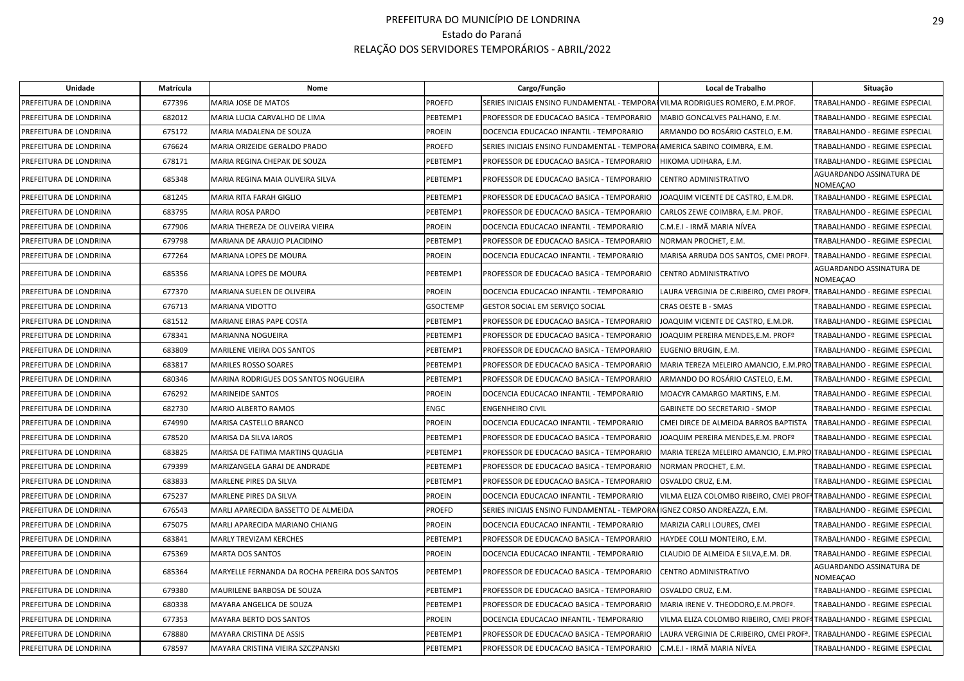| Unidade                | Matrícula | Nome                                          |                 | Cargo/Função                                                                   | Local de Trabalho                                                                 | Situação                                    |
|------------------------|-----------|-----------------------------------------------|-----------------|--------------------------------------------------------------------------------|-----------------------------------------------------------------------------------|---------------------------------------------|
| PREFEITURA DE LONDRINA | 677396    | MARIA JOSE DE MATOS                           | <b>PROEFD</b>   | SERIES INICIAIS ENSINO FUNDAMENTAL - TEMPORAIVILMA RODRIGUES ROMERO, E.M.PROF. |                                                                                   | TRABALHANDO - REGIME ESPECIAL               |
| PREFEITURA DE LONDRINA | 682012    | MARIA LUCIA CARVALHO DE LIMA                  | PEBTEMP1        | PROFESSOR DE EDUCACAO BASICA - TEMPORARIO                                      | MABIO GONCALVES PALHANO, E.M.                                                     | TRABALHANDO - REGIME ESPECIAL               |
| PREFEITURA DE LONDRINA | 675172    | MARIA MADALENA DE SOUZA                       | <b>PROEIN</b>   | DOCENCIA EDUCACAO INFANTIL - TEMPORARIO                                        | ARMANDO DO ROSÁRIO CASTELO. E.M.                                                  | <b>TRABALHANDO - REGIME ESPECIAL</b>        |
| PREFEITURA DE LONDRINA | 676624    | MARIA ORIZEIDE GERALDO PRADO                  | <b>PROEFD</b>   | SERIES INICIAIS ENSINO FUNDAMENTAL - TEMPORAHAMERICA SABINO COIMBRA, E.M.      |                                                                                   | TRABALHANDO - REGIME ESPECIAL               |
| PREFEITURA DE LONDRINA | 678171    | MARIA REGINA CHEPAK DE SOUZA                  | PEBTEMP1        | PROFESSOR DE EDUCACAO BASICA - TEMPORARIO                                      | HIKOMA UDIHARA, E.M.                                                              | TRABALHANDO - REGIME ESPECIAL               |
| PREFEITURA DE LONDRINA | 685348    | MARIA REGINA MAIA OLIVEIRA SILVA              | PEBTEMP1        | PROFESSOR DE EDUCACAO BASICA - TEMPORARIO                                      | CENTRO ADMINISTRATIVO                                                             | AGUARDANDO ASSINATURA DE<br><b>NOMEACAO</b> |
| PREFEITURA DE LONDRINA | 681245    | MARIA RITA FARAH GIGLIO                       | PEBTEMP1        | PROFESSOR DE EDUCACAO BASICA - TEMPORARIO                                      | JOAQUIM VICENTE DE CASTRO, E.M.DR.                                                | TRABALHANDO - REGIME ESPECIAL               |
| PREFEITURA DE LONDRINA | 683795    | MARIA ROSA PARDO                              | PEBTEMP1        | PROFESSOR DE EDUCACAO BASICA - TEMPORARIO                                      | CARLOS ZEWE COIMBRA, E.M. PROF.                                                   | TRABALHANDO - REGIME ESPECIAL               |
| PREFEITURA DE LONDRINA | 677906    | MARIA THEREZA DE OLIVEIRA VIEIRA              | <b>PROEIN</b>   | DOCENCIA EDUCACAO INFANTIL - TEMPORARIO                                        | C.M.E.I - IRMÃ MARIA NÍVEA                                                        | TRABALHANDO - REGIME ESPECIAL               |
| PREFEITURA DE LONDRINA | 679798    | MARIANA DE ARAUJO PLACIDINO                   | PEBTEMP1        | PROFESSOR DE EDUCACAO BASICA - TEMPORARIO                                      | NORMAN PROCHET, E.M.                                                              | TRABALHANDO - REGIME ESPECIAL               |
| PREFEITURA DE LONDRINA | 677264    | <b>MARIANA LOPES DE MOURA</b>                 | <b>PROEIN</b>   | DOCENCIA EDUCACAO INFANTIL - TEMPORARIO                                        | MARISA ARRUDA DOS SANTOS, CMEI PROFª.                                             | <b>TRABALHANDO - REGIME ESPECIAL</b>        |
| PREFEITURA DE LONDRINA | 685356    | MARIANA LOPES DE MOURA                        | PEBTEMP1        | PROFESSOR DE EDUCACAO BASICA - TEMPORARIO                                      | CENTRO ADMINISTRATIVO                                                             | AGUARDANDO ASSINATURA DE<br><b>NOMEAÇAO</b> |
| PREFEITURA DE LONDRINA | 677370    | MARIANA SUELEN DE OLIVEIRA                    | <b>PROEIN</b>   | DOCENCIA EDUCACAO INFANTIL - TEMPORARIO                                        | LAURA VERGINIA DE C.RIBEIRO, CMEI PROFª.                                          | TRABALHANDO - REGIME ESPECIAL               |
| PREFEITURA DE LONDRINA | 676713    | MARIANA VIDOTTO                               | <b>GSOCTEMP</b> | GESTOR SOCIAL EM SERVIÇO SOCIAL                                                | <b>CRAS OESTE B - SMAS</b>                                                        | TRABALHANDO - REGIME ESPECIAL               |
| PREFEITURA DE LONDRINA | 681512    | MARIANE EIRAS PAPE COSTA                      | PEBTEMP1        | PROFESSOR DE EDUCACAO BASICA - TEMPORARIO                                      | JOAQUIM VICENTE DE CASTRO, E.M.DR.                                                | TRABALHANDO - REGIME ESPECIAL               |
| PREFEITURA DE LONDRINA | 678341    | MARIANNA NOGUEIRA                             | PEBTEMP1        | PROFESSOR DE EDUCACAO BASICA - TEMPORARIO                                      | JOAQUIM PEREIRA MENDES, E.M. PROFº                                                | TRABALHANDO - REGIME ESPECIAL               |
| PREFEITURA DE LONDRINA | 683809    | MARILENE VIEIRA DOS SANTOS                    | PEBTEMP1        | PROFESSOR DE EDUCACAO BASICA - TEMPORARIO                                      | EUGENIO BRUGIN, E.M.                                                              | TRABALHANDO - REGIME ESPECIAL               |
| PREFEITURA DE LONDRINA | 683817    | <b>MARILES ROSSO SOARES</b>                   | PEBTEMP1        | PROFESSOR DE EDUCACAO BASICA - TEMPORARIO                                      | MARIA TEREZA MELEIRO AMANCIO, E.M.PRO TRABALHANDO - REGIME ESPECIAL               |                                             |
| PREFEITURA DE LONDRINA | 680346    | MARINA RODRIGUES DOS SANTOS NOGUEIRA          | PEBTEMP1        | PROFESSOR DE EDUCACAO BASICA - TEMPORARIO                                      | ARMANDO DO ROSÁRIO CASTELO, E.M.                                                  | TRABALHANDO - REGIME ESPECIAL               |
| PREFEITURA DE LONDRINA | 676292    | <b>MARINEIDE SANTOS</b>                       | <b>PROEIN</b>   | DOCENCIA EDUCACAO INFANTIL - TEMPORARIO                                        | MOACYR CAMARGO MARTINS, E.M.                                                      | TRABALHANDO - REGIME ESPECIAL               |
| PREFEITURA DE LONDRINA | 682730    | MARIO ALBERTO RAMOS                           | <b>ENGC</b>     | <b>ENGENHEIRO CIVIL</b>                                                        | <b>GABINETE DO SECRETARIO - SMOP</b>                                              | TRABALHANDO - REGIME ESPECIAL               |
| PREFEITURA DE LONDRINA | 674990    | MARISA CASTELLO BRANCO                        | <b>PROEIN</b>   | DOCENCIA EDUCACAO INFANTIL - TEMPORARIO                                        | CMEI DIRCE DE ALMEIDA BARROS BAPTISTA                                             | <b>TRABALHANDO - REGIME ESPECIAL</b>        |
| PREFEITURA DE LONDRINA | 678520    | MARISA DA SILVA IAROS                         | PEBTEMP1        | PROFESSOR DE EDUCACAO BASICA - TEMPORARIO                                      | JOAQUIM PEREIRA MENDES, E.M. PROFº                                                | TRABALHANDO - REGIME ESPECIAL               |
| PREFEITURA DE LONDRINA | 683825    | MARISA DE FATIMA MARTINS QUAGLIA              | PEBTEMP1        | PROFESSOR DE EDUCACAO BASICA - TEMPORARIO                                      | MARIA TEREZA MELEIRO AMANCIO, E.M.PRO TRABALHANDO - REGIME ESPECIAL               |                                             |
| PREFEITURA DE LONDRINA | 679399    | MARIZANGELA GARAI DE ANDRADE                  | PEBTEMP1        | PROFESSOR DE EDUCACAO BASICA - TEMPORARIO                                      | NORMAN PROCHET, E.M.                                                              | TRABALHANDO - REGIME ESPECIAL               |
| PREFEITURA DE LONDRINA | 683833    | MARLENE PIRES DA SILVA                        | PEBTEMP1        | PROFESSOR DE EDUCACAO BASICA - TEMPORARIO                                      | OSVALDO CRUZ, E.M.                                                                | TRABALHANDO - REGIME ESPECIAL               |
| PREFEITURA DE LONDRINA | 675237    | MARLENE PIRES DA SILVA                        | <b>PROEIN</b>   | DOCENCIA EDUCACAO INFANTIL - TEMPORARIO                                        | VILMA ELIZA COLOMBO RIBEIRO, CMEI PROFªTRABALHANDO - REGIME ESPECIAL              |                                             |
| PREFEITURA DE LONDRINA | 676543    | MARLI APARECIDA BASSETTO DE ALMEIDA           | <b>PROEFD</b>   | SERIES INICIAIS ENSINO FUNDAMENTAL - TEMPORAHIGNEZ CORSO ANDREAZZA, E.M.       |                                                                                   | TRABALHANDO - REGIME ESPECIAL               |
| PREFEITURA DE LONDRINA | 675075    | MARLI APARECIDA MARIANO CHIANG                | <b>PROEIN</b>   | DOCENCIA EDUCACAO INFANTIL - TEMPORARIO                                        | MARIZIA CARLI LOURES, CMEI                                                        | TRABALHANDO - REGIME ESPECIAL               |
| PREFEITURA DE LONDRINA | 683841    | MARLY TREVIZAM KERCHES                        | PEBTEMP1        | PROFESSOR DE EDUCACAO BASICA - TEMPORARIO                                      | HAYDEE COLLI MONTEIRO, E.M.                                                       | TRABALHANDO - REGIME ESPECIAL               |
| PREFEITURA DE LONDRINA | 675369    | <b>MARTA DOS SANTOS</b>                       | <b>PROEIN</b>   | DOCENCIA EDUCACAO INFANTIL - TEMPORARIO                                        | CLAUDIO DE ALMEIDA E SILVA, E.M. DR.                                              | TRABALHANDO - REGIME ESPECIAL               |
| PREFEITURA DE LONDRINA | 685364    | MARYELLE FERNANDA DA ROCHA PEREIRA DOS SANTOS | PEBTEMP1        | PROFESSOR DE EDUCACAO BASICA - TEMPORARIO                                      | CENTRO ADMINISTRATIVO                                                             | AGUARDANDO ASSINATURA DE<br><b>NOMEAÇAO</b> |
| PREFEITURA DE LONDRINA | 679380    | MAURILENE BARBOSA DE SOUZA                    | PEBTEMP1        | PROFESSOR DE EDUCACAO BASICA - TEMPORARIO                                      | OSVALDO CRUZ, E.M.                                                                | TRABALHANDO - REGIME ESPECIAL               |
| PREFEITURA DE LONDRINA | 680338    | MAYARA ANGELICA DE SOUZA                      | PEBTEMP1        | PROFESSOR DE EDUCACAO BASICA - TEMPORARIO                                      | MARIA IRENE V. THEODORO,E.M.PROFª.                                                | TRABALHANDO - REGIME ESPECIAL               |
| PREFEITURA DE LONDRINA | 677353    | MAYARA BERTO DOS SANTOS                       | <b>PROEIN</b>   | DOCENCIA EDUCACAO INFANTIL - TEMPORARIO                                        | VILMA ELIZA COLOMBO RIBEIRO, CMEI PROF <sup>4</sup> TRABALHANDO - REGIME ESPECIAL |                                             |
| PREFEITURA DE LONDRINA | 678880    | <b>MAYARA CRISTINA DE ASSIS</b>               | PEBTEMP1        | PROFESSOR DE EDUCACAO BASICA - TEMPORARIO                                      | LAURA VERGINIA DE C.RIBEIRO, CMEI PROFª. TRABALHANDO - REGIME ESPECIAL            |                                             |
| PREFEITURA DE LONDRINA | 678597    | MAYARA CRISTINA VIEIRA SZCZPANSKI             | PEBTEMP1        | PROFESSOR DE EDUCACAO BASICA - TEMPORARIO                                      | C.M.E.I - IRMÃ MARIA NÍVEA                                                        | TRABALHANDO - REGIME ESPECIAL               |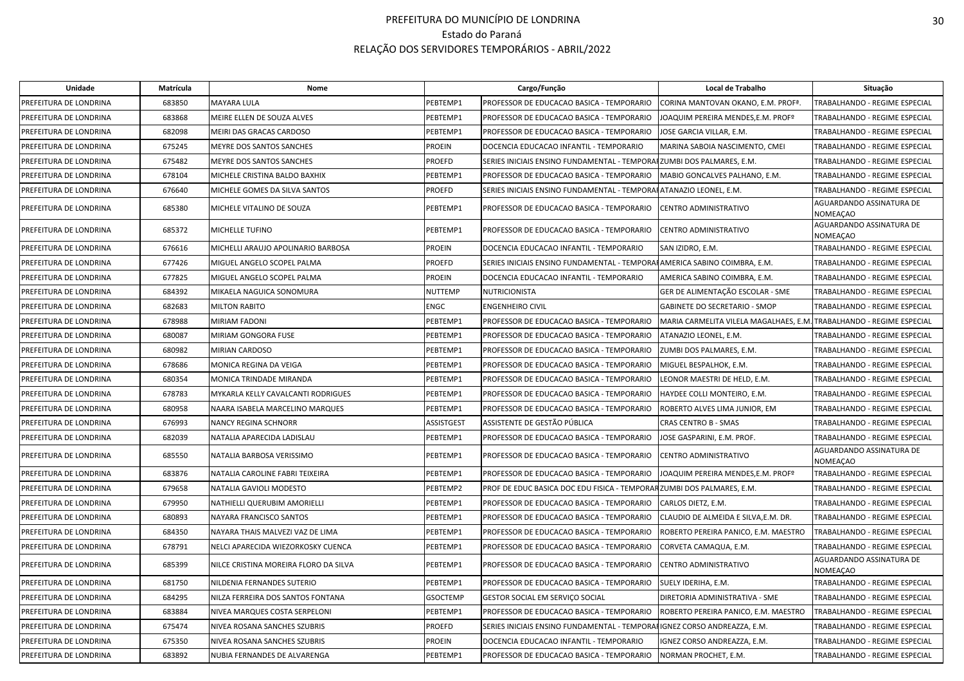| Unidade                | Matrícula | <b>Nome</b>                           |                   | Cargo/Função                                                       | Local de Trabalho                                                    | Situação                             |
|------------------------|-----------|---------------------------------------|-------------------|--------------------------------------------------------------------|----------------------------------------------------------------------|--------------------------------------|
| PREFEITURA DE LONDRINA | 683850    | <b>MAYARA LULA</b>                    | PEBTEMP1          | PROFESSOR DE EDUCACAO BASICA - TEMPORARIO                          | CORINA MANTOVAN OKANO, E.M. PROF <sup>ª</sup> .                      | TRABALHANDO - REGIME ESPECIAL        |
| PREFEITURA DE LONDRINA | 683868    | MEIRE ELLEN DE SOUZA ALVES            | PEBTEMP1          | PROFESSOR DE EDUCACAO BASICA - TEMPORARIO                          | JOAQUIM PEREIRA MENDES,E.M. PROFº                                    | TRABALHANDO - REGIME ESPECIAL        |
| PREFEITURA DE LONDRINA | 682098    | MEIRI DAS GRACAS CARDOSO              | PEBTEMP1          | PROFESSOR DE EDUCACAO BASICA - TEMPORARIO                          | JOSE GARCIA VILLAR, E.M.                                             | TRABALHANDO - REGIME ESPECIAL        |
| PREFEITURA DE LONDRINA | 675245    | MEYRE DOS SANTOS SANCHES              | <b>PROEIN</b>     | DOCENCIA EDUCACAO INFANTIL - TEMPORARIO                            | MARINA SABOIA NASCIMENTO, CMEI                                       | TRABALHANDO - REGIME ESPECIAL        |
| PREFEITURA DE LONDRINA | 675482    | MEYRE DOS SANTOS SANCHES              | <b>PROEFD</b>     | SERIES INICIAIS ENSINO FUNDAMENTAL - TEMPORA                       | FZUMBI DOS PALMARES, E.M.                                            | TRABALHANDO - REGIME ESPECIAL        |
| PREFEITURA DE LONDRINA | 678104    | MICHELE CRISTINA BALDO BAXHIX         | PEBTEMP1          | PROFESSOR DE EDUCACAO BASICA - TEMPORARIO                          | MABIO GONCALVES PALHANO, E.M.                                        | TRABALHANDO - REGIME ESPECIAL        |
| PREFEITURA DE LONDRINA | 676640    | MICHELE GOMES DA SILVA SANTOS         | PROEFD            | SERIES INICIAIS ENSINO FUNDAMENTAL - TEMPORAFATANAZIO LEONEL, E.M. |                                                                      | TRABALHANDO - REGIME ESPECIAL        |
| PREFEITURA DE LONDRINA | 685380    | MICHELE VITALINO DE SOUZA             | PEBTEMP1          | PROFESSOR DE EDUCACAO BASICA - TEMPORARIO                          | CENTRO ADMINISTRATIVO                                                | AGUARDANDO ASSINATURA DE<br>NOMEAÇAO |
| PREFEITURA DE LONDRINA | 685372    | MICHELLE TUFINO                       | PEBTEMP1          | PROFESSOR DE EDUCACAO BASICA - TEMPORARIO                          | CENTRO ADMINISTRATIVO                                                | AGUARDANDO ASSINATURA DE<br>NOMEAÇAO |
| PREFEITURA DE LONDRINA | 676616    | MICHELLI ARAUJO APOLINARIO BARBOSA    | <b>PROEIN</b>     | DOCENCIA EDUCACAO INFANTIL - TEMPORARIO                            | SAN IZIDRO, E.M.                                                     | TRABALHANDO - REGIME ESPECIAL        |
| PREFEITURA DE LONDRINA | 677426    | MIGUEL ANGELO SCOPEL PALMA            | PROEFD            | SERIES INICIAIS ENSINO FUNDAMENTAL - TEMPORA                       | FAMERICA SABINO COIMBRA, E.M.                                        | TRABALHANDO - REGIME ESPECIAL        |
| PREFEITURA DE LONDRINA | 677825    | MIGUEL ANGELO SCOPEL PALMA            | PROEIN            | DOCENCIA EDUCACAO INFANTIL - TEMPORARIO                            | AMERICA SABINO COIMBRA, E.M.                                         | TRABALHANDO - REGIME ESPECIAL        |
| PREFEITURA DE LONDRINA | 684392    | MIKAELA NAGUICA SONOMURA              | <b>NUTTEMP</b>    | NUTRICIONISTA                                                      | GER DE ALIMENTAÇÃO ESCOLAR - SME                                     | TRABALHANDO - REGIME ESPECIAL        |
| PREFEITURA DE LONDRINA | 682683    | MILTON RABITO                         | ENGC              | <b>ENGENHEIRO CIVIL</b>                                            | GABINETE DO SECRETARIO - SMOP                                        | TRABALHANDO - REGIME ESPECIAL        |
| PREFEITURA DE LONDRINA | 678988    | MIRIAM FADONI                         | PEBTEMP1          | PROFESSOR DE EDUCACAO BASICA - TEMPORARIO                          | MARIA CARMELITA VILELA MAGALHAES, E.M. TRABALHANDO - REGIME ESPECIAL |                                      |
| PREFEITURA DE LONDRINA | 680087    | MIRIAM GONGORA FUSE                   | PEBTEMP1          | PROFESSOR DE EDUCACAO BASICA - TEMPORARIO                          | ATANAZIO LEONEL, E.M.                                                | TRABALHANDO - REGIME ESPECIAL        |
| PREFEITURA DE LONDRINA | 680982    | MIRIAN CARDOSO                        | PEBTEMP1          | PROFESSOR DE EDUCACAO BASICA - TEMPORARIO                          | ZUMBI DOS PALMARES, E.M.                                             | TRABALHANDO - REGIME ESPECIAL        |
| PREFEITURA DE LONDRINA | 678686    | MONICA REGINA DA VEIGA                | PEBTEMP1          | PROFESSOR DE EDUCACAO BASICA - TEMPORARIO                          | MIGUEL BESPALHOK, E.M.                                               | TRABALHANDO - REGIME ESPECIAL        |
| PREFEITURA DE LONDRINA | 680354    | MONICA TRINDADE MIRANDA               | PEBTEMP1          | PROFESSOR DE EDUCACAO BASICA - TEMPORARIO                          | LEONOR MAESTRI DE HELD, E.M.                                         | TRABALHANDO - REGIME ESPECIAL        |
| PREFEITURA DE LONDRINA | 678783    | MYKARLA KELLY CAVALCANTI RODRIGUES    | PEBTEMP1          | PROFESSOR DE EDUCACAO BASICA - TEMPORARIO                          | HAYDEE COLLI MONTEIRO, E.M.                                          | TRABALHANDO - REGIME ESPECIAL        |
| PREFEITURA DE LONDRINA | 680958    | NAARA ISABELA MARCELINO MARQUES       | PEBTEMP1          | PROFESSOR DE EDUCACAO BASICA - TEMPORARIO                          | ROBERTO ALVES LIMA JUNIOR, EM                                        | TRABALHANDO - REGIME ESPECIAL        |
| PREFEITURA DE LONDRINA | 676993    | NANCY REGINA SCHNORR                  | <b>ASSISTGEST</b> | ASSISTENTE DE GESTÃO PÚBLICA                                       | CRAS CENTRO B - SMAS                                                 | TRABALHANDO - REGIME ESPECIAL        |
| PREFEITURA DE LONDRINA | 682039    | NATALIA APARECIDA LADISLAU            | PEBTEMP1          | PROFESSOR DE EDUCACAO BASICA - TEMPORARIO                          | JOSE GASPARINI, E.M. PROF.                                           | TRABALHANDO - REGIME ESPECIAL        |
| PREFEITURA DE LONDRINA | 685550    | NATALIA BARBOSA VERISSIMO             | PEBTEMP1          | PROFESSOR DE EDUCACAO BASICA - TEMPORARIO                          | CENTRO ADMINISTRATIVO                                                | AGUARDANDO ASSINATURA DE<br>NOMEAÇAO |
| PREFEITURA DE LONDRINA | 683876    | NATALIA CAROLINE FABRI TEIXEIRA       | PEBTEMP1          | PROFESSOR DE EDUCACAO BASICA - TEMPORARIO                          | JOAQUIM PEREIRA MENDES,E.M. PROFº                                    | TRABALHANDO - REGIME ESPECIAL        |
| PREFEITURA DE LONDRINA | 679658    | NATALIA GAVIOLI MODESTO               | PEBTEMP2          | PROF DE EDUC BASICA DOC EDU FISICA - TEMPORA                       | RZUMBI DOS PALMARES, E.M.                                            | TRABALHANDO - REGIME ESPECIAL        |
| PREFEITURA DE LONDRINA | 679950    | NATHIELLI QUERUBIM AMORIELLI          | PEBTEMP1          | PROFESSOR DE EDUCACAO BASICA - TEMPORARIO                          | CARLOS DIETZ, E.M.                                                   | TRABALHANDO - REGIME ESPECIAL        |
| PREFEITURA DE LONDRINA | 680893    | NAYARA FRANCISCO SANTOS               | PEBTEMP1          | PROFESSOR DE EDUCACAO BASICA - TEMPORARIO                          | CLAUDIO DE ALMEIDA E SILVA, E.M. DR.                                 | TRABALHANDO - REGIME ESPECIAL        |
| PREFEITURA DE LONDRINA | 684350    | NAYARA THAIS MALVEZI VAZ DE LIMA      | PEBTEMP1          | PROFESSOR DE EDUCACAO BASICA - TEMPORARIO                          | ROBERTO PEREIRA PANICO, E.M. MAESTRO                                 | TRABALHANDO - REGIME ESPECIAL        |
| PREFEITURA DE LONDRINA | 678791    | NELCI APARECIDA WIEZORKOSKY CUENCA    | PEBTEMP1          | PROFESSOR DE EDUCACAO BASICA - TEMPORARIO                          | CORVETA CAMAQUA, E.M.                                                | TRABALHANDO - REGIME ESPECIAL        |
| PREFEITURA DE LONDRINA | 685399    | NILCE CRISTINA MOREIRA FLORO DA SILVA | PEBTEMP1          | PROFESSOR DE EDUCACAO BASICA - TEMPORARIO                          | CENTRO ADMINISTRATIVO                                                | AGUARDANDO ASSINATURA DE<br>NOMEAÇAO |
| PREFEITURA DE LONDRINA | 681750    | NILDENIA FERNANDES SUTERIO            | PEBTEMP1          | PROFESSOR DE EDUCACAO BASICA - TEMPORARIO                          | SUELY IDERIHA, E.M.                                                  | TRABALHANDO - REGIME ESPECIAL        |
| PREFEITURA DE LONDRINA | 684295    | NILZA FERREIRA DOS SANTOS FONTANA     | <b>GSOCTEMP</b>   | GESTOR SOCIAL EM SERVIÇO SOCIAL                                    | DIRETORIA ADMINISTRATIVA - SME                                       | TRABALHANDO - REGIME ESPECIAL        |
| PREFEITURA DE LONDRINA | 683884    | NIVEA MARQUES COSTA SERPELONI         | PEBTEMP1          | PROFESSOR DE EDUCACAO BASICA - TEMPORARIO                          | ROBERTO PEREIRA PANICO, E.M. MAESTRO                                 | TRABALHANDO - REGIME ESPECIAL        |
| PREFEITURA DE LONDRINA | 675474    | NIVEA ROSANA SANCHES SZUBRIS          | PROEFD            | SERIES INICIAIS ENSINO FUNDAMENTAL - TEMPORA                       | IGNEZ CORSO ANDREAZZA, E.M.                                          | TRABALHANDO - REGIME ESPECIAL        |
| PREFEITURA DE LONDRINA | 675350    | NIVEA ROSANA SANCHES SZUBRIS          | PROEIN            | DOCENCIA EDUCACAO INFANTIL - TEMPORARIO                            | IGNEZ CORSO ANDREAZZA, E.M.                                          | TRABALHANDO - REGIME ESPECIAL        |
| PREFEITURA DE LONDRINA | 683892    | NUBIA FERNANDES DE ALVARENGA          | PEBTEMP1          | PROFESSOR DE EDUCACAO BASICA - TEMPORARIO                          | NORMAN PROCHET, E.M.                                                 | TRABALHANDO - REGIME ESPECIAL        |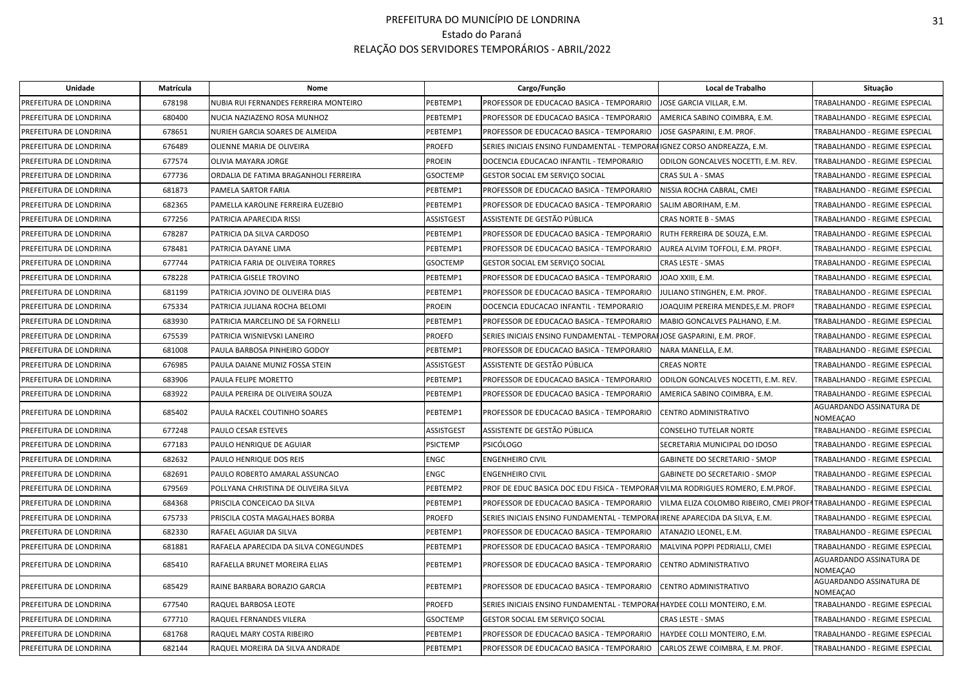| <b>Unidade</b>         | Matrícula | Nome                                  |                   | Cargo/Função                                                                    | Local de Trabalho                                                    | Situação                             |
|------------------------|-----------|---------------------------------------|-------------------|---------------------------------------------------------------------------------|----------------------------------------------------------------------|--------------------------------------|
| PREFEITURA DE LONDRINA | 678198    | NUBIA RUI FERNANDES FERREIRA MONTEIRO | PEBTEMP1          | PROFESSOR DE EDUCACAO BASICA - TEMPORARIO                                       | JOSE GARCIA VILLAR, E.M.                                             | TRABALHANDO - REGIME ESPECIAL        |
| PREFEITURA DE LONDRINA | 680400    | NUCIA NAZIAZENO ROSA MUNHOZ           | PEBTEMP1          | PROFESSOR DE EDUCACAO BASICA - TEMPORARIO                                       | AMERICA SABINO COIMBRA, E.M.                                         | TRABALHANDO - REGIME ESPECIAL        |
| PREFEITURA DE LONDRINA | 678651    | NURIEH GARCIA SOARES DE ALMEIDA       | PEBTEMP1          | PROFESSOR DE EDUCACAO BASICA - TEMPORARIO                                       | JOSE GASPARINI, E.M. PROF.                                           | TRABALHANDO - REGIME ESPECIAL        |
| PREFEITURA DE LONDRINA | 676489    | OLIENNE MARIA DE OLIVEIRA             | PROEFD            | SERIES INICIAIS ENSINO FUNDAMENTAL - TEMPORA                                    | FIGNEZ CORSO ANDREAZZA, E.M.                                         | TRABALHANDO - REGIME ESPECIAL        |
| PREFEITURA DE LONDRINA | 677574    | OLIVIA MAYARA JORGE                   | <b>PROEIN</b>     | DOCENCIA EDUCACAO INFANTIL - TEMPORARIO                                         | ODILON GONCALVES NOCETTI, E.M. REV.                                  | TRABALHANDO - REGIME ESPECIAL        |
| PREFEITURA DE LONDRINA | 677736    | ORDALIA DE FATIMA BRAGANHOLI FERREIRA | <b>GSOCTEMP</b>   | GESTOR SOCIAL EM SERVIÇO SOCIAL                                                 | CRAS SUL A - SMAS                                                    | TRABALHANDO - REGIME ESPECIAL        |
| PREFEITURA DE LONDRINA | 681873    | PAMELA SARTOR FARIA                   | PEBTEMP1          | PROFESSOR DE EDUCACAO BASICA - TEMPORARIO                                       | NISSIA ROCHA CABRAL, CMEI                                            | TRABALHANDO - REGIME ESPECIAL        |
| PREFEITURA DE LONDRINA | 682365    | PAMELLA KAROLINE FERREIRA EUZEBIO     | PEBTEMP1          | PROFESSOR DE EDUCACAO BASICA - TEMPORARIO                                       | SALIM ABORIHAM, E.M.                                                 | TRABALHANDO - REGIME ESPECIAL        |
| PREFEITURA DE LONDRINA | 677256    | PATRICIA APARECIDA RISSI              | <b>ASSISTGEST</b> | ASSISTENTE DE GESTÃO PÚBLICA                                                    | <b>CRAS NORTE B - SMAS</b>                                           | TRABALHANDO - REGIME ESPECIAL        |
| PREFEITURA DE LONDRINA | 678287    | PATRICIA DA SILVA CARDOSO             | PEBTEMP1          | PROFESSOR DE EDUCACAO BASICA - TEMPORARIO                                       | RUTH FERREIRA DE SOUZA, E.M.                                         | TRABALHANDO - REGIME ESPECIAL        |
| PREFEITURA DE LONDRINA | 678481    | PATRICIA DAYANE LIMA                  | PEBTEMP1          | PROFESSOR DE EDUCACAO BASICA - TEMPORARIO                                       | AUREA ALVIM TOFFOLI, E.M. PROF <sup>ª</sup> .                        | TRABALHANDO - REGIME ESPECIAL        |
| PREFEITURA DE LONDRINA | 677744    | PATRICIA FARIA DE OLIVEIRA TORRES     | <b>GSOCTEMP</b>   | GESTOR SOCIAL EM SERVIÇO SOCIAL                                                 | CRAS LESTE - SMAS                                                    | TRABALHANDO - REGIME ESPECIAL        |
| PREFEITURA DE LONDRINA | 678228    | PATRICIA GISELE TROVINO               | PEBTEMP1          | PROFESSOR DE EDUCACAO BASICA - TEMPORARIO                                       | JOAO XXIII, E.M.                                                     | TRABALHANDO - REGIME ESPECIAL        |
| PREFEITURA DE LONDRINA | 681199    | PATRICIA JOVINO DE OLIVEIRA DIAS      | PEBTEMP1          | PROFESSOR DE EDUCACAO BASICA - TEMPORARIO                                       | JULIANO STINGHEN, E.M. PROF.                                         | TRABALHANDO - REGIME ESPECIAL        |
| PREFEITURA DE LONDRINA | 675334    | PATRICIA JULIANA ROCHA BELOMI         | <b>PROEIN</b>     | DOCENCIA EDUCACAO INFANTIL - TEMPORARIO                                         | JOAQUIM PEREIRA MENDES,E.M. PROFº                                    | TRABALHANDO - REGIME ESPECIAL        |
| PREFEITURA DE LONDRINA | 683930    | PATRICIA MARCELINO DE SA FORNELLI     | PEBTEMP1          | PROFESSOR DE EDUCACAO BASICA - TEMPORARIO                                       | MABIO GONCALVES PALHANO, E.M.                                        | TRABALHANDO - REGIME ESPECIAL        |
| PREFEITURA DE LONDRINA | 675539    | PATRICIA WISNIEVSKI LANEIRO           | PROEFD            | SERIES INICIAIS ENSINO FUNDAMENTAL - TEMPORAHJOSE GASPARINI, E.M. PROF.         |                                                                      | TRABALHANDO - REGIME ESPECIAL        |
| PREFEITURA DE LONDRINA | 681008    | PAULA BARBOSA PINHEIRO GODOY          | PEBTEMP1          | PROFESSOR DE EDUCACAO BASICA - TEMPORARIO                                       | NARA MANELLA, E.M.                                                   | TRABALHANDO - REGIME ESPECIAL        |
| PREFEITURA DE LONDRINA | 676985    | PAULA DAIANE MUNIZ FOSSA STEIN        | <b>ASSISTGEST</b> | ASSISTENTE DE GESTÃO PÚBLICA                                                    | <b>CREAS NORTE</b>                                                   | TRABALHANDO - REGIME ESPECIAL        |
| PREFEITURA DE LONDRINA | 683906    | PAULA FELIPE MORETTO                  | PEBTEMP1          | PROFESSOR DE EDUCACAO BASICA - TEMPORARIO                                       | ODILON GONCALVES NOCETTI, E.M. REV.                                  | TRABALHANDO - REGIME ESPECIAL        |
| PREFEITURA DE LONDRINA | 683922    | PAULA PEREIRA DE OLIVEIRA SOUZA       | PEBTEMP1          | PROFESSOR DE EDUCACAO BASICA - TEMPORARIO                                       | AMERICA SABINO COIMBRA, E.M.                                         | TRABALHANDO - REGIME ESPECIAL        |
| PREFEITURA DE LONDRINA | 685402    | PAULA RACKEL COUTINHO SOARES          | PEBTEMP1          | PROFESSOR DE EDUCACAO BASICA - TEMPORARIO                                       | CENTRO ADMINISTRATIVO                                                | AGUARDANDO ASSINATURA DE<br>NOMEAÇAO |
| PREFEITURA DE LONDRINA | 677248    | PAULO CESAR ESTEVES                   | ASSISTGEST        | ASSISTENTE DE GESTÃO PÚBLICA                                                    | CONSELHO TUTELAR NORTE                                               | TRABALHANDO - REGIME ESPECIAL        |
| PREFEITURA DE LONDRINA | 677183    | PAULO HENRIQUE DE AGUIAR              | <b>PSICTEMP</b>   | PSICÓLOGO                                                                       | SECRETARIA MUNICIPAL DO IDOSO                                        | TRABALHANDO - REGIME ESPECIAL        |
| PREFEITURA DE LONDRINA | 682632    | PAULO HENRIQUE DOS REIS               | <b>ENGC</b>       | <b>ENGENHEIRO CIVIL</b>                                                         | <b>GABINETE DO SECRETARIO - SMOP</b>                                 | TRABALHANDO - REGIME ESPECIAL        |
| PREFEITURA DE LONDRINA | 682691    | PAULO ROBERTO AMARAL ASSUNCAO         | <b>ENGC</b>       | <b>ENGENHEIRO CIVIL</b>                                                         | <b>GABINETE DO SECRETARIO - SMOP</b>                                 | TRABALHANDO - REGIME ESPECIAL        |
| PREFEITURA DE LONDRINA | 679569    | POLLYANA CHRISTINA DE OLIVEIRA SILVA  | PEBTEMP2          | PROF DE EDUC BASICA DOC EDU FISICA - TEMPORAR VILMA RODRIGUES ROMERO, E.M.PROF. |                                                                      | TRABALHANDO - REGIME ESPECIAL        |
| PREFEITURA DE LONDRINA | 684368    | PRISCILA CONCEICAO DA SILVA           | PEBTEMP1          | PROFESSOR DE EDUCACAO BASICA - TEMPORARIO                                       | VILMA ELIZA COLOMBO RIBEIRO, CMEI PROFªTRABALHANDO - REGIME ESPECIAL |                                      |
| PREFEITURA DE LONDRINA | 675733    | PRISCILA COSTA MAGALHAES BORBA        | <b>PROEFD</b>     | SERIES INICIAIS ENSINO FUNDAMENTAL - TEMPORAFIRENE APARECIDA DA SILVA, E.M.     |                                                                      | TRABALHANDO - REGIME ESPECIAL        |
| PREFEITURA DE LONDRINA | 682330    | RAFAEL AGUIAR DA SILVA                | PEBTEMP1          | PROFESSOR DE EDUCACAO BASICA - TEMPORARIO                                       | ATANAZIO LEONEL, E.M.                                                | TRABALHANDO - REGIME ESPECIAL        |
| PREFEITURA DE LONDRINA | 681881    | RAFAELA APARECIDA DA SILVA CONEGUNDES | PEBTEMP1          | PROFESSOR DE EDUCACAO BASICA - TEMPORARIO                                       | MALVINA POPPI PEDRIALLI, CMEI                                        | TRABALHANDO - REGIME ESPECIAL        |
| PREFEITURA DE LONDRINA | 685410    | RAFAELLA BRUNET MOREIRA ELIAS         | PEBTEMP1          | PROFESSOR DE EDUCACAO BASICA - TEMPORARIO                                       | CENTRO ADMINISTRATIVO                                                | AGUARDANDO ASSINATURA DE<br>NOMEAÇAO |
| PREFEITURA DE LONDRINA | 685429    | RAINE BARBARA BORAZIO GARCIA          | PEBTEMP1          | PROFESSOR DE EDUCACAO BASICA - TEMPORARIO                                       | CENTRO ADMINISTRATIVO                                                | AGUARDANDO ASSINATURA DE<br>NOMEAÇAO |
| PREFEITURA DE LONDRINA | 677540    | RAQUEL BARBOSA LEOTE                  | <b>PROEFD</b>     | SERIES INICIAIS ENSINO FUNDAMENTAL - TEMPORAHHAYDEE COLLI MONTEIRO, E.M.        |                                                                      | TRABALHANDO - REGIME ESPECIAL        |
| PREFEITURA DE LONDRINA | 677710    | RAQUEL FERNANDES VILERA               | <b>GSOCTEMP</b>   | GESTOR SOCIAL EM SERVIÇO SOCIAL                                                 | CRAS LESTE - SMAS                                                    | TRABALHANDO - REGIME ESPECIAL        |
| PREFEITURA DE LONDRINA | 681768    | RAQUEL MARY COSTA RIBEIRO             | PEBTEMP1          | PROFESSOR DE EDUCACAO BASICA - TEMPORARIO                                       | HAYDEE COLLI MONTEIRO, E.M.                                          | TRABALHANDO - REGIME ESPECIAL        |
| PREFEITURA DE LONDRINA | 682144    | RAQUEL MOREIRA DA SILVA ANDRADE       | PEBTEMP1          | PROFESSOR DE EDUCACAO BASICA - TEMPORARIO                                       | CARLOS ZEWE COIMBRA, E.M. PROF.                                      | TRABALHANDO - REGIME ESPECIAL        |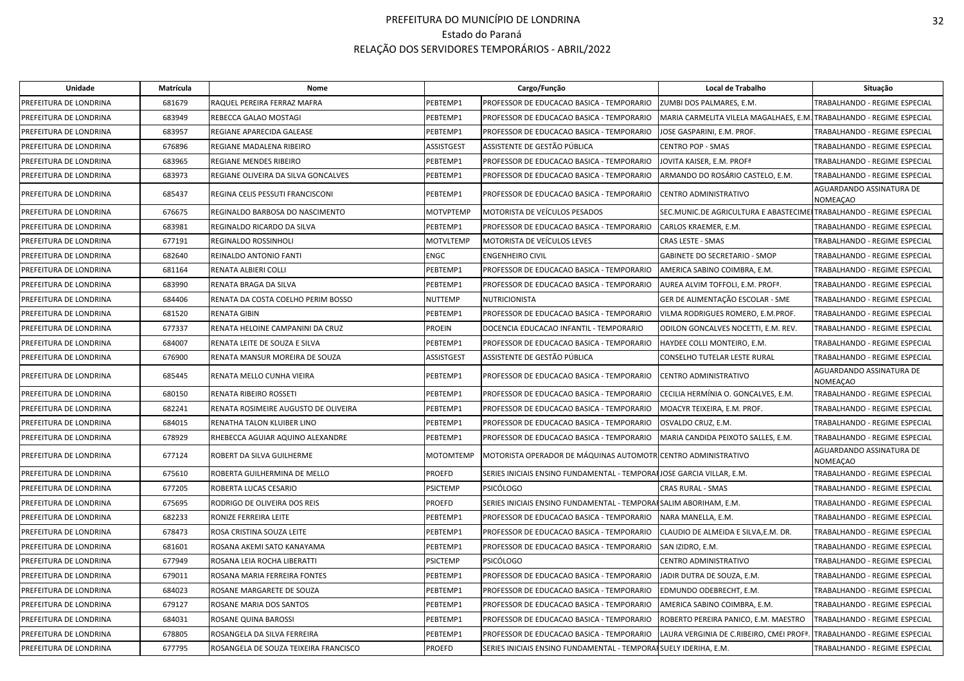| Unidade                | Matrícula | Nome                                  |                   | Cargo/Função                                                          | Local de Trabalho                                                    | Situação                                    |
|------------------------|-----------|---------------------------------------|-------------------|-----------------------------------------------------------------------|----------------------------------------------------------------------|---------------------------------------------|
| PREFEITURA DE LONDRINA | 681679    | RAQUEL PEREIRA FERRAZ MAFRA           | PEBTEMP1          | PROFESSOR DE EDUCACAO BASICA - TEMPORARIO                             | ZUMBI DOS PALMARES, E.M.                                             | TRABALHANDO - REGIME ESPECIAL               |
| PREFEITURA DE LONDRINA | 683949    | REBECCA GALAO MOSTAGI                 | PEBTEMP1          | PROFESSOR DE EDUCACAO BASICA - TEMPORARIO                             | MARIA CARMELITA VILELA MAGALHAES, E.M. TRABALHANDO - REGIME ESPECIAL |                                             |
| PREFEITURA DE LONDRINA | 683957    | REGIANE APARECIDA GALEASE             | PEBTEMP1          | PROFESSOR DE EDUCACAO BASICA - TEMPORARIO                             | JOSE GASPARINI. E.M. PROF.                                           | <b>TRABALHANDO - REGIME ESPECIAL</b>        |
| PREFEITURA DE LONDRINA | 676896    | REGIANE MADALENA RIBEIRO              | <b>ASSISTGEST</b> | ASSISTENTE DE GESTÃO PÚBLICA                                          | <b>CENTRO POP - SMAS</b>                                             | TRABALHANDO - REGIME ESPECIAL               |
| PREFEITURA DE LONDRINA | 683965    | REGIANE MENDES RIBEIRO                | PEBTEMP1          | PROFESSOR DE EDUCACAO BASICA - TEMPORARIO                             | JOVITA KAISER, E.M. PROF <sup>ª</sup>                                | TRABALHANDO - REGIME ESPECIAL               |
| PREFEITURA DE LONDRINA | 683973    | REGIANE OLIVEIRA DA SILVA GONCALVES   | PEBTEMP1          | PROFESSOR DE EDUCACAO BASICA - TEMPORARIO                             | ARMANDO DO ROSÁRIO CASTELO, E.M.                                     | TRABALHANDO - REGIME ESPECIAL               |
| PREFEITURA DE LONDRINA | 685437    | REGINA CELIS PESSUTI FRANCISCONI      | PEBTEMP1          | PROFESSOR DE EDUCACAO BASICA - TEMPORARIO                             | CENTRO ADMINISTRATIVO                                                | AGUARDANDO ASSINATURA DE<br><b>NOMEAÇAO</b> |
| PREFEITURA DE LONDRINA | 676675    | REGINALDO BARBOSA DO NASCIMENTO       | <b>MOTVPTEMP</b>  | MOTORISTA DE VEÍCULOS PESADOS                                         | SEC.MUNIC.DE AGRICULTURA E ABASTECIME TRABALHANDO - REGIME ESPECIAL  |                                             |
| PREFEITURA DE LONDRINA | 683981    | REGINALDO RICARDO DA SILVA            | PEBTEMP1          | PROFESSOR DE EDUCACAO BASICA - TEMPORARIO                             | CARLOS KRAEMER, E.M.                                                 | TRABALHANDO - REGIME ESPECIAL               |
| PREFEITURA DE LONDRINA | 677191    | REGINALDO ROSSINHOLI                  | <b>MOTVLTEMP</b>  | <b>MOTORISTA DE VEÍCULOS LEVES</b>                                    | <b>CRAS LESTE - SMAS</b>                                             | TRABALHANDO - REGIME ESPECIAL               |
| PREFEITURA DE LONDRINA | 682640    | REINALDO ANTONIO FANTI                | <b>ENGC</b>       | <b>ENGENHEIRO CIVIL</b>                                               | <b>GABINETE DO SECRETARIO - SMOP</b>                                 | <b>TRABALHANDO - REGIME ESPECIAL</b>        |
| PREFEITURA DE LONDRINA | 681164    | RENATA ALBIERI COLLI                  | PEBTEMP1          | PROFESSOR DE EDUCACAO BASICA - TEMPORARIO                             | AMERICA SABINO COIMBRA, E.M.                                         | TRABALHANDO - REGIME ESPECIAL               |
| PREFEITURA DE LONDRINA | 683990    | RENATA BRAGA DA SILVA                 | PEBTEMP1          | PROFESSOR DE EDUCACAO BASICA - TEMPORARIO                             | AUREA ALVIM TOFFOLI, E.M. PROFª.                                     | <b>TRABALHANDO - REGIME ESPECIAL</b>        |
| PREFEITURA DE LONDRINA | 684406    | RENATA DA COSTA COELHO PERIM BOSSO    | <b>NUTTEMP</b>    | NUTRICIONISTA                                                         | GER DE ALIMENTAÇÃO ESCOLAR - SME                                     | TRABALHANDO - REGIME ESPECIAL               |
| PREFEITURA DE LONDRINA | 681520    | <b>RENATA GIBIN</b>                   | PEBTEMP1          | PROFESSOR DE EDUCACAO BASICA - TEMPORARIO                             | VILMA RODRIGUES ROMERO, E.M.PROF.                                    | TRABALHANDO - REGIME ESPECIAL               |
| PREFEITURA DE LONDRINA | 677337    | RENATA HELOINE CAMPANINI DA CRUZ      | <b>PROEIN</b>     | DOCENCIA EDUCACAO INFANTIL - TEMPORARIO                               | IODILON GONCALVES NOCETTI. E.M. REV.                                 | <b>TRABALHANDO - REGIME ESPECIAL</b>        |
| PREFEITURA DE LONDRINA | 684007    | RENATA LEITE DE SOUZA E SILVA         | PEBTEMP1          | PROFESSOR DE EDUCACAO BASICA - TEMPORARIO                             | HAYDEE COLLI MONTEIRO, E.M.                                          | TRABALHANDO - REGIME ESPECIAL               |
| PREFEITURA DE LONDRINA | 676900    | RENATA MANSUR MOREIRA DE SOUZA        | <b>ASSISTGEST</b> | ASSISTENTE DE GESTÃO PÚBLICA                                          | CONSELHO TUTELAR LESTE RURAL                                         | TRABALHANDO - REGIME ESPECIAL               |
| PREFEITURA DE LONDRINA | 685445    | RENATA MELLO CUNHA VIEIRA             | PEBTEMP1          | PROFESSOR DE EDUCACAO BASICA - TEMPORARIO                             | CENTRO ADMINISTRATIVO                                                | AGUARDANDO ASSINATURA DE<br>NOMEAÇAO        |
| PREFEITURA DE LONDRINA | 680150    | RENATA RIBEIRO ROSSETI                | PEBTEMP1          | PROFESSOR DE EDUCACAO BASICA - TEMPORARIO                             | CECILIA HERMÍNIA O. GONCALVES, E.M.                                  | TRABALHANDO - REGIME ESPECIAL               |
| PREFEITURA DE LONDRINA | 682241    | RENATA ROSIMEIRE AUGUSTO DE OLIVEIRA  | PEBTEMP1          | PROFESSOR DE EDUCACAO BASICA - TEMPORARIO                             | MOACYR TEIXEIRA, E.M. PROF.                                          | TRABALHANDO - REGIME ESPECIAL               |
| PREFEITURA DE LONDRINA | 684015    | RENATHA TALON KLUIBER LINO            | PEBTEMP1          | PROFESSOR DE EDUCACAO BASICA - TEMPORARIO                             | <b>OSVALDO CRUZ. E.M.</b>                                            | <b>TRABALHANDO - REGIME ESPECIAL</b>        |
| PREFEITURA DE LONDRINA | 678929    | RHEBECCA AGUIAR AQUINO ALEXANDRE      | PEBTEMP1          | PROFESSOR DE EDUCACAO BASICA - TEMPORARIO                             | MARIA CANDIDA PEIXOTO SALLES, E.M.                                   | TRABALHANDO - REGIME ESPECIAL               |
| PREFEITURA DE LONDRINA | 677124    | ROBERT DA SILVA GUILHERME             | <b>MOTOMTEMP</b>  | MOTORISTA OPERADOR DE MÁQUINAS AUTOMOTRICENTRO ADMINISTRATIVO         |                                                                      | AGUARDANDO ASSINATURA DE<br>NOMEAÇAO        |
| PREFEITURA DE LONDRINA | 675610    | ROBERTA GUILHERMINA DE MELLO          | <b>PROEFD</b>     | SERIES INICIAIS ENSINO FUNDAMENTAL - TEMPORAHJOSE GARCIA VILLAR, E.M. |                                                                      | TRABALHANDO - REGIME ESPECIAL               |
| PREFEITURA DE LONDRINA | 677205    | ROBERTA LUCAS CESARIO                 | <b>PSICTEMP</b>   | <b>PSICÓLOGO</b>                                                      | <b>CRAS RURAL - SMAS</b>                                             | TRABALHANDO - REGIME ESPECIAL               |
| PREFEITURA DE LONDRINA | 675695    | RODRIGO DE OLIVEIRA DOS REIS          | <b>PROEFD</b>     | SERIES INICIAIS ENSINO FUNDAMENTAL - TEMPORAISALIM ABORIHAM, E.M.     |                                                                      | TRABALHANDO - REGIME ESPECIAL               |
| PREFEITURA DE LONDRINA | 682233    | RONIZE FERREIRA LEITE                 | PEBTEMP1          | PROFESSOR DE EDUCACAO BASICA - TEMPORARIO                             | NARA MANELLA, E.M.                                                   | <b>TRABALHANDO - REGIME ESPECIAL</b>        |
| PREFEITURA DE LONDRINA | 678473    | ROSA CRISTINA SOUZA LEITE             | PEBTEMP1          | PROFESSOR DE EDUCACAO BASICA - TEMPORARIO                             | CLAUDIO DE ALMEIDA E SILVA, E.M. DR.                                 | TRABALHANDO - REGIME ESPECIAL               |
| PREFEITURA DE LONDRINA | 681601    | ROSANA AKEMI SATO KANAYAMA            | PEBTEMP1          | PROFESSOR DE EDUCACAO BASICA - TEMPORARIO                             | SAN IZIDRO, E.M.                                                     | TRABALHANDO - REGIME ESPECIAL               |
| PREFEITURA DE LONDRINA | 677949    | ROSANA LEIA ROCHA LIBERATTI           | <b>PSICTEMP</b>   | <b>PSICÓLOGO</b>                                                      | CENTRO ADMINISTRATIVO                                                | TRABALHANDO - REGIME ESPECIAL               |
| PREFEITURA DE LONDRINA | 679011    | ROSANA MARIA FERREIRA FONTES          | PEBTEMP1          | PROFESSOR DE EDUCACAO BASICA - TEMPORARIO                             | JADIR DUTRA DE SOUZA, E.M.                                           | TRABALHANDO - REGIME ESPECIAL               |
| PREFEITURA DE LONDRINA | 684023    | ROSANE MARGARETE DE SOUZA             | PEBTEMP1          | PROFESSOR DE EDUCACAO BASICA - TEMPORARIO                             | EDMUNDO ODEBRECHT, E.M.                                              | TRABALHANDO - REGIME ESPECIAL               |
| PREFEITURA DE LONDRINA | 679127    | ROSANE MARIA DOS SANTOS               | PEBTEMP1          | PROFESSOR DE EDUCACAO BASICA - TEMPORARIO                             | AMERICA SABINO COIMBRA, E.M.                                         | TRABALHANDO - REGIME ESPECIAL               |
| PREFEITURA DE LONDRINA | 684031    | ROSANE QUINA BAROSSI                  | PEBTEMP1          | PROFESSOR DE EDUCACAO BASICA - TEMPORARIO                             | ROBERTO PEREIRA PANICO, E.M. MAESTRO                                 | TRABALHANDO - REGIME ESPECIAL               |
| PREFEITURA DE LONDRINA | 678805    | ROSANGELA DA SILVA FERREIRA           | PEBTEMP1          | PROFESSOR DE EDUCACAO BASICA - TEMPORARIO                             | LAURA VERGINIA DE C.RIBEIRO, CMEI PROFª.                             | TRABALHANDO - REGIME ESPECIAL               |
| PREFEITURA DE LONDRINA | 677795    | ROSANGELA DE SOUZA TEIXEIRA FRANCISCO | <b>PROEFD</b>     | SERIES INICIAIS ENSINO FUNDAMENTAL - TEMPORAISUELY IDERIHA, E.M.      |                                                                      | TRABALHANDO - REGIME ESPECIAL               |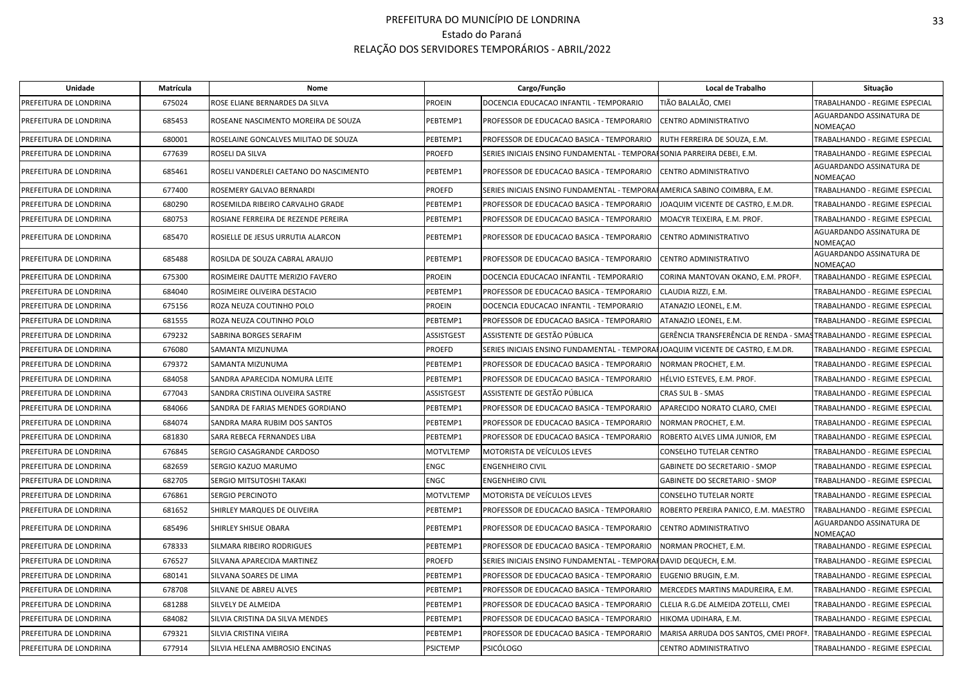| Unidade                | Matrícula | Nome                                   |                  | Cargo/Função                                                                    | Local de Trabalho                                                   | Situação                             |
|------------------------|-----------|----------------------------------------|------------------|---------------------------------------------------------------------------------|---------------------------------------------------------------------|--------------------------------------|
| PREFEITURA DE LONDRINA | 675024    | ROSE ELIANE BERNARDES DA SILVA         | PROEIN           | DOCENCIA EDUCACAO INFANTIL - TEMPORARIO                                         | TIÃO BALALÃO, CMEI                                                  | TRABALHANDO - REGIME ESPECIAL        |
| PREFEITURA DE LONDRINA | 685453    | ROSEANE NASCIMENTO MOREIRA DE SOUZA    | PEBTEMP1         | PROFESSOR DE EDUCACAO BASICA - TEMPORARIO                                       | <b>ENTRO ADMINISTRATIVO</b>                                         | AGUARDANDO ASSINATURA DE<br>NOMEAÇAO |
| PREFEITURA DE LONDRINA | 680001    | ROSELAINE GONCALVES MILITAO DE SOUZA   | PEBTEMP1         | PROFESSOR DE EDUCACAO BASICA - TEMPORARIO                                       | RUTH FERREIRA DE SOUZA, E.M.                                        | TRABALHANDO - REGIME ESPECIAL        |
| PREFEITURA DE LONDRINA | 677639    | ROSELI DA SILVA                        | PROEFD           | SERIES INICIAIS ENSINO FUNDAMENTAL - TEMPORAISONIA PARREIRA DEBEI, E.M.         |                                                                     | TRABALHANDO - REGIME ESPECIAL        |
| PREFEITURA DE LONDRINA | 685461    | ROSELI VANDERLEI CAETANO DO NASCIMENTO | PEBTEMP1         | PROFESSOR DE EDUCACAO BASICA - TEMPORARIO                                       | CENTRO ADMINISTRATIVO                                               | AGUARDANDO ASSINATURA DE<br>NOMEAÇAO |
| PREFEITURA DE LONDRINA | 677400    | ROSEMERY GALVAO BERNARDI               | PROEFD           | SERIES INICIAIS ENSINO FUNDAMENTAL - TEMPORA HAMERICA SABINO COIMBRA, E.M.      |                                                                     | TRABALHANDO - REGIME ESPECIAL        |
| PREFEITURA DE LONDRINA | 680290    | ROSEMILDA RIBEIRO CARVALHO GRADE       | PEBTEMP1         | PROFESSOR DE EDUCACAO BASICA - TEMPORARIO                                       | IOAQUIM VICENTE DE CASTRO, E.M.DR.                                  | TRABALHANDO - REGIME ESPECIAL        |
| PREFEITURA DE LONDRINA | 680753    | ROSIANE FERREIRA DE REZENDE PEREIRA    | PEBTEMP1         | PROFESSOR DE EDUCACAO BASICA - TEMPORARIO                                       | MOACYR TEIXEIRA, E.M. PROF.                                         | TRABALHANDO - REGIME ESPECIAL        |
| PREFEITURA DE LONDRINA | 685470    | ROSIELLE DE JESUS URRUTIA ALARCON      | PEBTEMP1         | PROFESSOR DE EDUCACAO BASICA - TEMPORARIO                                       | <b>ENTRO ADMINISTRATIVO</b>                                         | AGUARDANDO ASSINATURA DE<br>NOMEACAO |
| PREFEITURA DE LONDRINA | 685488    | ROSILDA DE SOUZA CABRAL ARAUJO         | PEBTEMP1         | PROFESSOR DE EDUCACAO BASICA - TEMPORARIO                                       | CENTRO ADMINISTRATIVO                                               | AGUARDANDO ASSINATURA DE<br>NOMEAÇAO |
| PREFEITURA DE LONDRINA | 675300    | ROSIMEIRE DAUTTE MERIZIO FAVERO        | PROEIN           | DOCENCIA EDUCACAO INFANTIL - TEMPORARIO                                         | CORINA MANTOVAN OKANO, E.M. PROFª.                                  | TRABALHANDO - REGIME ESPECIAL        |
| PREFEITURA DE LONDRINA | 684040    | ROSIMEIRE OLIVEIRA DESTACIO            | PEBTEMP1         | PROFESSOR DE EDUCACAO BASICA - TEMPORARIO                                       | CLAUDIA RIZZI, E.M.                                                 | TRABALHANDO - REGIME ESPECIAL        |
| PREFEITURA DE LONDRINA | 675156    | ROZA NEUZA COUTINHO POLO               | PROEIN           | DOCENCIA EDUCACAO INFANTIL - TEMPORARIO                                         | ATANAZIO LEONEL, E.M.                                               | TRABALHANDO - REGIME ESPECIAL        |
| PREFEITURA DE LONDRINA | 681555    | ROZA NEUZA COUTINHO POLO               | PEBTEMP1         | PROFESSOR DE EDUCACAO BASICA - TEMPORARIO                                       | ATANAZIO LEONEL, E.M.                                               | TRABALHANDO - REGIME ESPECIAL        |
| PREFEITURA DE LONDRINA | 679232    | SABRINA BORGES SERAFIM                 | ASSISTGEST       | ASSISTENTE DE GESTÃO PÚBLICA                                                    | GERÊNCIA TRANSFERÊNCIA DE RENDA - SMASTRABALHANDO - REGIME ESPECIAL |                                      |
| PREFEITURA DE LONDRINA | 676080    | SAMANTA MIZUNUMA                       | PROEFD           | SERIES INICIAIS ENSINO FUNDAMENTAL - TEMPORAIJOAQUIM VICENTE DE CASTRO. E.M.DR. |                                                                     | TRABALHANDO - REGIME ESPECIAL        |
| PREFEITURA DE LONDRINA | 679372    | SAMANTA MIZUNUMA                       | PEBTEMP1         | PROFESSOR DE EDUCACAO BASICA - TEMPORARIO                                       | NORMAN PROCHET, E.M.                                                | TRABALHANDO - REGIME ESPECIAL        |
| PREFEITURA DE LONDRINA | 684058    | SANDRA APARECIDA NOMURA LEITE          | PEBTEMP1         | PROFESSOR DE EDUCACAO BASICA - TEMPORARIO                                       | HÉLVIO ESTEVES, E.M. PROF.                                          | TRABALHANDO - REGIME ESPECIAL        |
| PREFEITURA DE LONDRINA | 677043    | SANDRA CRISTINA OLIVEIRA SASTRE        | ASSISTGEST       | ASSISTENTE DE GESTÃO PÚBLICA                                                    | CRAS SUL B - SMAS                                                   | TRABALHANDO - REGIME ESPECIAL        |
| PREFEITURA DE LONDRINA | 684066    | SANDRA DE FARIAS MENDES GORDIANO       | PEBTEMP1         | PROFESSOR DE EDUCACAO BASICA - TEMPORARIO                                       | APARECIDO NORATO CLARO, CMEI                                        | TRABALHANDO - REGIME ESPECIAL        |
| PREFEITURA DE LONDRINA | 684074    | SANDRA MARA RUBIM DOS SANTOS           | PEBTEMP1         | PROFESSOR DE EDUCACAO BASICA - TEMPORARIO                                       | NORMAN PROCHET, E.M.                                                | TRABALHANDO - REGIME ESPECIAL        |
| PREFEITURA DE LONDRINA | 681830    | SARA REBECA FERNANDES LIBA             | PEBTEMP1         | PROFESSOR DE EDUCACAO BASICA - TEMPORARIO                                       | ROBERTO ALVES LIMA JUNIOR, EM                                       | TRABALHANDO - REGIME ESPECIAL        |
| PREFEITURA DE LONDRINA | 676845    | SERGIO CASAGRANDE CARDOSO              | MOTVLTEMP        | MOTORISTA DE VEÍCULOS LEVES                                                     | CONSELHO TUTELAR CENTRO                                             | TRABALHANDO - REGIME ESPECIAL        |
| PREFEITURA DE LONDRINA | 682659    | SERGIO KAZUO MARUMO                    | <b>ENGC</b>      | <b>ENGENHEIRO CIVIL</b>                                                         | GABINETE DO SECRETARIO - SMOP                                       | TRABALHANDO - REGIME ESPECIAL        |
| PREFEITURA DE LONDRINA | 682705    | SERGIO MITSUTOSHI TAKAKI               | ENGC             | <b>ENGENHEIRO CIVIL</b>                                                         | GABINETE DO SECRETARIO - SMOP                                       | TRABALHANDO - REGIME ESPECIAL        |
| PREFEITURA DE LONDRINA | 676861    | SERGIO PERCINOTO                       | <b>MOTVLTEMP</b> | MOTORISTA DE VEÍCULOS LEVES                                                     | CONSELHO TUTELAR NORTE                                              | TRABALHANDO - REGIME ESPECIAL        |
| PREFEITURA DE LONDRINA | 681652    | SHIRLEY MARQUES DE OLIVEIRA            | PEBTEMP1         | PROFESSOR DE EDUCACAO BASICA - TEMPORARIO                                       | ROBERTO PEREIRA PANICO, E.M. MAESTRO                                | TRABALHANDO - REGIME ESPECIAL        |
| PREFEITURA DE LONDRINA | 685496    | SHIRLEY SHISUE OBARA                   | PEBTEMP1         | PROFESSOR DE EDUCACAO BASICA - TEMPORARIO                                       | CENTRO ADMINISTRATIVO                                               | AGUARDANDO ASSINATURA DE<br>NOMEAÇAO |
| PREFEITURA DE LONDRINA | 678333    | SILMARA RIBEIRO RODRIGUES              | PEBTEMP1         | PROFESSOR DE EDUCACAO BASICA - TEMPORARIO                                       | NORMAN PROCHET, E.M.                                                | TRABALHANDO - REGIME ESPECIAL        |
| PREFEITURA DE LONDRINA | 676527    | SILVANA APARECIDA MARTINEZ             | PROEFD           | SERIES INICIAIS ENSINO FUNDAMENTAL - TEMPORAI DAVID DEQUECH, E.M.               |                                                                     | TRABALHANDO - REGIME ESPECIAL        |
| PREFEITURA DE LONDRINA | 680141    | SILVANA SOARES DE LIMA                 | PEBTEMP1         | PROFESSOR DE EDUCACAO BASICA - TEMPORARIO                                       | EUGENIO BRUGIN, E.M.                                                | TRABALHANDO - REGIME ESPECIAL        |
| PREFEITURA DE LONDRINA | 678708    | SILVANE DE ABREU ALVES                 | PEBTEMP1         | PROFESSOR DE EDUCACAO BASICA - TEMPORARIO                                       | MERCEDES MARTINS MADUREIRA, E.M.                                    | TRABALHANDO - REGIME ESPECIAL        |
| PREFEITURA DE LONDRINA | 681288    | SILVELY DE ALMEIDA                     | PEBTEMP1         | PROFESSOR DE EDUCACAO BASICA - TEMPORARIO                                       | CLELIA R.G.DE ALMEIDA ZOTELLI, CMEI                                 | TRABALHANDO - REGIME ESPECIAL        |
| PREFEITURA DE LONDRINA | 684082    | SILVIA CRISTINA DA SILVA MENDES        | PEBTEMP1         | PROFESSOR DE EDUCACAO BASICA - TEMPORARIO                                       | HIKOMA UDIHARA, E.M.                                                | TRABALHANDO - REGIME ESPECIAL        |
| PREFEITURA DE LONDRINA | 679321    | SILVIA CRISTINA VIEIRA                 | PEBTEMP1         | PROFESSOR DE EDUCACAO BASICA - TEMPORARIO                                       | MARISA ARRUDA DOS SANTOS, CMEI PROFª.                               | TRABALHANDO - REGIME ESPECIAL        |
| PREFEITURA DE LONDRINA | 677914    | SILVIA HELENA AMBROSIO ENCINAS         | <b>PSICTEMP</b>  | <b>PSICÓLOGO</b>                                                                | CENTRO ADMINISTRATIVO                                               | TRABALHANDO - REGIME ESPECIAL        |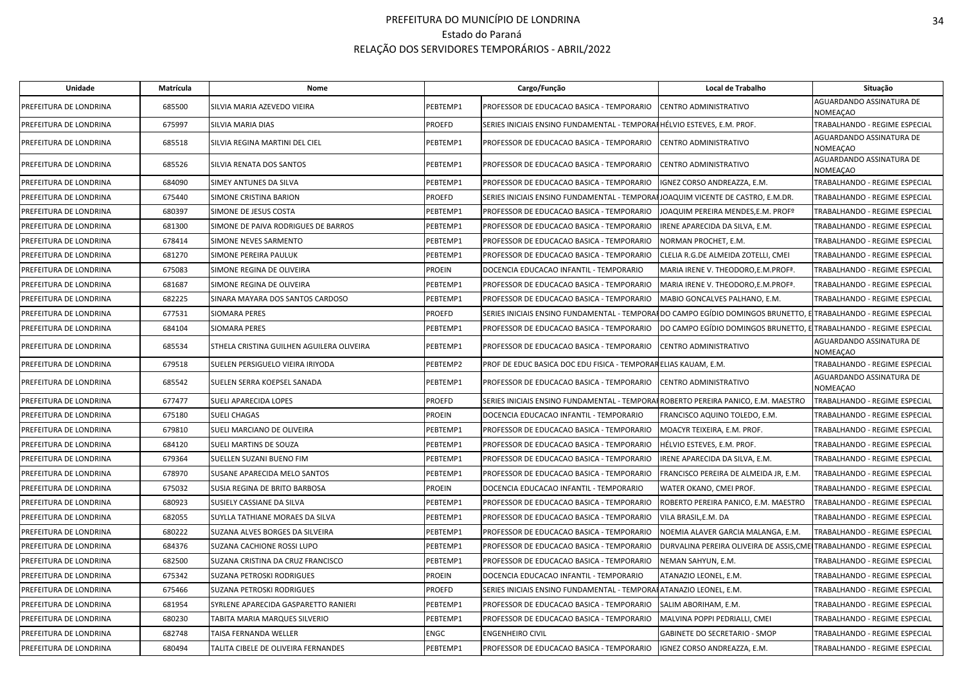| Unidade                | Matrícula | Nome                                      |               | Cargo/Função                                                                                                     | Local de Trabalho                       | Situação                             |
|------------------------|-----------|-------------------------------------------|---------------|------------------------------------------------------------------------------------------------------------------|-----------------------------------------|--------------------------------------|
| PREFEITURA DE LONDRINA | 685500    | SILVIA MARIA AZEVEDO VIEIRA               | PEBTEMP1      | PROFESSOR DE EDUCACAO BASICA - TEMPORARIO                                                                        | CENTRO ADMINISTRATIVO                   | AGUARDANDO ASSINATURA DE<br>NOMEAÇAO |
| PREFEITURA DE LONDRINA | 675997    | <b>SILVIA MARIA DIAS</b>                  | <b>PROEFD</b> | SERIES INICIAIS ENSINO FUNDAMENTAL - TEMPORAFHÉLVIO ESTEVES, E.M. PROF.                                          |                                         | TRABALHANDO - REGIME ESPECIAL        |
| PREFEITURA DE LONDRINA | 685518    | SILVIA REGINA MARTINI DEL CIEL            | PEBTEMP1      | PROFESSOR DE EDUCACAO BASICA - TEMPORARIO                                                                        | CENTRO ADMINISTRATIVO                   | AGUARDANDO ASSINATURA DE<br>NOMEACAO |
| PREFEITURA DE LONDRINA | 685526    | SILVIA RENATA DOS SANTOS                  | PEBTEMP1      | PROFESSOR DE EDUCACAO BASICA - TEMPORARIO                                                                        | CENTRO ADMINISTRATIVO                   | AGUARDANDO ASSINATURA DE<br>NOMEAÇAO |
| PREFEITURA DE LONDRINA | 684090    | SIMEY ANTUNES DA SILVA                    | PEBTEMP1      | PROFESSOR DE EDUCACAO BASICA - TEMPORARIO                                                                        | IGNEZ CORSO ANDREAZZA, E.M.             | TRABALHANDO - REGIME ESPECIAL        |
| PREFEITURA DE LONDRINA | 675440    | SIMONE CRISTINA BARION                    | <b>PROEFD</b> | SERIES INICIAIS ENSINO FUNDAMENTAL - TEMPORAHJOAQUIM VICENTE DE CASTRO, E.M.DR.                                  |                                         | TRABALHANDO - REGIME ESPECIAL        |
| PREFEITURA DE LONDRINA | 680397    | SIMONE DE JESUS COSTA                     | PEBTEMP1      | PROFESSOR DE EDUCACAO BASICA - TEMPORARIO                                                                        | JOAQUIM PEREIRA MENDES,E.M. PROFº       | TRABALHANDO - REGIME ESPECIAL        |
| PREFEITURA DE LONDRINA | 681300    | SIMONE DE PAIVA RODRIGUES DE BARROS       | PEBTEMP1      | PROFESSOR DE EDUCACAO BASICA - TEMPORARIO                                                                        | RENE APARECIDA DA SILVA, E.M.           | TRABALHANDO - REGIME ESPECIAL        |
| PREFEITURA DE LONDRINA | 678414    | SIMONE NEVES SARMENTO                     | PEBTEMP1      | PROFESSOR DE EDUCACAO BASICA - TEMPORARIO                                                                        | NORMAN PROCHET, E.M.                    | TRABALHANDO - REGIME ESPECIAL        |
| PREFEITURA DE LONDRINA | 681270    | SIMONE PEREIRA PAULUK                     | PEBTEMP1      | PROFESSOR DE EDUCACAO BASICA - TEMPORARIO                                                                        | CLELIA R.G.DE ALMEIDA ZOTELLI, CMEI     | TRABALHANDO - REGIME ESPECIAL        |
| PREFEITURA DE LONDRINA | 675083    | SIMONE REGINA DE OLIVEIRA                 | <b>PROEIN</b> | DOCENCIA EDUCACAO INFANTIL - TEMPORARIO                                                                          | MARIA IRENE V. THEODORO,E.M.PROFª       | TRABALHANDO - REGIME ESPECIAL        |
| PREFEITURA DE LONDRINA | 681687    | SIMONE REGINA DE OLIVEIRA                 | PEBTEMP1      | PROFESSOR DE EDUCACAO BASICA - TEMPORARIO                                                                        | MARIA IRENE V. THEODORO,E.M.PROFª.      | TRABALHANDO - REGIME ESPECIAL        |
| PREFEITURA DE LONDRINA | 682225    | SINARA MAYARA DOS SANTOS CARDOSO          | PEBTEMP1      | PROFESSOR DE EDUCACAO BASICA - TEMPORARIO                                                                        | MABIO GONCALVES PALHANO. E.M.           | TRABALHANDO - REGIME ESPECIAL        |
| PREFEITURA DE LONDRINA | 677531    | SIOMARA PERES                             | <b>PROEFD</b> | SERIES INICIAIS ENSINO FUNDAMENTAL - TEMPORAIIDO CAMPO EGÍDIO DOMINGOS BRUNETTO, E TRABALHANDO - REGIME ESPECIAL |                                         |                                      |
| PREFEITURA DE LONDRINA | 684104    | SIOMARA PERES                             | PEBTEMP1      | PROFESSOR DE EDUCACAO BASICA - TEMPORARIO                                                                        | DO CAMPO EGÍDIO DOMINGOS BRUNETTO, E    | TRABALHANDO - REGIME ESPECIAL        |
| PREFEITURA DE LONDRINA | 685534    | STHELA CRISTINA GUILHEN AGUILERA OLIVEIRA | PEBTEMP1      | PROFESSOR DE EDUCACAO BASICA - TEMPORARIO                                                                        | CENTRO ADMINISTRATIVO                   | AGUARDANDO ASSINATURA DE<br>NOMEACAO |
| PREFEITURA DE LONDRINA | 679518    | SUELEN PERSIGUELO VIEIRA IRIYODA          | PEBTEMP2      | PROF DE EDUC BASICA DOC EDU FISICA - TEMPORARELIAS KAUAM, E.M.                                                   |                                         | TRABALHANDO - REGIME ESPECIAL        |
| PREFEITURA DE LONDRINA | 685542    | SUELEN SERRA KOEPSEL SANADA               | PEBTEMP1      | PROFESSOR DE EDUCACAO BASICA - TEMPORARIO                                                                        | CENTRO ADMINISTRATIVO                   | AGUARDANDO ASSINATURA DE<br>NOMEAÇAO |
| PREFEITURA DE LONDRINA | 677477    | SUELI APARECIDA LOPES                     | <b>PROEFD</b> | SERIES INICIAIS ENSINO FUNDAMENTAL - TEMPORAHROBERTO PEREIRA PANICO, E.M. MAESTRO                                |                                         | TRABALHANDO - REGIME ESPECIAL        |
| PREFEITURA DE LONDRINA | 675180    | <b>SUELI CHAGAS</b>                       | <b>PROEIN</b> | DOCENCIA EDUCACAO INFANTIL - TEMPORARIO                                                                          | FRANCISCO AQUINO TOLEDO, E.M.           | TRABALHANDO - REGIME ESPECIAL        |
| PREFEITURA DE LONDRINA | 679810    | SUELI MARCIANO DE OLIVEIRA                | PEBTEMP1      | PROFESSOR DE EDUCACAO BASICA - TEMPORARIO                                                                        | MOACYR TEIXEIRA, E.M. PROF.             | TRABALHANDO - REGIME ESPECIAL        |
| PREFEITURA DE LONDRINA | 684120    | SUELI MARTINS DE SOUZA                    | PEBTEMP1      | PROFESSOR DE EDUCACAO BASICA - TEMPORARIO                                                                        | HÉLVIO ESTEVES, E.M. PROF.              | TRABALHANDO - REGIME ESPECIAL        |
| PREFEITURA DE LONDRINA | 679364    | SUELLEN SUZANI BUENO FIM                  | PEBTEMP1      | PROFESSOR DE EDUCACAO BASICA - TEMPORARIO                                                                        | IRENE APARECIDA DA SILVA, E.M.          | TRABALHANDO - REGIME ESPECIAL        |
| PREFEITURA DE LONDRINA | 678970    | SUSANE APARECIDA MELO SANTOS              | PEBTEMP1      | PROFESSOR DE EDUCACAO BASICA - TEMPORARIO                                                                        | FRANCISCO PEREIRA DE ALMEIDA JR, E.M.   | TRABALHANDO - REGIME ESPECIAL        |
| PREFEITURA DE LONDRINA | 675032    | SUSIA REGINA DE BRITO BARBOSA             | <b>PROEIN</b> | DOCENCIA EDUCACAO INFANTIL - TEMPORARIO                                                                          | WATER OKANO, CMEI PROF.                 | TRABALHANDO - REGIME ESPECIAL        |
| PREFEITURA DE LONDRINA | 680923    | SUSIELY CASSIANE DA SILVA                 | PEBTEMP1      | PROFESSOR DE EDUCACAO BASICA - TEMPORARIO                                                                        | ROBERTO PEREIRA PANICO, E.M. MAESTRO    | TRABALHANDO - REGIME ESPECIAL        |
| PREFEITURA DE LONDRINA | 682055    | SUYLLA TATHIANE MORAES DA SILVA           | PEBTEMP1      | PROFESSOR DE EDUCACAO BASICA - TEMPORARIO                                                                        | VILA BRASIL,E.M. DA                     | TRABALHANDO - REGIME ESPECIAL        |
| PREFEITURA DE LONDRINA | 680222    | SUZANA ALVES BORGES DA SILVEIRA           | PEBTEMP1      | PROFESSOR DE EDUCACAO BASICA - TEMPORARIO                                                                        | NOEMIA ALAVER GARCIA MALANGA, E.M.      | TRABALHANDO - REGIME ESPECIAL        |
| PREFEITURA DE LONDRINA | 684376    | SUZANA CACHIONE ROSSI LUPO                | PEBTEMP1      | PROFESSOR DE EDUCACAO BASICA - TEMPORARIO                                                                        | DURVALINA PEREIRA OLIVEIRA DE ASSIS,CME | TRABALHANDO - REGIME ESPECIAL        |
| PREFEITURA DE LONDRINA | 682500    | SUZANA CRISTINA DA CRUZ FRANCISCO         | PEBTEMP1      | PROFESSOR DE EDUCACAO BASICA - TEMPORARIO                                                                        | NEMAN SAHYUN, E.M.                      | TRABALHANDO - REGIME ESPECIAL        |
| PREFEITURA DE LONDRINA | 675342    | SUZANA PETROSKI RODRIGUES                 | <b>PROEIN</b> | DOCENCIA EDUCACAO INFANTIL - TEMPORARIO                                                                          | ATANAZIO LEONEL, E.M.                   | TRABALHANDO - REGIME ESPECIAL        |
| PREFEITURA DE LONDRINA | 675466    | SUZANA PETROSKI RODRIGUES                 | <b>PROEFD</b> | SERIES INICIAIS ENSINO FUNDAMENTAL - TEMPORAFATANAZIO LEONEL, E.M.                                               |                                         | TRABALHANDO - REGIME ESPECIAL        |
| PREFEITURA DE LONDRINA | 681954    | SYRLENE APARECIDA GASPARETTO RANIERI      | PEBTEMP1      | PROFESSOR DE EDUCACAO BASICA - TEMPORARIO                                                                        | SALIM ABORIHAM, E.M.                    | TRABALHANDO - REGIME ESPECIAL        |
| PREFEITURA DE LONDRINA | 680230    | TABITA MARIA MARQUES SILVERIO             | PEBTEMP1      | PROFESSOR DE EDUCACAO BASICA - TEMPORARIO                                                                        | MALVINA POPPI PEDRIALLI, CMEI           | TRABALHANDO - REGIME ESPECIAL        |
| PREFEITURA DE LONDRINA | 682748    | TAISA FERNANDA WELLER                     | <b>ENGC</b>   | <b>ENGENHEIRO CIVIL</b>                                                                                          | <b>GABINETE DO SECRETARIO - SMOP</b>    | TRABALHANDO - REGIME ESPECIAL        |
| PREFEITURA DE LONDRINA | 680494    | TALITA CIBELE DE OLIVEIRA FERNANDES       | PEBTEMP1      | PROFESSOR DE EDUCACAO BASICA - TEMPORARIO                                                                        | IGNEZ CORSO ANDREAZZA, E.M.             | TRABALHANDO - REGIME ESPECIAL        |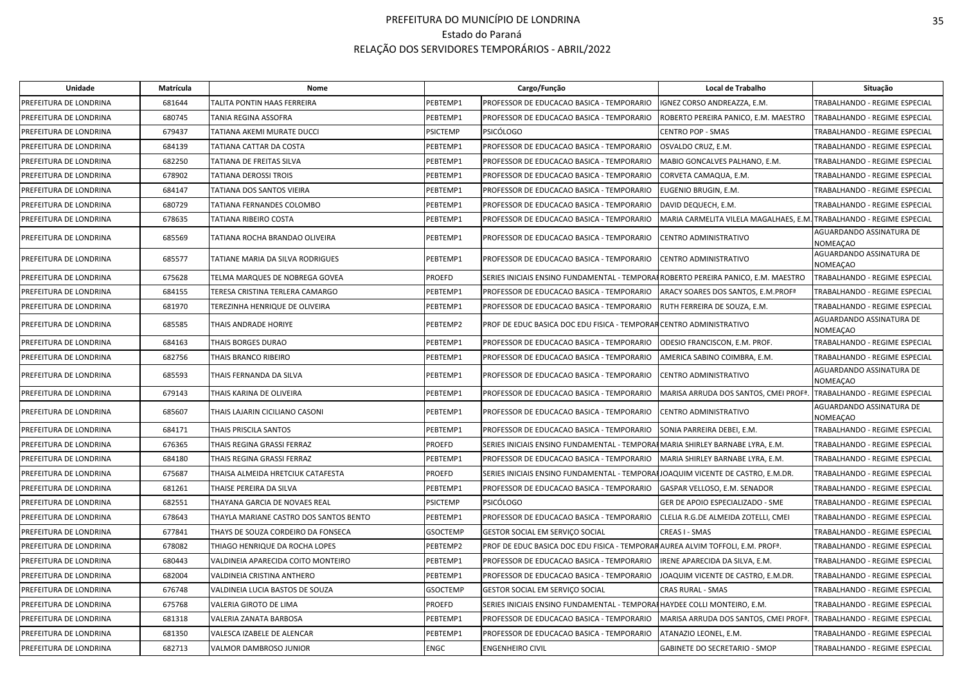| <b>Unidade</b>         | Matrícula | Nome                                   |                 | Cargo/Função                                                        | Local de Trabalho                                | Situação                             |
|------------------------|-----------|----------------------------------------|-----------------|---------------------------------------------------------------------|--------------------------------------------------|--------------------------------------|
| PREFEITURA DE LONDRINA | 681644    | TALITA PONTIN HAAS FERREIRA            | PEBTEMP1        | PROFESSOR DE EDUCACAO BASICA - TEMPORARIO                           | IGNEZ CORSO ANDREAZZA, E.M.                      | TRABALHANDO - REGIME ESPECIAL        |
| PREFEITURA DE LONDRINA | 680745    | TANIA REGINA ASSOFRA                   | PEBTEMP1        | PROFESSOR DE EDUCACAO BASICA - TEMPORARIO                           | ROBERTO PEREIRA PANICO, E.M. MAESTRO             | TRABALHANDO - REGIME ESPECIAL        |
| PREFEITURA DE LONDRINA | 679437    | TATIANA AKEMI MURATE DUCCI             | <b>PSICTEMP</b> | <b>PSICÓLOGO</b>                                                    | <b>CENTRO POP - SMAS</b>                         | TRABALHANDO - REGIME ESPECIAL        |
| PREFEITURA DE LONDRINA | 684139    | TATIANA CATTAR DA COSTA                | PEBTEMP1        | PROFESSOR DE EDUCACAO BASICA - TEMPORARIO                           | OSVALDO CRUZ, E.M.                               | TRABALHANDO - REGIME ESPECIAL        |
| PREFEITURA DE LONDRINA | 682250    | TATIANA DE FREITAS SILVA               | PEBTEMP1        | PROFESSOR DE EDUCACAO BASICA - TEMPORARIO                           | MABIO GONCALVES PALHANO, E.M.                    | TRABALHANDO - REGIME ESPECIAL        |
| PREFEITURA DE LONDRINA | 678902    | TATIANA DEROSSI TROIS                  | PEBTEMP1        | PROFESSOR DE EDUCACAO BASICA - TEMPORARIO                           | CORVETA CAMAQUA, E.M.                            | TRABALHANDO - REGIME ESPECIAL        |
| PREFEITURA DE LONDRINA | 684147    | TATIANA DOS SANTOS VIEIRA              | PEBTEMP1        | PROFESSOR DE EDUCACAO BASICA - TEMPORARIO                           | EUGENIO BRUGIN, E.M.                             | TRABALHANDO - REGIME ESPECIAL        |
| PREFEITURA DE LONDRINA | 680729    | TATIANA FERNANDES COLOMBO              | PEBTEMP1        | PROFESSOR DE EDUCACAO BASICA - TEMPORARIO                           | DAVID DEQUECH, E.M.                              | TRABALHANDO - REGIME ESPECIAL        |
| PREFEITURA DE LONDRINA | 678635    | TATIANA RIBEIRO COSTA                  | PEBTEMP1        | PROFESSOR DE EDUCACAO BASICA - TEMPORARIO                           | MARIA CARMELITA VILELA MAGALHAES, E.M            | TRABALHANDO - REGIME ESPECIAL        |
| PREFEITURA DE LONDRINA | 685569    | TATIANA ROCHA BRANDAO OLIVEIRA         | PEBTEMP1        | PROFESSOR DE EDUCACAO BASICA - TEMPORARIO                           | CENTRO ADMINISTRATIVO                            | AGUARDANDO ASSINATURA DE<br>NOMEAÇAO |
| PREFEITURA DE LONDRINA | 685577    | TATIANE MARIA DA SILVA RODRIGUES       | PEBTEMP1        | PROFESSOR DE EDUCACAO BASICA - TEMPORARIO                           | CENTRO ADMINISTRATIVO                            | AGUARDANDO ASSINATURA DE<br>NOMEAÇAO |
| PREFEITURA DE LONDRINA | 675628    | TELMA MARQUES DE NOBREGA GOVEA         | PROEFD          | SERIES INICIAIS ENSINO FUNDAMENTAL - TEMPORA                        | ROBERTO PEREIRA PANICO, E.M. MAESTRO             | TRABALHANDO - REGIME ESPECIAL        |
| PREFEITURA DE LONDRINA | 684155    | TERESA CRISTINA TERLERA CAMARGO        | PEBTEMP1        | PROFESSOR DE EDUCACAO BASICA - TEMPORARIO                           | ARACY SOARES DOS SANTOS, E.M.PROF <sup>ª</sup>   | TRABALHANDO - REGIME ESPECIAL        |
| PREFEITURA DE LONDRINA | 681970    | TEREZINHA HENRIQUE DE OLIVEIRA         | PEBTEMP1        | PROFESSOR DE EDUCACAO BASICA - TEMPORARIO                           | RUTH FERREIRA DE SOUZA, E.M.                     | TRABALHANDO - REGIME ESPECIAL        |
| PREFEITURA DE LONDRINA | 685585    | THAIS ANDRADE HORIYE                   | PEBTEMP2        | PROF DE EDUC BASICA DOC EDU FISICA - TEMPORAR CENTRO ADMINISTRATIVO |                                                  | AGUARDANDO ASSINATURA DE<br>NOMEAÇAO |
| PREFEITURA DE LONDRINA | 684163    | THAIS BORGES DURAO                     | PEBTEMP1        | PROFESSOR DE EDUCACAO BASICA - TEMPORARIO                           | ODESIO FRANCISCON, E.M. PROF.                    | TRABALHANDO - REGIME ESPECIAL        |
| PREFEITURA DE LONDRINA | 682756    | THAIS BRANCO RIBEIRO                   | PEBTEMP1        | PROFESSOR DE EDUCACAO BASICA - TEMPORARIO                           | AMERICA SABINO COIMBRA, E.M.                     | TRABALHANDO - REGIME ESPECIAL        |
| PREFEITURA DE LONDRINA | 685593    | THAIS FERNANDA DA SILVA                | PEBTEMP1        | PROFESSOR DE EDUCACAO BASICA - TEMPORARIO                           | CENTRO ADMINISTRATIVO                            | AGUARDANDO ASSINATURA DE<br>NOMEACAO |
| PREFEITURA DE LONDRINA | 679143    | THAIS KARINA DE OLIVEIRA               | PEBTEMP1        | PROFESSOR DE EDUCACAO BASICA - TEMPORARIO                           | MARISA ARRUDA DOS SANTOS, CMEI PROF <sup>ª</sup> | TRABALHANDO - REGIME ESPECIAL        |
| PREFEITURA DE LONDRINA | 685607    | THAIS LAJARIN CICILIANO CASONI         | PEBTEMP1        | PROFESSOR DE EDUCACAO BASICA - TEMPORARIO                           | CENTRO ADMINISTRATIVO                            | AGUARDANDO ASSINATURA DE<br>NOMEAÇAO |
| PREFEITURA DE LONDRINA | 684171    | THAIS PRISCILA SANTOS                  | PEBTEMP1        | PROFESSOR DE EDUCACAO BASICA - TEMPORARIO                           | SONIA PARREIRA DEBEI, E.M.                       | TRABALHANDO - REGIME ESPECIAL        |
| PREFEITURA DE LONDRINA | 676365    | THAIS REGINA GRASSI FERRAZ             | PROEFD          | SERIES INICIAIS ENSINO FUNDAMENTAL - TEMPORA                        | FMARIA SHIRLEY BARNABE LYRA, E.M.                | TRABALHANDO - REGIME ESPECIAL        |
| PREFEITURA DE LONDRINA | 684180    | THAIS REGINA GRASSI FERRAZ             | PEBTEMP1        | PROFESSOR DE EDUCACAO BASICA - TEMPORARIO                           | MARIA SHIRLEY BARNABE LYRA, E.M.                 | TRABALHANDO - REGIME ESPECIAL        |
| PREFEITURA DE LONDRINA | 675687    | THAISA ALMEIDA HRETCIUK CATAFESTA      | PROEFD          | SERIES INICIAIS ENSINO FUNDAMENTAL - TEMPORA                        | FJOAQUIM VICENTE DE CASTRO, E.M.DR.              | TRABALHANDO - REGIME ESPECIAL        |
| PREFEITURA DE LONDRINA | 681261    | THAISE PEREIRA DA SILVA                | PEBTEMP1        | PROFESSOR DE EDUCACAO BASICA - TEMPORARIO                           | GASPAR VELLOSO, E.M. SENADOR                     | TRABALHANDO - REGIME ESPECIAL        |
| PREFEITURA DE LONDRINA | 682551    | THAYANA GARCIA DE NOVAES REAL          | <b>PSICTEMP</b> | <b>PSICÓLOGO</b>                                                    | GER DE APOIO ESPECIALIZADO - SME                 | TRABALHANDO - REGIME ESPECIAL        |
| PREFEITURA DE LONDRINA | 678643    | THAYLA MARIANE CASTRO DOS SANTOS BENTO | PEBTEMP1        | PROFESSOR DE EDUCACAO BASICA - TEMPORARIO                           | CLELIA R.G.DE ALMEIDA ZOTELLI, CMEI              | TRABALHANDO - REGIME ESPECIAL        |
| PREFEITURA DE LONDRINA | 677841    | THAYS DE SOUZA CORDEIRO DA FONSECA     | <b>GSOCTEMP</b> | GESTOR SOCIAL EM SERVIÇO SOCIAL                                     | CREAS I - SMAS                                   | TRABALHANDO - REGIME ESPECIAL        |
| PREFEITURA DE LONDRINA | 678082    | THIAGO HENRIQUE DA ROCHA LOPES         | PEBTEMP2        | PROF DE EDUC BASICA DOC EDU FISICA - TEMPORA                        | RAUREA ALVIM TOFFOLI, E.M. PROFª.                | TRABALHANDO - REGIME ESPECIAL        |
| PREFEITURA DE LONDRINA | 680443    | VALDINEIA APARECIDA COITO MONTEIRO     | PEBTEMP1        | PROFESSOR DE EDUCACAO BASICA - TEMPORARIO                           | IRENE APARECIDA DA SILVA, E.M.                   | TRABALHANDO - REGIME ESPECIAL        |
| PREFEITURA DE LONDRINA | 682004    | VALDINEIA CRISTINA ANTHERO             | PEBTEMP1        | PROFESSOR DE EDUCACAO BASICA - TEMPORARIO                           | JOAQUIM VICENTE DE CASTRO, E.M.DR.               | TRABALHANDO - REGIME ESPECIAL        |
| PREFEITURA DE LONDRINA | 676748    | VALDINEIA LUCIA BASTOS DE SOUZA        | <b>GSOCTEMP</b> | GESTOR SOCIAL EM SERVIÇO SOCIAL                                     | <b>CRAS RURAL - SMAS</b>                         | TRABALHANDO - REGIME ESPECIAL        |
| PREFEITURA DE LONDRINA | 675768    | VALERIA GIROTO DE LIMA                 | PROEFD          | SERIES INICIAIS ENSINO FUNDAMENTAL - TEMPORA                        | HAYDEE COLLI MONTEIRO, E.M.                      | TRABALHANDO - REGIME ESPECIAL        |
| PREFEITURA DE LONDRINA | 681318    | VALERIA ZANATA BARBOSA                 | PEBTEMP1        | PROFESSOR DE EDUCACAO BASICA - TEMPORARIO                           | MARISA ARRUDA DOS SANTOS, CMEI PROFª             | TRABALHANDO - REGIME ESPECIAL        |
| PREFEITURA DE LONDRINA | 681350    | VALESCA IZABELE DE ALENCAR             | PEBTEMP1        | PROFESSOR DE EDUCACAO BASICA - TEMPORARIO                           | ATANAZIO LEONEL, E.M.                            | TRABALHANDO - REGIME ESPECIAL        |
| PREFEITURA DE LONDRINA | 682713    | VALMOR DAMBROSO JUNIOR                 | <b>ENGC</b>     | <b>ENGENHEIRO CIVIL</b>                                             | <b>GABINETE DO SECRETARIO - SMOP</b>             | TRABALHANDO - REGIME ESPECIAL        |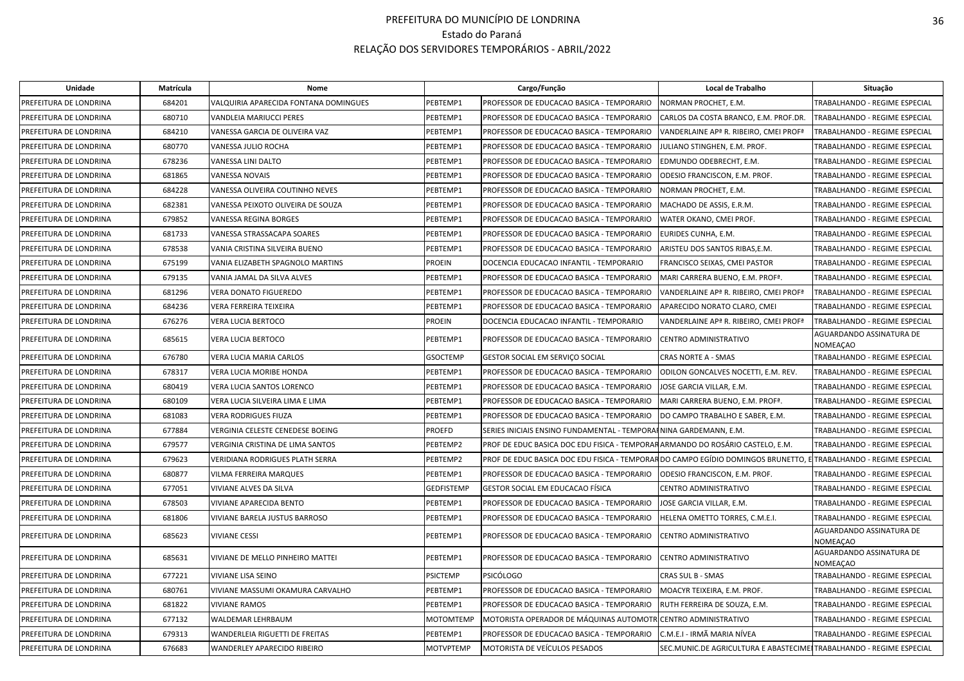| Unidade                | Matrícula | Nome                                  |                   | Cargo/Função                                                                                                    | Local de Trabalho                                                   | Situação                                    |
|------------------------|-----------|---------------------------------------|-------------------|-----------------------------------------------------------------------------------------------------------------|---------------------------------------------------------------------|---------------------------------------------|
| PREFEITURA DE LONDRINA | 684201    | VALQUIRIA APARECIDA FONTANA DOMINGUES | PEBTEMP1          | PROFESSOR DE EDUCACAO BASICA - TEMPORARIO                                                                       | NORMAN PROCHET, E.M.                                                | TRABALHANDO - REGIME ESPECIAL               |
| PREFEITURA DE LONDRINA | 680710    | VANDLEIA MARIUCCI PERES               | PEBTEMP1          | PROFESSOR DE EDUCACAO BASICA - TEMPORARIO                                                                       | CARLOS DA COSTA BRANCO, E.M. PROF.DR.                               | TRABALHANDO - REGIME ESPECIAL               |
| PREFEITURA DE LONDRINA | 684210    | VANESSA GARCIA DE OLIVEIRA VAZ        | PEBTEMP1          | PROFESSOR DE EDUCACAO BASICA - TEMPORARIO                                                                       | VANDERLAINE AP <sup>a</sup> R. RIBEIRO, CMEI PROF <sup>a</sup>      | TRABALHANDO - REGIME ESPECIAL               |
| PREFEITURA DE LONDRINA | 680770    | VANESSA JULIO ROCHA                   | PEBTEMP1          | PROFESSOR DE EDUCACAO BASICA - TEMPORARIO                                                                       | JULIANO STINGHEN, E.M. PROF.                                        | TRABALHANDO - REGIME ESPECIAL               |
| PREFEITURA DE LONDRINA | 678236    | VANESSA LINI DALTO                    | PEBTEMP1          | PROFESSOR DE EDUCACAO BASICA - TEMPORARIO                                                                       | EDMUNDO ODEBRECHT, E.M.                                             | TRABALHANDO - REGIME ESPECIAL               |
| PREFEITURA DE LONDRINA | 681865    | VANESSA NOVAIS                        | PEBTEMP1          | PROFESSOR DE EDUCACAO BASICA - TEMPORARIO                                                                       | ODESIO FRANCISCON, E.M. PROF.                                       | TRABALHANDO - REGIME ESPECIAL               |
| PREFEITURA DE LONDRINA | 684228    | VANESSA OLIVEIRA COUTINHO NEVES       | PEBTEMP1          | PROFESSOR DE EDUCACAO BASICA - TEMPORARIO                                                                       | NORMAN PROCHET, E.M.                                                | TRABALHANDO - REGIME ESPECIAL               |
| PREFEITURA DE LONDRINA | 682381    | VANESSA PEIXOTO OLIVEIRA DE SOUZA     | PEBTEMP1          | PROFESSOR DE EDUCACAO BASICA - TEMPORARIO                                                                       | MACHADO DE ASSIS, E.R.M.                                            | TRABALHANDO - REGIME ESPECIAL               |
| PREFEITURA DE LONDRINA | 679852    | VANESSA REGINA BORGES                 | PEBTEMP1          | PROFESSOR DE EDUCACAO BASICA - TEMPORARIO                                                                       | WATER OKANO, CMEI PROF.                                             | TRABALHANDO - REGIME ESPECIAL               |
| PREFEITURA DE LONDRINA | 681733    | VANESSA STRASSACAPA SOARES            | PEBTEMP1          | PROFESSOR DE EDUCACAO BASICA - TEMPORARIO                                                                       | EURIDES CUNHA, E.M.                                                 | TRABALHANDO - REGIME ESPECIAL               |
| PREFEITURA DE LONDRINA | 678538    | VANIA CRISTINA SILVEIRA BUENO         | PEBTEMP1          | PROFESSOR DE EDUCACAO BASICA - TEMPORARIO                                                                       | ARISTEU DOS SANTOS RIBAS, E.M.                                      | TRABALHANDO - REGIME ESPECIAL               |
| PREFEITURA DE LONDRINA | 675199    | VANIA ELIZABETH SPAGNOLO MARTINS      | <b>PROEIN</b>     | DOCENCIA EDUCACAO INFANTIL - TEMPORARIO                                                                         | FRANCISCO SEIXAS, CMEI PASTOR                                       | <b>TRABALHANDO - REGIME ESPECIAL</b>        |
| PREFEITURA DE LONDRINA | 679135    | VANIA JAMAL DA SILVA ALVES            | PEBTEMP1          | PROFESSOR DE EDUCACAO BASICA - TEMPORARIO                                                                       | MARI CARRERA BUENO, E.M. PROFª.                                     | TRABALHANDO - REGIME ESPECIAL               |
| PREFEITURA DE LONDRINA | 681296    | <b>VERA DONATO FIGUEREDO</b>          | PEBTEMP1          | PROFESSOR DE EDUCACAO BASICA - TEMPORARIO                                                                       | VANDERLAINE AP <sup>a</sup> R. RIBEIRO, CMEI PROF <sup>a</sup>      | TRABALHANDO - REGIME ESPECIAL               |
| PREFEITURA DE LONDRINA | 684236    | VERA FERREIRA TEIXEIRA                | PEBTEMP1          | PROFESSOR DE EDUCACAO BASICA - TEMPORARIO                                                                       | APARECIDO NORATO CLARO, CMEI                                        | TRABALHANDO - REGIME ESPECIAL               |
| PREFEITURA DE LONDRINA | 676276    | VERA LUCIA BERTOCO                    | <b>PROEIN</b>     | DOCENCIA EDUCACAO INFANTIL - TEMPORARIO                                                                         | VANDERLAINE AP <sup>ª</sup> R. RIBEIRO, CMEI PROF <sup>ª</sup>      | TRABALHANDO - REGIME ESPECIAL               |
| PREFEITURA DE LONDRINA | 685615    | VERA LUCIA BERTOCO                    | PEBTEMP1          | PROFESSOR DE EDUCACAO BASICA - TEMPORARIO                                                                       | CENTRO ADMINISTRATIVO                                               | AGUARDANDO ASSINATURA DE<br><b>NOMEAÇAO</b> |
| PREFEITURA DE LONDRINA | 676780    | VERA LUCIA MARIA CARLOS               | <b>GSOCTEMP</b>   | GESTOR SOCIAL EM SERVIÇO SOCIAL                                                                                 | <b>CRAS NORTE A - SMAS</b>                                          | TRABALHANDO - REGIME ESPECIAL               |
| PREFEITURA DE LONDRINA | 678317    | VERA LUCIA MORIBE HONDA               | PEBTEMP1          | PROFESSOR DE EDUCACAO BASICA - TEMPORARIO                                                                       | ODILON GONCALVES NOCETTI, E.M. REV.                                 | TRABALHANDO - REGIME ESPECIAL               |
| PREFEITURA DE LONDRINA | 680419    | VERA LUCIA SANTOS LORENCO             | PEBTEMP1          | PROFESSOR DE EDUCACAO BASICA - TEMPORARIO                                                                       | JOSE GARCIA VILLAR, E.M.                                            | TRABALHANDO - REGIME ESPECIAL               |
| PREFEITURA DE LONDRINA | 680109    | VERA LUCIA SILVEIRA LIMA E LIMA       | PEBTEMP1          | PROFESSOR DE EDUCACAO BASICA - TEMPORARIO                                                                       | MARI CARRERA BUENO, E.M. PROFª.                                     | TRABALHANDO - REGIME ESPECIAL               |
| PREFEITURA DE LONDRINA | 681083    | <b>VERA RODRIGUES FIUZA</b>           | PEBTEMP1          | PROFESSOR DE EDUCACAO BASICA - TEMPORARIO                                                                       | DO CAMPO TRABALHO E SABER, E.M.                                     | TRABALHANDO - REGIME ESPECIAL               |
| PREFEITURA DE LONDRINA | 677884    | VERGINIA CELESTE CENEDESE BOEING      | <b>PROEFD</b>     | SERIES INICIAIS ENSINO FUNDAMENTAL - TEMPORAININA GARDEMANN, E.M.                                               |                                                                     | TRABALHANDO - REGIME ESPECIAL               |
| PREFEITURA DE LONDRINA | 679577    | VERGINIA CRISTINA DE LIMA SANTOS      | PEBTEMP2          | PROF DE EDUC BASICA DOC EDU FISICA - TEMPORARARMANDO DO ROSÁRIO CASTELO, E.M.                                   |                                                                     | TRABALHANDO - REGIME ESPECIAL               |
| PREFEITURA DE LONDRINA | 679623    | VERIDIANA RODRIGUES PLATH SERRA       | PEBTEMP2          | PROF DE EDUC BASICA DOC EDU FISICA - TEMPORARDO CAMPO EGÍDIO DOMINGOS BRUNETTO, E TRABALHANDO - REGIME ESPECIAL |                                                                     |                                             |
| PREFEITURA DE LONDRINA | 680877    | VILMA FERREIRA MARQUES                | PEBTEMP1          | PROFESSOR DE EDUCACAO BASICA - TEMPORARIO                                                                       | ODESIO FRANCISCON, E.M. PROF.                                       | TRABALHANDO - REGIME ESPECIAL               |
| PREFEITURA DE LONDRINA | 677051    | VIVIANE ALVES DA SILVA                | <b>GEDFISTEMP</b> | GESTOR SOCIAL EM EDUCACAO FÍSICA                                                                                | CENTRO ADMINISTRATIVO                                               | TRABALHANDO - REGIME ESPECIAL               |
| PREFEITURA DE LONDRINA | 678503    | <b>VIVIANE APARECIDA BENTO</b>        | PEBTEMP1          | PROFESSOR DE EDUCACAO BASICA - TEMPORARIO                                                                       | JOSE GARCIA VILLAR, E.M.                                            | TRABALHANDO - REGIME ESPECIAL               |
| PREFEITURA DE LONDRINA | 681806    | VIVIANE BARELA JUSTUS BARROSO         | PEBTEMP1          | PROFESSOR DE EDUCACAO BASICA - TEMPORARIO                                                                       | HELENA OMETTO TORRES, C.M.E.I.                                      | TRABALHANDO - REGIME ESPECIAL               |
| PREFEITURA DE LONDRINA | 685623    | <b>VIVIANE CESSI</b>                  | PEBTEMP1          | PROFESSOR DE EDUCACAO BASICA - TEMPORARIO                                                                       | CENTRO ADMINISTRATIVO                                               | AGUARDANDO ASSINATURA DE<br><b>NOMEAÇAO</b> |
| PREFEITURA DE LONDRINA | 685631    | VIVIANE DE MELLO PINHEIRO MATTEI      | PEBTEMP1          | PROFESSOR DE EDUCACAO BASICA - TEMPORARIO                                                                       | CENTRO ADMINISTRATIVO                                               | AGUARDANDO ASSINATURA DE<br><b>NOMEAÇAO</b> |
| PREFEITURA DE LONDRINA | 677221    | <b>VIVIANE LISA SEINO</b>             | <b>PSICTEMP</b>   | <b>PSICÓLOGO</b>                                                                                                | CRAS SUL B - SMAS                                                   | TRABALHANDO - REGIME ESPECIAL               |
| PREFEITURA DE LONDRINA | 680761    | VIVIANE MASSUMI OKAMURA CARVALHO      | PEBTEMP1          | PROFESSOR DE EDUCACAO BASICA - TEMPORARIO                                                                       | MOACYR TEIXEIRA, E.M. PROF.                                         | TRABALHANDO - REGIME ESPECIAL               |
| PREFEITURA DE LONDRINA | 681822    | <b>VIVIANE RAMOS</b>                  | PEBTEMP1          | PROFESSOR DE EDUCACAO BASICA - TEMPORARIO                                                                       | RUTH FERREIRA DE SOUZA, E.M.                                        | TRABALHANDO - REGIME ESPECIAL               |
| PREFEITURA DE LONDRINA | 677132    | WALDEMAR LEHRBAUM                     | <b>MOTOMTEMP</b>  | MOTORISTA OPERADOR DE MÁQUINAS AUTOMOTI                                                                         | <b>ICENTRO ADMINISTRATIVO</b>                                       | TRABALHANDO - REGIME ESPECIAL               |
| PREFEITURA DE LONDRINA | 679313    | WANDERLEIA RIGUETTI DE FREITAS        | PEBTEMP1          | PROFESSOR DE EDUCACAO BASICA - TEMPORARIO                                                                       | C.M.E.I - IRMÃ MARIA NÍVEA                                          | TRABALHANDO - REGIME ESPECIAL               |
| PREFEITURA DE LONDRINA | 676683    | <b>WANDERLEY APARECIDO RIBEIRO</b>    | <b>MOTVPTEMP</b>  | MOTORISTA DE VEÍCULOS PESADOS                                                                                   | SEC.MUNIC.DE AGRICULTURA E ABASTECIME TRABALHANDO - REGIME ESPECIAL |                                             |